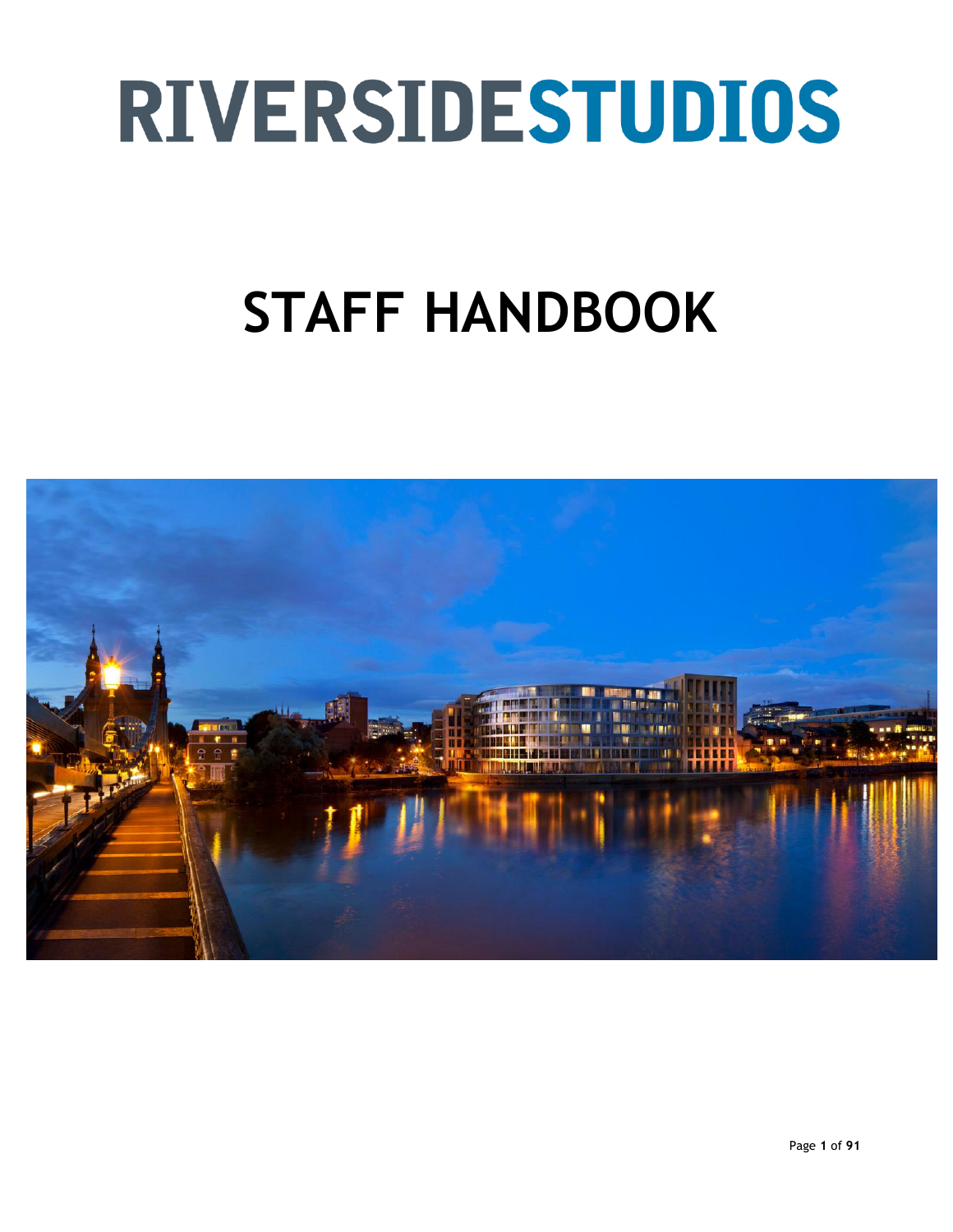# **RIVERSIDESTUDIOS**

# **STAFF HANDBOOK**

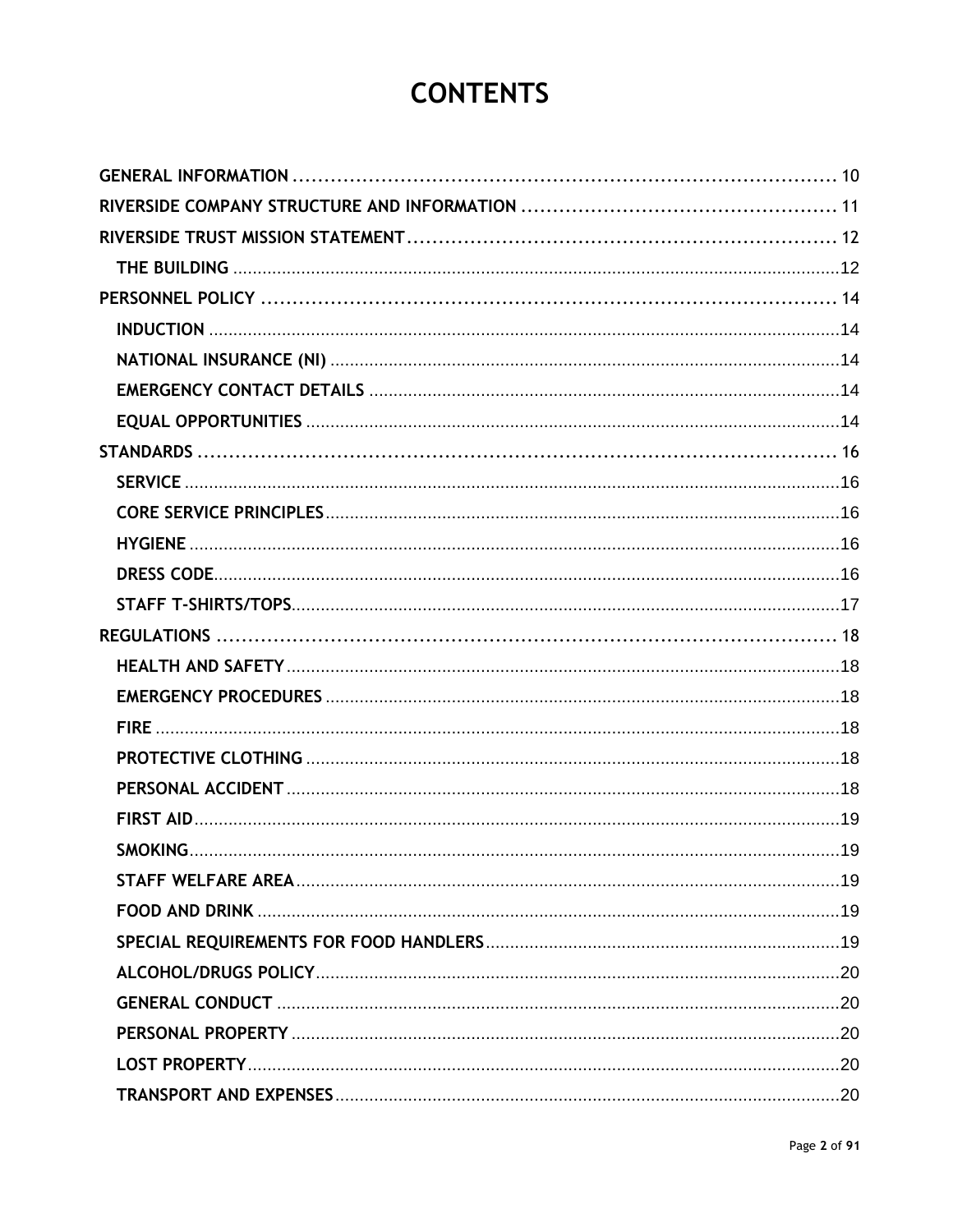# **CONTENTS**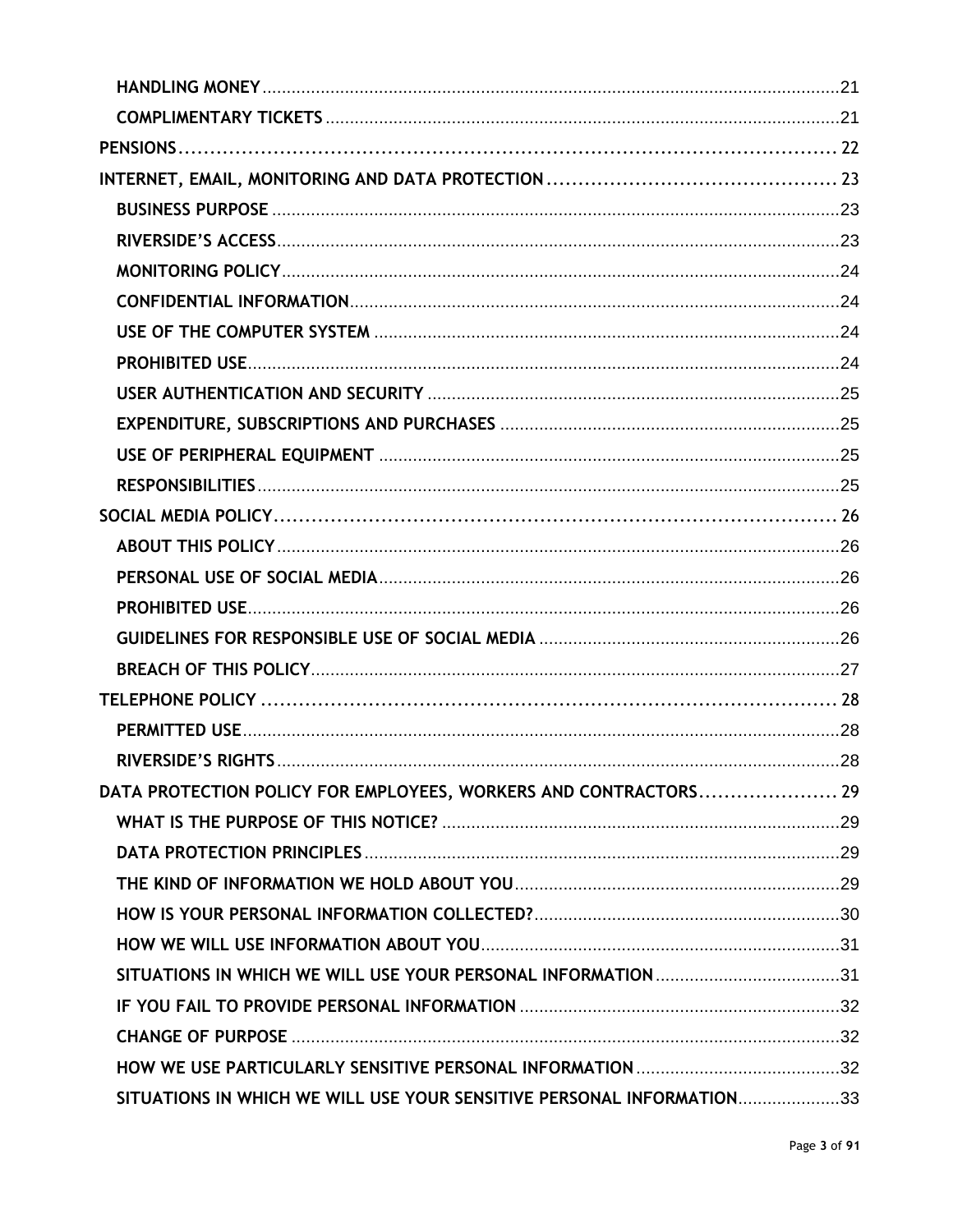| DATA PROTECTION POLICY FOR EMPLOYEES, WORKERS AND CONTRACTORS 29      |  |
|-----------------------------------------------------------------------|--|
|                                                                       |  |
|                                                                       |  |
|                                                                       |  |
|                                                                       |  |
|                                                                       |  |
|                                                                       |  |
|                                                                       |  |
|                                                                       |  |
|                                                                       |  |
| SITUATIONS IN WHICH WE WILL USE YOUR SENSITIVE PERSONAL INFORMATION33 |  |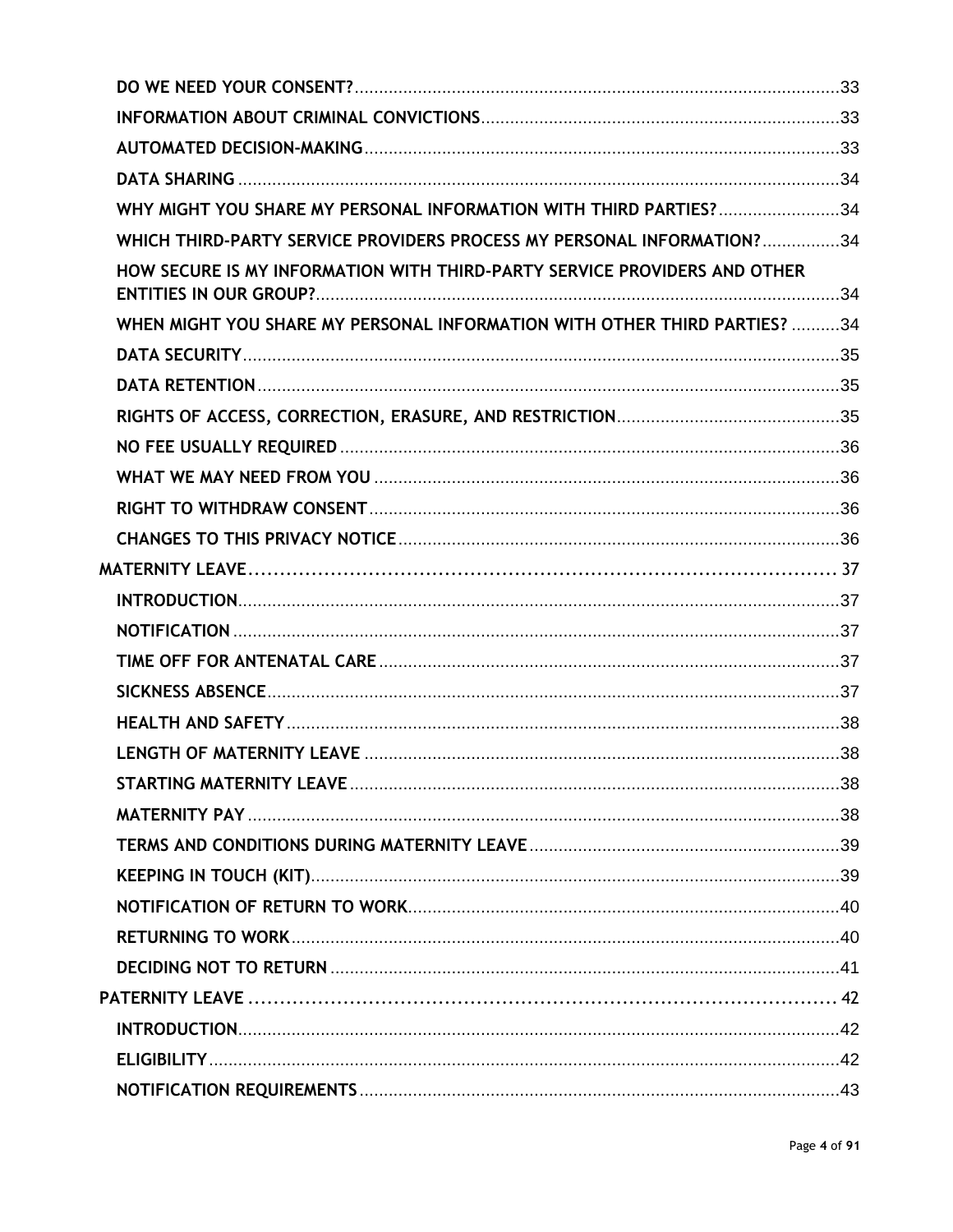| WHY MIGHT YOU SHARE MY PERSONAL INFORMATION WITH THIRD PARTIES? 34        |  |
|---------------------------------------------------------------------------|--|
| WHICH THIRD-PARTY SERVICE PROVIDERS PROCESS MY PERSONAL INFORMATION?34    |  |
| HOW SECURE IS MY INFORMATION WITH THIRD-PARTY SERVICE PROVIDERS AND OTHER |  |
| WHEN MIGHT YOU SHARE MY PERSONAL INFORMATION WITH OTHER THIRD PARTIES? 34 |  |
|                                                                           |  |
|                                                                           |  |
|                                                                           |  |
|                                                                           |  |
|                                                                           |  |
|                                                                           |  |
|                                                                           |  |
|                                                                           |  |
|                                                                           |  |
|                                                                           |  |
|                                                                           |  |
|                                                                           |  |
|                                                                           |  |
|                                                                           |  |
|                                                                           |  |
|                                                                           |  |
|                                                                           |  |
|                                                                           |  |
|                                                                           |  |
|                                                                           |  |
|                                                                           |  |
|                                                                           |  |
|                                                                           |  |
|                                                                           |  |
|                                                                           |  |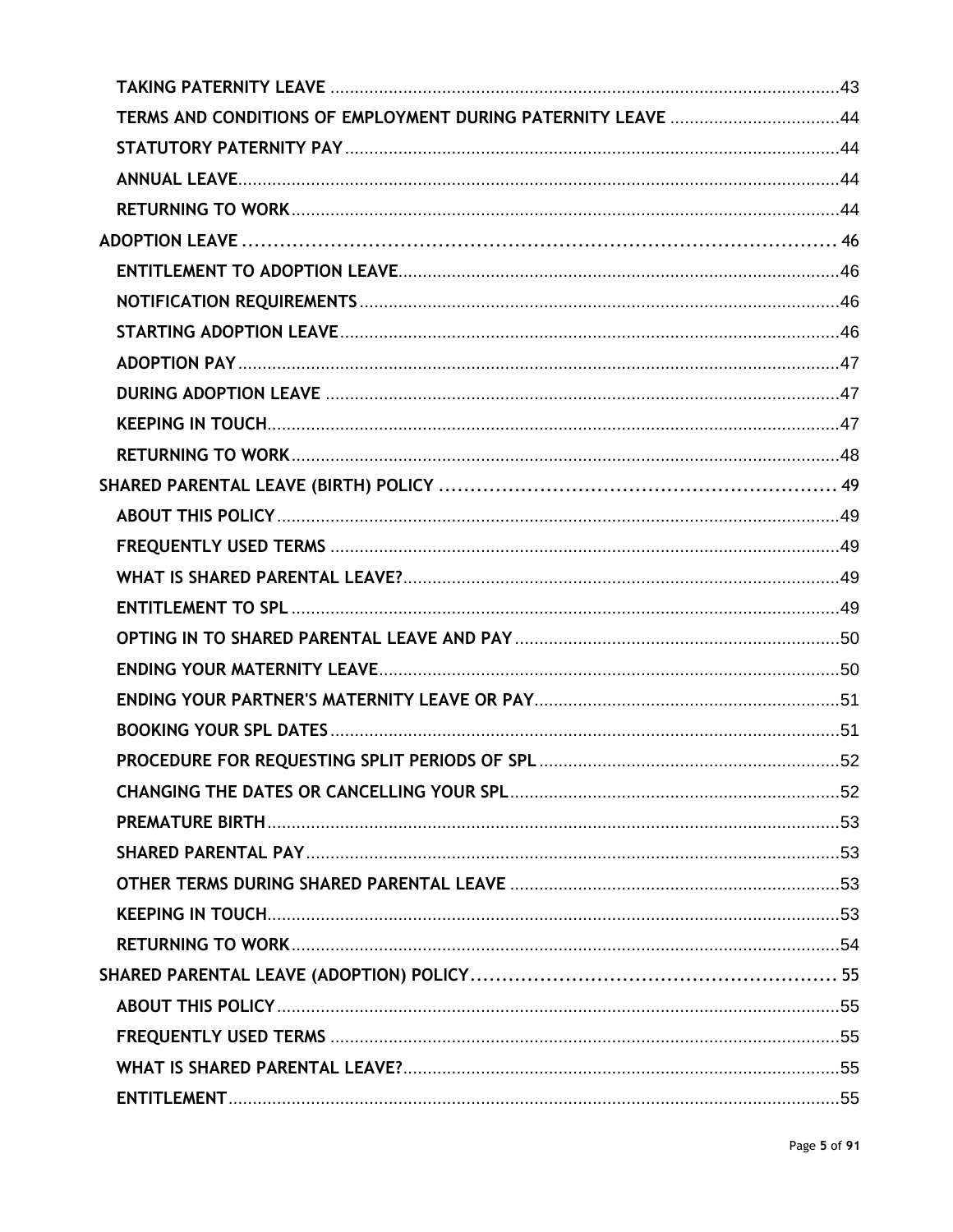| TERMS AND CONDITIONS OF EMPLOYMENT DURING PATERNITY LEAVE 44 |  |
|--------------------------------------------------------------|--|
|                                                              |  |
|                                                              |  |
|                                                              |  |
|                                                              |  |
|                                                              |  |
|                                                              |  |
|                                                              |  |
|                                                              |  |
|                                                              |  |
|                                                              |  |
|                                                              |  |
|                                                              |  |
|                                                              |  |
|                                                              |  |
|                                                              |  |
|                                                              |  |
|                                                              |  |
|                                                              |  |
|                                                              |  |
|                                                              |  |
|                                                              |  |
|                                                              |  |
|                                                              |  |
|                                                              |  |
|                                                              |  |
|                                                              |  |
|                                                              |  |
|                                                              |  |
|                                                              |  |
|                                                              |  |
|                                                              |  |
|                                                              |  |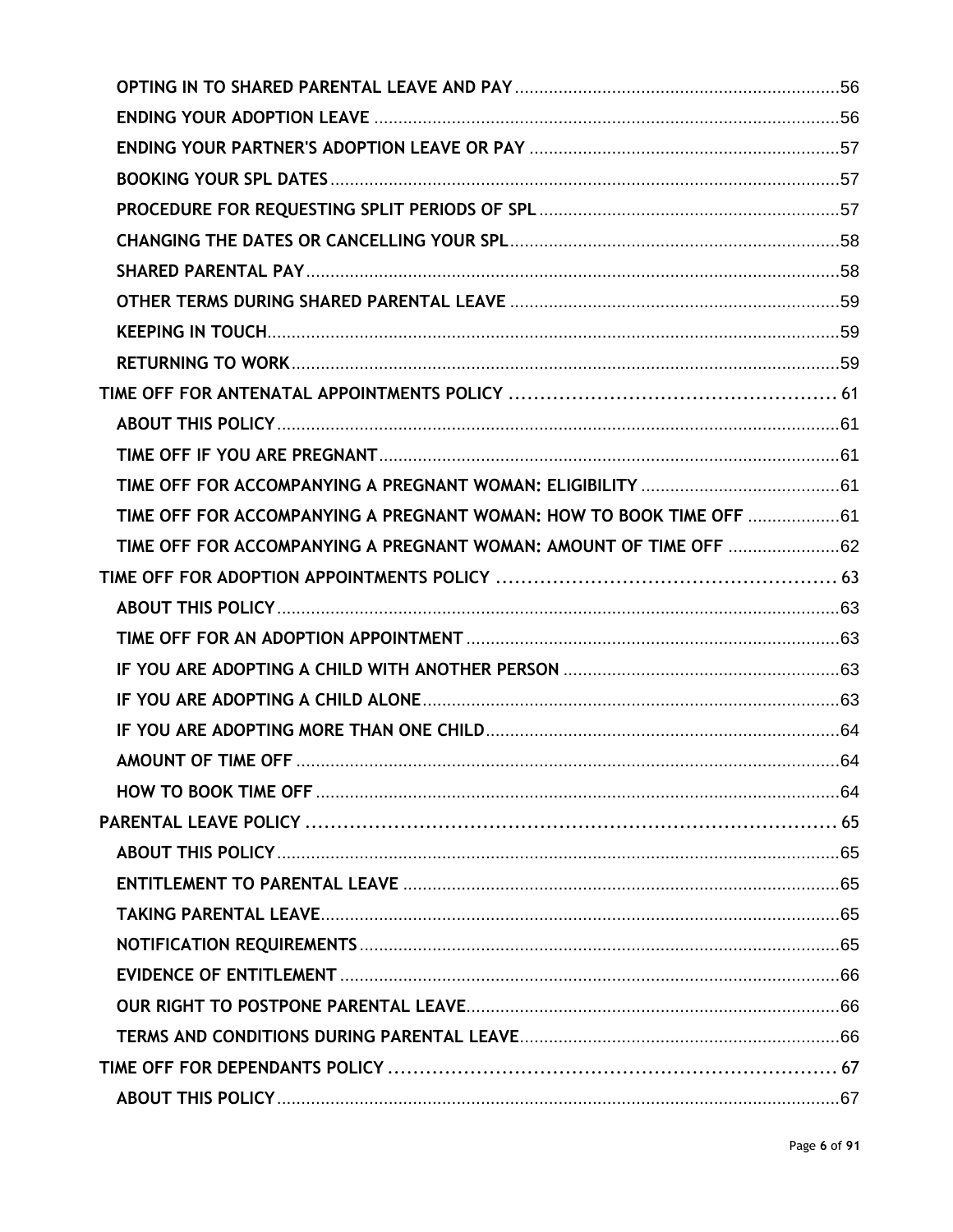| TIME OFF FOR ACCOMPANYING A PREGNANT WOMAN: HOW TO BOOK TIME OFF 61 |  |
|---------------------------------------------------------------------|--|
|                                                                     |  |
|                                                                     |  |
|                                                                     |  |
|                                                                     |  |
|                                                                     |  |
|                                                                     |  |
|                                                                     |  |
|                                                                     |  |
|                                                                     |  |
|                                                                     |  |
|                                                                     |  |
|                                                                     |  |
|                                                                     |  |
|                                                                     |  |
|                                                                     |  |
|                                                                     |  |
|                                                                     |  |
|                                                                     |  |
|                                                                     |  |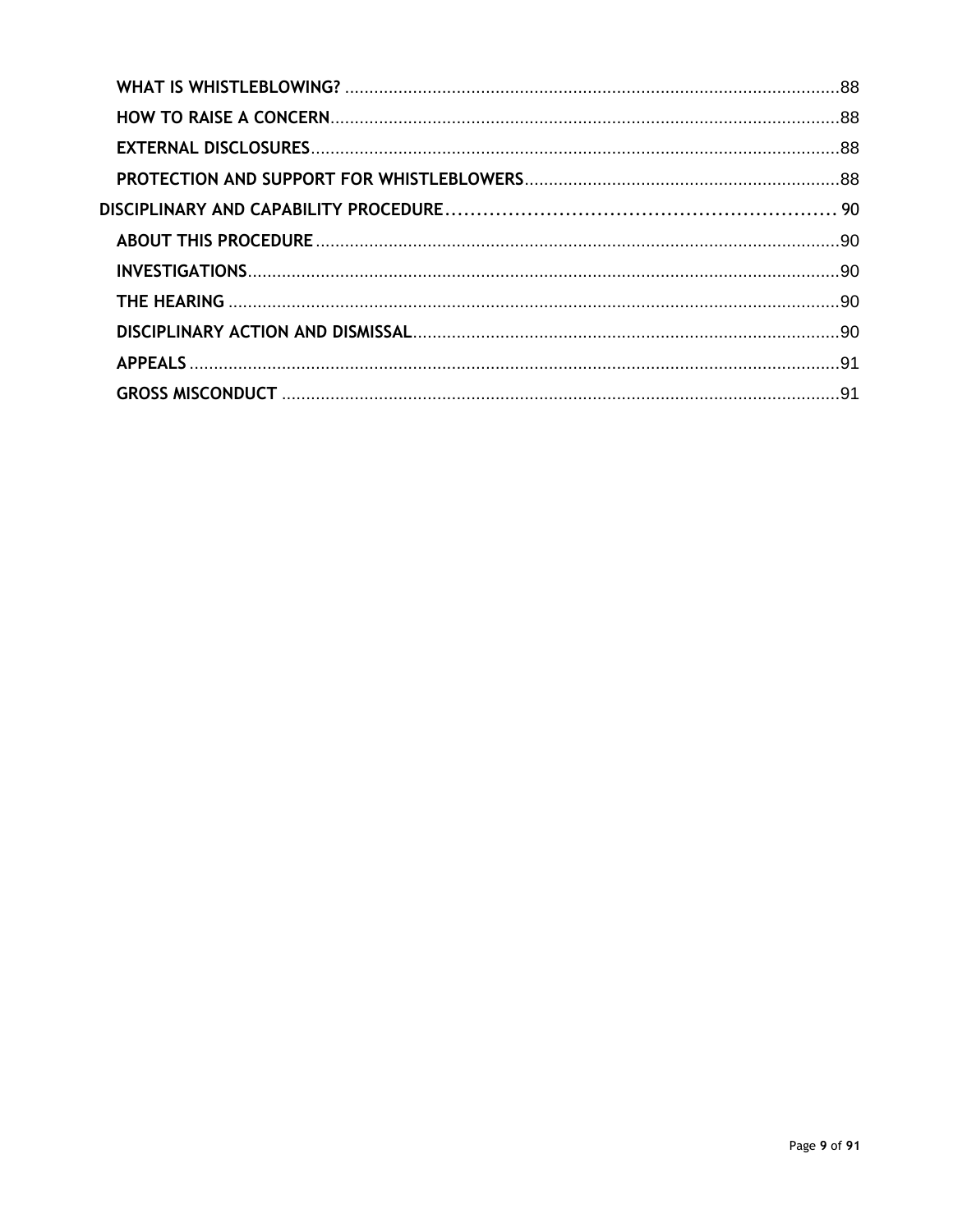| DISCIPLINARY ACTION AND DISMISSAL [11] [12] DISCIPLINARY ACTION AND DISMISSAL [11] [11] [11] [11] [11] [11] [1 |  |
|----------------------------------------------------------------------------------------------------------------|--|
|                                                                                                                |  |
|                                                                                                                |  |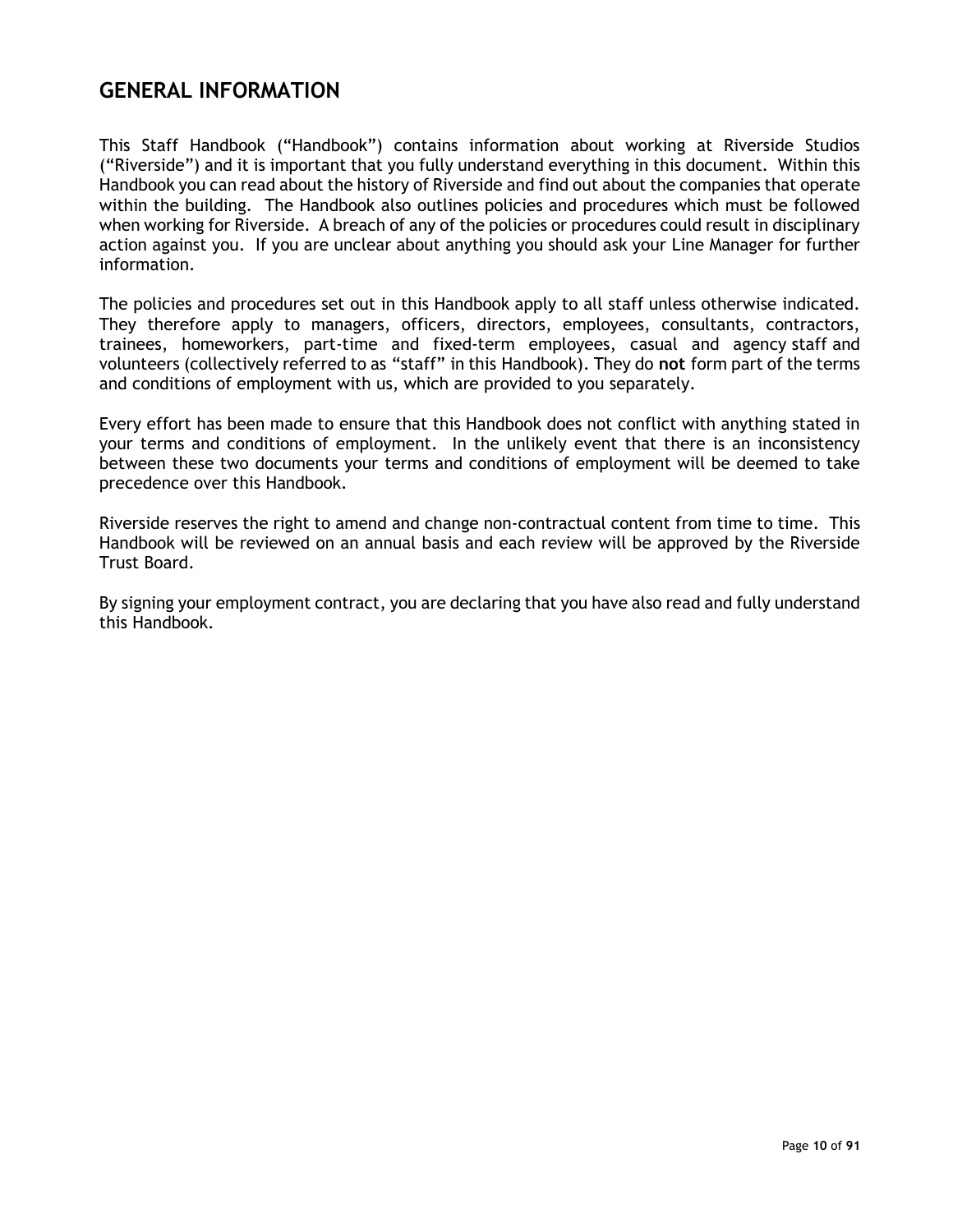# <span id="page-9-0"></span>**GENERAL INFORMATION**

This Staff Handbook ("Handbook") contains information about working at Riverside Studios ("Riverside") and it is important that you fully understand everything in this document. Within this Handbook you can read about the history of Riverside and find out about the companies that operate within the building. The Handbook also outlines policies and procedures which must be followed when working for Riverside. A breach of any of the policies or procedures could result in disciplinary action against you. If you are unclear about anything you should ask your Line Manager for further information.

The policies and procedures set out in this Handbook apply to all staff unless otherwise indicated. They therefore apply to managers, officers, directors, employees, consultants, contractors, trainees, homeworkers, part-time and fixed-term employees, casual and agency staff and volunteers (collectively referred to as "staff" in this Handbook). They do **not** form part of the terms and conditions of employment with us, which are provided to you separately.

Every effort has been made to ensure that this Handbook does not conflict with anything stated in your terms and conditions of employment. In the unlikely event that there is an inconsistency between these two documents your terms and conditions of employment will be deemed to take precedence over this Handbook.

Riverside reserves the right to amend and change non-contractual content from time to time. This Handbook will be reviewed on an annual basis and each review will be approved by the Riverside Trust Board.

By signing your employment contract, you are declaring that you have also read and fully understand this Handbook.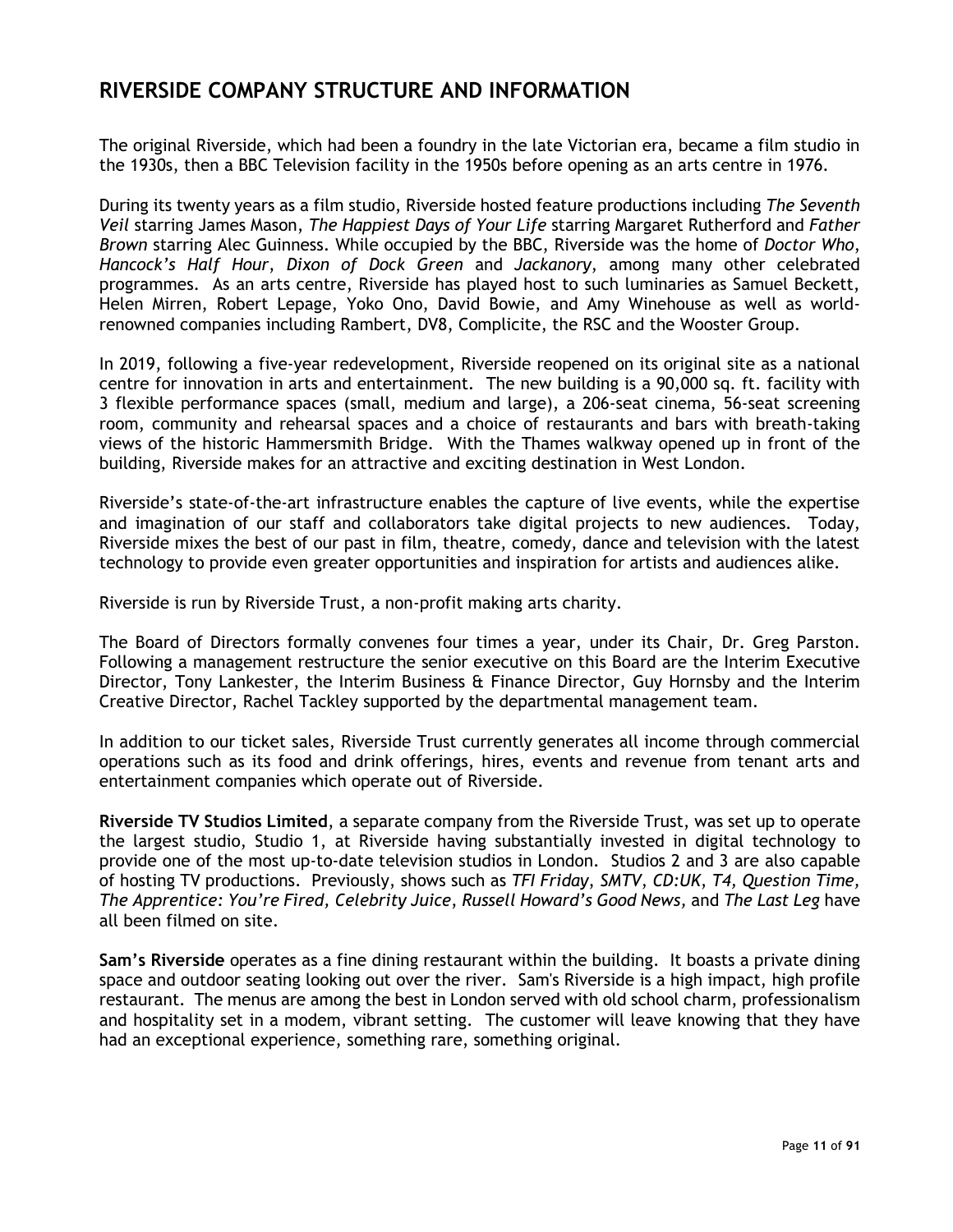## <span id="page-10-0"></span>**RIVERSIDE COMPANY STRUCTURE AND INFORMATION**

The original Riverside, which had been a foundry in the late Victorian era, became a film studio in the 1930s, then a BBC Television facility in the 1950s before opening as an arts centre in 1976.

During its twenty years as a film studio, Riverside hosted feature productions including *The Seventh Veil* starring James Mason, *The Happiest Days of Your Life* starring Margaret Rutherford and *Father Brown* starring Alec Guinness. While occupied by the BBC, Riverside was the home of *Doctor Who*, *Hancock's Half Hour*, *Dixon of Dock Green* and *Jackanory*, among many other celebrated programmes. As an arts centre, Riverside has played host to such luminaries as Samuel Beckett, Helen Mirren, Robert Lepage, Yoko Ono, David Bowie, and Amy Winehouse as well as worldrenowned companies including Rambert, DV8, Complicite, the RSC and the Wooster Group.

In 2019, following a five-year redevelopment, Riverside reopened on its original site as a national centre for innovation in arts and entertainment. The new building is a 90,000 sq. ft. facility with 3 flexible performance spaces (small, medium and large), a 206-seat cinema, 56-seat screening room, community and rehearsal spaces and a choice of restaurants and bars with breath-taking views of the historic Hammersmith Bridge. With the Thames walkway opened up in front of the building, Riverside makes for an attractive and exciting destination in West London.

Riverside's state-of-the-art infrastructure enables the capture of live events, while the expertise and imagination of our staff and collaborators take digital projects to new audiences. Today, Riverside mixes the best of our past in film, theatre, comedy, dance and television with the latest technology to provide even greater opportunities and inspiration for artists and audiences alike.

Riverside is run by Riverside Trust, a non-profit making arts charity.

The Board of Directors formally convenes four times a year, under its Chair, Dr. Greg Parston. Following a management restructure the senior executive on this Board are the Interim Executive Director, Tony Lankester, the Interim Business & Finance Director, Guy Hornsby and the Interim Creative Director, Rachel Tackley supported by the departmental management team.

In addition to our ticket sales, Riverside Trust currently generates all income through commercial operations such as its food and drink offerings, hires, events and revenue from tenant arts and entertainment companies which operate out of Riverside.

**Riverside TV Studios Limited**, a separate company from the Riverside Trust, was set up to operate the largest studio, Studio 1, at Riverside having substantially invested in digital technology to provide one of the most up-to-date television studios in London. Studios 2 and 3 are also capable of hosting TV productions. Previously, shows such as *TFI Friday*, *SMTV*, *CD:UK*, *T4, Question Time, The Apprentice: You're Fired, Celebrity Juice*, *Russell Howard's Good News,* and *The Last Leg* have all been filmed on site.

**Sam's Riverside** operates as a fine dining restaurant within the building. It boasts a private dining space and outdoor seating looking out over the river. Sam's Riverside is a high impact, high profile restaurant. The menus are among the best in London served with old school charm, professionalism and hospitality set in a modem, vibrant setting. The customer will leave knowing that they have had an exceptional experience, something rare, something original.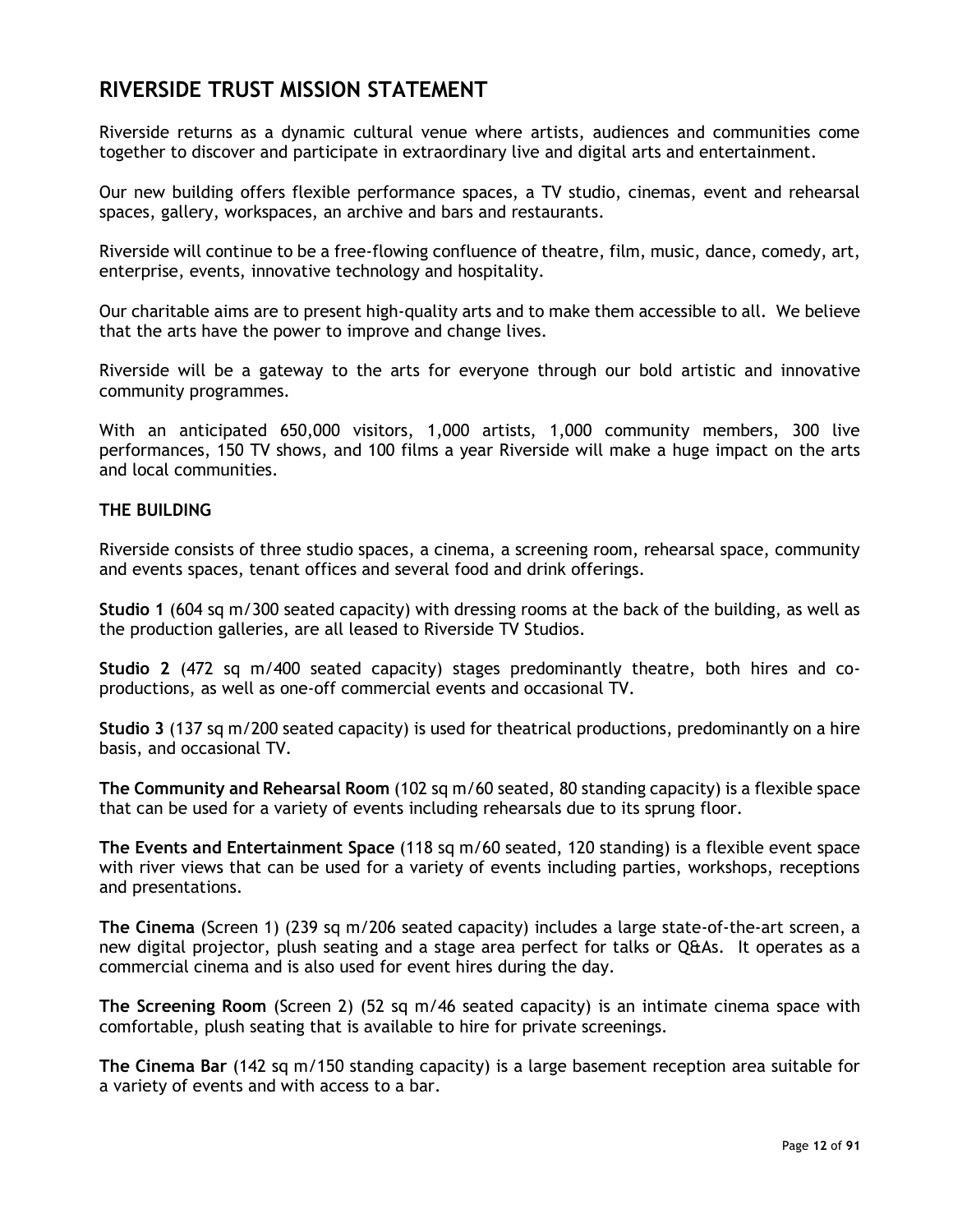## <span id="page-11-0"></span>**RIVERSIDE TRUST MISSION STATEMENT**

Riverside returns as a dynamic cultural venue where artists, audiences and communities come together to discover and participate in extraordinary live and digital arts and entertainment.

Our new building offers flexible performance spaces, a TV studio, cinemas, event and rehearsal spaces, gallery, workspaces, an archive and bars and restaurants.

Riverside will continue to be a free-flowing confluence of theatre, film, music, dance, comedy, art, enterprise, events, innovative technology and hospitality.

Our charitable aims are to present high-quality arts and to make them accessible to all. We believe that the arts have the power to improve and change lives.

Riverside will be a gateway to the arts for everyone through our bold artistic and innovative community programmes.

With an anticipated 650,000 visitors, 1,000 artists, 1,000 community members, 300 live performances, 150 TV shows, and 100 films a year Riverside will make a huge impact on the arts and local communities.

#### <span id="page-11-1"></span>**THE BUILDING**

Riverside consists of three studio spaces, a cinema, a screening room, rehearsal space, community and events spaces, tenant offices and several food and drink offerings.

**Studio 1** (604 sq m/300 seated capacity) with dressing rooms at the back of the building, as well as the production galleries, are all leased to Riverside TV Studios.

**Studio 2** (472 sq m/400 seated capacity) stages predominantly theatre, both hires and coproductions, as well as one-off commercial events and occasional TV.

**Studio 3** (137 sq m/200 seated capacity) is used for theatrical productions, predominantly on a hire basis, and occasional TV.

**The Community and Rehearsal Room** (102 sq m/60 seated, 80 standing capacity) is a flexible space that can be used for a variety of events including rehearsals due to its sprung floor.

**The Events and Entertainment Space** (118 sq m/60 seated, 120 standing) is a flexible event space with river views that can be used for a variety of events including parties, workshops, receptions and presentations.

**The Cinema** (Screen 1) (239 sq m/206 seated capacity) includes a large state-of-the-art screen, a new digital projector, plush seating and a stage area perfect for talks or Q&As. It operates as a commercial cinema and is also used for event hires during the day.

**The Screening Room** (Screen 2) (52 sq m/46 seated capacity) is an intimate cinema space with comfortable, plush seating that is available to hire for private screenings.

**The Cinema Bar** (142 sq m/150 standing capacity) is a large basement reception area suitable for a variety of events and with access to a bar.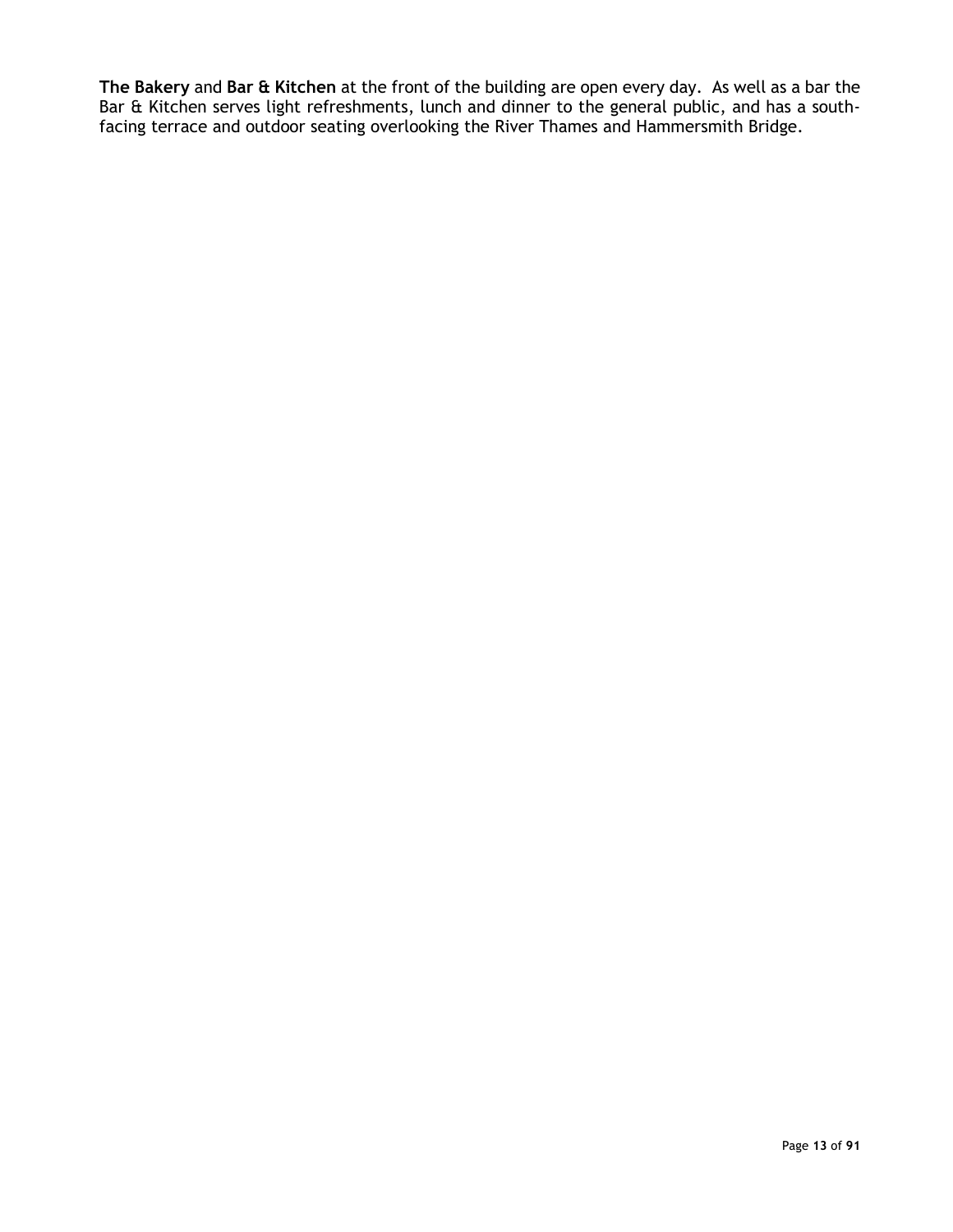**The Bakery** and **Bar & Kitchen** at the front of the building are open every day. As well as a bar the Bar & Kitchen serves light refreshments, lunch and dinner to the general public, and has a southfacing terrace and outdoor seating overlooking the River Thames and Hammersmith Bridge.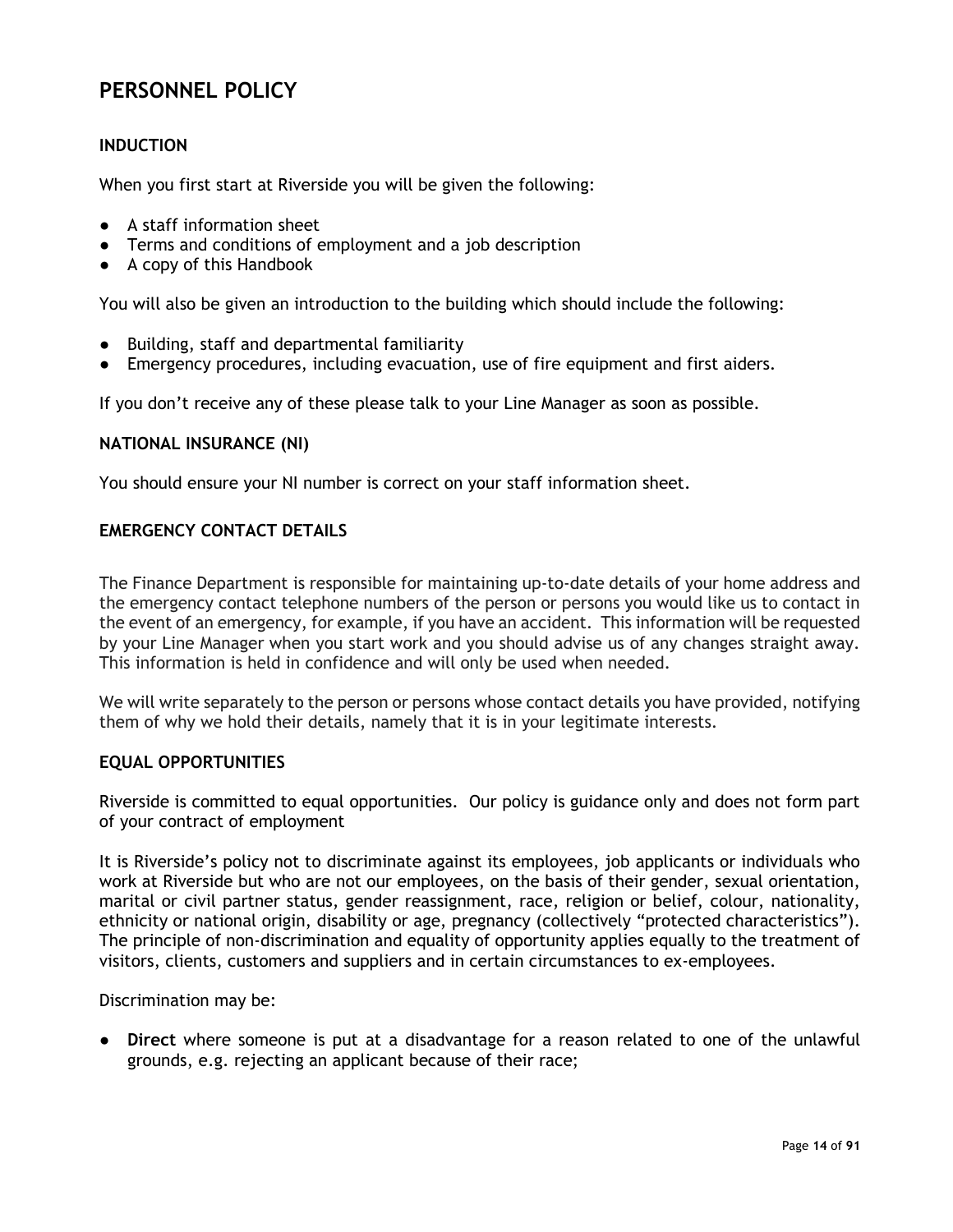# <span id="page-13-0"></span>**PERSONNEL POLICY**

#### <span id="page-13-1"></span>**INDUCTION**

When you first start at Riverside you will be given the following:

- A staff information sheet
- Terms and conditions of employment and a job description
- A copy of this Handbook

You will also be given an introduction to the building which should include the following:

- Building, staff and departmental familiarity
- Emergency procedures, including evacuation, use of fire equipment and first aiders.

If you don't receive any of these please talk to your Line Manager as soon as possible.

#### <span id="page-13-2"></span>**NATIONAL INSURANCE (NI)**

<span id="page-13-3"></span>You should ensure your NI number is correct on your staff information sheet.

#### **EMERGENCY CONTACT DETAILS**

The Finance Department is responsible for maintaining up-to-date details of your home address and the emergency contact telephone numbers of the person or persons you would like us to contact in the event of an emergency, for example, if you have an accident. This information will be requested by your Line Manager when you start work and you should advise us of any changes straight away. This information is held in confidence and will only be used when needed.

We will write separately to the person or persons whose contact details you have provided, notifying them of why we hold their details, namely that it is in your legitimate interests.

#### <span id="page-13-4"></span>**EQUAL OPPORTUNITIES**

Riverside is committed to equal opportunities. Our policy is guidance only and does not form part of your contract of employment

It is Riverside's policy not to discriminate against its employees, job applicants or individuals who work at Riverside but who are not our employees, on the basis of their gender, sexual orientation, marital or civil partner status, gender reassignment, race, religion or belief, colour, nationality, ethnicity or national origin, disability or age, pregnancy (collectively "protected characteristics"). The principle of non-discrimination and equality of opportunity applies equally to the treatment of visitors, clients, customers and suppliers and in certain circumstances to ex-employees.

Discrimination may be:

● **Direct** where someone is put at a disadvantage for a reason related to one of the unlawful grounds, e.g. rejecting an applicant because of their race;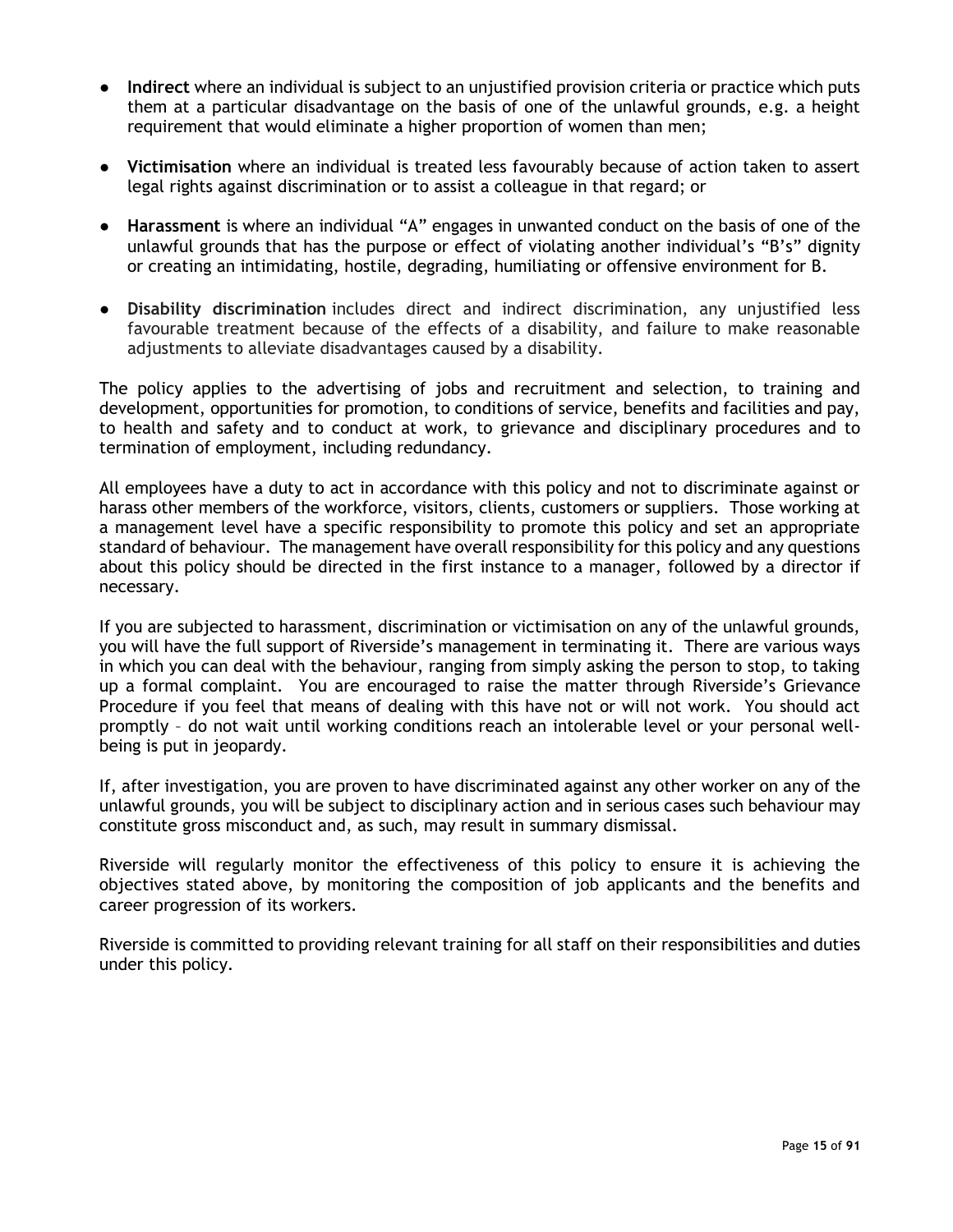- **Indirect** where an individual is subject to an unjustified provision criteria or practice which puts them at a particular disadvantage on the basis of one of the unlawful grounds, e.g. a height requirement that would eliminate a higher proportion of women than men;
- **Victimisation** where an individual is treated less favourably because of action taken to assert legal rights against discrimination or to assist a colleague in that regard; or
- **Harassment** is where an individual "A" engages in unwanted conduct on the basis of one of the unlawful grounds that has the purpose or effect of violating another individual's "B's" dignity or creating an intimidating, hostile, degrading, humiliating or offensive environment for B.
- **Disability discrimination** includes direct and indirect discrimination, any unjustified less favourable treatment because of the effects of a disability, and failure to make reasonable adjustments to alleviate disadvantages caused by a disability.

The policy applies to the advertising of jobs and recruitment and selection, to training and development, opportunities for promotion, to conditions of service, benefits and facilities and pay, to health and safety and to conduct at work, to grievance and disciplinary procedures and to termination of employment, including redundancy.

All employees have a duty to act in accordance with this policy and not to discriminate against or harass other members of the workforce, visitors, clients, customers or suppliers. Those working at a management level have a specific responsibility to promote this policy and set an appropriate standard of behaviour. The management have overall responsibility for this policy and any questions about this policy should be directed in the first instance to a manager, followed by a director if necessary.

If you are subjected to harassment, discrimination or victimisation on any of the unlawful grounds, you will have the full support of Riverside's management in terminating it. There are various ways in which you can deal with the behaviour, ranging from simply asking the person to stop, to taking up a formal complaint. You are encouraged to raise the matter through Riverside's Grievance Procedure if you feel that means of dealing with this have not or will not work. You should act promptly – do not wait until working conditions reach an intolerable level or your personal wellbeing is put in jeopardy.

If, after investigation, you are proven to have discriminated against any other worker on any of the unlawful grounds, you will be subject to disciplinary action and in serious cases such behaviour may constitute gross misconduct and, as such, may result in summary dismissal.

Riverside will regularly monitor the effectiveness of this policy to ensure it is achieving the objectives stated above, by monitoring the composition of job applicants and the benefits and career progression of its workers.

Riverside is committed to providing relevant training for all staff on their responsibilities and duties under this policy.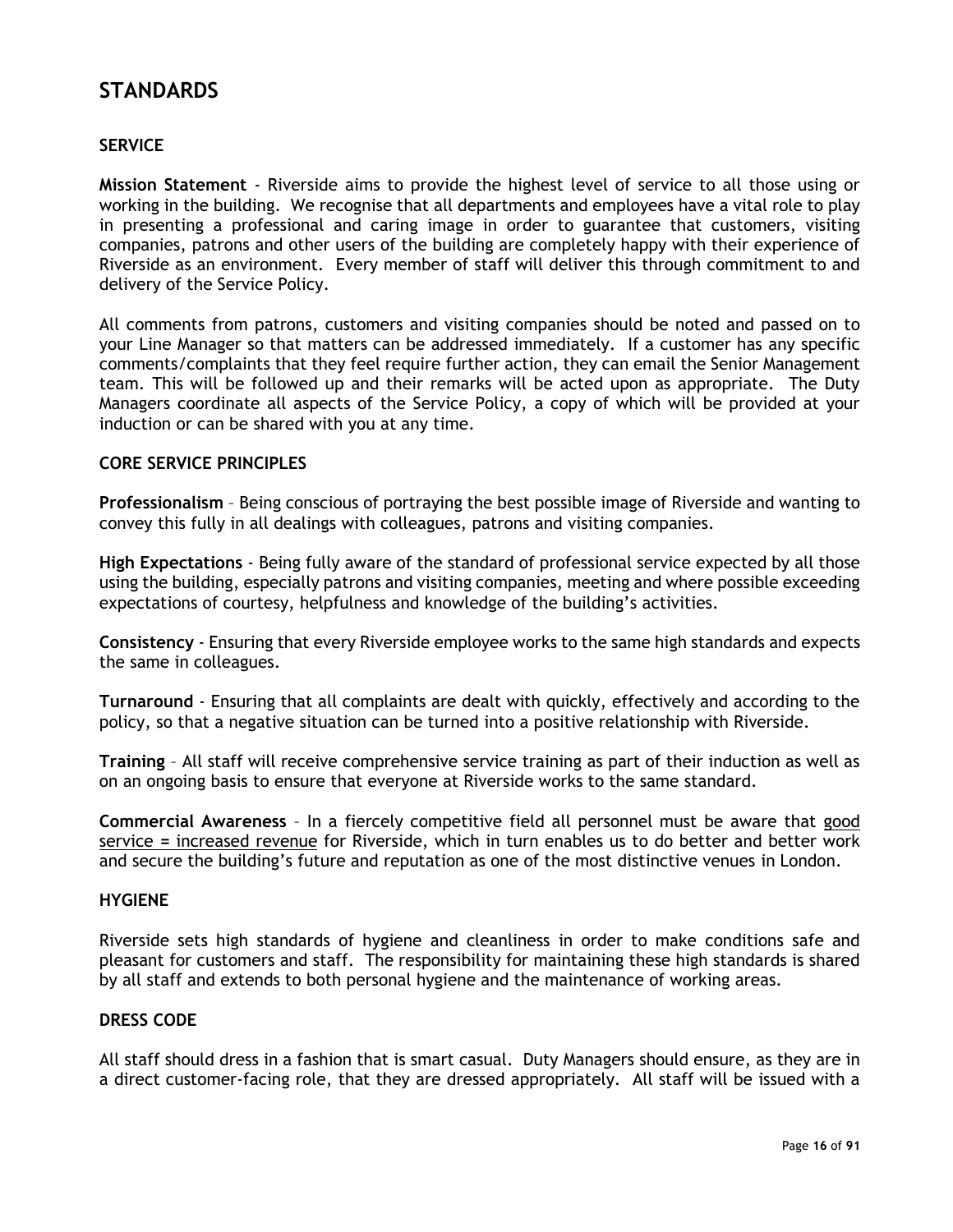# <span id="page-15-0"></span>**STANDARDS**

#### <span id="page-15-1"></span>**SERVICE**

**Mission Statement** - Riverside aims to provide the highest level of service to all those using or working in the building. We recognise that all departments and employees have a vital role to play in presenting a professional and caring image in order to guarantee that customers, visiting companies, patrons and other users of the building are completely happy with their experience of Riverside as an environment. Every member of staff will deliver this through commitment to and delivery of the Service Policy.

All comments from patrons, customers and visiting companies should be noted and passed on to your Line Manager so that matters can be addressed immediately. If a customer has any specific comments/complaints that they feel require further action, they can email the Senior Management team. This will be followed up and their remarks will be acted upon as appropriate. The Duty Managers coordinate all aspects of the Service Policy, a copy of which will be provided at your induction or can be shared with you at any time.

#### <span id="page-15-2"></span>**CORE SERVICE PRINCIPLES**

**Professionalism** – Being conscious of portraying the best possible image of Riverside and wanting to convey this fully in all dealings with colleagues, patrons and visiting companies.

**High Expectations** - Being fully aware of the standard of professional service expected by all those using the building, especially patrons and visiting companies, meeting and where possible exceeding expectations of courtesy, helpfulness and knowledge of the building's activities.

**Consistency** - Ensuring that every Riverside employee works to the same high standards and expects the same in colleagues.

**Turnaround** - Ensuring that all complaints are dealt with quickly, effectively and according to the policy, so that a negative situation can be turned into a positive relationship with Riverside.

**Training** – All staff will receive comprehensive service training as part of their induction as well as on an ongoing basis to ensure that everyone at Riverside works to the same standard.

**Commercial Awareness** – In a fiercely competitive field all personnel must be aware that good service **=** increased revenue for Riverside, which in turn enables us to do better and better work and secure the building's future and reputation as one of the most distinctive venues in London.

#### <span id="page-15-3"></span>**HYGIENE**

Riverside sets high standards of hygiene and cleanliness in order to make conditions safe and pleasant for customers and staff. The responsibility for maintaining these high standards is shared by all staff and extends to both personal hygiene and the maintenance of working areas.

#### <span id="page-15-4"></span>**DRESS CODE**

All staff should dress in a fashion that is smart casual. Duty Managers should ensure, as they are in a direct customer-facing role, that they are dressed appropriately. All staff will be issued with a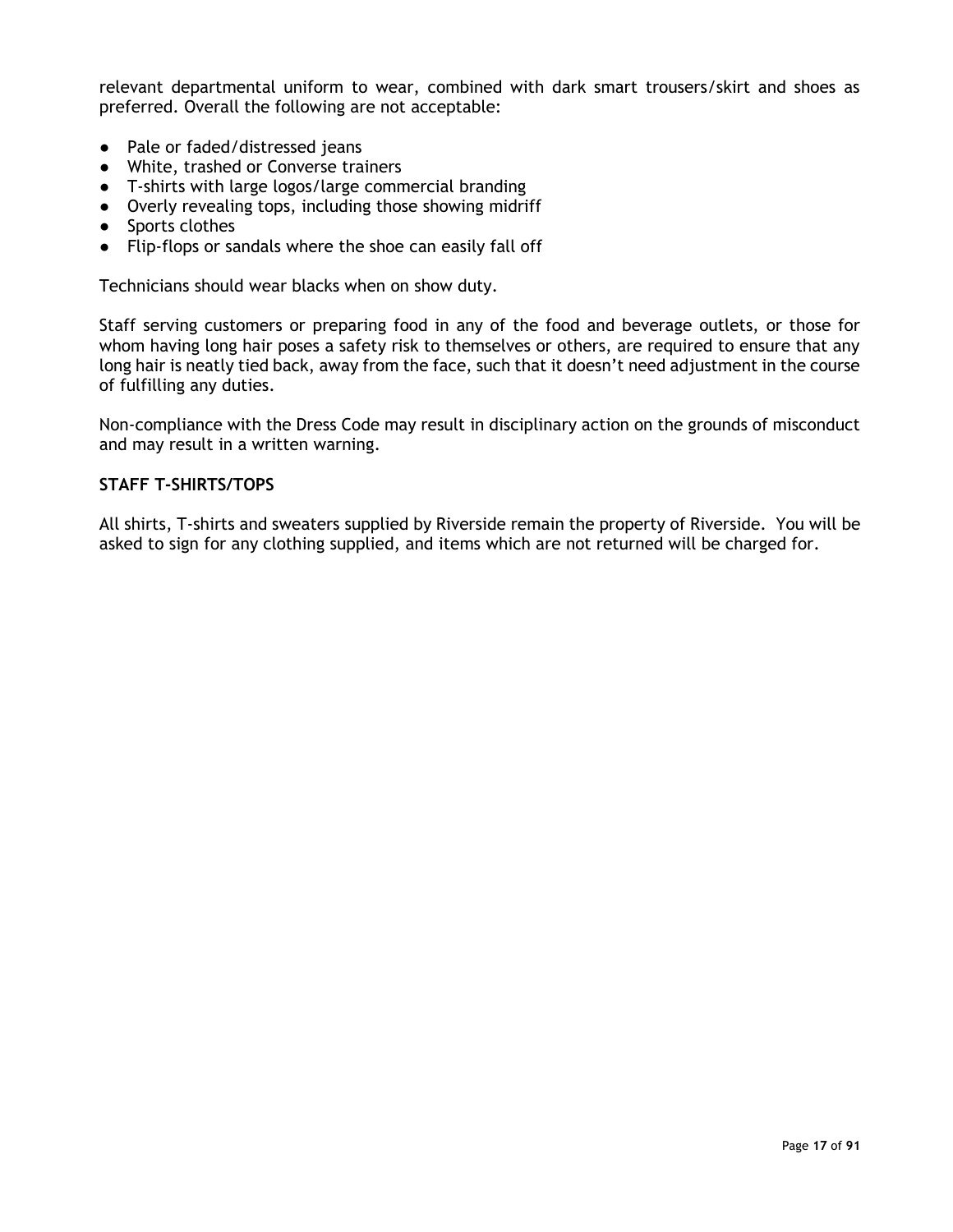relevant departmental uniform to wear, combined with dark smart trousers/skirt and shoes as preferred. Overall the following are not acceptable:

- Pale or faded/distressed jeans
- White, trashed or Converse trainers
- T-shirts with large logos/large commercial branding
- Overly revealing tops, including those showing midriff
- Sports clothes
- Flip-flops or sandals where the shoe can easily fall off

Technicians should wear blacks when on show duty.

Staff serving customers or preparing food in any of the food and beverage outlets, or those for whom having long hair poses a safety risk to themselves or others, are required to ensure that any long hair is neatly tied back, away from the face, such that it doesn't need adjustment in the course of fulfilling any duties.

Non-compliance with the Dress Code may result in disciplinary action on the grounds of misconduct and may result in a written warning.

#### <span id="page-16-0"></span>**STAFF T-SHIRTS/TOPS**

All shirts, T-shirts and sweaters supplied by Riverside remain the property of Riverside. You will be asked to sign for any clothing supplied, and items which are not returned will be charged for.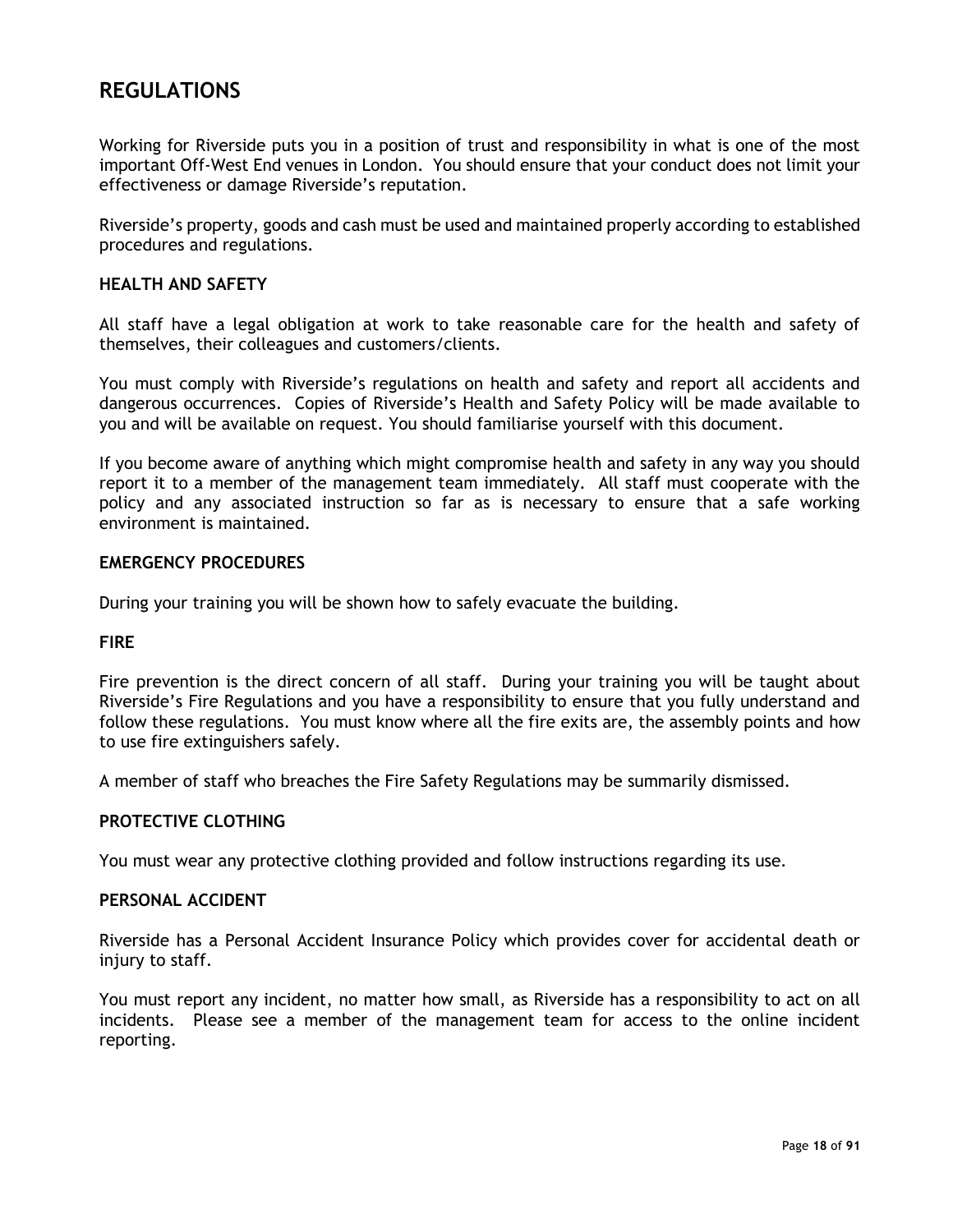# <span id="page-17-0"></span>**REGULATIONS**

Working for Riverside puts you in a position of trust and responsibility in what is one of the most important Off-West End venues in London. You should ensure that your conduct does not limit your effectiveness or damage Riverside's reputation.

Riverside's property, goods and cash must be used and maintained properly according to established procedures and regulations.

#### <span id="page-17-1"></span>**HEALTH AND SAFETY**

All staff have a legal obligation at work to take reasonable care for the health and safety of themselves, their colleagues and customers/clients.

You must comply with Riverside's regulations on health and safety and report all accidents and dangerous occurrences. Copies of Riverside's Health and Safety Policy will be made available to you and will be available on request. You should familiarise yourself with this document.

If you become aware of anything which might compromise health and safety in any way you should report it to a member of the management team immediately. All staff must cooperate with the policy and any associated instruction so far as is necessary to ensure that a safe working environment is maintained.

#### <span id="page-17-2"></span>**EMERGENCY PROCEDURES**

During your training you will be shown how to safely evacuate the building.

#### <span id="page-17-3"></span>**FIRE**

Fire prevention is the direct concern of all staff. During your training you will be taught about Riverside's Fire Regulations and you have a responsibility to ensure that you fully understand and follow these regulations. You must know where all the fire exits are, the assembly points and how to use fire extinguishers safely.

A member of staff who breaches the Fire Safety Regulations may be summarily dismissed.

#### <span id="page-17-4"></span>**PROTECTIVE CLOTHING**

You must wear any protective clothing provided and follow instructions regarding its use.

#### <span id="page-17-5"></span>**PERSONAL ACCIDENT**

Riverside has a Personal Accident Insurance Policy which provides cover for accidental death or injury to staff.

You must report any incident, no matter how small, as Riverside has a responsibility to act on all incidents. Please see a member of the management team for access to the online incident reporting.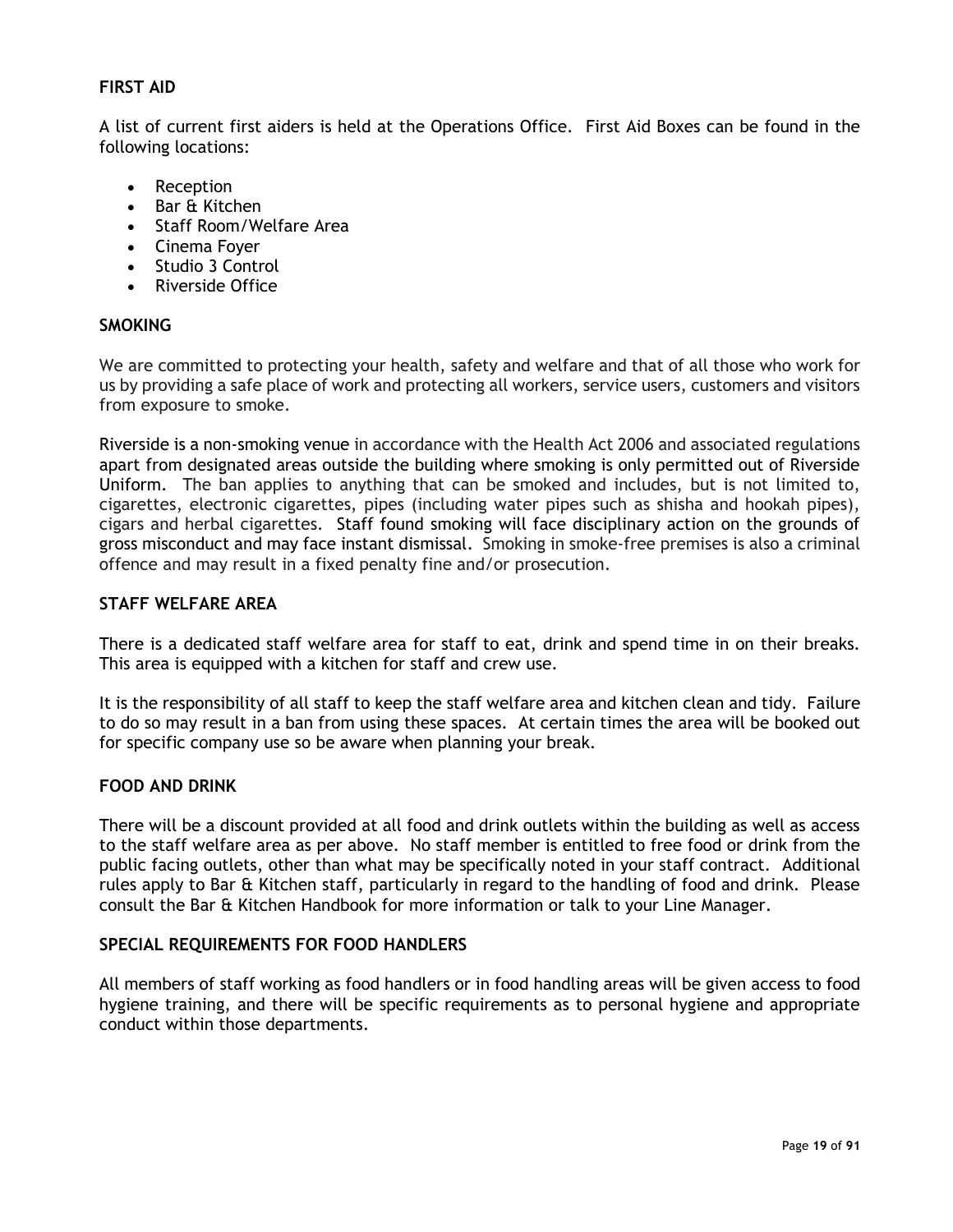#### <span id="page-18-0"></span>**FIRST AID**

A list of current first aiders is held at the Operations Office. First Aid Boxes can be found in the following locations:

- Reception
- Bar & Kitchen
- Staff Room/Welfare Area
- Cinema Foyer
- Studio 3 Control
- Riverside Office

#### <span id="page-18-1"></span>**SMOKING**

We are committed to protecting your health, safety and welfare and that of all those who work for us by providing a safe place of work and protecting all workers, service users, customers and visitors from exposure to smoke.

Riverside is a non-smoking venue in accordance with the Health Act 2006 and associated regulations apart from designated areas outside the building where smoking is only permitted out of Riverside Uniform. The ban applies to anything that can be smoked and includes, but is not limited to, cigarettes, electronic cigarettes, pipes (including water pipes such as shisha and hookah pipes), cigars and herbal cigarettes. Staff found smoking will face disciplinary action on the grounds of gross misconduct and may face instant dismissal. Smoking in smoke-free premises is also a criminal offence and may result in a fixed penalty fine and/or prosecution.

#### <span id="page-18-2"></span>**STAFF WELFARE AREA**

There is a dedicated staff welfare area for staff to eat, drink and spend time in on their breaks. This area is equipped with a kitchen for staff and crew use.

It is the responsibility of all staff to keep the staff welfare area and kitchen clean and tidy. Failure to do so may result in a ban from using these spaces. At certain times the area will be booked out for specific company use so be aware when planning your break.

#### <span id="page-18-3"></span>**FOOD AND DRINK**

There will be a discount provided at all food and drink outlets within the building as well as access to the staff welfare area as per above. No staff member is entitled to free food or drink from the public facing outlets, other than what may be specifically noted in your staff contract. Additional rules apply to Bar & Kitchen staff, particularly in regard to the handling of food and drink. Please consult the Bar & Kitchen Handbook for more information or talk to your Line Manager.

#### <span id="page-18-4"></span>**SPECIAL REQUIREMENTS FOR FOOD HANDLERS**

All members of staff working as food handlers or in food handling areas will be given access to food hygiene training, and there will be specific requirements as to personal hygiene and appropriate conduct within those departments.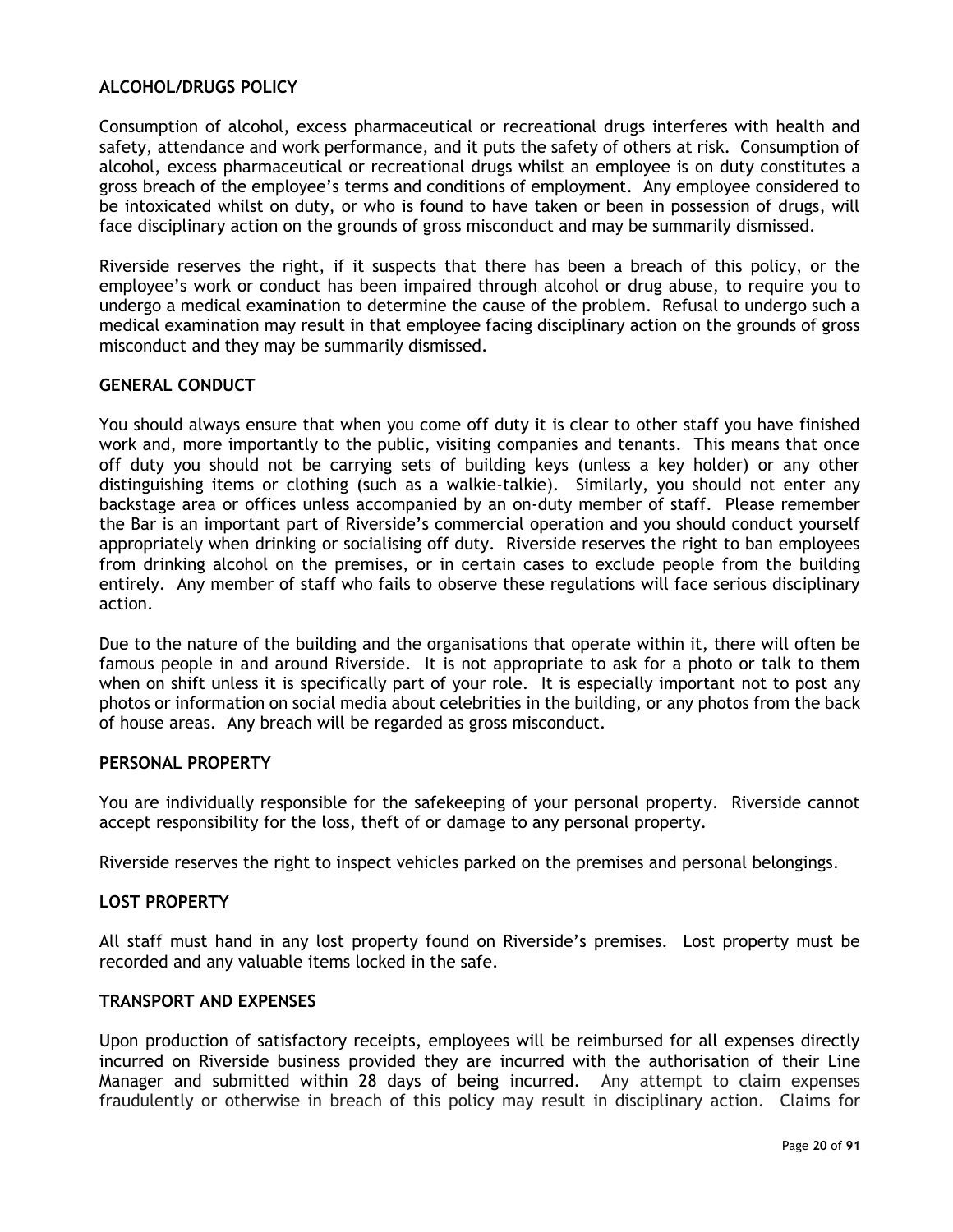#### <span id="page-19-0"></span>**ALCOHOL/DRUGS POLICY**

Consumption of alcohol, excess pharmaceutical or recreational drugs interferes with health and safety, attendance and work performance, and it puts the safety of others at risk. Consumption of alcohol, excess pharmaceutical or recreational drugs whilst an employee is on duty constitutes a gross breach of the employee's terms and conditions of employment. Any employee considered to be intoxicated whilst on duty, or who is found to have taken or been in possession of drugs, will face disciplinary action on the grounds of gross misconduct and may be summarily dismissed.

Riverside reserves the right, if it suspects that there has been a breach of this policy, or the employee's work or conduct has been impaired through alcohol or drug abuse, to require you to undergo a medical examination to determine the cause of the problem. Refusal to undergo such a medical examination may result in that employee facing disciplinary action on the grounds of gross misconduct and they may be summarily dismissed.

#### <span id="page-19-1"></span>**GENERAL CONDUCT**

You should always ensure that when you come off duty it is clear to other staff you have finished work and, more importantly to the public, visiting companies and tenants. This means that once off duty you should not be carrying sets of building keys (unless a key holder) or any other distinguishing items or clothing (such as a walkie-talkie). Similarly, you should not enter any backstage area or offices unless accompanied by an on-duty member of staff. Please remember the Bar is an important part of Riverside's commercial operation and you should conduct yourself appropriately when drinking or socialising off duty. Riverside reserves the right to ban employees from drinking alcohol on the premises, or in certain cases to exclude people from the building entirely. Any member of staff who fails to observe these regulations will face serious disciplinary action.

Due to the nature of the building and the organisations that operate within it, there will often be famous people in and around Riverside. It is not appropriate to ask for a photo or talk to them when on shift unless it is specifically part of your role. It is especially important not to post any photos or information on social media about celebrities in the building, or any photos from the back of house areas. Any breach will be regarded as gross misconduct.

#### <span id="page-19-2"></span>**PERSONAL PROPERTY**

You are individually responsible for the safekeeping of your personal property. Riverside cannot accept responsibility for the loss, theft of or damage to any personal property.

Riverside reserves the right to inspect vehicles parked on the premises and personal belongings.

#### <span id="page-19-3"></span>**LOST PROPERTY**

All staff must hand in any lost property found on Riverside's premises. Lost property must be recorded and any valuable items locked in the safe.

#### <span id="page-19-4"></span>**TRANSPORT AND EXPENSES**

Upon production of satisfactory receipts, employees will be reimbursed for all expenses directly incurred on Riverside business provided they are incurred with the authorisation of their Line Manager and submitted within 28 days of being incurred. Any attempt to claim expenses fraudulently or otherwise in breach of this policy may result in disciplinary action. Claims for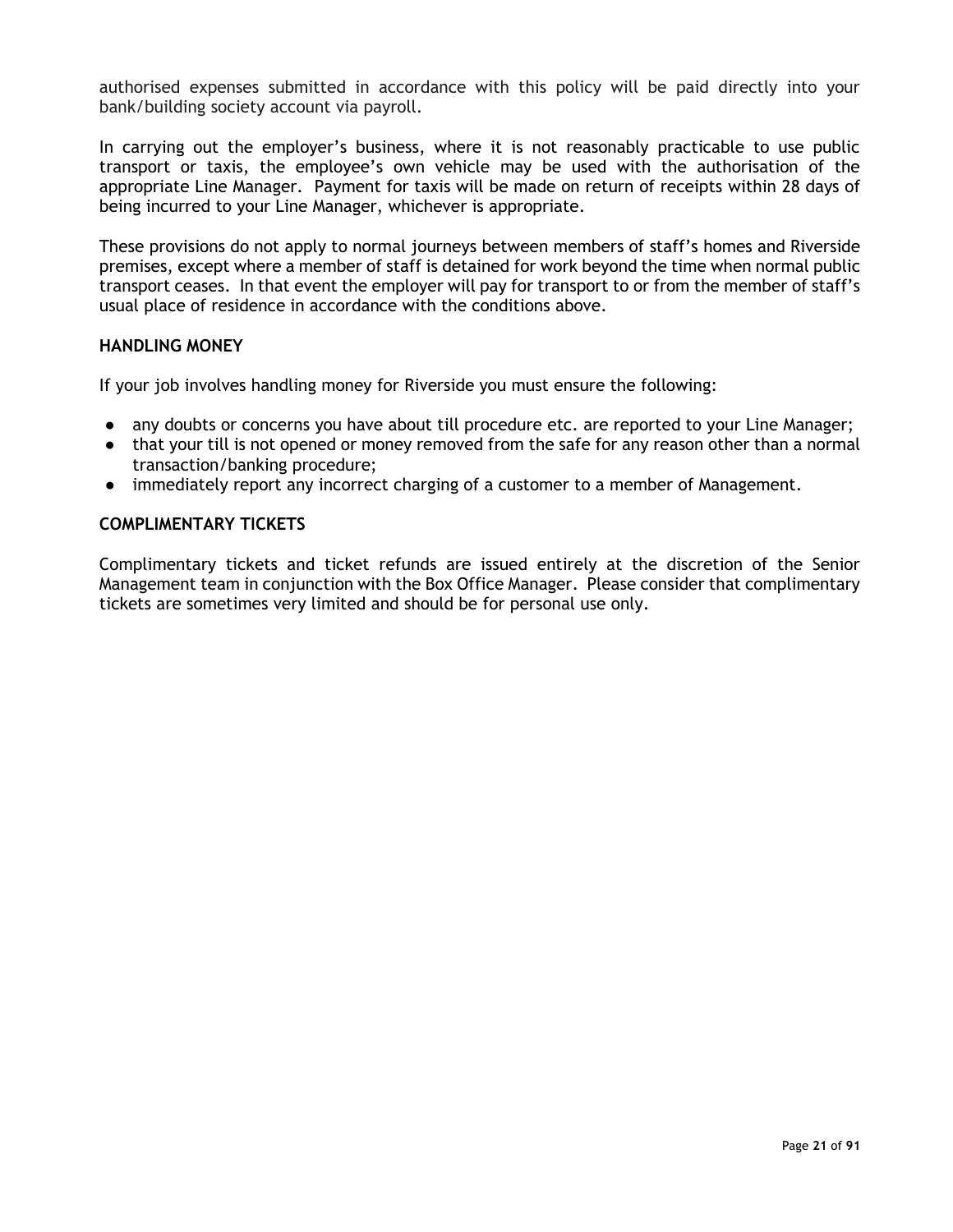authorised expenses submitted in accordance with this policy will be paid directly into your bank/building society account via payroll.

In carrying out the employer's business, where it is not reasonably practicable to use public transport or taxis, the employee's own vehicle may be used with the authorisation of the appropriate Line Manager. Payment for taxis will be made on return of receipts within 28 days of being incurred to your Line Manager, whichever is appropriate.

These provisions do not apply to normal journeys between members of staff's homes and Riverside premises, except where a member of staff is detained for work beyond the time when normal public transport ceases. In that event the employer will pay for transport to or from the member of staff's usual place of residence in accordance with the conditions above.

#### <span id="page-20-0"></span>**HANDLING MONEY**

If your job involves handling money for Riverside you must ensure the following:

- any doubts or concerns you have about till procedure etc. are reported to your Line Manager;
- that your till is not opened or money removed from the safe for any reason other than a normal transaction/banking procedure;
- immediately report any incorrect charging of a customer to a member of Management.

#### <span id="page-20-1"></span>**COMPLIMENTARY TICKETS**

Complimentary tickets and ticket refunds are issued entirely at the discretion of the Senior Management team in conjunction with the Box Office Manager. Please consider that complimentary tickets are sometimes very limited and should be for personal use only.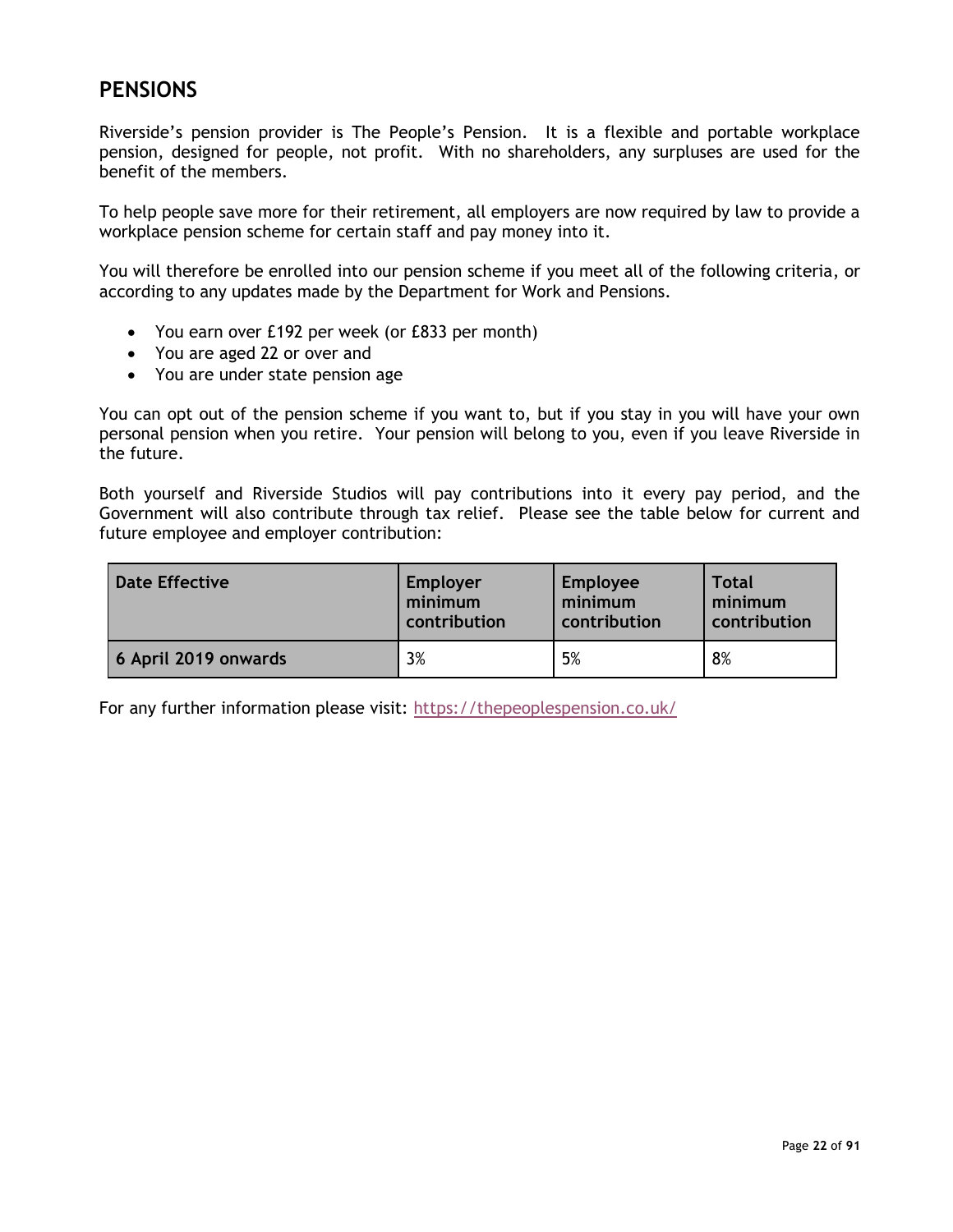# <span id="page-21-0"></span>**PENSIONS**

Riverside's pension provider is The People's Pension. It is a flexible and portable workplace pension, designed for people, not profit. With no shareholders, any surpluses are used for the benefit of the members.

To help people save more for their retirement, all employers are now required by law to provide a workplace pension scheme for certain staff and pay money into it.

You will therefore be enrolled into our pension scheme if you meet all of the following criteria, or according to any updates made by the Department for Work and Pensions.

- You earn over £192 per week (or £833 per month)
- You are aged 22 or over and
- You are under state pension age

You can opt out of the pension scheme if you want to, but if you stay in you will have your own personal pension when you retire. Your pension will belong to you, even if you leave Riverside in the future.

Both yourself and Riverside Studios will pay contributions into it every pay period, and the Government will also contribute through tax relief. Please see the table below for current and future employee and employer contribution:

| <b>Date Effective</b> | Employer     | <b>Employee</b> | Total        |
|-----------------------|--------------|-----------------|--------------|
|                       | minimum      | minimum         | minimum      |
|                       | contribution | contribution    | contribution |
| 6 April 2019 onwards  | 3%           | 5%              | 8%           |

For any further information please visit:<https://thepeoplespension.co.uk/>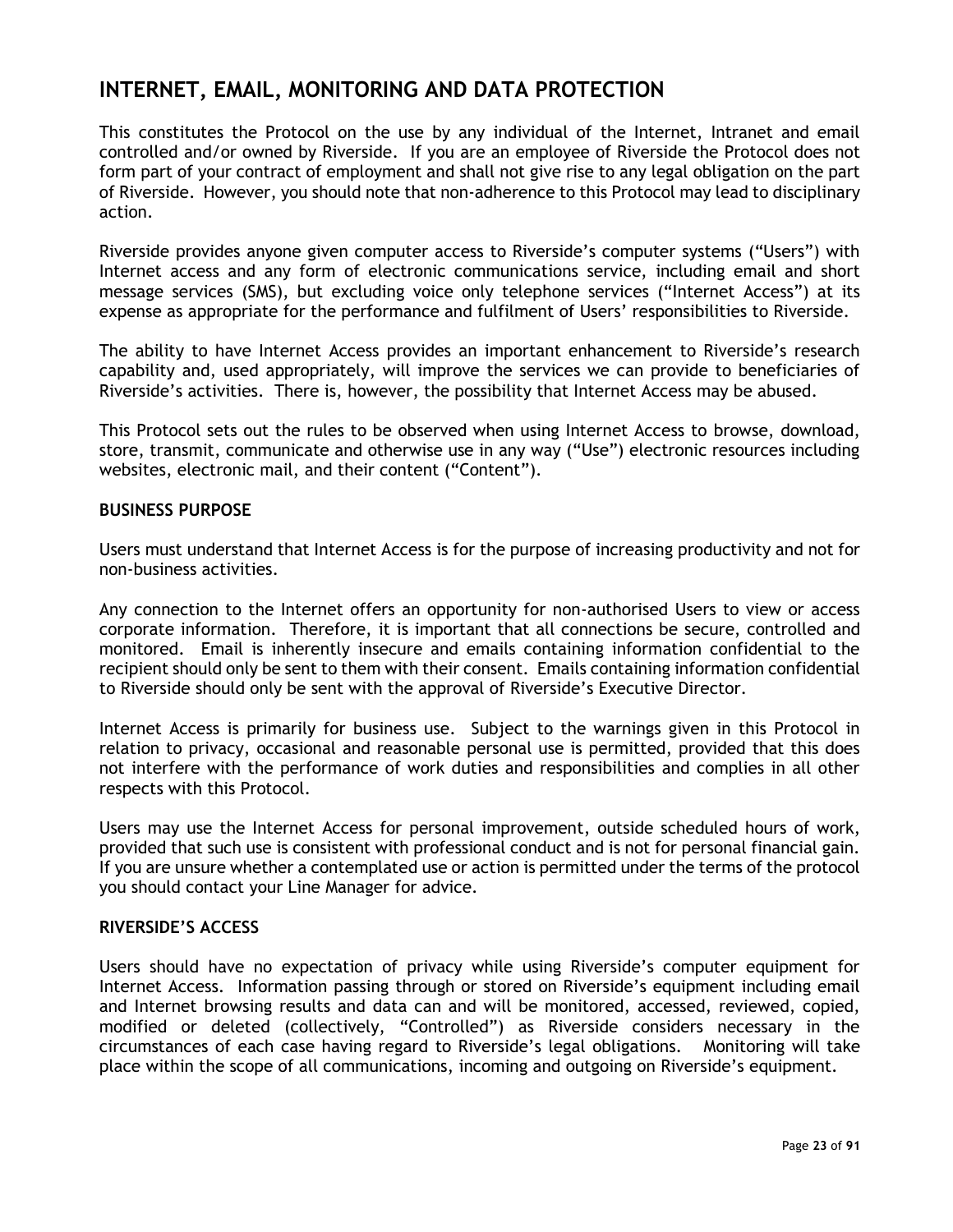# <span id="page-22-0"></span>**INTERNET, EMAIL, MONITORING AND DATA PROTECTION**

This constitutes the Protocol on the use by any individual of the Internet, Intranet and email controlled and/or owned by Riverside. If you are an employee of Riverside the Protocol does not form part of your contract of employment and shall not give rise to any legal obligation on the part of Riverside. However, you should note that non-adherence to this Protocol may lead to disciplinary action.

Riverside provides anyone given computer access to Riverside's computer systems ("Users") with Internet access and any form of electronic communications service, including email and short message services (SMS), but excluding voice only telephone services ("Internet Access") at its expense as appropriate for the performance and fulfilment of Users' responsibilities to Riverside.

The ability to have Internet Access provides an important enhancement to Riverside's research capability and, used appropriately, will improve the services we can provide to beneficiaries of Riverside's activities. There is, however, the possibility that Internet Access may be abused.

This Protocol sets out the rules to be observed when using Internet Access to browse, download, store, transmit, communicate and otherwise use in any way ("Use") electronic resources including websites, electronic mail, and their content ("Content").

#### <span id="page-22-1"></span>**BUSINESS PURPOSE**

Users must understand that Internet Access is for the purpose of increasing productivity and not for non-business activities.

Any connection to the Internet offers an opportunity for non-authorised Users to view or access corporate information. Therefore, it is important that all connections be secure, controlled and monitored. Email is inherently insecure and emails containing information confidential to the recipient should only be sent to them with their consent. Emails containing information confidential to Riverside should only be sent with the approval of Riverside's Executive Director.

Internet Access is primarily for business use. Subject to the warnings given in this Protocol in relation to privacy, occasional and reasonable personal use is permitted, provided that this does not interfere with the performance of work duties and responsibilities and complies in all other respects with this Protocol.

Users may use the Internet Access for personal improvement, outside scheduled hours of work, provided that such use is consistent with professional conduct and is not for personal financial gain. If you are unsure whether a contemplated use or action is permitted under the terms of the protocol you should contact your Line Manager for advice.

#### <span id="page-22-2"></span>**RIVERSIDE'S ACCESS**

Users should have no expectation of privacy while using Riverside's computer equipment for Internet Access. Information passing through or stored on Riverside's equipment including email and Internet browsing results and data can and will be monitored, accessed, reviewed, copied, modified or deleted (collectively, "Controlled") as Riverside considers necessary in the circumstances of each case having regard to Riverside's legal obligations. Monitoring will take place within the scope of all communications, incoming and outgoing on Riverside's equipment.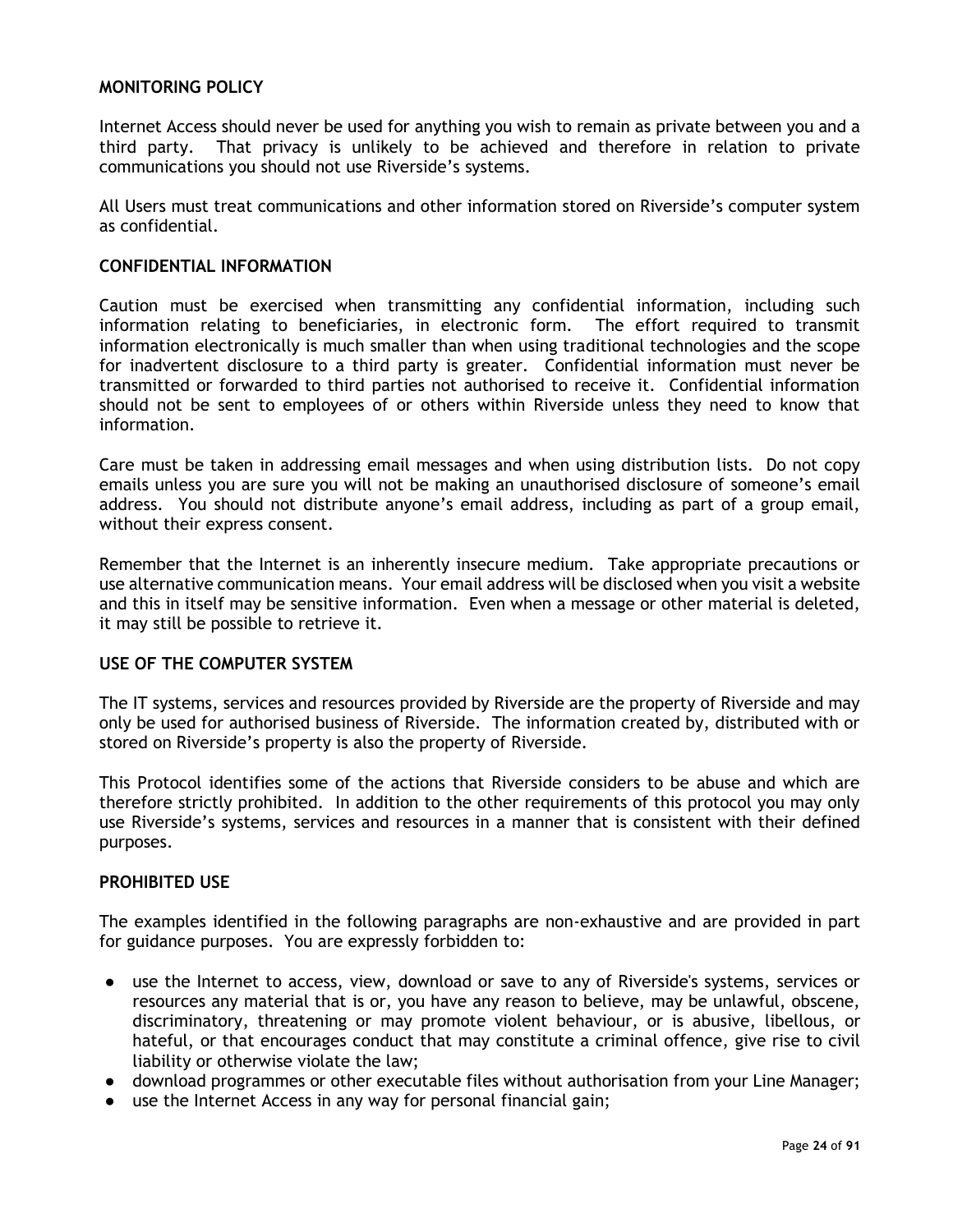#### <span id="page-23-0"></span>**MONITORING POLICY**

Internet Access should never be used for anything you wish to remain as private between you and a third party. That privacy is unlikely to be achieved and therefore in relation to private communications you should not use Riverside's systems.

All Users must treat communications and other information stored on Riverside's computer system as confidential.

#### <span id="page-23-1"></span>**CONFIDENTIAL INFORMATION**

Caution must be exercised when transmitting any confidential information, including such information relating to beneficiaries, in electronic form. The effort required to transmit information electronically is much smaller than when using traditional technologies and the scope for inadvertent disclosure to a third party is greater. Confidential information must never be transmitted or forwarded to third parties not authorised to receive it. Confidential information should not be sent to employees of or others within Riverside unless they need to know that information.

Care must be taken in addressing email messages and when using distribution lists. Do not copy emails unless you are sure you will not be making an unauthorised disclosure of someone's email address. You should not distribute anyone's email address, including as part of a group email, without their express consent.

Remember that the Internet is an inherently insecure medium. Take appropriate precautions or use alternative communication means. Your email address will be disclosed when you visit a website and this in itself may be sensitive information. Even when a message or other material is deleted, it may still be possible to retrieve it.

#### <span id="page-23-2"></span>**USE OF THE COMPUTER SYSTEM**

The IT systems, services and resources provided by Riverside are the property of Riverside and may only be used for authorised business of Riverside. The information created by, distributed with or stored on Riverside's property is also the property of Riverside.

This Protocol identifies some of the actions that Riverside considers to be abuse and which are therefore strictly prohibited. In addition to the other requirements of this protocol you may only use Riverside's systems, services and resources in a manner that is consistent with their defined purposes.

#### <span id="page-23-3"></span>**PROHIBITED USE**

The examples identified in the following paragraphs are non-exhaustive and are provided in part for guidance purposes. You are expressly forbidden to:

- use the Internet to access, view, download or save to any of Riverside's systems, services or resources any material that is or, you have any reason to believe, may be unlawful, obscene, discriminatory, threatening or may promote violent behaviour, or is abusive, libellous, or hateful, or that encourages conduct that may constitute a criminal offence, give rise to civil liability or otherwise violate the law;
- download programmes or other executable files without authorisation from your Line Manager;
- use the Internet Access in any way for personal financial gain;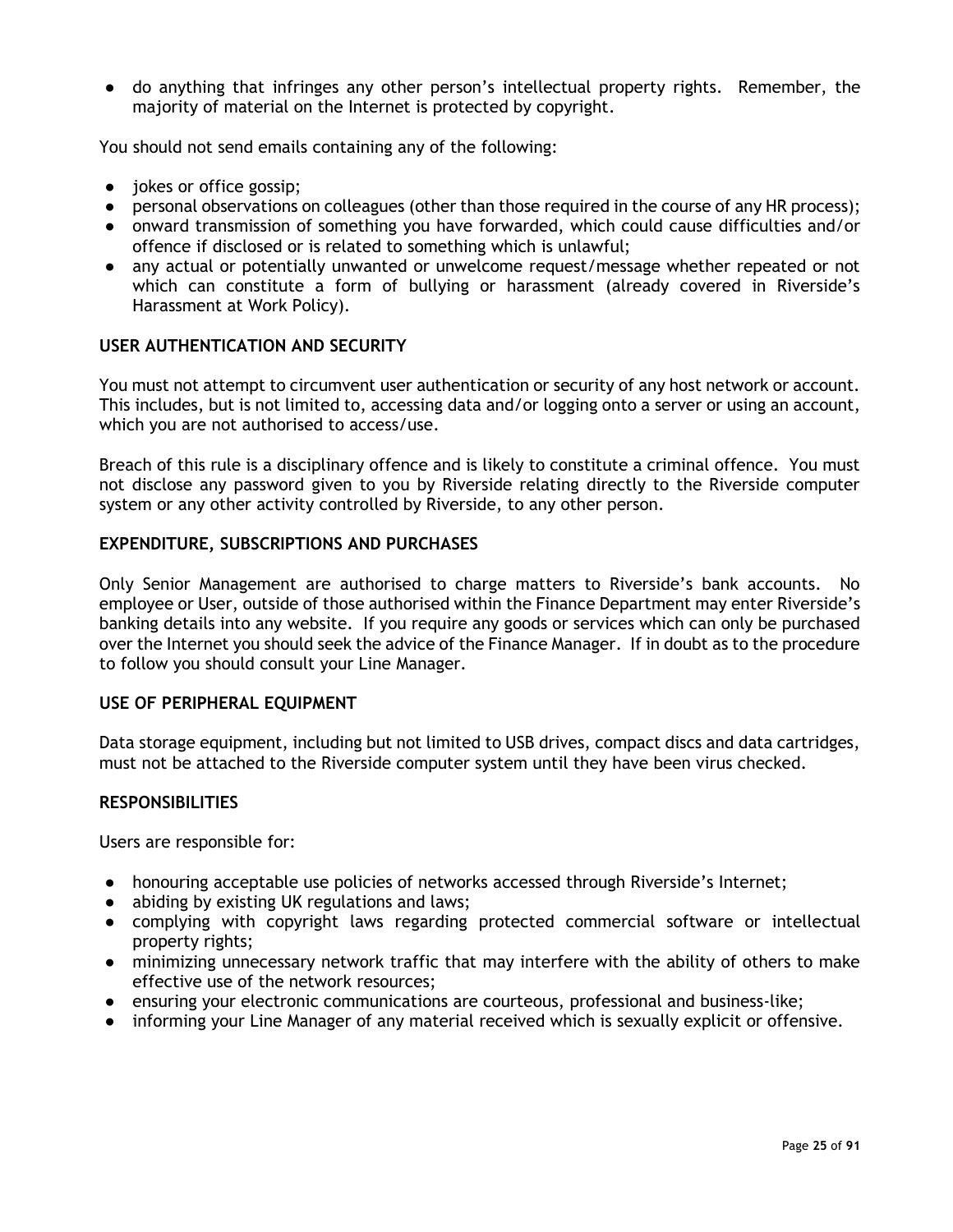● do anything that infringes any other person's intellectual property rights. Remember, the majority of material on the Internet is protected by copyright.

You should not send emails containing any of the following:

- jokes or office gossip;
- personal observations on colleagues (other than those required in the course of any HR process);
- onward transmission of something you have forwarded, which could cause difficulties and/or offence if disclosed or is related to something which is unlawful;
- any actual or potentially unwanted or unwelcome request/message whether repeated or not which can constitute a form of bullying or harassment (already covered in Riverside's Harassment at Work Policy).

#### <span id="page-24-0"></span>**USER AUTHENTICATION AND SECURITY**

You must not attempt to circumvent user authentication or security of any host network or account. This includes, but is not limited to, accessing data and/or logging onto a server or using an account, which you are not authorised to access/use.

Breach of this rule is a disciplinary offence and is likely to constitute a criminal offence. You must not disclose any password given to you by Riverside relating directly to the Riverside computer system or any other activity controlled by Riverside, to any other person.

#### <span id="page-24-1"></span>**EXPENDITURE, SUBSCRIPTIONS AND PURCHASES**

Only Senior Management are authorised to charge matters to Riverside's bank accounts. No employee or User, outside of those authorised within the Finance Department may enter Riverside's banking details into any website. If you require any goods or services which can only be purchased over the Internet you should seek the advice of the Finance Manager. If in doubt as to the procedure to follow you should consult your Line Manager.

#### <span id="page-24-2"></span>**USE OF PERIPHERAL EQUIPMENT**

Data storage equipment, including but not limited to USB drives, compact discs and data cartridges, must not be attached to the Riverside computer system until they have been virus checked.

#### <span id="page-24-3"></span>**RESPONSIBILITIES**

Users are responsible for:

- honouring acceptable use policies of networks accessed through Riverside's Internet;
- abiding by existing UK regulations and laws;
- complying with copyright laws regarding protected commercial software or intellectual property rights;
- minimizing unnecessary network traffic that may interfere with the ability of others to make effective use of the network resources;
- ensuring your electronic communications are courteous, professional and business-like;
- informing your Line Manager of any material received which is sexually explicit or offensive.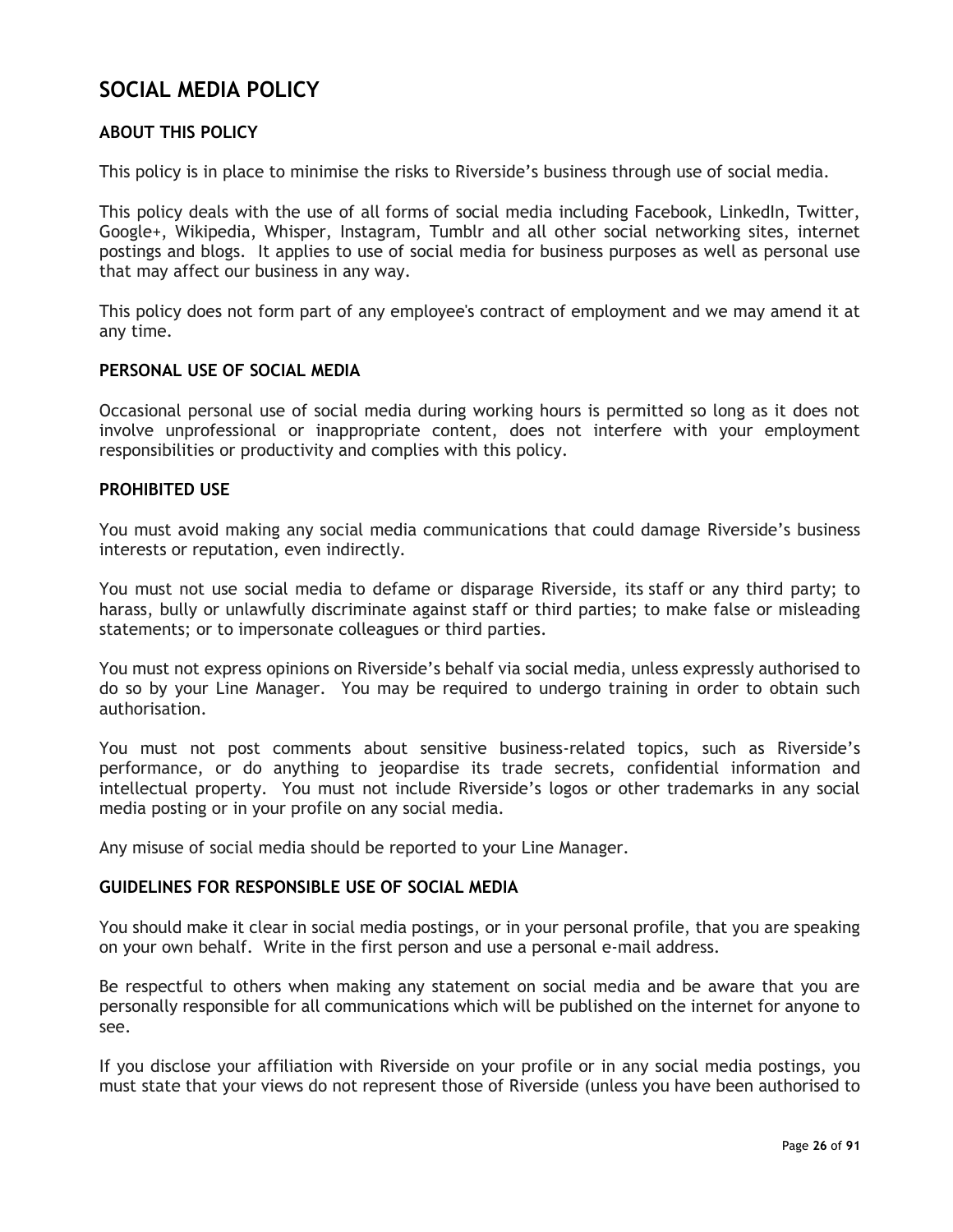# <span id="page-25-0"></span>**SOCIAL MEDIA POLICY**

#### <span id="page-25-1"></span>**ABOUT THIS POLICY**

This policy is in place to minimise the risks to Riverside's business through use of social media.

This policy deals with the use of all forms of social media including Facebook, LinkedIn, Twitter, Google+, Wikipedia, Whisper, Instagram, Tumblr and all other social networking sites, internet postings and blogs. It applies to use of social media for business purposes as well as personal use that may affect our business in any way.

This policy does not form part of any employee's contract of employment and we may amend it at any time.

#### <span id="page-25-2"></span>**PERSONAL USE OF SOCIAL MEDIA**

Occasional personal use of social media during working hours is permitted so long as it does not involve unprofessional or inappropriate content, does not interfere with your employment responsibilities or productivity and complies with this policy.

#### <span id="page-25-3"></span>**PROHIBITED USE**

You must avoid making any social media communications that could damage Riverside's business interests or reputation, even indirectly.

You must not use social media to defame or disparage Riverside, its staff or any third party; to harass, bully or unlawfully discriminate against staff or third parties; to make false or misleading statements; or to impersonate colleagues or third parties.

You must not express opinions on Riverside's behalf via social media, unless expressly authorised to do so by your Line Manager. You may be required to undergo training in order to obtain such authorisation.

You must not post comments about sensitive business-related topics, such as Riverside's performance, or do anything to jeopardise its trade secrets, confidential information and intellectual property. You must not include Riverside's logos or other trademarks in any social media posting or in your profile on any social media.

Any misuse of social media should be reported to your Line Manager.

#### <span id="page-25-4"></span>**GUIDELINES FOR RESPONSIBLE USE OF SOCIAL MEDIA**

You should make it clear in social media postings, or in your personal profile, that you are speaking on your own behalf. Write in the first person and use a personal e-mail address.

Be respectful to others when making any statement on social media and be aware that you are personally responsible for all communications which will be published on the internet for anyone to see.

If you disclose your affiliation with Riverside on your profile or in any social media postings, you must state that your views do not represent those of Riverside (unless you have been authorised to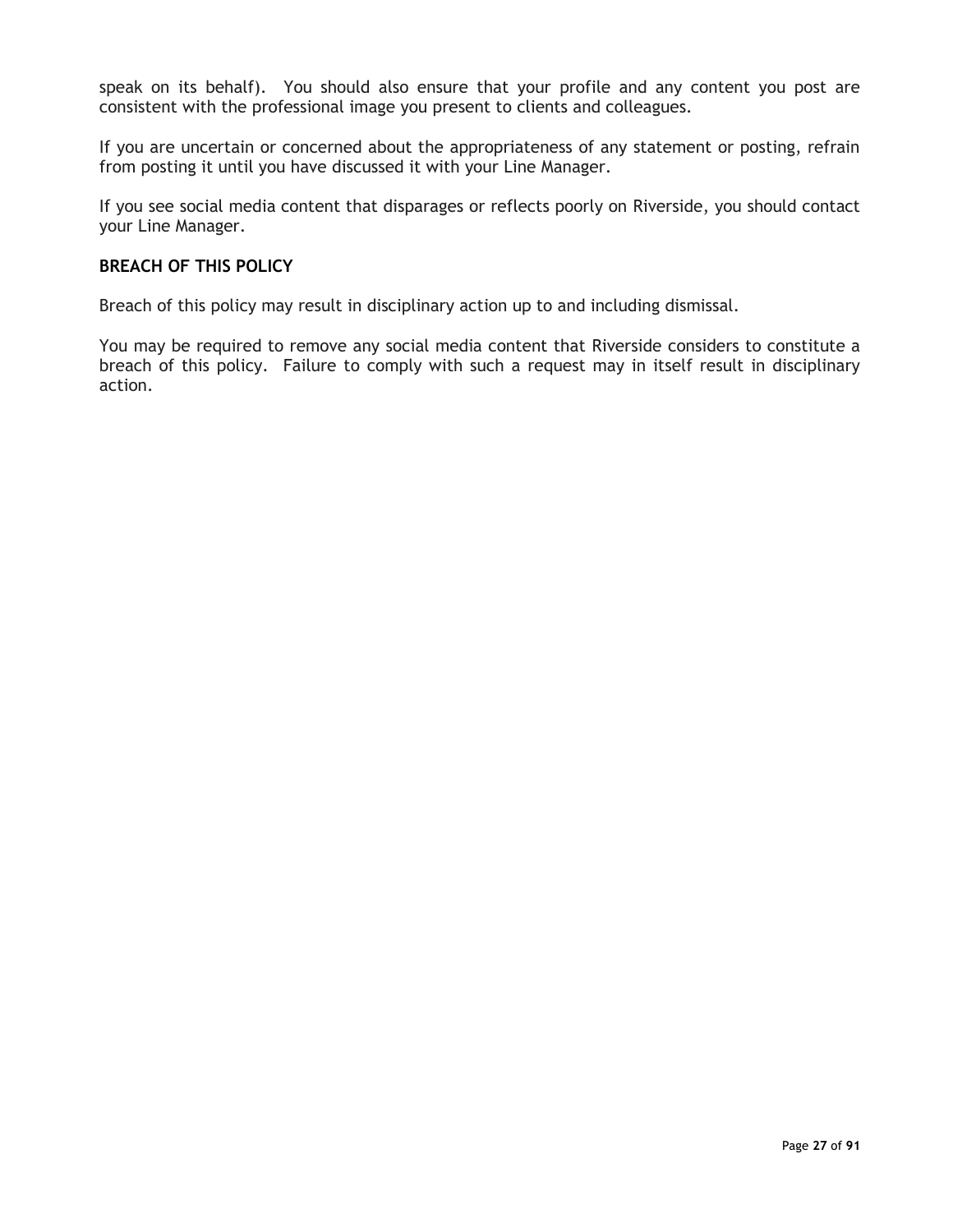speak on its behalf). You should also ensure that your profile and any content you post are consistent with the professional image you present to clients and colleagues.

If you are uncertain or concerned about the appropriateness of any statement or posting, refrain from posting it until you have discussed it with your Line Manager.

If you see social media content that disparages or reflects poorly on Riverside, you should contact your Line Manager.

#### <span id="page-26-0"></span>**BREACH OF THIS POLICY**

Breach of this policy may result in disciplinary action up to and including dismissal.

You may be required to remove any social media content that Riverside considers to constitute a breach of this policy. Failure to comply with such a request may in itself result in disciplinary action.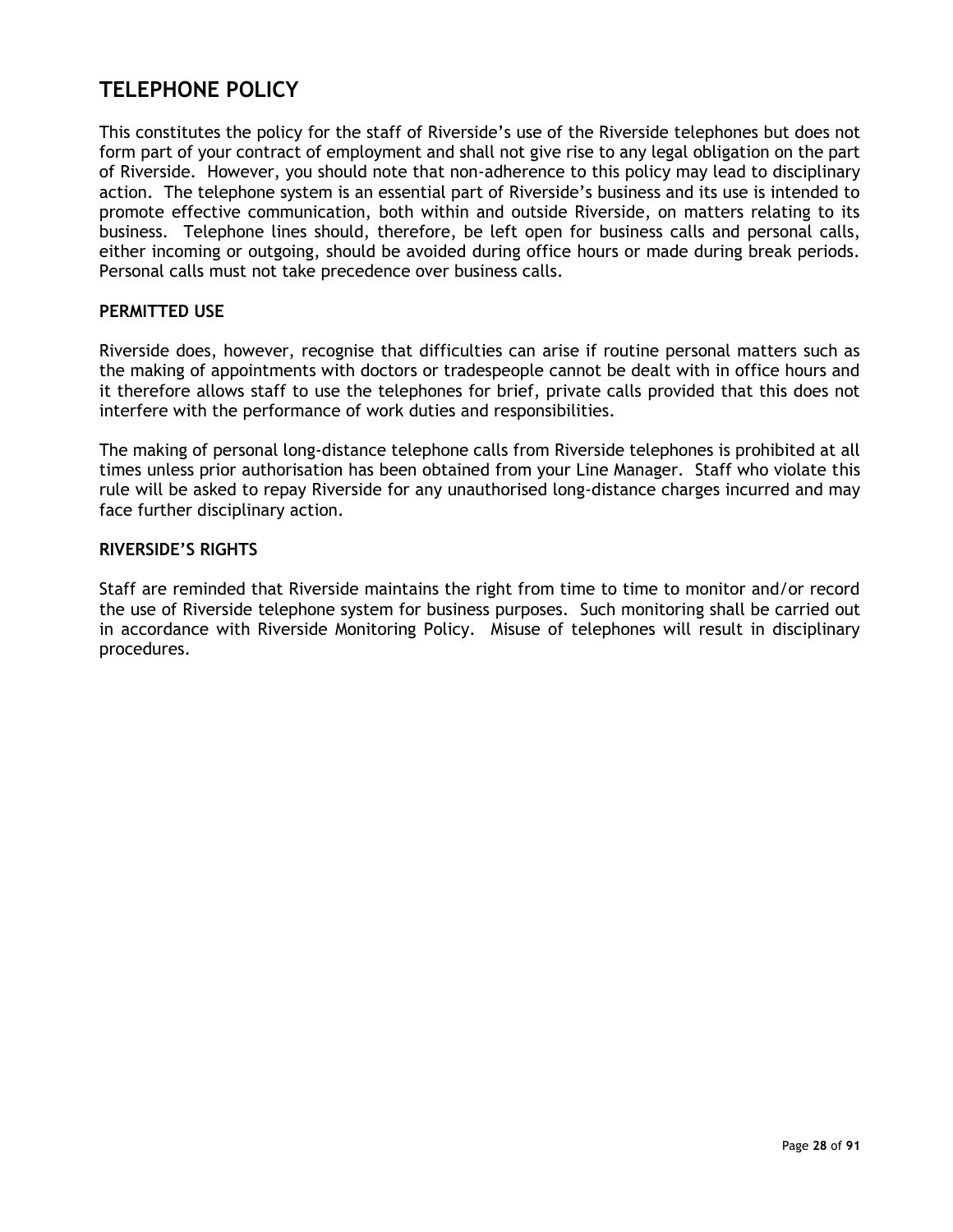# <span id="page-27-0"></span>**TELEPHONE POLICY**

This constitutes the policy for the staff of Riverside's use of the Riverside telephones but does not form part of your contract of employment and shall not give rise to any legal obligation on the part of Riverside. However, you should note that non-adherence to this policy may lead to disciplinary action. The telephone system is an essential part of Riverside's business and its use is intended to promote effective communication, both within and outside Riverside, on matters relating to its business. Telephone lines should, therefore, be left open for business calls and personal calls, either incoming or outgoing, should be avoided during office hours or made during break periods. Personal calls must not take precedence over business calls.

#### <span id="page-27-1"></span>**PERMITTED USE**

Riverside does, however, recognise that difficulties can arise if routine personal matters such as the making of appointments with doctors or tradespeople cannot be dealt with in office hours and it therefore allows staff to use the telephones for brief, private calls provided that this does not interfere with the performance of work duties and responsibilities.

The making of personal long-distance telephone calls from Riverside telephones is prohibited at all times unless prior authorisation has been obtained from your Line Manager. Staff who violate this rule will be asked to repay Riverside for any unauthorised long-distance charges incurred and may face further disciplinary action.

#### <span id="page-27-2"></span>**RIVERSIDE'S RIGHTS**

Staff are reminded that Riverside maintains the right from time to time to monitor and/or record the use of Riverside telephone system for business purposes. Such monitoring shall be carried out in accordance with Riverside Monitoring Policy. Misuse of telephones will result in disciplinary procedures.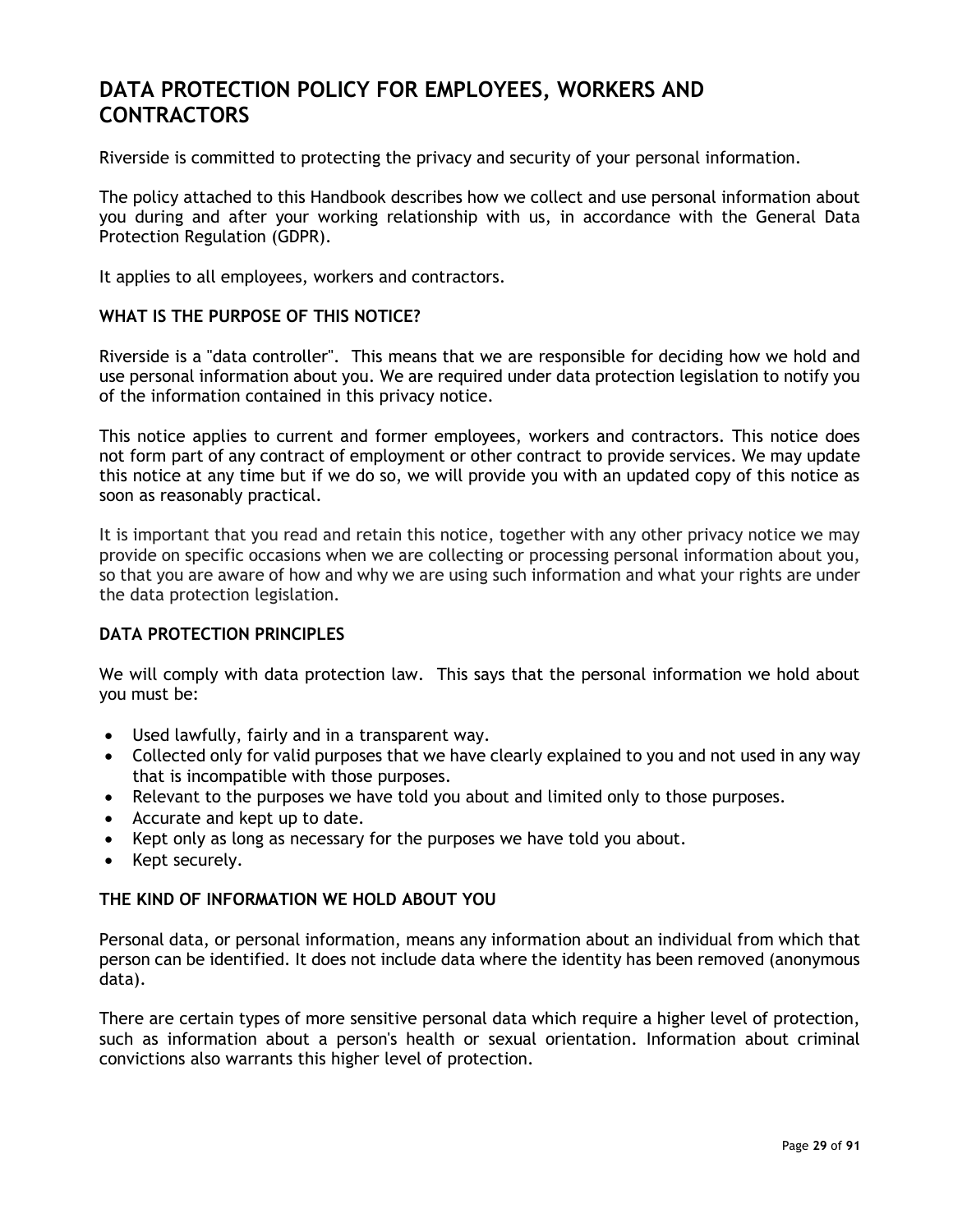# <span id="page-28-0"></span>**DATA PROTECTION POLICY FOR EMPLOYEES, WORKERS AND CONTRACTORS**

Riverside is committed to protecting the privacy and security of your personal information.

The policy attached to this Handbook describes how we collect and use personal information about you during and after your working relationship with us, in accordance with the General Data Protection Regulation (GDPR).

It applies to all employees, workers and contractors.

#### <span id="page-28-1"></span>**WHAT IS THE PURPOSE OF THIS NOTICE?**

Riverside is a "data controller". This means that we are responsible for deciding how we hold and use personal information about you. We are required under data protection legislation to notify you of the information contained in this privacy notice.

This notice applies to current and former employees, workers and contractors. This notice does not form part of any contract of employment or other contract to provide services. We may update this notice at any time but if we do so, we will provide you with an updated copy of this notice as soon as reasonably practical.

It is important that you read and retain this notice, together with any other privacy notice we may provide on specific occasions when we are collecting or processing personal information about you, so that you are aware of how and why we are using such information and what your rights are under the data protection legislation.

#### <span id="page-28-2"></span>**DATA PROTECTION PRINCIPLES**

We will comply with data protection law. This says that the personal information we hold about you must be:

- Used lawfully, fairly and in a transparent way.
- Collected only for valid purposes that we have clearly explained to you and not used in any way that is incompatible with those purposes.
- Relevant to the purposes we have told you about and limited only to those purposes.
- Accurate and kept up to date.
- Kept only as long as necessary for the purposes we have told you about.
- Kept securely.

#### <span id="page-28-3"></span>**THE KIND OF INFORMATION WE HOLD ABOUT YOU**

Personal data, or personal information, means any information about an individual from which that person can be identified. It does not include data where the identity has been removed (anonymous data).

There are certain types of more sensitive personal data which require a higher level of protection, such as information about a person's health or sexual orientation. Information about criminal convictions also warrants this higher level of protection.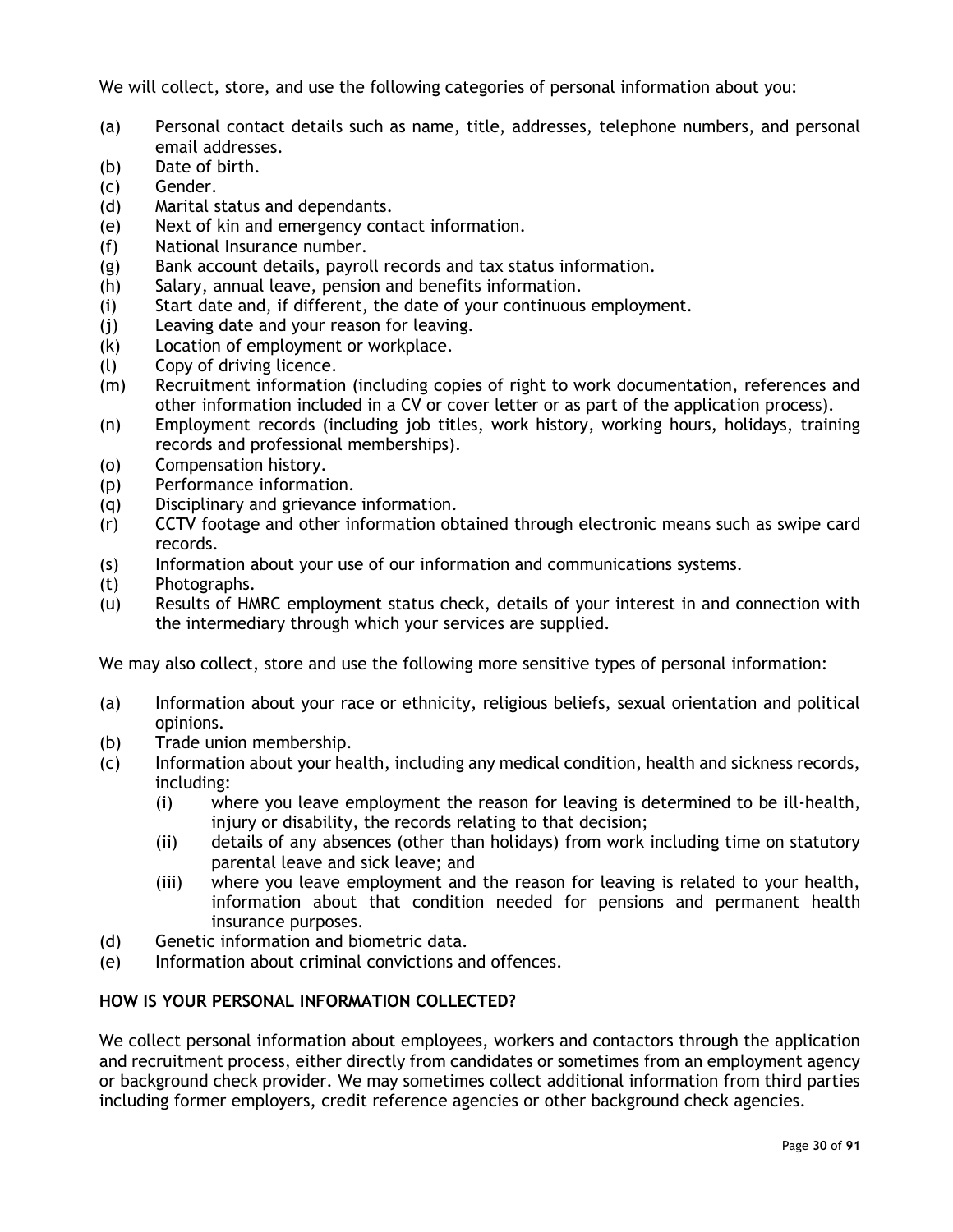We will collect, store, and use the following categories of personal information about you:

- (a) Personal contact details such as name, title, addresses, telephone numbers, and personal email addresses.
- (b) Date of birth.
- (c) Gender.
- (d) Marital status and dependants.
- (e) Next of kin and emergency contact information.
- (f) National Insurance number.
- (g) Bank account details, payroll records and tax status information.
- (h) Salary, annual leave, pension and benefits information.
- (i) Start date and, if different, the date of your continuous employment.
- (j) Leaving date and your reason for leaving.
- (k) Location of employment or workplace.
- (l) Copy of driving licence.
- (m) Recruitment information (including copies of right to work documentation, references and other information included in a CV or cover letter or as part of the application process).
- (n) Employment records (including job titles, work history, working hours, holidays, training records and professional memberships).
- (o) Compensation history.
- (p) Performance information.
- (q) Disciplinary and grievance information.
- (r) CCTV footage and other information obtained through electronic means such as swipe card records.
- (s) Information about your use of our information and communications systems.
- (t) Photographs.
- (u) Results of HMRC employment status check, details of your interest in and connection with the intermediary through which your services are supplied.

We may also collect, store and use the following more sensitive types of personal information:

- (a) Information about your race or ethnicity, religious beliefs, sexual orientation and political opinions.
- (b) Trade union membership.
- (c) Information about your health, including any medical condition, health and sickness records, including:
	- (i) where you leave employment the reason for leaving is determined to be ill-health, injury or disability, the records relating to that decision;
	- (ii) details of any absences (other than holidays) from work including time on statutory parental leave and sick leave; and
	- (iii) where you leave employment and the reason for leaving is related to your health, information about that condition needed for pensions and permanent health insurance purposes.
- (d) Genetic information and biometric data.
- (e) Information about criminal convictions and offences.

#### <span id="page-29-0"></span>**HOW IS YOUR PERSONAL INFORMATION COLLECTED?**

We collect personal information about employees, workers and contactors through the application and recruitment process, either directly from candidates or sometimes from an employment agency or background check provider. We may sometimes collect additional information from third parties including former employers, credit reference agencies or other background check agencies.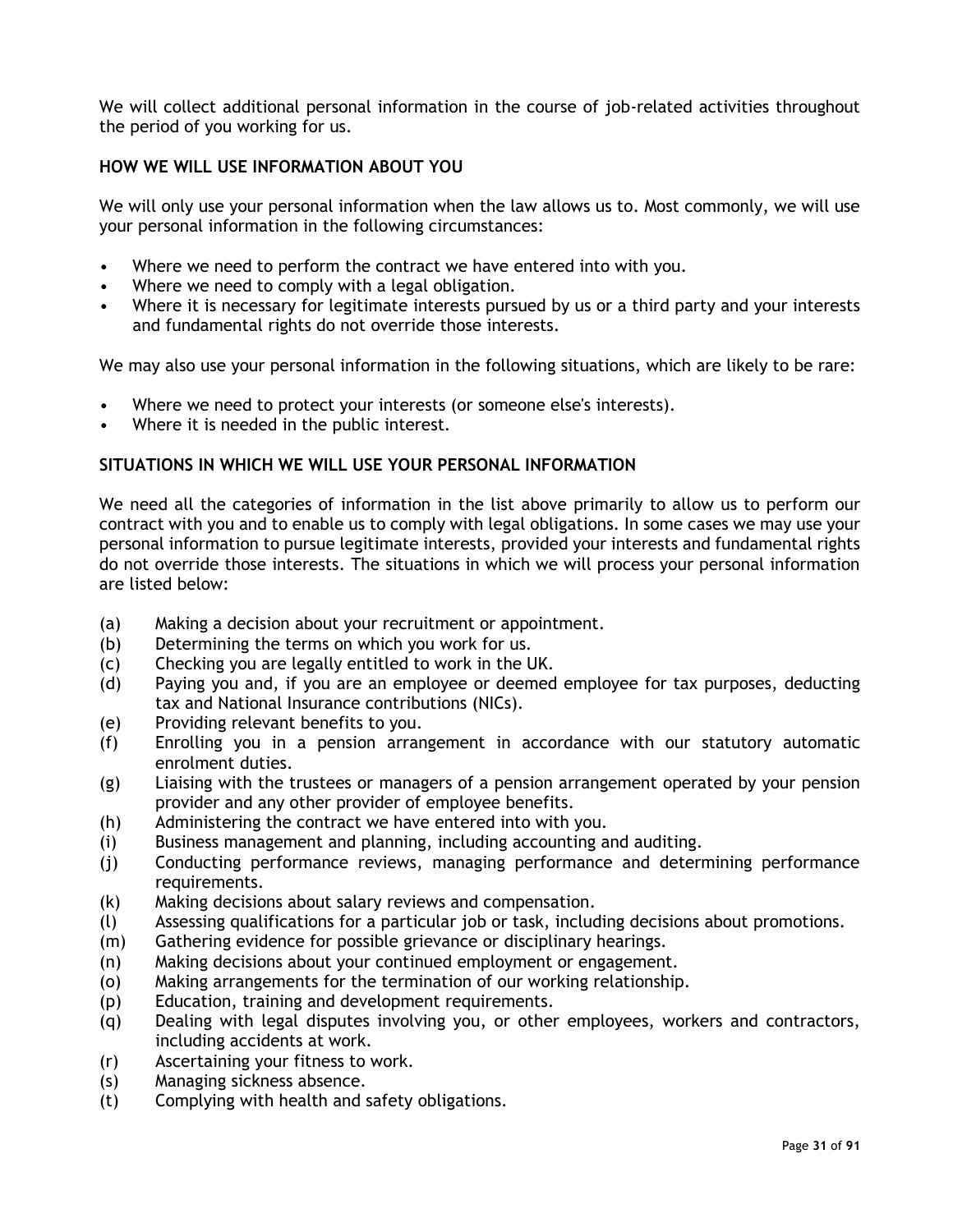We will collect additional personal information in the course of job-related activities throughout the period of you working for us.

#### <span id="page-30-0"></span>**HOW WE WILL USE INFORMATION ABOUT YOU**

We will only use your personal information when the law allows us to. Most commonly, we will use your personal information in the following circumstances:

- Where we need to perform the contract we have entered into with you.
- Where we need to comply with a legal obligation.
- Where it is necessary for legitimate interests pursued by us or a third party and your interests and fundamental rights do not override those interests.

We may also use your personal information in the following situations, which are likely to be rare:

- Where we need to protect your interests (or someone else's interests).
- Where it is needed in the public interest.

#### <span id="page-30-1"></span>**SITUATIONS IN WHICH WE WILL USE YOUR PERSONAL INFORMATION**

We need all the categories of information in the list above primarily to allow us to perform our contract with you and to enable us to comply with legal obligations. In some cases we may use your personal information to pursue legitimate interests, provided your interests and fundamental rights do not override those interests. The situations in which we will process your personal information are listed below:

- (a) Making a decision about your recruitment or appointment.
- (b) Determining the terms on which you work for us.
- (c) Checking you are legally entitled to work in the UK.
- (d) Paying you and, if you are an employee or deemed employee for tax purposes, deducting tax and National Insurance contributions (NICs).
- (e) Providing relevant benefits to you.
- (f) Enrolling you in a pension arrangement in accordance with our statutory automatic enrolment duties.
- (g) Liaising with the trustees or managers of a pension arrangement operated by your pension provider and any other provider of employee benefits.
- (h) Administering the contract we have entered into with you.
- (i) Business management and planning, including accounting and auditing.
- (j) Conducting performance reviews, managing performance and determining performance requirements.
- (k) Making decisions about salary reviews and compensation.
- (l) Assessing qualifications for a particular job or task, including decisions about promotions.
- (m) Gathering evidence for possible grievance or disciplinary hearings.
- (n) Making decisions about your continued employment or engagement.
- (o) Making arrangements for the termination of our working relationship.
- (p) Education, training and development requirements.
- (q) Dealing with legal disputes involving you, or other employees, workers and contractors, including accidents at work.
- (r) Ascertaining your fitness to work.
- (s) Managing sickness absence.
- (t) Complying with health and safety obligations.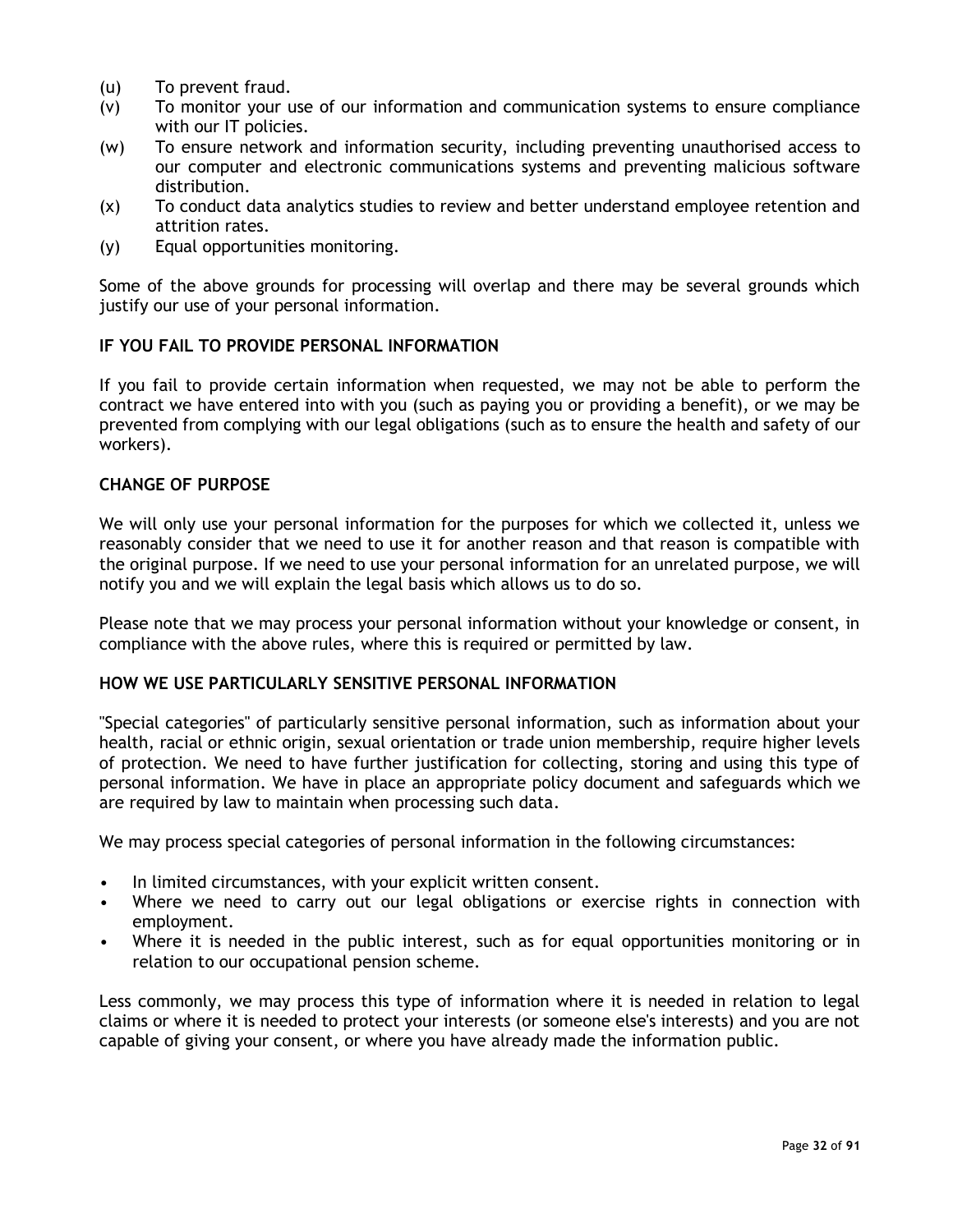- (u) To prevent fraud.
- (v) To monitor your use of our information and communication systems to ensure compliance with our IT policies.
- (w) To ensure network and information security, including preventing unauthorised access to our computer and electronic communications systems and preventing malicious software distribution.
- (x) To conduct data analytics studies to review and better understand employee retention and attrition rates.
- (y) Equal opportunities monitoring.

Some of the above grounds for processing will overlap and there may be several grounds which justify our use of your personal information.

#### <span id="page-31-0"></span>**IF YOU FAIL TO PROVIDE PERSONAL INFORMATION**

If you fail to provide certain information when requested, we may not be able to perform the contract we have entered into with you (such as paying you or providing a benefit), or we may be prevented from complying with our legal obligations (such as to ensure the health and safety of our workers).

#### <span id="page-31-1"></span>**CHANGE OF PURPOSE**

We will only use your personal information for the purposes for which we collected it, unless we reasonably consider that we need to use it for another reason and that reason is compatible with the original purpose. If we need to use your personal information for an unrelated purpose, we will notify you and we will explain the legal basis which allows us to do so.

Please note that we may process your personal information without your knowledge or consent, in compliance with the above rules, where this is required or permitted by law.

#### <span id="page-31-2"></span>**HOW WE USE PARTICULARLY SENSITIVE PERSONAL INFORMATION**

"Special categories" of particularly sensitive personal information, such as information about your health, racial or ethnic origin, sexual orientation or trade union membership, require higher levels of protection. We need to have further justification for collecting, storing and using this type of personal information. We have in place an appropriate policy document and safeguards which we are required by law to maintain when processing such data.

We may process special categories of personal information in the following circumstances:

- In limited circumstances, with your explicit written consent.
- Where we need to carry out our legal obligations or exercise rights in connection with employment.
- Where it is needed in the public interest, such as for equal opportunities monitoring or in relation to our occupational pension scheme.

Less commonly, we may process this type of information where it is needed in relation to legal claims or where it is needed to protect your interests (or someone else's interests) and you are not capable of giving your consent, or where you have already made the information public.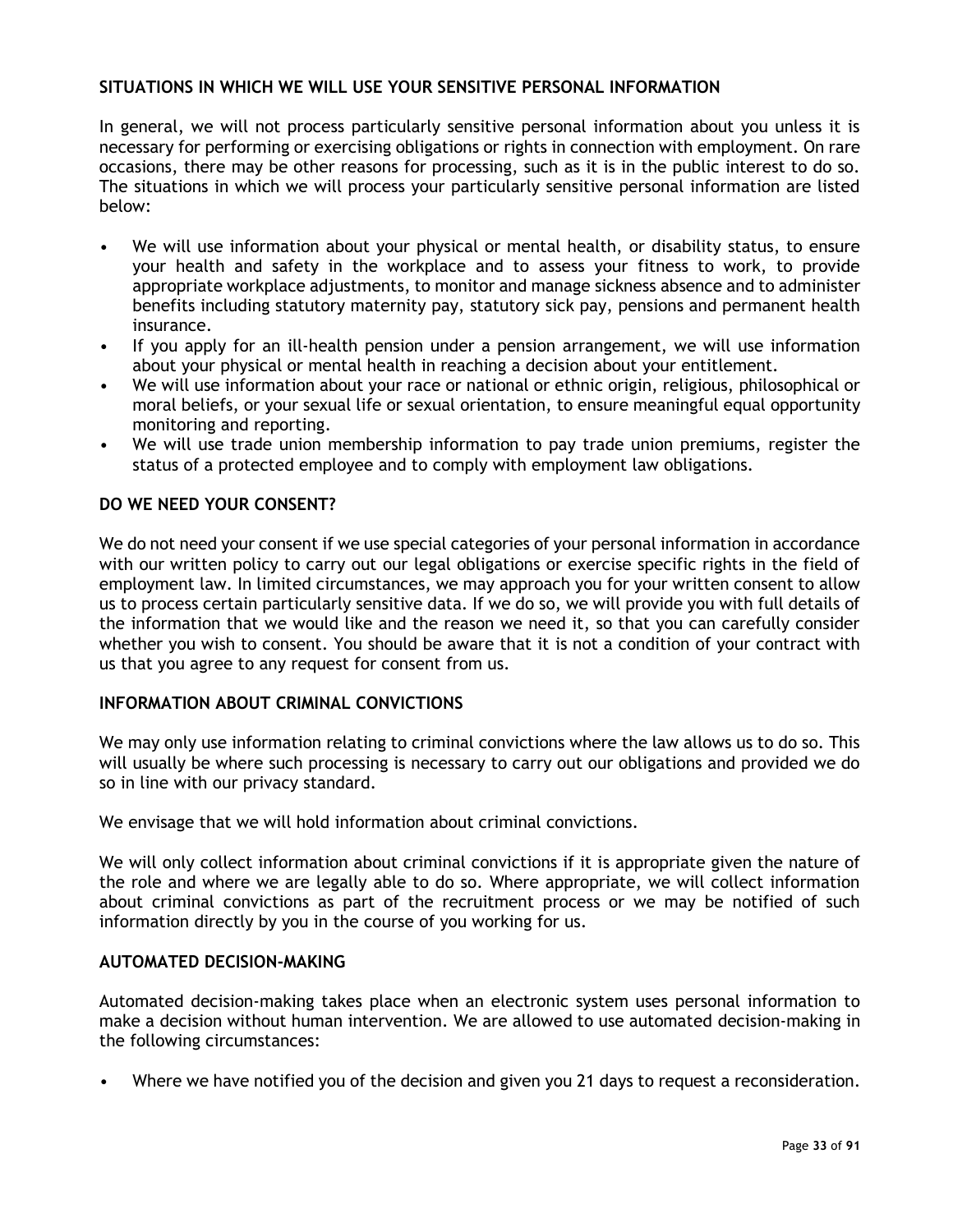#### <span id="page-32-0"></span>**SITUATIONS IN WHICH WE WILL USE YOUR SENSITIVE PERSONAL INFORMATION**

In general, we will not process particularly sensitive personal information about you unless it is necessary for performing or exercising obligations or rights in connection with employment. On rare occasions, there may be other reasons for processing, such as it is in the public interest to do so. The situations in which we will process your particularly sensitive personal information are listed below:

- We will use information about your physical or mental health, or disability status, to ensure your health and safety in the workplace and to assess your fitness to work, to provide appropriate workplace adjustments, to monitor and manage sickness absence and to administer benefits including statutory maternity pay, statutory sick pay, pensions and permanent health insurance.
- If you apply for an ill-health pension under a pension arrangement, we will use information about your physical or mental health in reaching a decision about your entitlement.
- We will use information about your race or national or ethnic origin, religious, philosophical or moral beliefs, or your sexual life or sexual orientation, to ensure meaningful equal opportunity monitoring and reporting.
- We will use trade union membership information to pay trade union premiums, register the status of a protected employee and to comply with employment law obligations.

#### <span id="page-32-1"></span>**DO WE NEED YOUR CONSENT?**

We do not need your consent if we use special categories of your personal information in accordance with our written policy to carry out our legal obligations or exercise specific rights in the field of employment law. In limited circumstances, we may approach you for your written consent to allow us to process certain particularly sensitive data. If we do so, we will provide you with full details of the information that we would like and the reason we need it, so that you can carefully consider whether you wish to consent. You should be aware that it is not a condition of your contract with us that you agree to any request for consent from us.

#### <span id="page-32-2"></span>**INFORMATION ABOUT CRIMINAL CONVICTIONS**

We may only use information relating to criminal convictions where the law allows us to do so. This will usually be where such processing is necessary to carry out our obligations and provided we do so in line with our privacy standard.

We envisage that we will hold information about criminal convictions.

We will only collect information about criminal convictions if it is appropriate given the nature of the role and where we are legally able to do so. Where appropriate, we will collect information about criminal convictions as part of the recruitment process or we may be notified of such information directly by you in the course of you working for us.

#### <span id="page-32-3"></span>**AUTOMATED DECISION-MAKING**

Automated decision-making takes place when an electronic system uses personal information to make a decision without human intervention. We are allowed to use automated decision-making in the following circumstances:

• Where we have notified you of the decision and given you 21 days to request a reconsideration.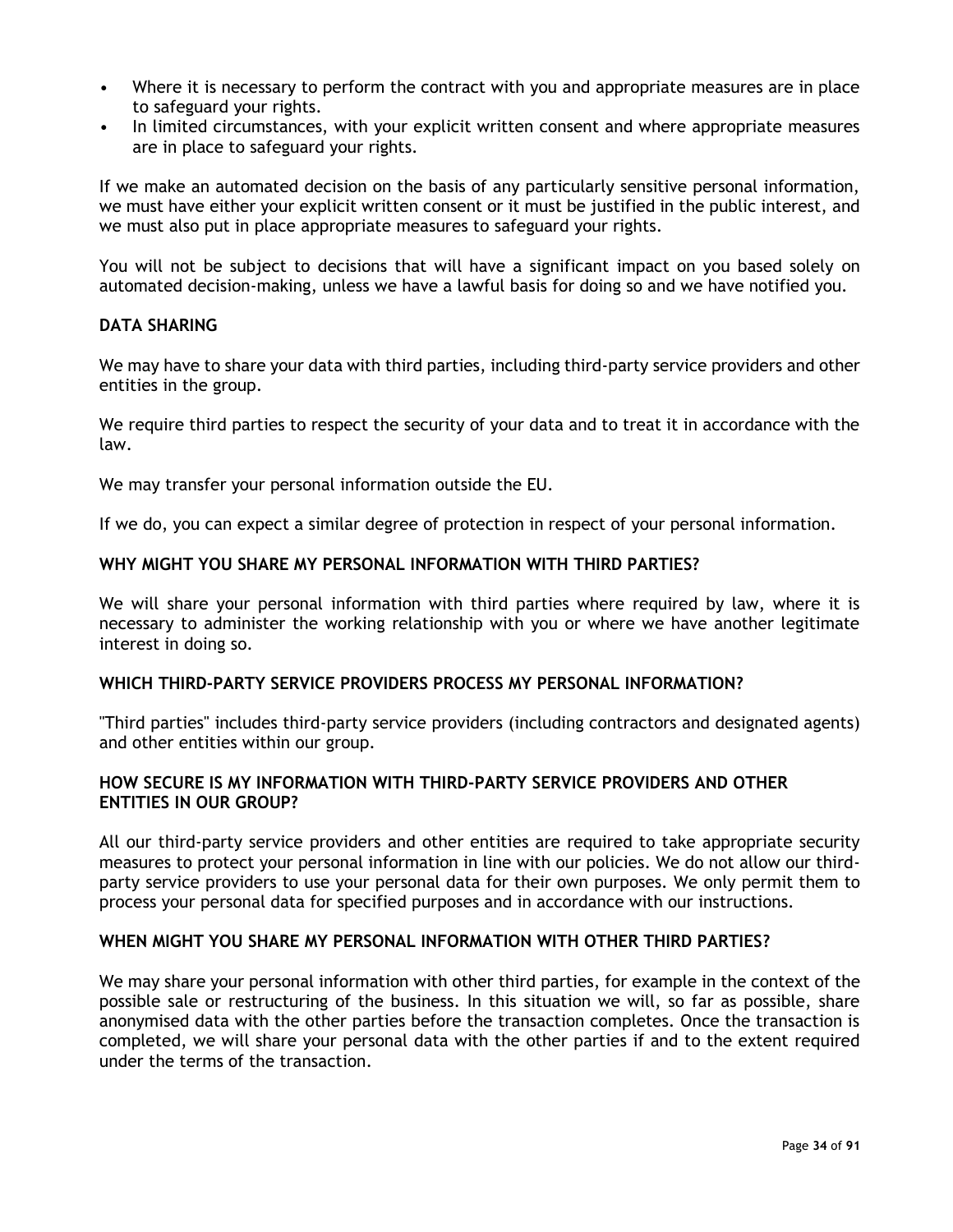- Where it is necessary to perform the contract with you and appropriate measures are in place to safeguard your rights.
- In limited circumstances, with your explicit written consent and where appropriate measures are in place to safeguard your rights.

If we make an automated decision on the basis of any particularly sensitive personal information, we must have either your explicit written consent or it must be justified in the public interest, and we must also put in place appropriate measures to safeguard your rights.

You will not be subject to decisions that will have a significant impact on you based solely on automated decision-making, unless we have a lawful basis for doing so and we have notified you.

#### <span id="page-33-0"></span>**DATA SHARING**

We may have to share your data with third parties, including third-party service providers and other entities in the group.

We require third parties to respect the security of your data and to treat it in accordance with the law.

We may transfer your personal information outside the EU.

If we do, you can expect a similar degree of protection in respect of your personal information.

#### <span id="page-33-1"></span>**WHY MIGHT YOU SHARE MY PERSONAL INFORMATION WITH THIRD PARTIES?**

We will share your personal information with third parties where required by law, where it is necessary to administer the working relationship with you or where we have another legitimate interest in doing so.

#### <span id="page-33-2"></span>**WHICH THIRD-PARTY SERVICE PROVIDERS PROCESS MY PERSONAL INFORMATION?**

"Third parties" includes third-party service providers (including contractors and designated agents) and other entities within our group.

#### <span id="page-33-3"></span>**HOW SECURE IS MY INFORMATION WITH THIRD-PARTY SERVICE PROVIDERS AND OTHER ENTITIES IN OUR GROUP?**

All our third-party service providers and other entities are required to take appropriate security measures to protect your personal information in line with our policies. We do not allow our thirdparty service providers to use your personal data for their own purposes. We only permit them to process your personal data for specified purposes and in accordance with our instructions.

#### <span id="page-33-4"></span>**WHEN MIGHT YOU SHARE MY PERSONAL INFORMATION WITH OTHER THIRD PARTIES?**

We may share your personal information with other third parties, for example in the context of the possible sale or restructuring of the business. In this situation we will, so far as possible, share anonymised data with the other parties before the transaction completes. Once the transaction is completed, we will share your personal data with the other parties if and to the extent required under the terms of the transaction.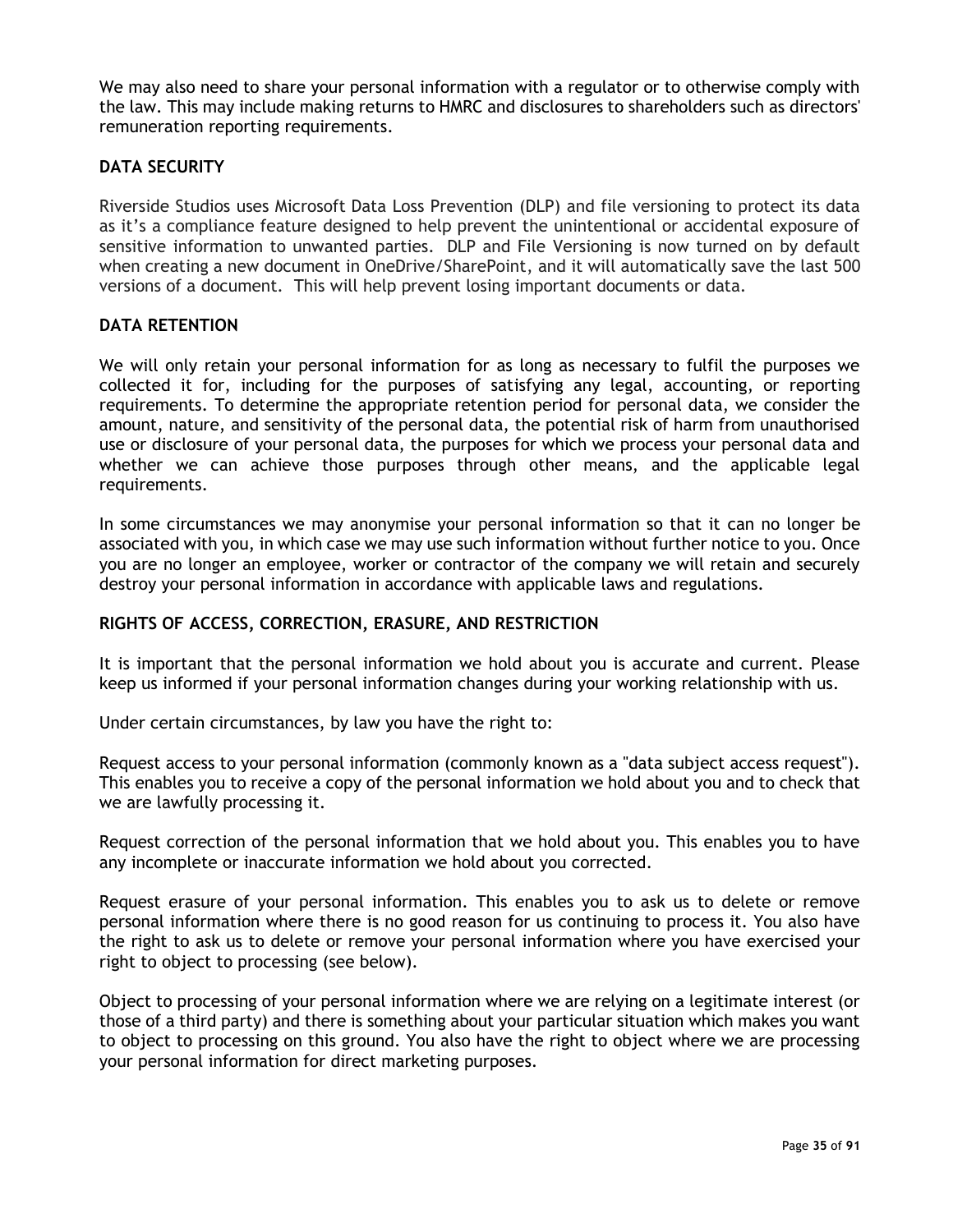We may also need to share your personal information with a regulator or to otherwise comply with the law. This may include making returns to HMRC and disclosures to shareholders such as directors' remuneration reporting requirements.

#### <span id="page-34-0"></span>**DATA SECURITY**

Riverside Studios uses Microsoft Data Loss Prevention (DLP) and file versioning to protect its data as it's a compliance feature designed to help prevent the unintentional or accidental exposure of sensitive information to unwanted parties. DLP and File Versioning is now turned on by default when creating a new document in OneDrive/SharePoint, and it will automatically save the last 500 versions of a document. This will help prevent losing important documents or data.

#### <span id="page-34-1"></span>**DATA RETENTION**

We will only retain your personal information for as long as necessary to fulfil the purposes we collected it for, including for the purposes of satisfying any legal, accounting, or reporting requirements. To determine the appropriate retention period for personal data, we consider the amount, nature, and sensitivity of the personal data, the potential risk of harm from unauthorised use or disclosure of your personal data, the purposes for which we process your personal data and whether we can achieve those purposes through other means, and the applicable legal requirements.

In some circumstances we may anonymise your personal information so that it can no longer be associated with you, in which case we may use such information without further notice to you. Once you are no longer an employee, worker or contractor of the company we will retain and securely destroy your personal information in accordance with applicable laws and regulations.

#### <span id="page-34-2"></span>**RIGHTS OF ACCESS, CORRECTION, ERASURE, AND RESTRICTION**

It is important that the personal information we hold about you is accurate and current. Please keep us informed if your personal information changes during your working relationship with us.

Under certain circumstances, by law you have the right to:

Request access to your personal information (commonly known as a "data subject access request"). This enables you to receive a copy of the personal information we hold about you and to check that we are lawfully processing it.

Request correction of the personal information that we hold about you. This enables you to have any incomplete or inaccurate information we hold about you corrected.

Request erasure of your personal information. This enables you to ask us to delete or remove personal information where there is no good reason for us continuing to process it. You also have the right to ask us to delete or remove your personal information where you have exercised your right to object to processing (see below).

Object to processing of your personal information where we are relying on a legitimate interest (or those of a third party) and there is something about your particular situation which makes you want to object to processing on this ground. You also have the right to object where we are processing your personal information for direct marketing purposes.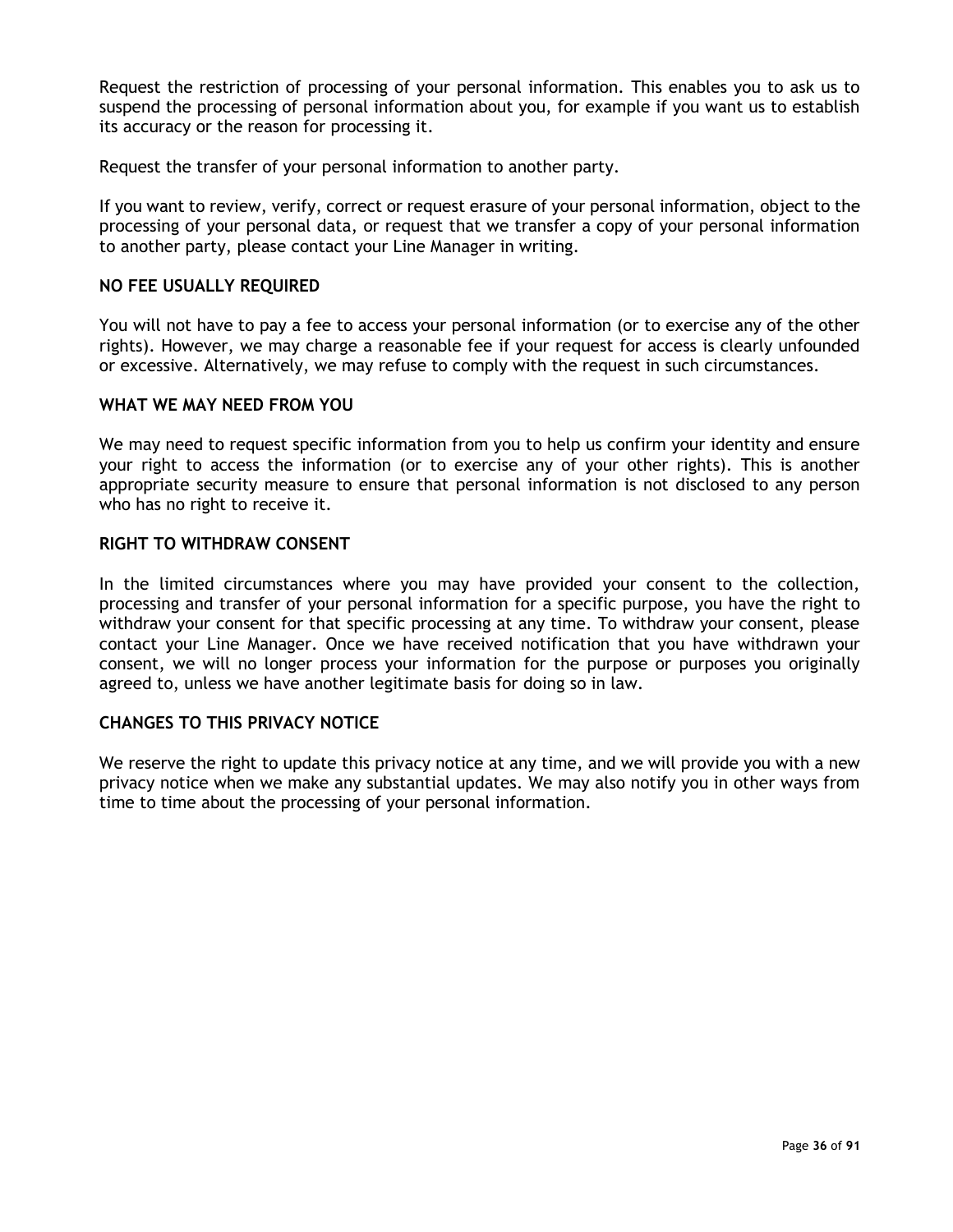Request the restriction of processing of your personal information. This enables you to ask us to suspend the processing of personal information about you, for example if you want us to establish its accuracy or the reason for processing it.

Request the transfer of your personal information to another party.

If you want to review, verify, correct or request erasure of your personal information, object to the processing of your personal data, or request that we transfer a copy of your personal information to another party, please contact your Line Manager in writing.

#### <span id="page-35-0"></span>**NO FEE USUALLY REQUIRED**

You will not have to pay a fee to access your personal information (or to exercise any of the other rights). However, we may charge a reasonable fee if your request for access is clearly unfounded or excessive. Alternatively, we may refuse to comply with the request in such circumstances.

#### <span id="page-35-1"></span>**WHAT WE MAY NEED FROM YOU**

We may need to request specific information from you to help us confirm your identity and ensure your right to access the information (or to exercise any of your other rights). This is another appropriate security measure to ensure that personal information is not disclosed to any person who has no right to receive it.

#### <span id="page-35-2"></span>**RIGHT TO WITHDRAW CONSENT**

In the limited circumstances where you may have provided your consent to the collection, processing and transfer of your personal information for a specific purpose, you have the right to withdraw your consent for that specific processing at any time. To withdraw your consent, please contact your Line Manager. Once we have received notification that you have withdrawn your consent, we will no longer process your information for the purpose or purposes you originally agreed to, unless we have another legitimate basis for doing so in law.

#### <span id="page-35-3"></span>**CHANGES TO THIS PRIVACY NOTICE**

We reserve the right to update this privacy notice at any time, and we will provide you with a new privacy notice when we make any substantial updates. We may also notify you in other ways from time to time about the processing of your personal information.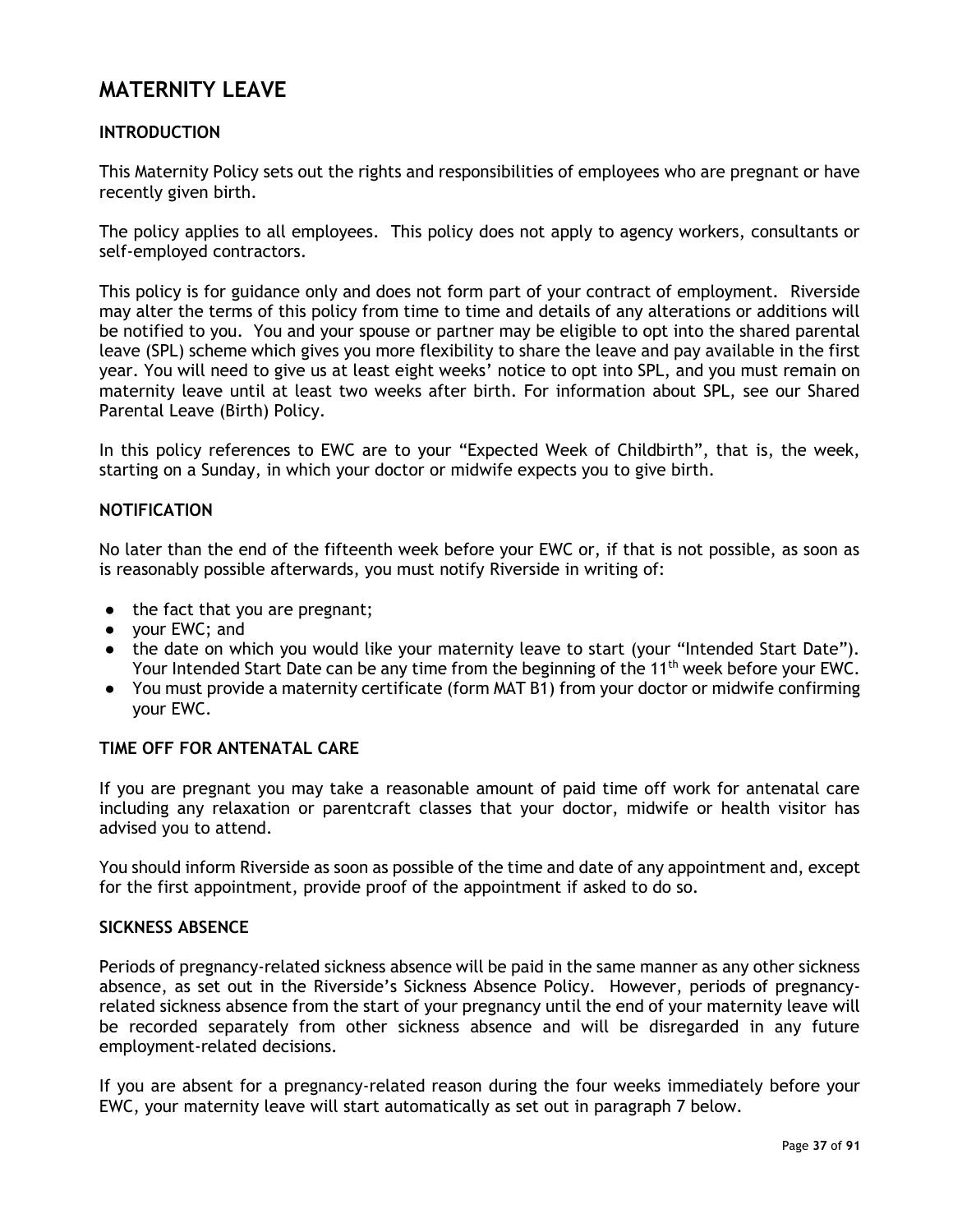## **MATERNITY LEAVE**

## **INTRODUCTION**

This Maternity Policy sets out the rights and responsibilities of employees who are pregnant or have recently given birth.

The policy applies to all employees. This policy does not apply to agency workers, consultants or self-employed contractors.

This policy is for guidance only and does not form part of your contract of employment. Riverside may alter the terms of this policy from time to time and details of any alterations or additions will be notified to you. You and your spouse or partner may be eligible to opt into the shared parental leave (SPL) scheme which gives you more flexibility to share the leave and pay available in the first year. You will need to give us at least eight weeks' notice to opt into SPL, and you must remain on maternity leave until at least two weeks after birth. For information about SPL, see our Shared Parental Leave (Birth) Policy.

In this policy references to EWC are to your "Expected Week of Childbirth", that is, the week, starting on a Sunday, in which your doctor or midwife expects you to give birth.

### **NOTIFICATION**

No later than the end of the fifteenth week before your EWC or, if that is not possible, as soon as is reasonably possible afterwards, you must notify Riverside in writing of:

- the fact that you are pregnant;
- your EWC; and
- the date on which you would like your maternity leave to start (your "Intended Start Date"). Your Intended Start Date can be any time from the beginning of the 11<sup>th</sup> week before your EWC.
- You must provide a maternity certificate (form MAT B1) from your doctor or midwife confirming your EWC.

#### **TIME OFF FOR ANTENATAL CARE**

If you are pregnant you may take a reasonable amount of paid time off work for antenatal care including any relaxation or parentcraft classes that your doctor, midwife or health visitor has advised you to attend.

You should inform Riverside as soon as possible of the time and date of any appointment and, except for the first appointment, provide proof of the appointment if asked to do so.

#### **SICKNESS ABSENCE**

Periods of pregnancy-related sickness absence will be paid in the same manner as any other sickness absence, as set out in the Riverside's Sickness Absence Policy. However, periods of pregnancyrelated sickness absence from the start of your pregnancy until the end of your maternity leave will be recorded separately from other sickness absence and will be disregarded in any future employment-related decisions.

If you are absent for a pregnancy-related reason during the four weeks immediately before your EWC, your maternity leave will start automatically as set out in paragraph 7 below.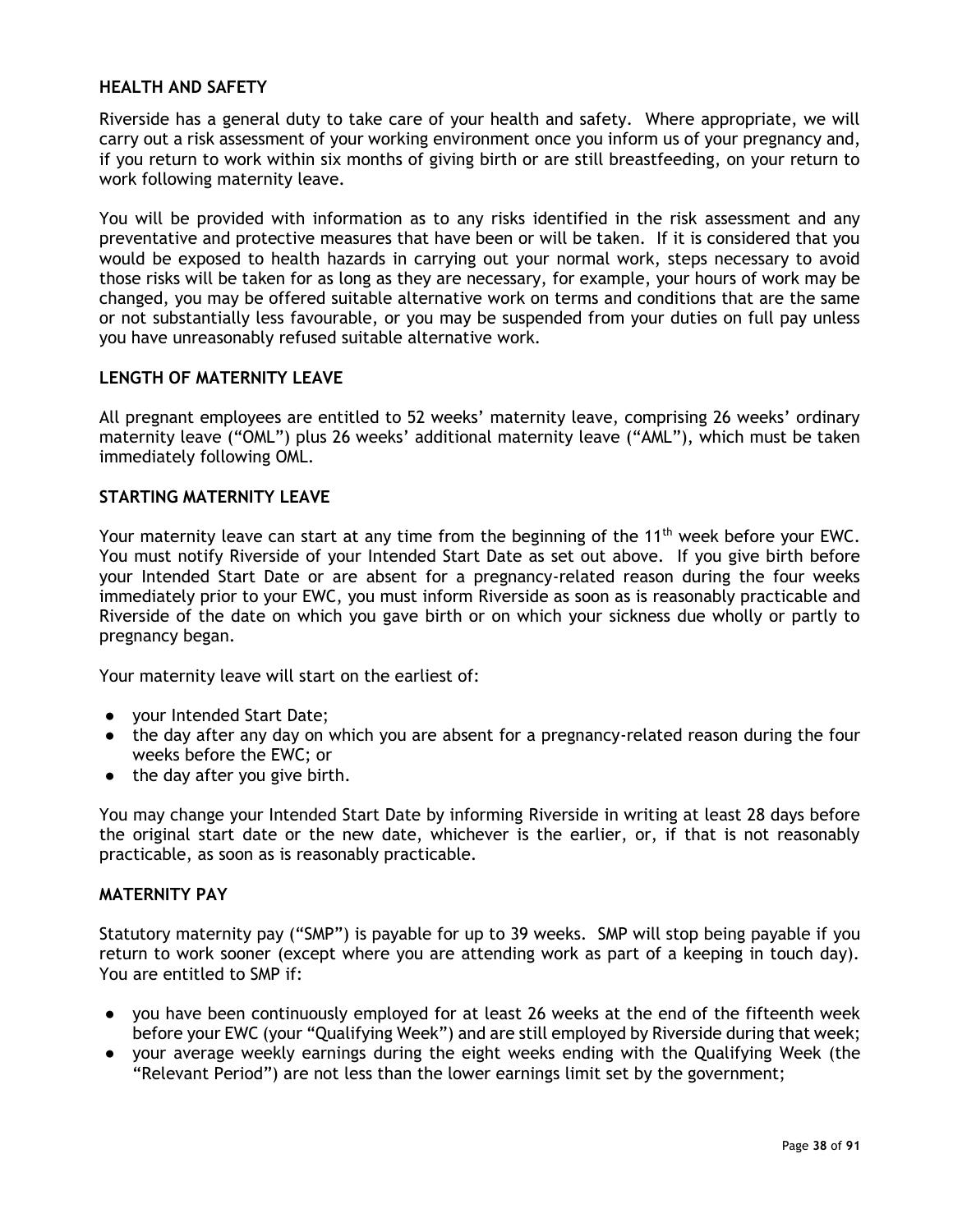#### **HEALTH AND SAFETY**

Riverside has a general duty to take care of your health and safety. Where appropriate, we will carry out a risk assessment of your working environment once you inform us of your pregnancy and, if you return to work within six months of giving birth or are still breastfeeding, on your return to work following maternity leave.

You will be provided with information as to any risks identified in the risk assessment and any preventative and protective measures that have been or will be taken. If it is considered that you would be exposed to health hazards in carrying out your normal work, steps necessary to avoid those risks will be taken for as long as they are necessary, for example, your hours of work may be changed, you may be offered suitable alternative work on terms and conditions that are the same or not substantially less favourable, or you may be suspended from your duties on full pay unless you have unreasonably refused suitable alternative work.

## **LENGTH OF MATERNITY LEAVE**

All pregnant employees are entitled to 52 weeks' maternity leave, comprising 26 weeks' ordinary maternity leave ("OML") plus 26 weeks' additional maternity leave ("AML"), which must be taken immediately following OML.

## **STARTING MATERNITY LEAVE**

Your maternity leave can start at any time from the beginning of the 11<sup>th</sup> week before your EWC. You must notify Riverside of your Intended Start Date as set out above. If you give birth before your Intended Start Date or are absent for a pregnancy-related reason during the four weeks immediately prior to your EWC, you must inform Riverside as soon as is reasonably practicable and Riverside of the date on which you gave birth or on which your sickness due wholly or partly to pregnancy began.

Your maternity leave will start on the earliest of:

- your Intended Start Date;
- the day after any day on which you are absent for a pregnancy-related reason during the four weeks before the EWC; or
- the day after you give birth.

You may change your Intended Start Date by informing Riverside in writing at least 28 days before the original start date or the new date, whichever is the earlier, or, if that is not reasonably practicable, as soon as is reasonably practicable.

#### **MATERNITY PAY**

Statutory maternity pay ("SMP") is payable for up to 39 weeks. SMP will stop being payable if you return to work sooner (except where you are attending work as part of a keeping in touch day). You are entitled to SMP if:

- you have been continuously employed for at least 26 weeks at the end of the fifteenth week before your EWC (your "Qualifying Week") and are still employed by Riverside during that week;
- your average weekly earnings during the eight weeks ending with the Qualifying Week (the "Relevant Period") are not less than the lower earnings limit set by the government;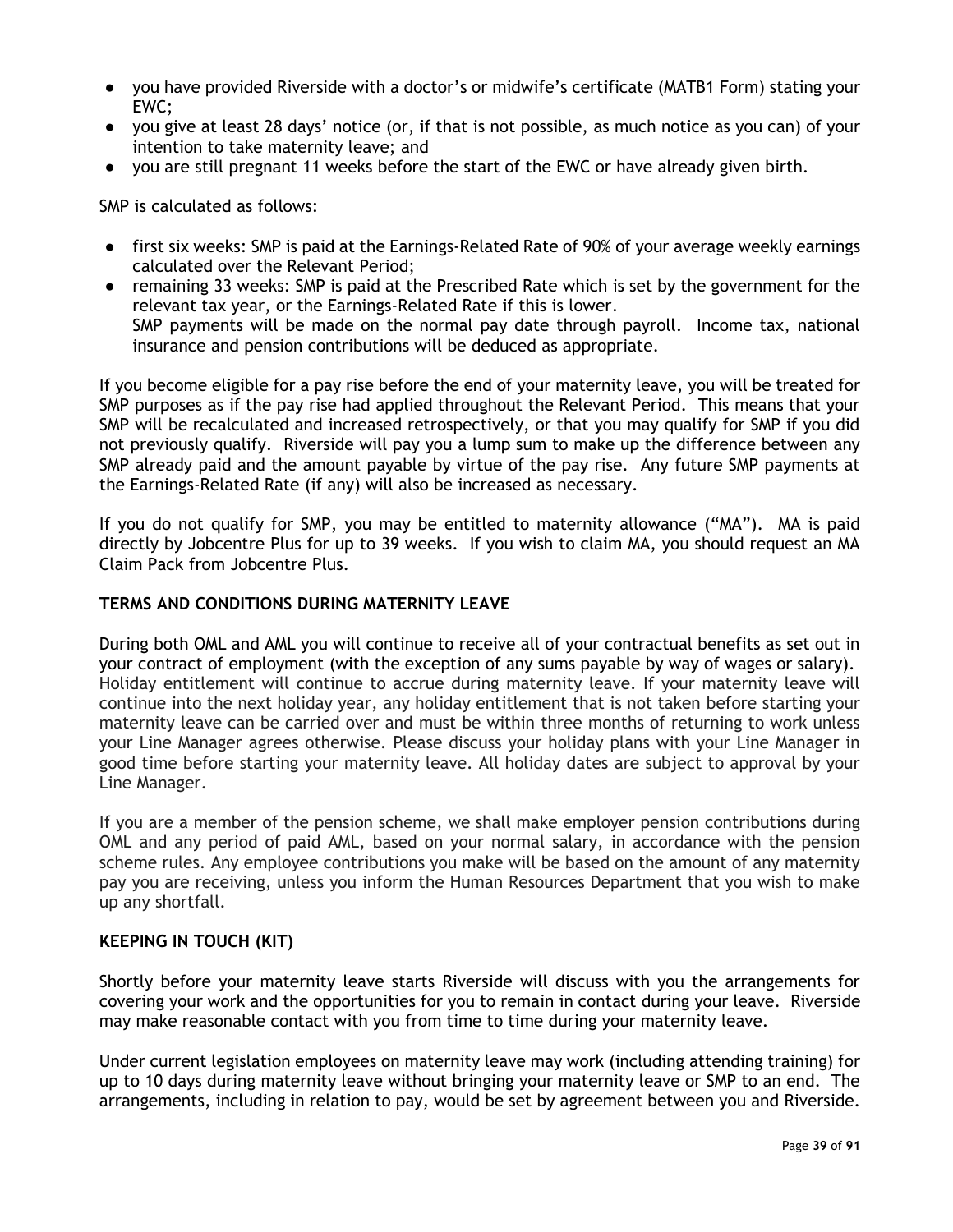- you have provided Riverside with a doctor's or midwife's certificate (MATB1 Form) stating your EWC;
- you give at least 28 days' notice (or, if that is not possible, as much notice as you can) of your intention to take maternity leave; and
- you are still pregnant 11 weeks before the start of the EWC or have already given birth.

SMP is calculated as follows:

- first six weeks: SMP is paid at the Earnings-Related Rate of 90% of your average weekly earnings calculated over the Relevant Period;
- remaining 33 weeks: SMP is paid at the Prescribed Rate which is set by the government for the relevant tax year, or the Earnings-Related Rate if this is lower. SMP payments will be made on the normal pay date through payroll. Income tax, national insurance and pension contributions will be deduced as appropriate.

If you become eligible for a pay rise before the end of your maternity leave, you will be treated for SMP purposes as if the pay rise had applied throughout the Relevant Period. This means that your SMP will be recalculated and increased retrospectively, or that you may qualify for SMP if you did not previously qualify. Riverside will pay you a lump sum to make up the difference between any SMP already paid and the amount payable by virtue of the pay rise. Any future SMP payments at the Earnings-Related Rate (if any) will also be increased as necessary.

If you do not qualify for SMP, you may be entitled to maternity allowance ("MA"). MA is paid directly by Jobcentre Plus for up to 39 weeks. If you wish to claim MA, you should request an MA Claim Pack from Jobcentre Plus.

#### **TERMS AND CONDITIONS DURING MATERNITY LEAVE**

During both OML and AML you will continue to receive all of your contractual benefits as set out in your contract of employment (with the exception of any sums payable by way of wages or salary). Holiday entitlement will continue to accrue during maternity leave. If your maternity leave will continue into the next holiday year, any holiday entitlement that is not taken before starting your maternity leave can be carried over and must be within three months of returning to work unless your Line Manager agrees otherwise. Please discuss your holiday plans with your Line Manager in good time before starting your maternity leave. All holiday dates are subject to approval by your Line Manager.

If you are a member of the pension scheme, we shall make employer pension contributions during OML and any period of paid AML, based on your normal salary, in accordance with the pension scheme rules. Any employee contributions you make will be based on the amount of any maternity pay you are receiving, unless you inform the Human Resources Department that you wish to make up any shortfall.

#### **KEEPING IN TOUCH (KIT)**

Shortly before your maternity leave starts Riverside will discuss with you the arrangements for covering your work and the opportunities for you to remain in contact during your leave. Riverside may make reasonable contact with you from time to time during your maternity leave.

Under current legislation employees on maternity leave may work (including attending training) for up to 10 days during maternity leave without bringing your maternity leave or SMP to an end. The arrangements, including in relation to pay, would be set by agreement between you and Riverside.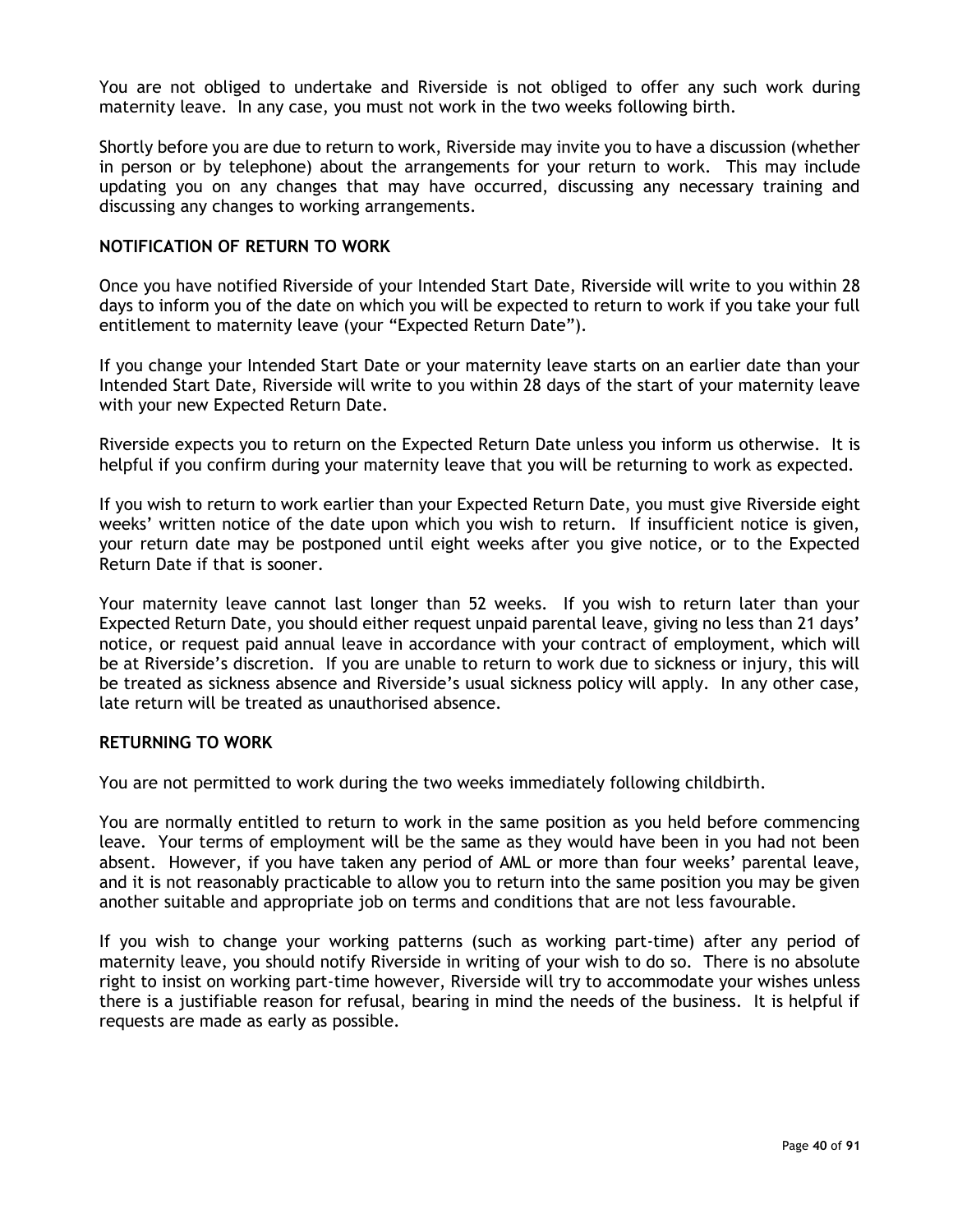You are not obliged to undertake and Riverside is not obliged to offer any such work during maternity leave. In any case, you must not work in the two weeks following birth.

Shortly before you are due to return to work, Riverside may invite you to have a discussion (whether in person or by telephone) about the arrangements for your return to work. This may include updating you on any changes that may have occurred, discussing any necessary training and discussing any changes to working arrangements.

#### **NOTIFICATION OF RETURN TO WORK**

Once you have notified Riverside of your Intended Start Date, Riverside will write to you within 28 days to inform you of the date on which you will be expected to return to work if you take your full entitlement to maternity leave (your "Expected Return Date").

If you change your Intended Start Date or your maternity leave starts on an earlier date than your Intended Start Date, Riverside will write to you within 28 days of the start of your maternity leave with your new Expected Return Date.

Riverside expects you to return on the Expected Return Date unless you inform us otherwise. It is helpful if you confirm during your maternity leave that you will be returning to work as expected.

If you wish to return to work earlier than your Expected Return Date, you must give Riverside eight weeks' written notice of the date upon which you wish to return. If insufficient notice is given, your return date may be postponed until eight weeks after you give notice, or to the Expected Return Date if that is sooner.

Your maternity leave cannot last longer than 52 weeks. If you wish to return later than your Expected Return Date, you should either request unpaid parental leave, giving no less than 21 days' notice, or request paid annual leave in accordance with your contract of employment, which will be at Riverside's discretion. If you are unable to return to work due to sickness or injury, this will be treated as sickness absence and Riverside's usual sickness policy will apply. In any other case, late return will be treated as unauthorised absence.

#### **RETURNING TO WORK**

You are not permitted to work during the two weeks immediately following childbirth.

You are normally entitled to return to work in the same position as you held before commencing leave. Your terms of employment will be the same as they would have been in you had not been absent. However, if you have taken any period of AML or more than four weeks' parental leave, and it is not reasonably practicable to allow you to return into the same position you may be given another suitable and appropriate job on terms and conditions that are not less favourable.

If you wish to change your working patterns (such as working part-time) after any period of maternity leave, you should notify Riverside in writing of your wish to do so. There is no absolute right to insist on working part-time however, Riverside will try to accommodate your wishes unless there is a justifiable reason for refusal, bearing in mind the needs of the business. It is helpful if requests are made as early as possible.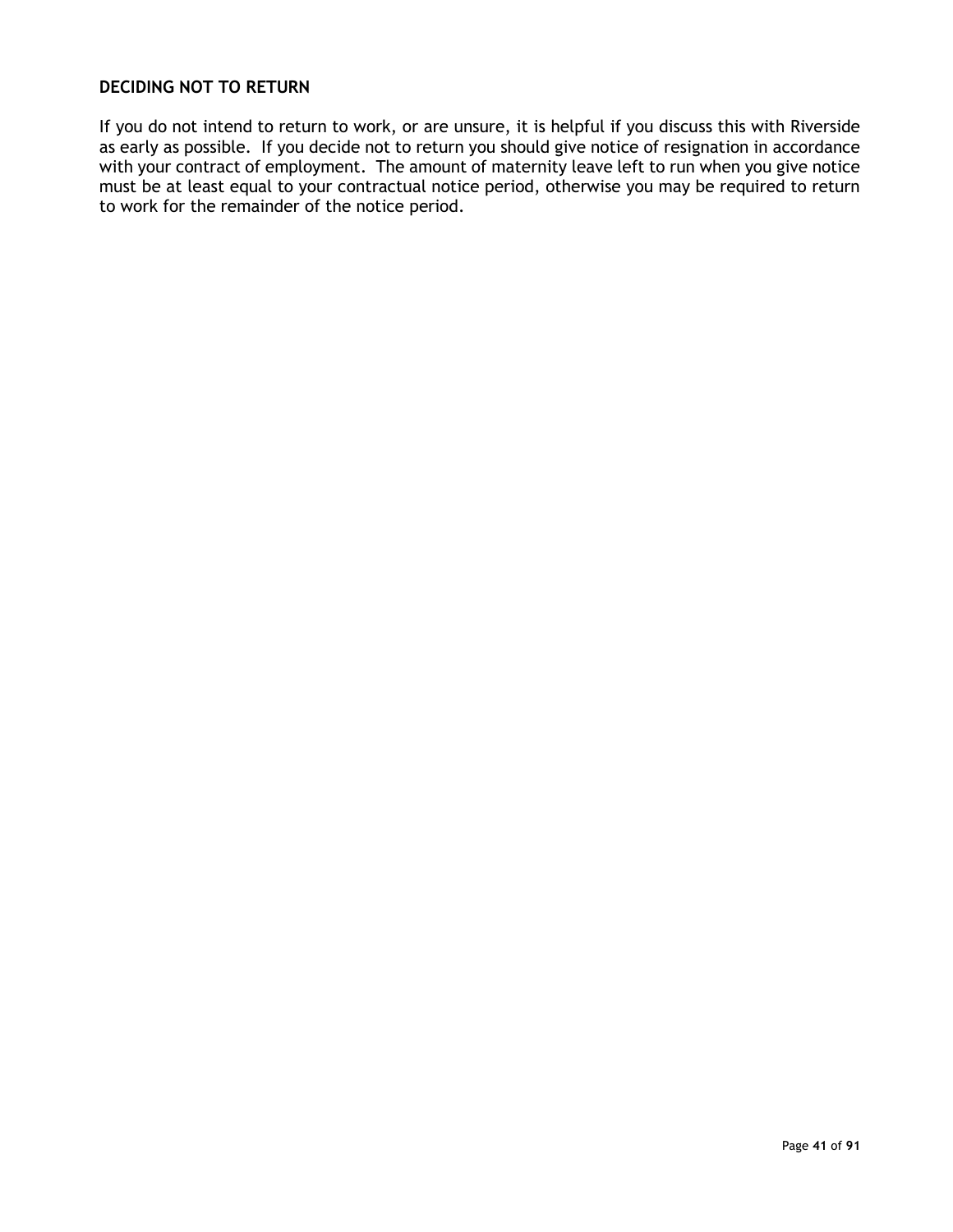## **DECIDING NOT TO RETURN**

If you do not intend to return to work, or are unsure, it is helpful if you discuss this with Riverside as early as possible. If you decide not to return you should give notice of resignation in accordance with your contract of employment. The amount of maternity leave left to run when you give notice must be at least equal to your contractual notice period, otherwise you may be required to return to work for the remainder of the notice period.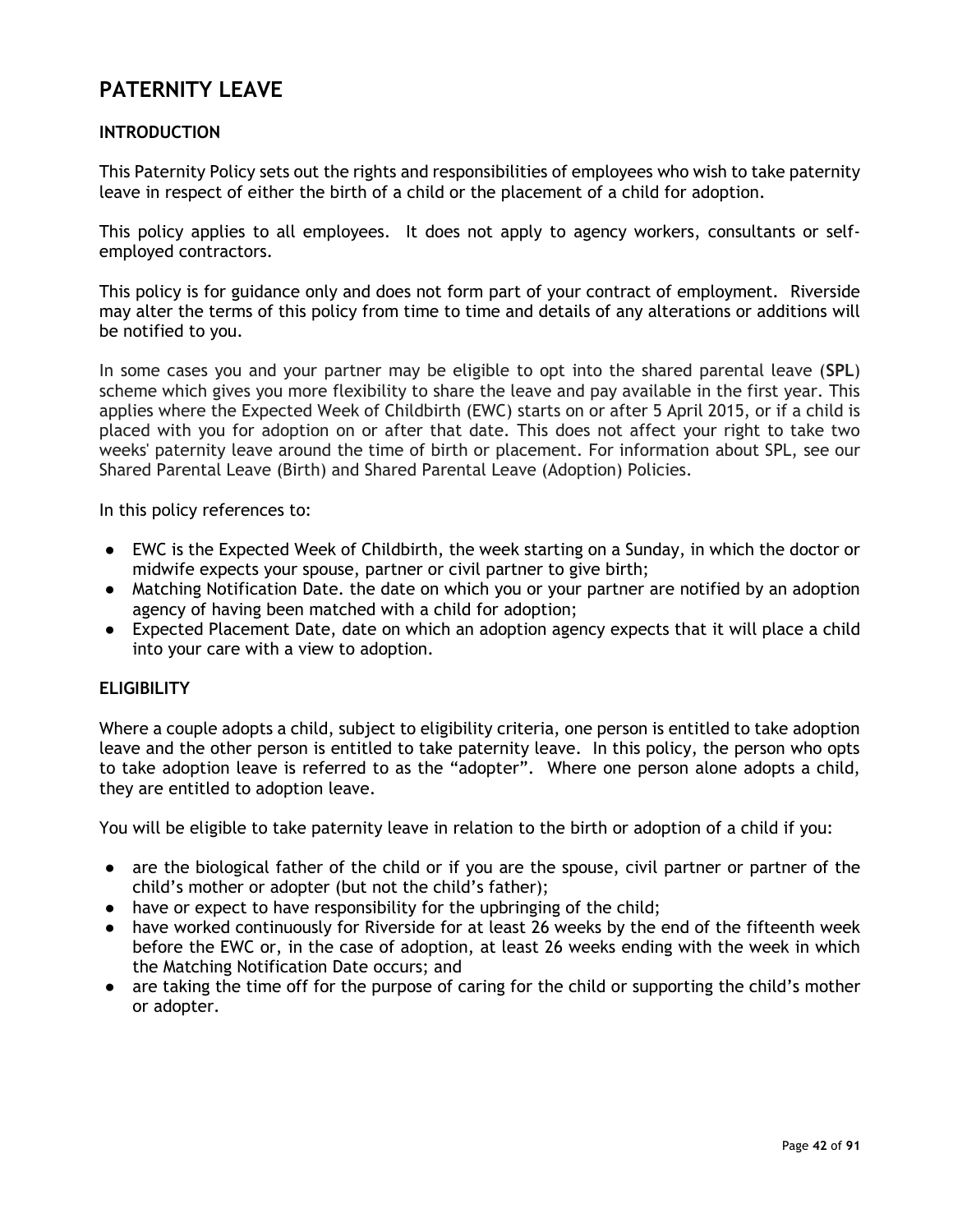# **PATERNITY LEAVE**

## **INTRODUCTION**

This Paternity Policy sets out the rights and responsibilities of employees who wish to take paternity leave in respect of either the birth of a child or the placement of a child for adoption.

This policy applies to all employees. It does not apply to agency workers, consultants or selfemployed contractors.

This policy is for guidance only and does not form part of your contract of employment. Riverside may alter the terms of this policy from time to time and details of any alterations or additions will be notified to you.

In some cases you and your partner may be eligible to opt into the shared parental leave (**SPL**) scheme which gives you more flexibility to share the leave and pay available in the first year. This applies where the Expected Week of Childbirth (EWC) starts on or after 5 April 2015, or if a child is placed with you for adoption on or after that date. This does not affect your right to take two weeks' paternity leave around the time of birth or placement. For information about SPL, see our Shared Parental Leave (Birth) and Shared Parental Leave (Adoption) Policies.

In this policy references to:

- EWC is the Expected Week of Childbirth, the week starting on a Sunday, in which the doctor or midwife expects your spouse, partner or civil partner to give birth;
- Matching Notification Date. the date on which you or your partner are notified by an adoption agency of having been matched with a child for adoption;
- Expected Placement Date, date on which an adoption agency expects that it will place a child into your care with a view to adoption.

#### **ELIGIBILITY**

Where a couple adopts a child, subject to eligibility criteria, one person is entitled to take adoption leave and the other person is entitled to take paternity leave. In this policy, the person who opts to take adoption leave is referred to as the "adopter". Where one person alone adopts a child, they are entitled to adoption leave.

You will be eligible to take paternity leave in relation to the birth or adoption of a child if you:

- are the biological father of the child or if you are the spouse, civil partner or partner of the child's mother or adopter (but not the child's father);
- have or expect to have responsibility for the upbringing of the child;
- have worked continuously for Riverside for at least 26 weeks by the end of the fifteenth week before the EWC or, in the case of adoption, at least 26 weeks ending with the week in which the Matching Notification Date occurs; and
- are taking the time off for the purpose of caring for the child or supporting the child's mother or adopter.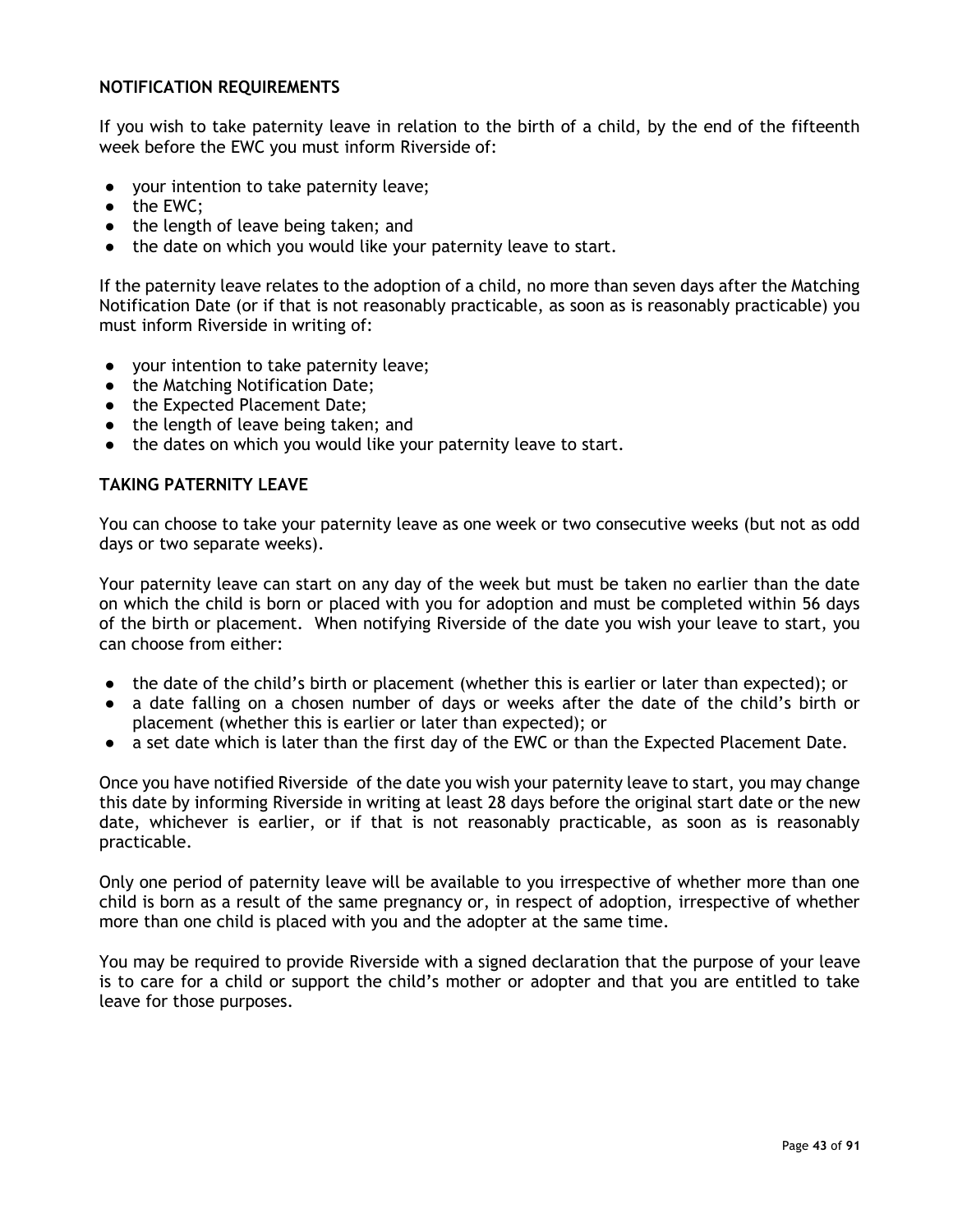### **NOTIFICATION REQUIREMENTS**

If you wish to take paternity leave in relation to the birth of a child, by the end of the fifteenth week before the EWC you must inform Riverside of:

- your intention to take paternity leave;
- the EWC;
- the length of leave being taken; and
- the date on which you would like your paternity leave to start.

If the paternity leave relates to the adoption of a child, no more than seven days after the Matching Notification Date (or if that is not reasonably practicable, as soon as is reasonably practicable) you must inform Riverside in writing of:

- your intention to take paternity leave;
- the Matching Notification Date;
- the Expected Placement Date;
- the length of leave being taken; and
- the dates on which you would like your paternity leave to start.

## **TAKING PATERNITY LEAVE**

You can choose to take your paternity leave as one week or two consecutive weeks (but not as odd days or two separate weeks).

Your paternity leave can start on any day of the week but must be taken no earlier than the date on which the child is born or placed with you for adoption and must be completed within 56 days of the birth or placement. When notifying Riverside of the date you wish your leave to start, you can choose from either:

- the date of the child's birth or placement (whether this is earlier or later than expected); or
- a date falling on a chosen number of days or weeks after the date of the child's birth or placement (whether this is earlier or later than expected); or
- a set date which is later than the first day of the EWC or than the Expected Placement Date.

Once you have notified Riverside of the date you wish your paternity leave to start, you may change this date by informing Riverside in writing at least 28 days before the original start date or the new date, whichever is earlier, or if that is not reasonably practicable, as soon as is reasonably practicable.

Only one period of paternity leave will be available to you irrespective of whether more than one child is born as a result of the same pregnancy or, in respect of adoption, irrespective of whether more than one child is placed with you and the adopter at the same time.

You may be required to provide Riverside with a signed declaration that the purpose of your leave is to care for a child or support the child's mother or adopter and that you are entitled to take leave for those purposes.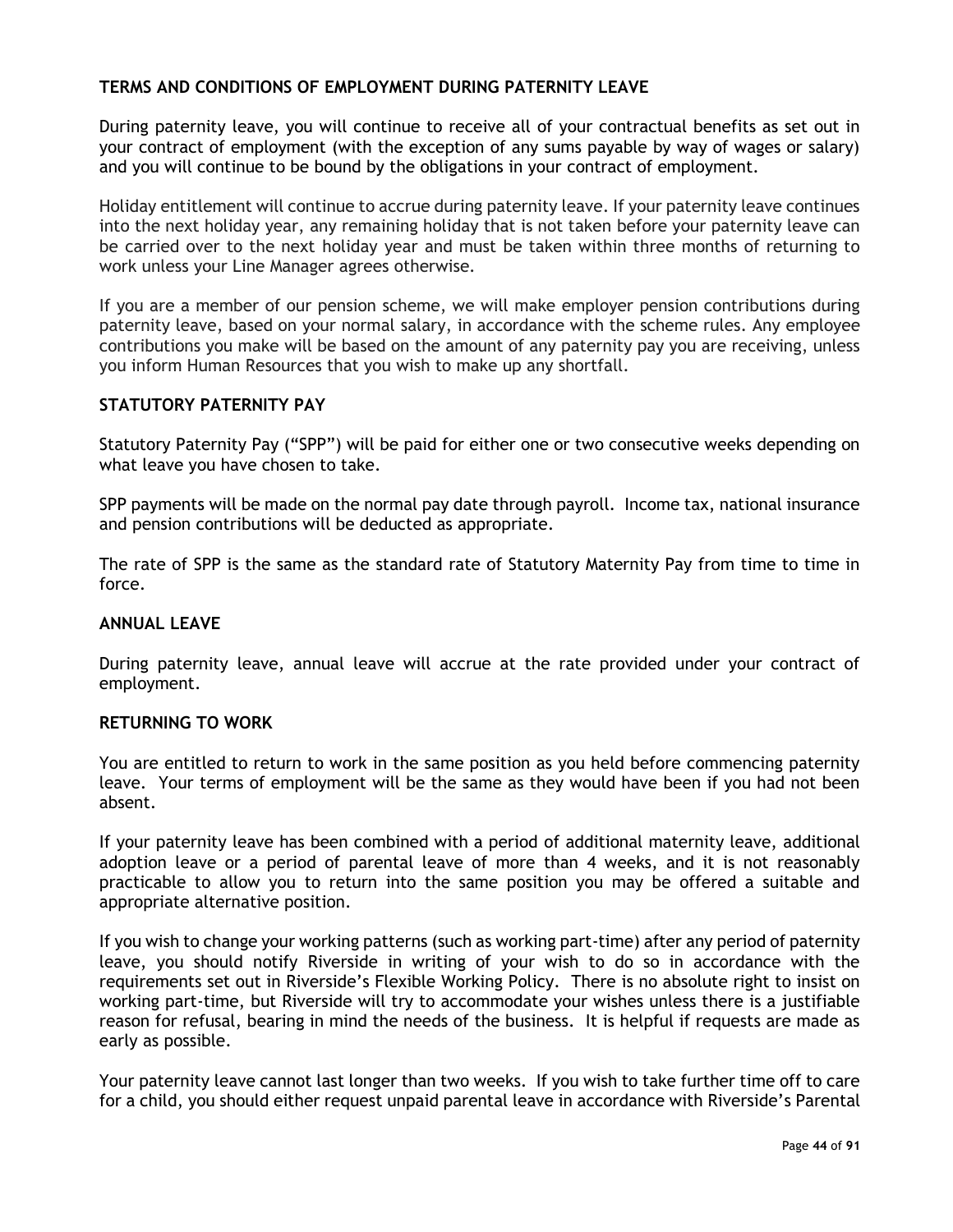## **TERMS AND CONDITIONS OF EMPLOYMENT DURING PATERNITY LEAVE**

During paternity leave, you will continue to receive all of your contractual benefits as set out in your contract of employment (with the exception of any sums payable by way of wages or salary) and you will continue to be bound by the obligations in your contract of employment.

Holiday entitlement will continue to accrue during paternity leave. If your paternity leave continues into the next holiday year, any remaining holiday that is not taken before your paternity leave can be carried over to the next holiday year and must be taken within three months of returning to work unless your Line Manager agrees otherwise.

If you are a member of our pension scheme, we will make employer pension contributions during paternity leave, based on your normal salary, in accordance with the scheme rules. Any employee contributions you make will be based on the amount of any paternity pay you are receiving, unless you inform Human Resources that you wish to make up any shortfall.

### **STATUTORY PATERNITY PAY**

Statutory Paternity Pay ("SPP") will be paid for either one or two consecutive weeks depending on what leave you have chosen to take.

SPP payments will be made on the normal pay date through payroll. Income tax, national insurance and pension contributions will be deducted as appropriate.

The rate of SPP is the same as the standard rate of Statutory Maternity Pay from time to time in force.

#### **ANNUAL LEAVE**

During paternity leave, annual leave will accrue at the rate provided under your contract of employment.

#### **RETURNING TO WORK**

You are entitled to return to work in the same position as you held before commencing paternity leave. Your terms of employment will be the same as they would have been if you had not been absent.

If your paternity leave has been combined with a period of additional maternity leave, additional adoption leave or a period of parental leave of more than 4 weeks, and it is not reasonably practicable to allow you to return into the same position you may be offered a suitable and appropriate alternative position.

If you wish to change your working patterns (such as working part-time) after any period of paternity leave, you should notify Riverside in writing of your wish to do so in accordance with the requirements set out in Riverside's Flexible Working Policy. There is no absolute right to insist on working part-time, but Riverside will try to accommodate your wishes unless there is a justifiable reason for refusal, bearing in mind the needs of the business. It is helpful if requests are made as early as possible.

Your paternity leave cannot last longer than two weeks. If you wish to take further time off to care for a child, you should either request unpaid parental leave in accordance with Riverside's Parental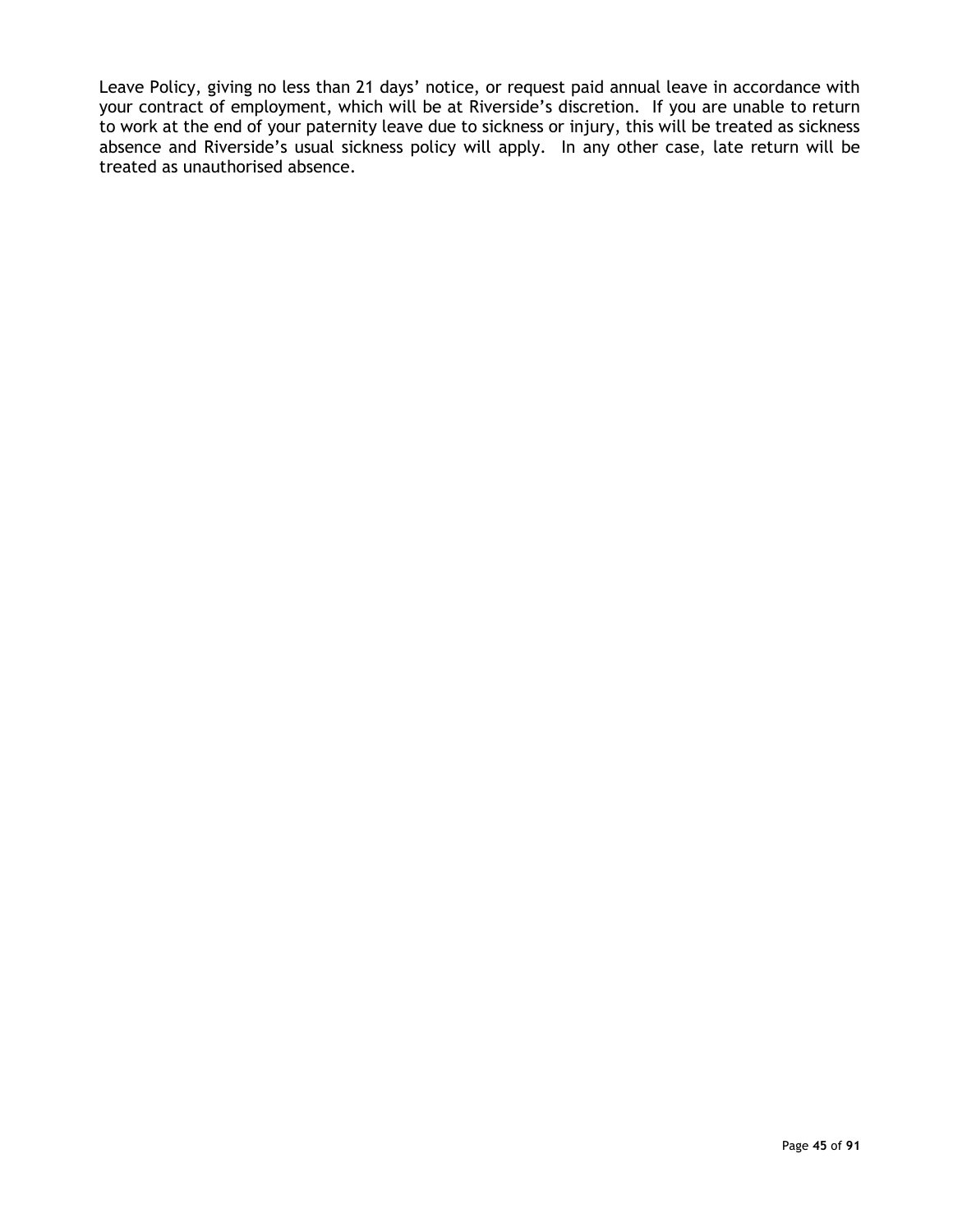Leave Policy, giving no less than 21 days' notice, or request paid annual leave in accordance with your contract of employment, which will be at Riverside's discretion. If you are unable to return to work at the end of your paternity leave due to sickness or injury, this will be treated as sickness absence and Riverside's usual sickness policy will apply. In any other case, late return will be treated as unauthorised absence.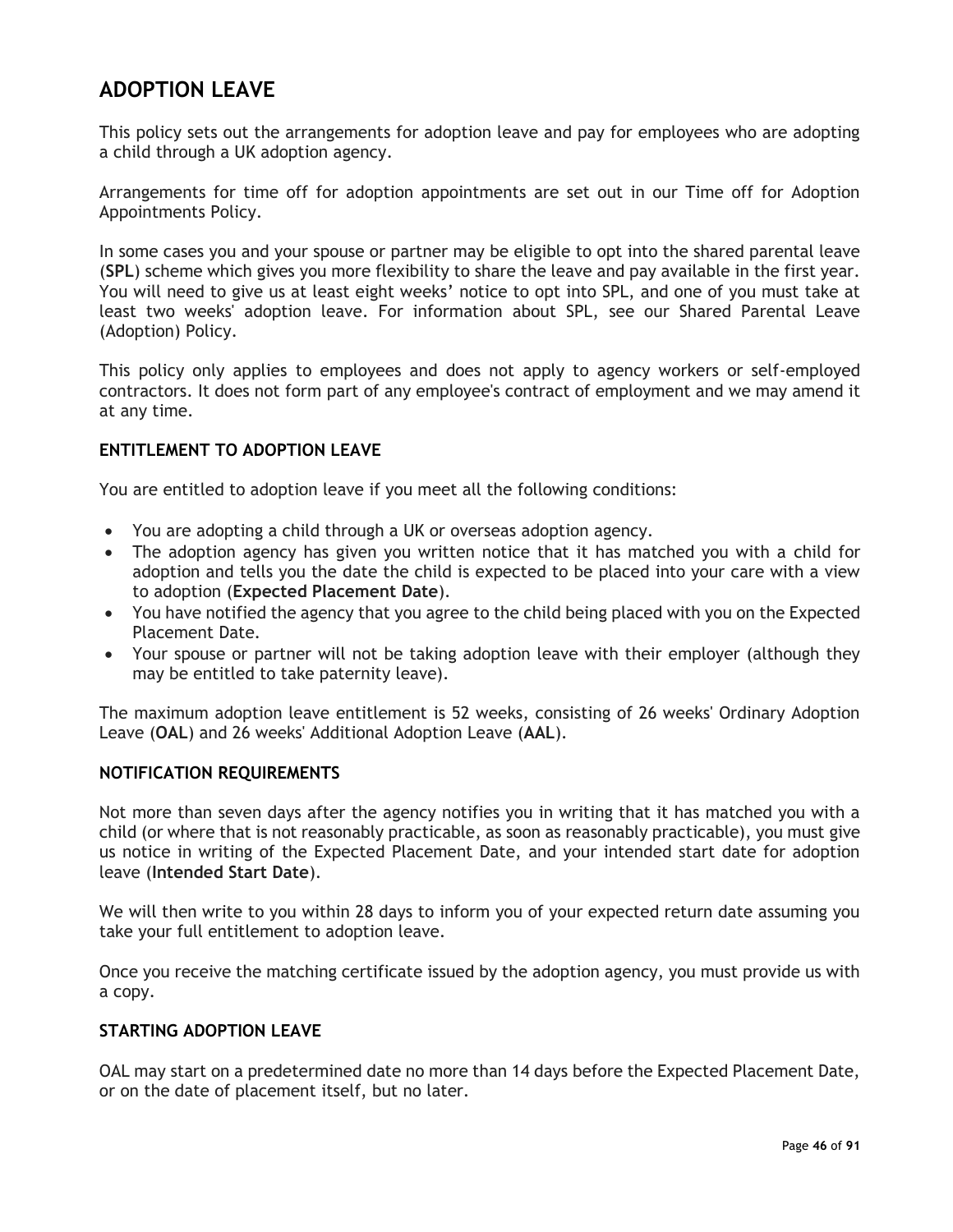## **ADOPTION LEAVE**

This policy sets out the arrangements for adoption leave and pay for employees who are adopting a child through a UK adoption agency.

Arrangements for time off for adoption appointments are set out in our Time off for Adoption Appointments Policy.

In some cases you and your spouse or partner may be eligible to opt into the shared parental leave (**SPL**) scheme which gives you more flexibility to share the leave and pay available in the first year. You will need to give us at least eight weeks' notice to opt into SPL, and one of you must take at least two weeks' adoption leave. For information about SPL, see our Shared Parental Leave (Adoption) Policy.

This policy only applies to employees and does not apply to agency workers or self-employed contractors. It does not form part of any employee's contract of employment and we may amend it at any time.

## **ENTITLEMENT TO ADOPTION LEAVE**

You are entitled to adoption leave if you meet all the following conditions:

- You are adopting a child through a UK or overseas adoption agency.
- The adoption agency has given you written notice that it has matched you with a child for adoption and tells you the date the child is expected to be placed into your care with a view to adoption (**Expected Placement Date**).
- You have notified the agency that you agree to the child being placed with you on the Expected Placement Date.
- Your spouse or partner will not be taking adoption leave with their employer (although they may be entitled to take paternity leave).

The maximum adoption leave entitlement is 52 weeks, consisting of 26 weeks' Ordinary Adoption Leave (**OAL**) and 26 weeks' Additional Adoption Leave (**AAL**).

#### **NOTIFICATION REQUIREMENTS**

Not more than seven days after the agency notifies you in writing that it has matched you with a child (or where that is not reasonably practicable, as soon as reasonably practicable), you must give us notice in writing of the Expected Placement Date, and your intended start date for adoption leave (**Intended Start Date**).

We will then write to you within 28 days to inform you of your expected return date assuming you take your full entitlement to adoption leave.

Once you receive the matching certificate issued by the adoption agency, you must provide us with a copy.

## **STARTING ADOPTION LEAVE**

OAL may start on a predetermined date no more than 14 days before the Expected Placement Date, or on the date of placement itself, but no later.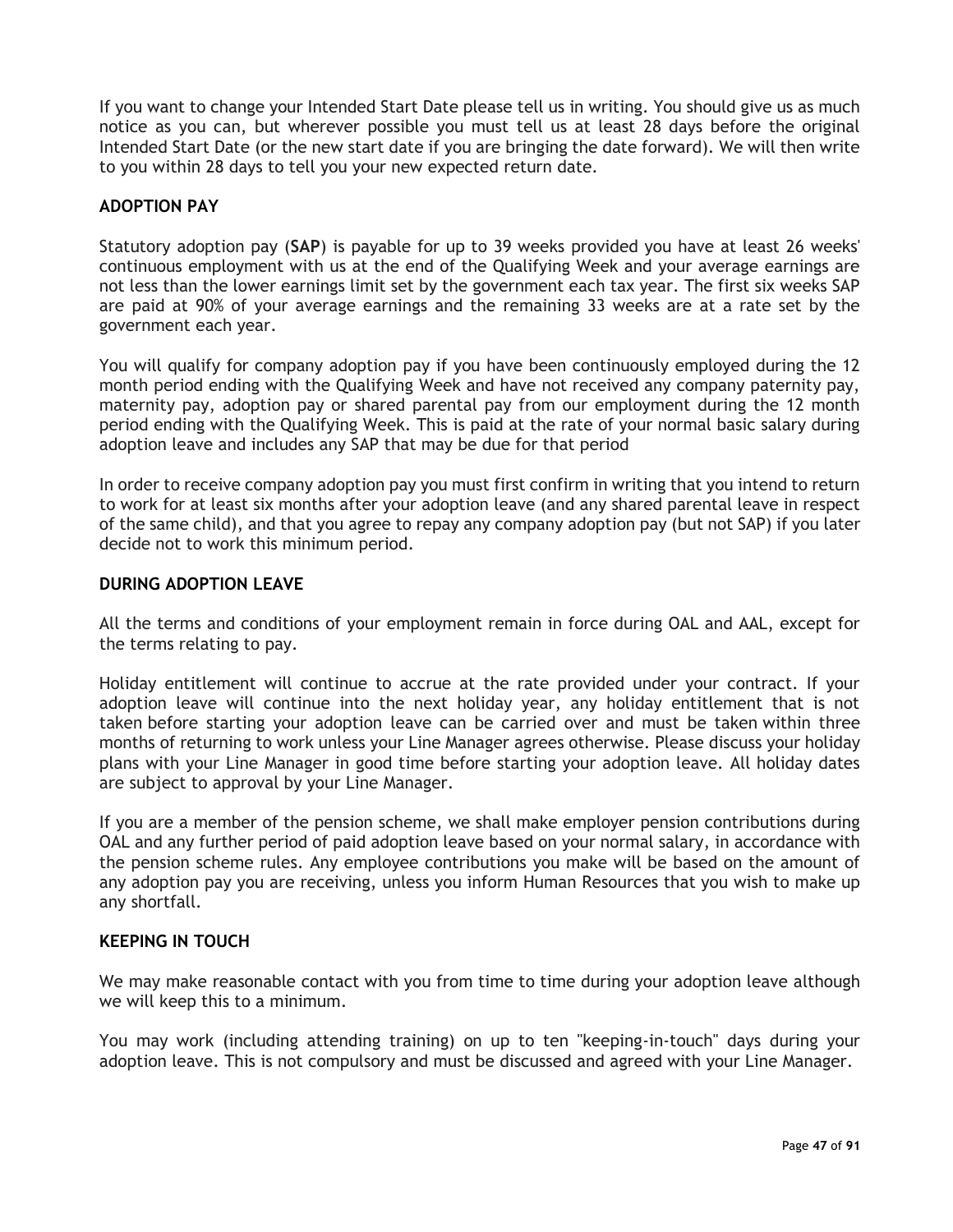If you want to change your Intended Start Date please tell us in writing. You should give us as much notice as you can, but wherever possible you must tell us at least 28 days before the original Intended Start Date (or the new start date if you are bringing the date forward). We will then write to you within 28 days to tell you your new expected return date.

## **ADOPTION PAY**

Statutory adoption pay (**SAP**) is payable for up to 39 weeks provided you have at least 26 weeks' continuous employment with us at the end of the Qualifying Week and your average earnings are not less than the lower earnings limit set by the government each tax year. The first six weeks SAP are paid at 90% of your average earnings and the remaining 33 weeks are at a rate set by the government each year.

You will qualify for company adoption pay if you have been continuously employed during the 12 month period ending with the Qualifying Week and have not received any company paternity pay, maternity pay, adoption pay or shared parental pay from our employment during the 12 month period ending with the Qualifying Week. This is paid at the rate of your normal basic salary during adoption leave and includes any SAP that may be due for that period

In order to receive company adoption pay you must first confirm in writing that you intend to return to work for at least six months after your adoption leave (and any shared parental leave in respect of the same child), and that you agree to repay any company adoption pay (but not SAP) if you later decide not to work this minimum period.

#### **DURING ADOPTION LEAVE**

All the terms and conditions of your employment remain in force during OAL and AAL, except for the terms relating to pay.

Holiday entitlement will continue to accrue at the rate provided under your contract. If your adoption leave will continue into the next holiday year, any holiday entitlement that is not taken before starting your adoption leave can be carried over and must be taken within three months of returning to work unless your Line Manager agrees otherwise. Please discuss your holiday plans with your Line Manager in good time before starting your adoption leave. All holiday dates are subject to approval by your Line Manager.

If you are a member of the pension scheme, we shall make employer pension contributions during OAL and any further period of paid adoption leave based on your normal salary, in accordance with the pension scheme rules. Any employee contributions you make will be based on the amount of any adoption pay you are receiving, unless you inform Human Resources that you wish to make up any shortfall.

#### **KEEPING IN TOUCH**

We may make reasonable contact with you from time to time during your adoption leave although we will keep this to a minimum.

You may work (including attending training) on up to ten "keeping-in-touch" days during your adoption leave. This is not compulsory and must be discussed and agreed with your Line Manager.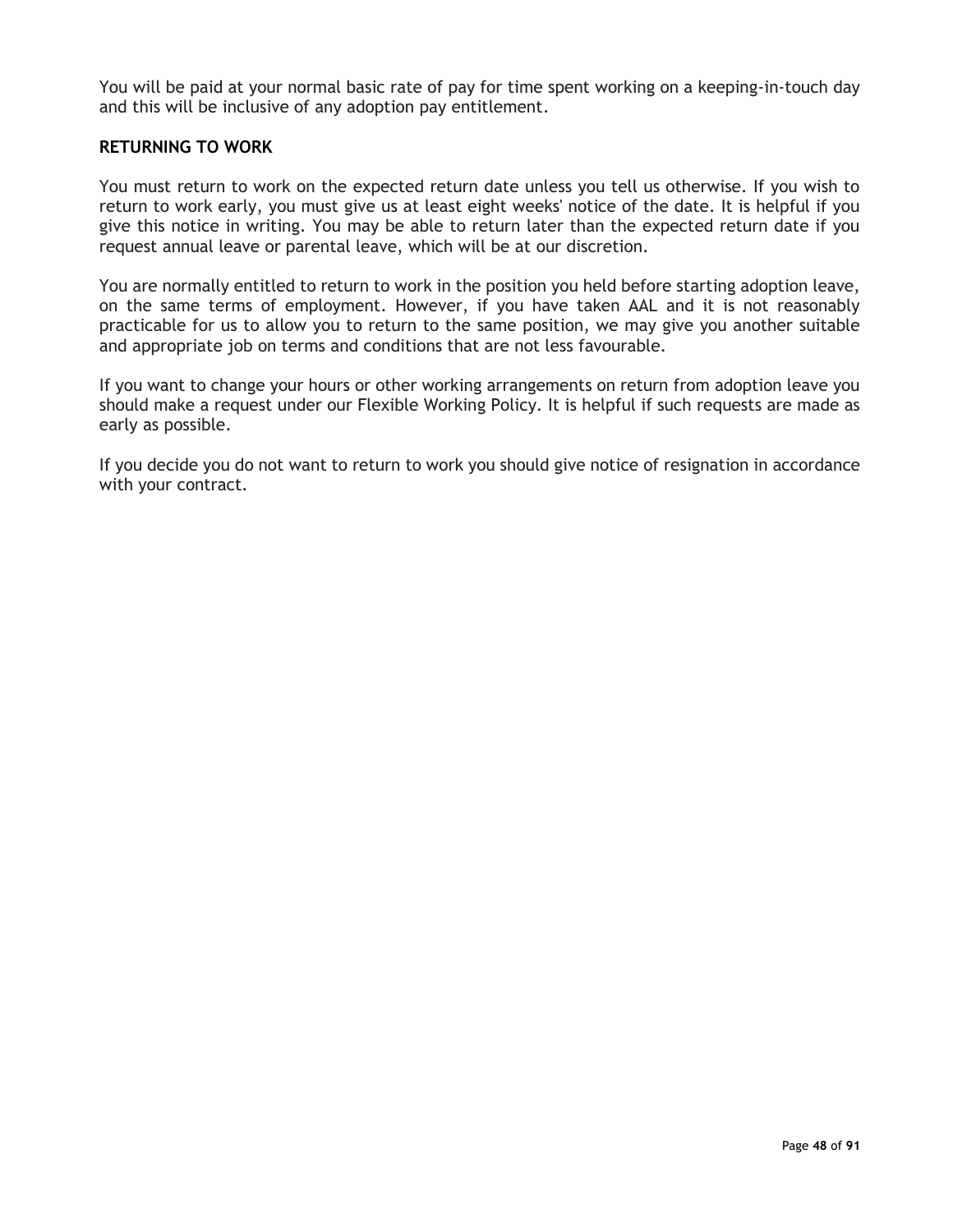You will be paid at your normal basic rate of pay for time spent working on a keeping-in-touch day and this will be inclusive of any adoption pay entitlement.

#### **RETURNING TO WORK**

You must return to work on the expected return date unless you tell us otherwise. If you wish to return to work early, you must give us at least eight weeks' notice of the date. It is helpful if you give this notice in writing. You may be able to return later than the expected return date if you request annual leave or parental leave, which will be at our discretion.

You are normally entitled to return to work in the position you held before starting adoption leave, on the same terms of employment. However, if you have taken AAL and it is not reasonably practicable for us to allow you to return to the same position, we may give you another suitable and appropriate job on terms and conditions that are not less favourable.

If you want to change your hours or other working arrangements on return from adoption leave you should make a request under our Flexible Working Policy. It is helpful if such requests are made as early as possible.

If you decide you do not want to return to work you should give notice of resignation in accordance with your contract.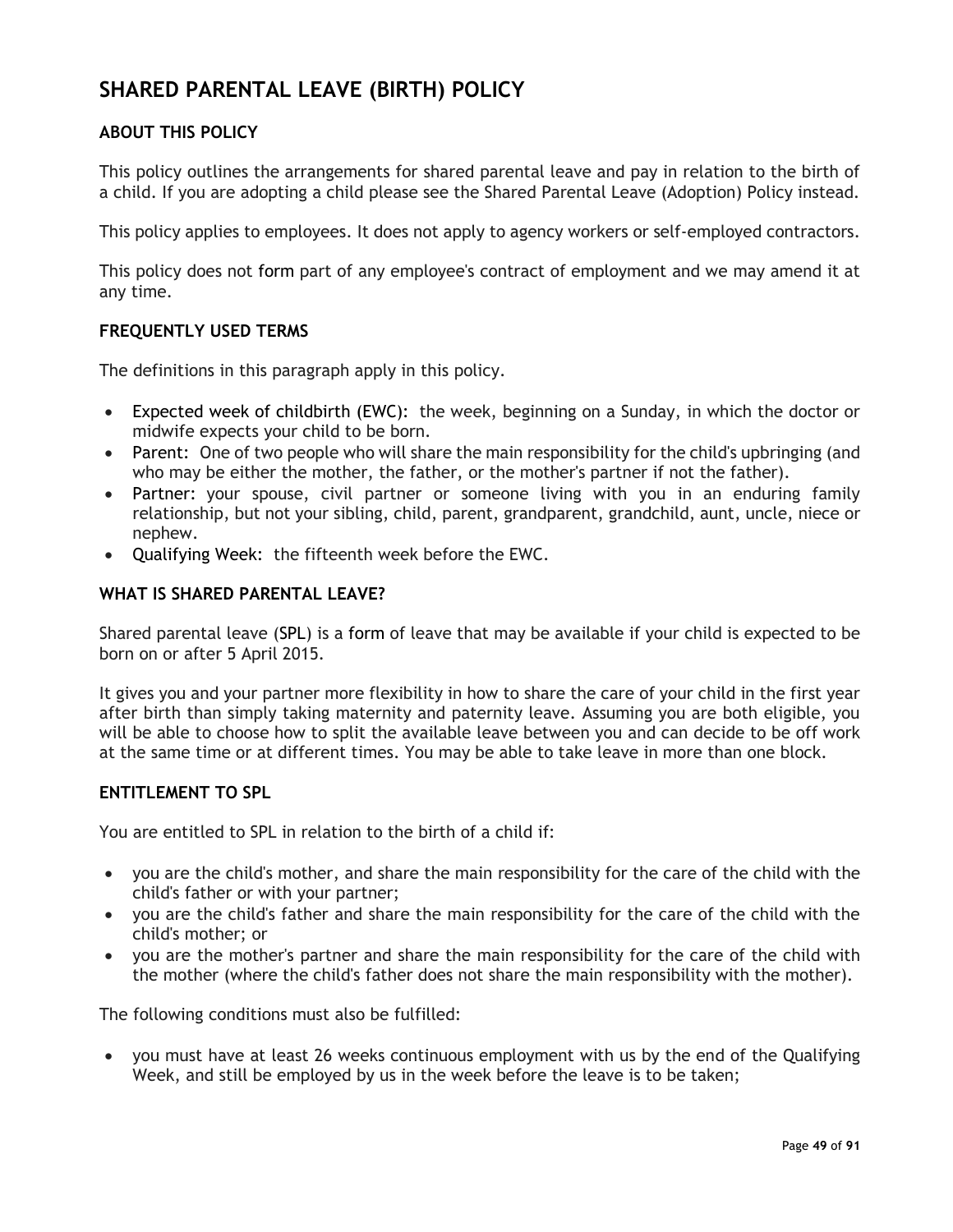# **SHARED PARENTAL LEAVE (BIRTH) POLICY**

## **ABOUT THIS POLICY**

This policy outlines the arrangements for shared parental leave and pay in relation to the birth of a child. If you are adopting a child please see the Shared Parental Leave (Adoption) Policy instead.

This policy applies to employees. It does not apply to agency workers or self-employed contractors.

This policy does not form part of any employee's contract of employment and we may amend it at any time.

## **FREQUENTLY USED TERMS**

The definitions in this paragraph apply in this policy.

- Expected week of childbirth (EWC): the week, beginning on a Sunday, in which the doctor or midwife expects your child to be born.
- Parent: One of two people who will share the main responsibility for the child's upbringing (and who may be either the mother, the father, or the mother's partner if not the father).
- Partner: your spouse, civil partner or someone living with you in an enduring family relationship, but not your sibling, child, parent, grandparent, grandchild, aunt, uncle, niece or nephew.
- Qualifying Week: the fifteenth week before the EWC.

## **WHAT IS SHARED PARENTAL LEAVE?**

Shared parental leave (SPL) is a form of leave that may be available if your child is expected to be born on or after 5 April 2015.

It gives you and your partner more flexibility in how to share the care of your child in the first year after birth than simply taking maternity and paternity leave. Assuming you are both eligible, you will be able to choose how to split the available leave between you and can decide to be off work at the same time or at different times. You may be able to take leave in more than one block.

#### **ENTITLEMENT TO SPL**

You are entitled to SPL in relation to the birth of a child if:

- you are the child's mother, and share the main responsibility for the care of the child with the child's father or with your partner;
- you are the child's father and share the main responsibility for the care of the child with the child's mother; or
- you are the mother's partner and share the main responsibility for the care of the child with the mother (where the child's father does not share the main responsibility with the mother).

The following conditions must also be fulfilled:

• you must have at least 26 weeks continuous employment with us by the end of the Qualifying Week, and still be employed by us in the week before the leave is to be taken;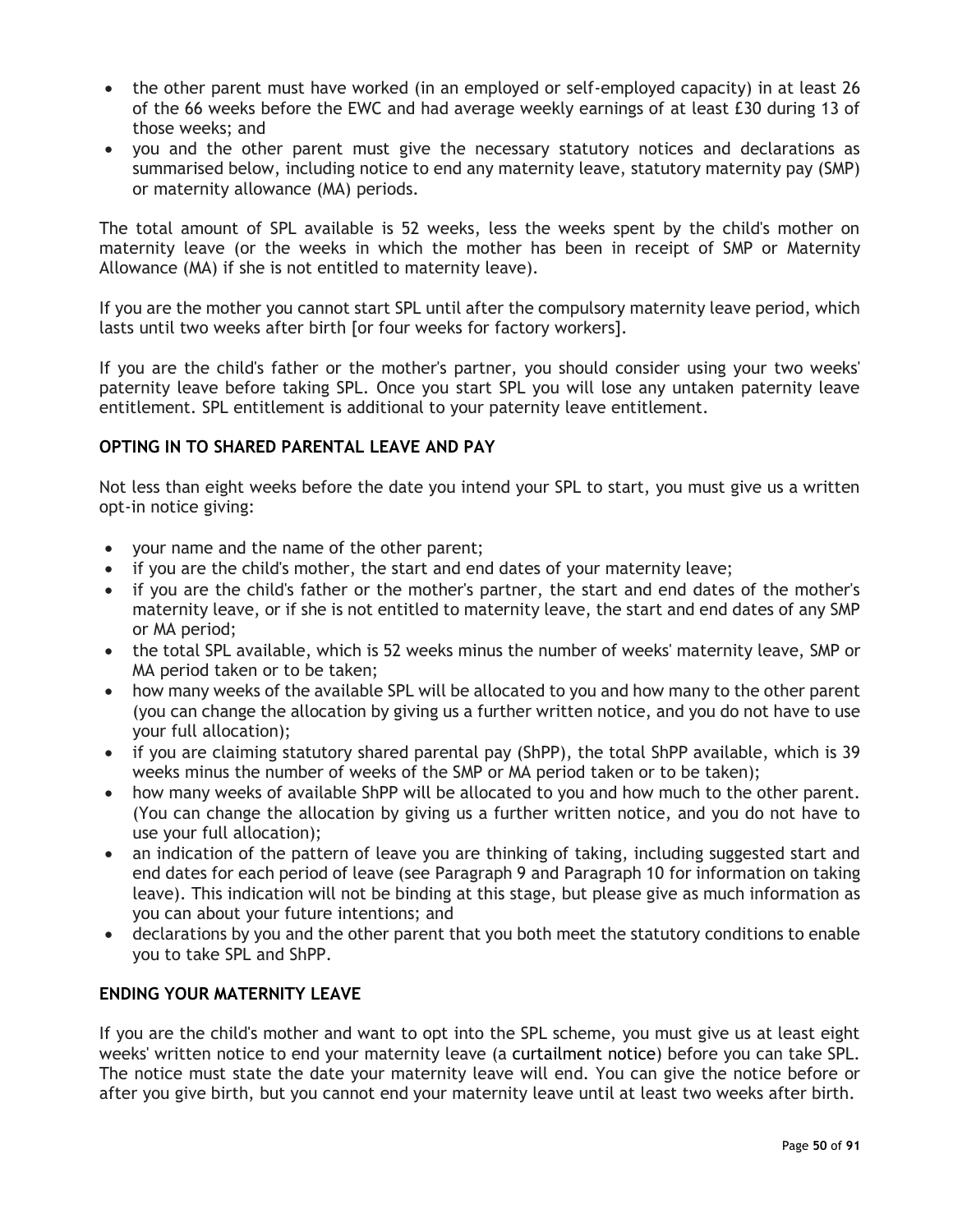- the other parent must have worked (in an employed or self-employed capacity) in at least 26 of the 66 weeks before the EWC and had average weekly earnings of at least £30 during 13 of those weeks; and
- you and the other parent must give the necessary statutory notices and declarations as summarised below, including notice to end any maternity leave, statutory maternity pay (SMP) or maternity allowance (MA) periods.

The total amount of SPL available is 52 weeks, less the weeks spent by the child's mother on maternity leave (or the weeks in which the mother has been in receipt of SMP or Maternity Allowance (MA) if she is not entitled to maternity leave).

If you are the mother you cannot start SPL until after the compulsory maternity leave period, which lasts until two weeks after birth [or four weeks for factory workers].

If you are the child's father or the mother's partner, you should consider using your two weeks' paternity leave before taking SPL. Once you start SPL you will lose any untaken paternity leave entitlement. SPL entitlement is additional to your paternity leave entitlement.

## **OPTING IN TO SHARED PARENTAL LEAVE AND PAY**

Not less than eight weeks before the date you intend your SPL to start, you must give us a written opt-in notice giving:

- your name and the name of the other parent;
- if you are the child's mother, the start and end dates of your maternity leave;
- if you are the child's father or the mother's partner, the start and end dates of the mother's maternity leave, or if she is not entitled to maternity leave, the start and end dates of any SMP or MA period;
- the total SPL available, which is 52 weeks minus the number of weeks' maternity leave, SMP or MA period taken or to be taken;
- how many weeks of the available SPL will be allocated to you and how many to the other parent (you can change the allocation by giving us a further written notice, and you do not have to use your full allocation);
- if you are claiming statutory shared parental pay (ShPP), the total ShPP available, which is 39 weeks minus the number of weeks of the SMP or MA period taken or to be taken);
- how many weeks of available ShPP will be allocated to you and how much to the other parent. (You can change the allocation by giving us a further written notice, and you do not have to use your full allocation);
- an indication of the pattern of leave you are thinking of taking, including suggested start and end dates for each period of leave (see [Paragraph 9](https://uk.practicallaw.thomsonreuters.com/Document/Icfb99a72e73f11e398db8b09b4f043e0/View/FullText.html?navigationPath=Search%2Fv1%2Fresults%2Fnavigation%2Fi0ad7401400000170ee12cf02ce994741%3FNav%3DKNOWHOW_UK%26fragmentIdentifier%3DIcfb99a72e73f11e398db8b09b4f043e0%26parentRank%3D0%26startIndex%3D1%26contextData%3D%2528sc.Search%2529%26transitionType%3DSearchItem&listSource=Search&listPageSource=b1b9074f4eee9263a238a7822cdd5e22&list=KNOWHOW_UK&rank=1&sessionScopeId=85b3d3f1b0542b6f25292f2dd1be1df5b9a159ab6e9b5c1224d240f8040a1679&originationContext=Search+Result&transitionType=SearchItem&contextData=%28sc.Search%29&navId=8E88557E704F07A1BD9ADBE386478B00&comp=pluk#co_anchor_a474609) and [Paragraph 10](https://uk.practicallaw.thomsonreuters.com/Document/Icfb99a72e73f11e398db8b09b4f043e0/View/FullText.html?navigationPath=Search%2Fv1%2Fresults%2Fnavigation%2Fi0ad7401400000170ee12cf02ce994741%3FNav%3DKNOWHOW_UK%26fragmentIdentifier%3DIcfb99a72e73f11e398db8b09b4f043e0%26parentRank%3D0%26startIndex%3D1%26contextData%3D%2528sc.Search%2529%26transitionType%3DSearchItem&listSource=Search&listPageSource=b1b9074f4eee9263a238a7822cdd5e22&list=KNOWHOW_UK&rank=1&sessionScopeId=85b3d3f1b0542b6f25292f2dd1be1df5b9a159ab6e9b5c1224d240f8040a1679&originationContext=Search+Result&transitionType=SearchItem&contextData=%28sc.Search%29&navId=8E88557E704F07A1BD9ADBE386478B00&comp=pluk#co_anchor_a1017902) for information on taking leave). This indication will not be binding at this stage, but please give as much information as you can about your future intentions; and
- declarations by you and the other parent that you both meet the statutory conditions to enable you to take SPL and ShPP.

## **ENDING YOUR MATERNITY LEAVE**

If you are the child's mother and want to opt into the SPL scheme, you must give us at least eight weeks' written notice to end your maternity leave (a curtailment notice) before you can take SPL. The notice must state the date your maternity leave will end. You can give the notice before or after you give birth, but you cannot end your maternity leave until at least two weeks after birth.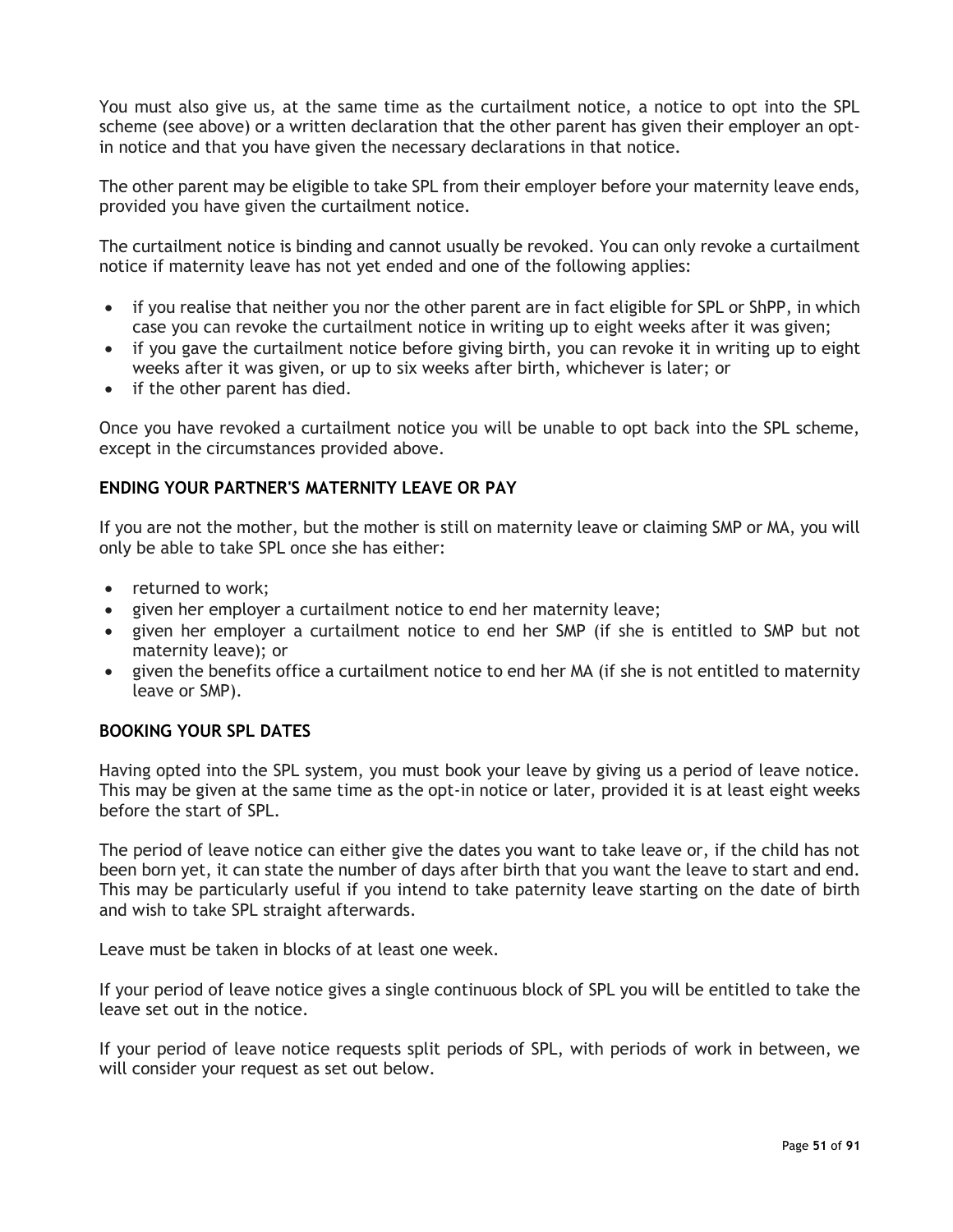You must also give us, at the same time as the curtailment notice, a notice to opt into the SPL scheme (see above) or a written declaration that the other parent has given their employer an optin notice and that you have given the necessary declarations in that notice.

The other parent may be eligible to take SPL from their employer before your maternity leave ends, provided you have given the curtailment notice.

The curtailment notice is binding and cannot usually be revoked. You can only revoke a curtailment notice if maternity leave has not yet ended and one of the following applies:

- if you realise that neither you nor the other parent are in fact eligible for SPL or ShPP, in which case you can revoke the curtailment notice in writing up to eight weeks after it was given;
- if you gave the curtailment notice before giving birth, you can revoke it in writing up to eight weeks after it was given, or up to six weeks after birth, whichever is later; or
- if the other parent has died.

Once you have revoked a curtailment notice you will be unable to opt back into the SPL scheme, except in the circumstances provided above.

## **ENDING YOUR PARTNER'S MATERNITY LEAVE OR PAY**

If you are not the mother, but the mother is still on maternity leave or claiming SMP or MA, you will only be able to take SPL once she has either:

- returned to work;
- given her employer a curtailment notice to end her maternity leave;
- given her employer a curtailment notice to end her SMP (if she is entitled to SMP but not maternity leave); or
- given the benefits office a curtailment notice to end her MA (if she is not entitled to maternity leave or SMP).

### **BOOKING YOUR SPL DATES**

Having opted into the SPL system, you must book your leave by giving us a period of leave notice. This may be given at the same time as the opt-in notice or later, provided it is at least eight weeks before the start of SPL.

The period of leave notice can either give the dates you want to take leave or, if the child has not been born yet, it can state the number of days after birth that you want the leave to start and end. This may be particularly useful if you intend to take paternity leave starting on the date of birth and wish to take SPL straight afterwards.

Leave must be taken in blocks of at least one week.

If your period of leave notice gives a single continuous block of SPL you will be entitled to take the leave set out in the notice.

If your period of leave notice requests split periods of SPL, with periods of work in between, we will consider your request as set out below.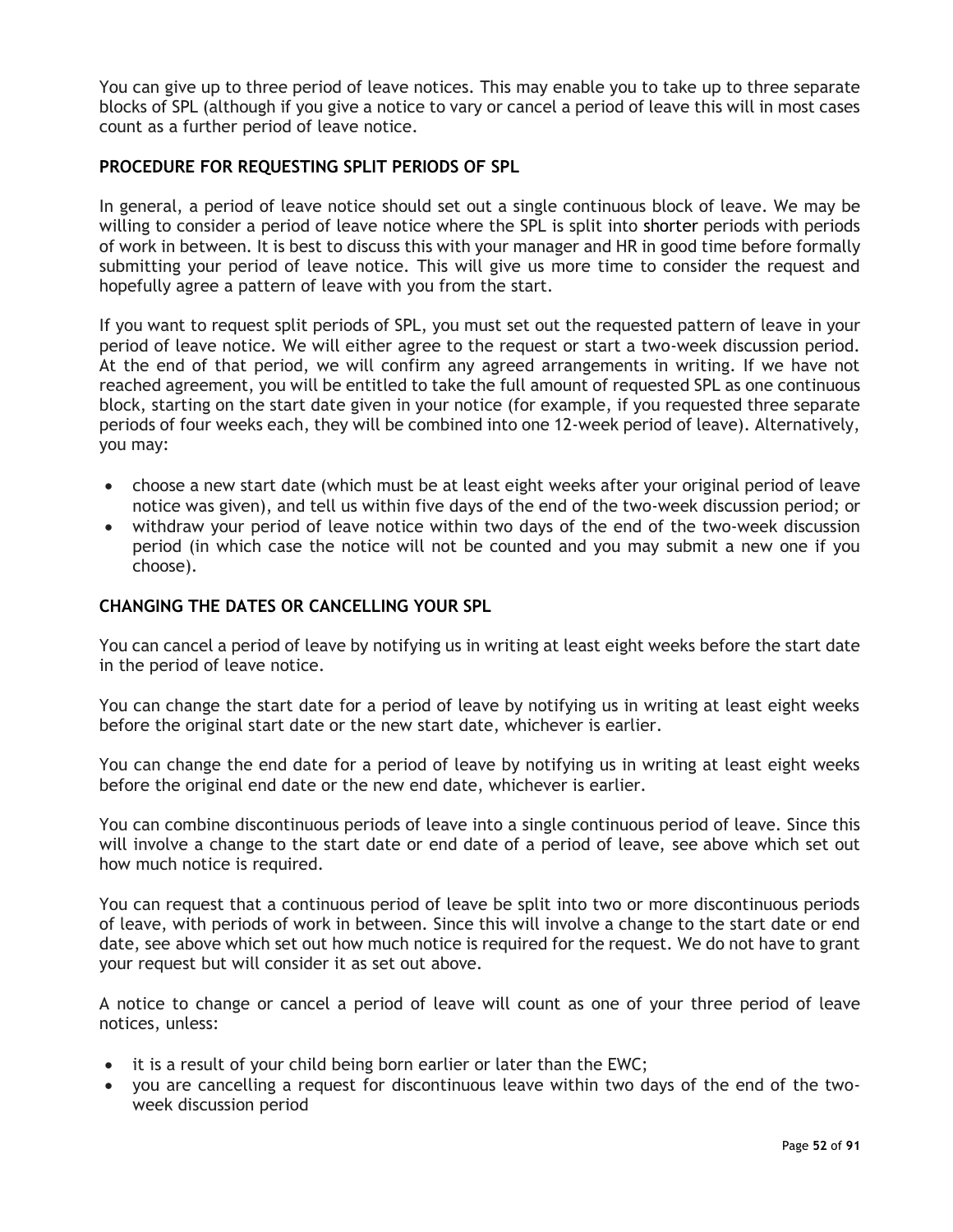You can give up to three period of leave notices. This may enable you to take up to three separate blocks of SPL (although if you give a notice to vary or cancel a period of leave this will in most cases count as a further period of leave notice.

## **PROCEDURE FOR REQUESTING SPLIT PERIODS OF SPL**

In general, a period of leave notice should set out a single continuous block of leave. We may be willing to consider a period of leave notice where the SPL is split into shorter periods with periods of work in between. It is best to discuss this with your manager and HR in good time before formally submitting your period of leave notice. This will give us more time to consider the request and hopefully agree a pattern of leave with you from the start.

If you want to request split periods of SPL, you must set out the requested pattern of leave in your period of leave notice. We will either agree to the request or start a two-week discussion period. At the end of that period, we will confirm any agreed arrangements in writing. If we have not reached agreement, you will be entitled to take the full amount of requested SPL as one continuous block, starting on the start date given in your notice (for example, if you requested three separate periods of four weeks each, they will be combined into one 12-week period of leave). Alternatively, you may:

- choose a new start date (which must be at least eight weeks after your original period of leave notice was given), and tell us within five days of the end of the two-week discussion period; or
- withdraw your period of leave notice within two days of the end of the two-week discussion period (in which case the notice will not be counted and you may submit a new one if you choose).

#### **CHANGING THE DATES OR CANCELLING YOUR SPL**

You can cancel a period of leave by notifying us in writing at least eight weeks before the start date in the period of leave notice.

You can change the start date for a period of leave by notifying us in writing at least eight weeks before the original start date or the new start date, whichever is earlier.

You can change the end date for a period of leave by notifying us in writing at least eight weeks before the original end date or the new end date, whichever is earlier.

You can combine discontinuous periods of leave into a single continuous period of leave. Since this will involve a change to the start date or end date of a period of leave, see above which set out how much notice is required.

You can request that a continuous period of leave be split into two or more discontinuous periods of leave, with periods of work in between. Since this will involve a change to the start date or end date, see above which set out how much notice is required for the request. We do not have to grant your request but will consider it as set out above.

A notice to change or cancel a period of leave will count as one of your three period of leave notices, unless:

- it is a result of your child being born earlier or later than the EWC;
- you are cancelling a request for discontinuous leave within two days of the end of the twoweek discussion period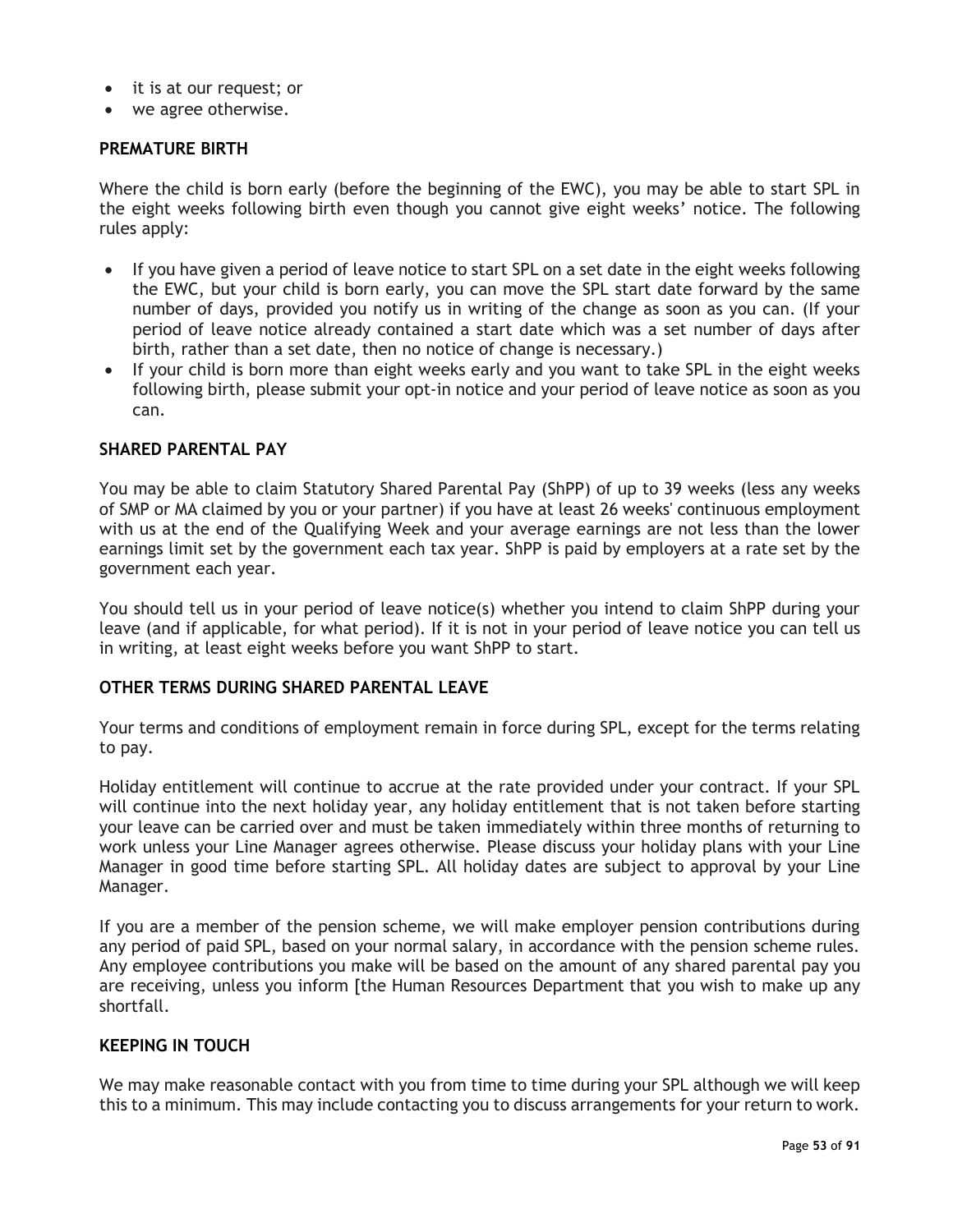- it is at our request; or
- we agree otherwise.

## **PREMATURE BIRTH**

Where the child is born early (before the beginning of the EWC), you may be able to start SPL in the eight weeks following birth even though you cannot give eight weeks' notice. The following rules apply:

- If you have given a period of leave notice to start SPL on a set date in the eight weeks following the EWC, but your child is born early, you can move the SPL start date forward by the same number of days, provided you notify us in writing of the change as soon as you can. (If your period of leave notice already contained a start date which was a set number of days after birth, rather than a set date, then no notice of change is necessary.)
- If your child is born more than eight weeks early and you want to take SPL in the eight weeks following birth, please submit your opt-in notice and your period of leave notice as soon as you can.

#### **SHARED PARENTAL PAY**

You may be able to claim Statutory Shared Parental Pay (ShPP) of up to 39 weeks (less any weeks of SMP or MA claimed by you or your partner) if you have at least 26 weeks' continuous employment with us at the end of the Qualifying Week and your average earnings are not less than the lower earnings limit set by the government each tax year. ShPP is paid by employers at a rate set by the government each year.

You should tell us in your period of leave notice(s) whether you intend to claim ShPP during your leave (and if applicable, for what period). If it is not in your period of leave notice you can tell us in writing, at least eight weeks before you want ShPP to start.

## **OTHER TERMS DURING SHARED PARENTAL LEAVE**

Your terms and conditions of employment remain in force during SPL, except for the terms relating to pay.

Holiday entitlement will continue to accrue at the rate provided under your contract. If your SPL will continue into the next holiday year, any holiday entitlement that is not taken before starting your leave can be carried over and must be taken immediately within three months of returning to work unless your Line Manager agrees otherwise. Please discuss your holiday plans with your Line Manager in good time before starting SPL. All holiday dates are subject to approval by your Line Manager.

If you are a member of the pension scheme, we will make employer pension contributions during any period of paid SPL, based on your normal salary, in accordance with the pension scheme rules. Any employee contributions you make will be based on the amount of any shared parental pay you are receiving, unless you inform [the Human Resources Department that you wish to make up any shortfall.

## **KEEPING IN TOUCH**

We may make reasonable contact with you from time to time during your SPL although we will keep this to a minimum. This may include contacting you to discuss arrangements for your return to work.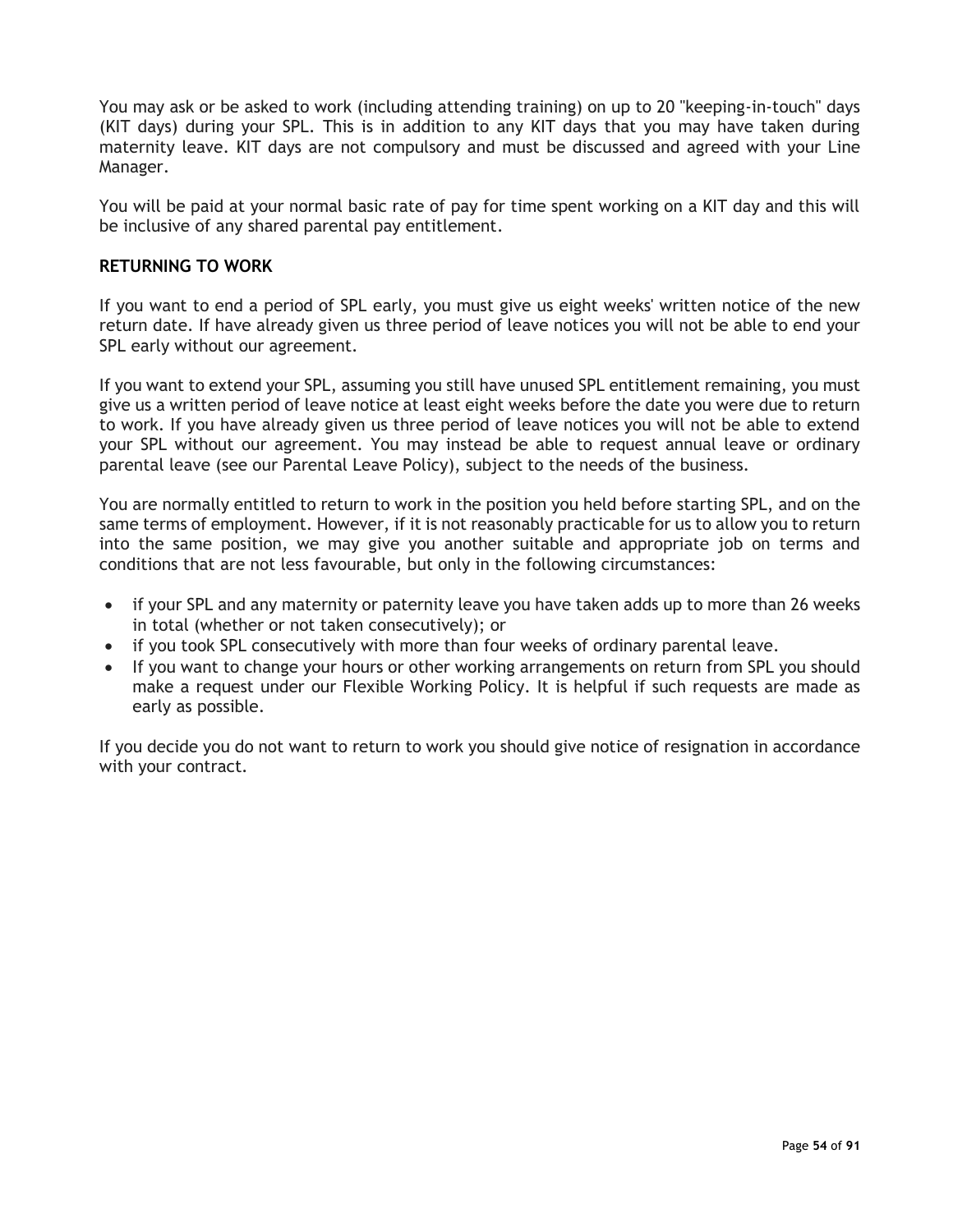You may ask or be asked to work (including attending training) on up to 20 "keeping-in-touch" days (KIT days) during your SPL. This is in addition to any KIT days that you may have taken during maternity leave. KIT days are not compulsory and must be discussed and agreed with your Line Manager.

You will be paid at your normal basic rate of pay for time spent working on a KIT day and this will be inclusive of any shared parental pay entitlement.

## **RETURNING TO WORK**

If you want to end a period of SPL early, you must give us eight weeks' written notice of the new return date. If have already given us three period of leave notices you will not be able to end your SPL early without our agreement.

If you want to extend your SPL, assuming you still have unused SPL entitlement remaining, you must give us a written period of leave notice at least eight weeks before the date you were due to return to work. If you have already given us three period of leave notices you will not be able to extend your SPL without our agreement. You may instead be able to request annual leave or ordinary parental leave (see our Parental Leave Policy), subject to the needs of the business.

You are normally entitled to return to work in the position you held before starting SPL, and on the same terms of employment. However, if it is not reasonably practicable for us to allow you to return into the same position, we may give you another suitable and appropriate job on terms and conditions that are not less favourable, but only in the following circumstances:

- if your SPL and any maternity or paternity leave you have taken adds up to more than 26 weeks in total (whether or not taken consecutively); or
- if you took SPL consecutively with more than four weeks of ordinary parental leave.
- If you want to change your hours or other working arrangements on return from SPL you should make a request under our Flexible Working Policy. It is helpful if such requests are made as early as possible.

If you decide you do not want to return to work you should give notice of resignation in accordance with your contract.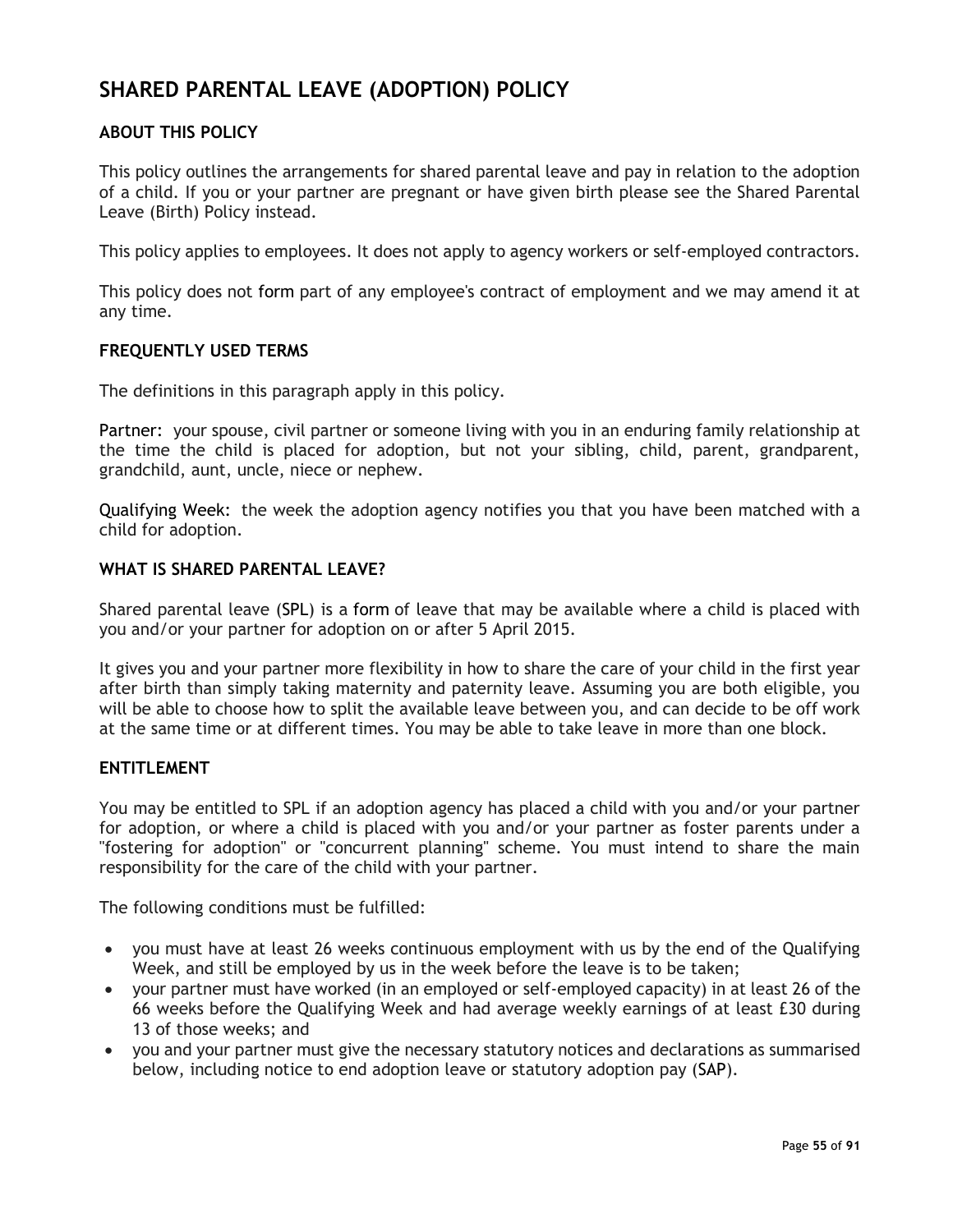# **SHARED PARENTAL LEAVE (ADOPTION) POLICY**

## **ABOUT THIS POLICY**

This policy outlines the arrangements for shared parental leave and pay in relation to the adoption of a child. If you or your partner are pregnant or have given birth please see the Shared Parental Leave (Birth) Policy instead.

This policy applies to employees. It does not apply to agency workers or self-employed contractors.

This policy does not form part of any employee's contract of employment and we may amend it at any time.

## **FREQUENTLY USED TERMS**

The definitions in this paragraph apply in this policy.

Partner: your spouse, civil partner or someone living with you in an enduring family relationship at the time the child is placed for adoption, but not your sibling, child, parent, grandparent, grandchild, aunt, uncle, niece or nephew.

Qualifying Week: the week the adoption agency notifies you that you have been matched with a child for adoption.

## **WHAT IS SHARED PARENTAL LEAVE?**

Shared parental leave (SPL) is a form of leave that may be available where a child is placed with you and/or your partner for adoption on or after 5 April 2015.

It gives you and your partner more flexibility in how to share the care of your child in the first year after birth than simply taking maternity and paternity leave. Assuming you are both eligible, you will be able to choose how to split the available leave between you, and can decide to be off work at the same time or at different times. You may be able to take leave in more than one block.

#### **ENTITLEMENT**

You may be entitled to SPL if an adoption agency has placed a child with you and/or your partner for adoption, or where a child is placed with you and/or your partner as foster parents under a "fostering for adoption" or "concurrent planning" scheme. You must intend to share the main responsibility for the care of the child with your partner.

The following conditions must be fulfilled:

- you must have at least 26 weeks continuous employment with us by the end of the Qualifying Week, and still be employed by us in the week before the leave is to be taken;
- your partner must have worked (in an employed or self-employed capacity) in at least 26 of the 66 weeks before the Qualifying Week and had average weekly earnings of at least £30 during 13 of those weeks; and
- you and your partner must give the necessary statutory notices and declarations as summarised below, including notice to end adoption leave or statutory adoption pay (SAP).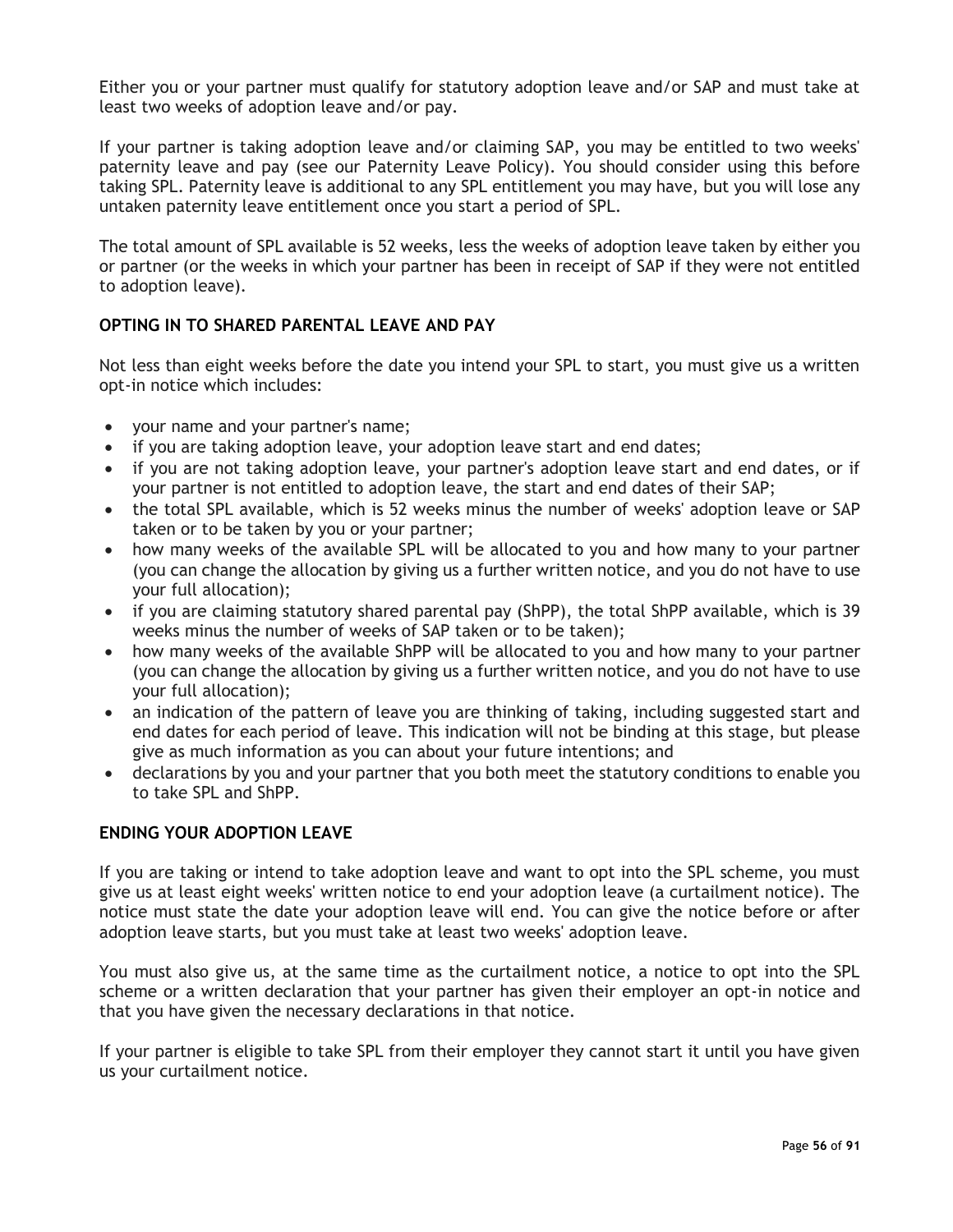Either you or your partner must qualify for statutory adoption leave and/or SAP and must take at least two weeks of adoption leave and/or pay.

If your partner is taking adoption leave and/or claiming SAP, you may be entitled to two weeks' paternity leave and pay (see our Paternity Leave Policy). You should consider using this before taking SPL. Paternity leave is additional to any SPL entitlement you may have, but you will lose any untaken paternity leave entitlement once you start a period of SPL.

The total amount of SPL available is 52 weeks, less the weeks of adoption leave taken by either you or partner (or the weeks in which your partner has been in receipt of SAP if they were not entitled to adoption leave).

## **OPTING IN TO SHARED PARENTAL LEAVE AND PAY**

Not less than eight weeks before the date you intend your SPL to start, you must give us a written opt-in notice which includes:

- your name and your partner's name;
- if you are taking adoption leave, your adoption leave start and end dates;
- if you are not taking adoption leave, your partner's adoption leave start and end dates, or if your partner is not entitled to adoption leave, the start and end dates of their SAP;
- the total SPL available, which is 52 weeks minus the number of weeks' adoption leave or SAP taken or to be taken by you or your partner;
- how many weeks of the available SPL will be allocated to you and how many to your partner (you can change the allocation by giving us a further written notice, and you do not have to use your full allocation);
- if you are claiming statutory shared parental pay (ShPP), the total ShPP available, which is 39 weeks minus the number of weeks of SAP taken or to be taken);
- how many weeks of the available ShPP will be allocated to you and how many to your partner (you can change the allocation by giving us a further written notice, and you do not have to use your full allocation);
- an indication of the pattern of leave you are thinking of taking, including suggested start and end dates for each period of leave. This indication will not be binding at this stage, but please give as much information as you can about your future intentions; and
- declarations by you and your partner that you both meet the statutory conditions to enable you to take SPL and ShPP.

#### **ENDING YOUR ADOPTION LEAVE**

If you are taking or intend to take adoption leave and want to opt into the SPL scheme, you must give us at least eight weeks' written notice to end your adoption leave (a curtailment notice). The notice must state the date your adoption leave will end. You can give the notice before or after adoption leave starts, but you must take at least two weeks' adoption leave.

You must also give us, at the same time as the curtailment notice, a notice to opt into the SPL scheme or a written declaration that your partner has given their employer an opt-in notice and that you have given the necessary declarations in that notice.

If your partner is eligible to take SPL from their employer they cannot start it until you have given us your curtailment notice.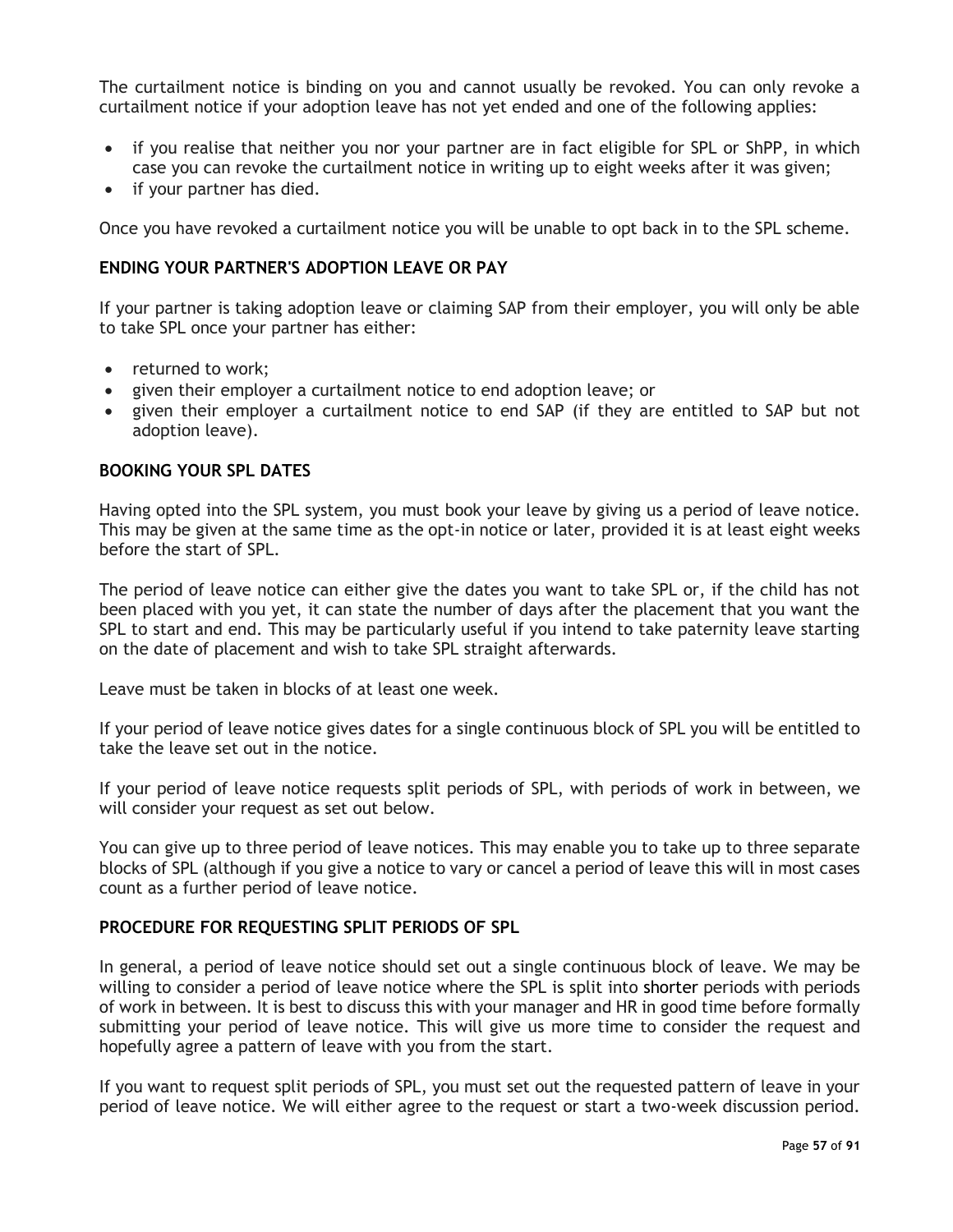The curtailment notice is binding on you and cannot usually be revoked. You can only revoke a curtailment notice if your adoption leave has not yet ended and one of the following applies:

- if you realise that neither you nor your partner are in fact eligible for SPL or ShPP, in which case you can revoke the curtailment notice in writing up to eight weeks after it was given;
- if your partner has died.

Once you have revoked a curtailment notice you will be unable to opt back in to the SPL scheme.

## **ENDING YOUR PARTNER'S ADOPTION LEAVE OR PAY**

If your partner is taking adoption leave or claiming SAP from their employer, you will only be able to take SPL once your partner has either:

- returned to work;
- given their employer a curtailment notice to end adoption leave; or
- given their employer a curtailment notice to end SAP (if they are entitled to SAP but not adoption leave).

#### **BOOKING YOUR SPL DATES**

Having opted into the SPL system, you must book your leave by giving us a period of leave notice. This may be given at the same time as the opt-in notice or later, provided it is at least eight weeks before the start of SPL.

The period of leave notice can either give the dates you want to take SPL or, if the child has not been placed with you yet, it can state the number of days after the placement that you want the SPL to start and end. This may be particularly useful if you intend to take paternity leave starting on the date of placement and wish to take SPL straight afterwards.

Leave must be taken in blocks of at least one week.

If your period of leave notice gives dates for a single continuous block of SPL you will be entitled to take the leave set out in the notice.

If your period of leave notice requests split periods of SPL, with periods of work in between, we will consider your request as set out below.

You can give up to three period of leave notices. This may enable you to take up to three separate blocks of SPL (although if you give a notice to vary or cancel a period of leave this will in most cases count as a further period of leave notice.

#### **PROCEDURE FOR REQUESTING SPLIT PERIODS OF SPL**

In general, a period of leave notice should set out a single continuous block of leave. We may be willing to consider a period of leave notice where the SPL is split into shorter periods with periods of work in between. It is best to discuss this with your manager and HR in good time before formally submitting your period of leave notice. This will give us more time to consider the request and hopefully agree a pattern of leave with you from the start.

If you want to request split periods of SPL, you must set out the requested pattern of leave in your period of leave notice. We will either agree to the request or start a two-week discussion period.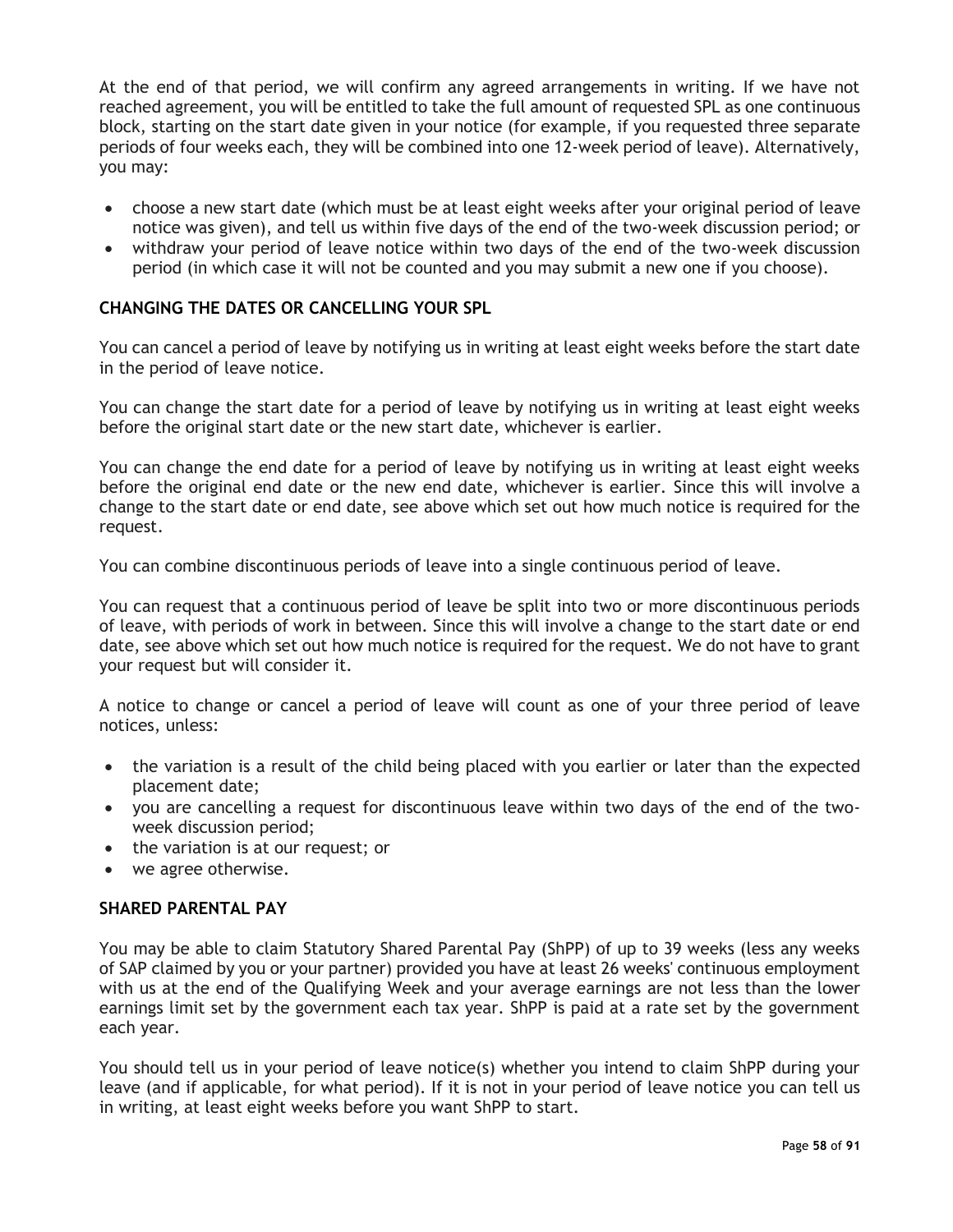At the end of that period, we will confirm any agreed arrangements in writing. If we have not reached agreement, you will be entitled to take the full amount of requested SPL as one continuous block, starting on the start date given in your notice (for example, if you requested three separate periods of four weeks each, they will be combined into one 12-week period of leave). Alternatively, you may:

- choose a new start date (which must be at least eight weeks after your original period of leave notice was given), and tell us within five days of the end of the two-week discussion period; or
- withdraw your period of leave notice within two days of the end of the two-week discussion period (in which case it will not be counted and you may submit a new one if you choose).

## **CHANGING THE DATES OR CANCELLING YOUR SPL**

You can cancel a period of leave by notifying us in writing at least eight weeks before the start date in the period of leave notice.

You can change the start date for a period of leave by notifying us in writing at least eight weeks before the original start date or the new start date, whichever is earlier.

You can change the end date for a period of leave by notifying us in writing at least eight weeks before the original end date or the new end date, whichever is earlier. Since this will involve a change to the start date or end date, see above which set out how much notice is required for the request.

You can combine discontinuous periods of leave into a single continuous period of leave.

You can request that a continuous period of leave be split into two or more discontinuous periods of leave, with periods of work in between. Since this will involve a change to the start date or end date, see above which set out how much notice is required for the request. We do not have to grant your request but will consider it.

A notice to change or cancel a period of leave will count as one of your three period of leave notices, unless:

- the variation is a result of the child being placed with you earlier or later than the expected placement date;
- you are cancelling a request for discontinuous leave within two days of the end of the twoweek discussion period;
- the variation is at our request; or
- we agree otherwise.

#### **SHARED PARENTAL PAY**

You may be able to claim Statutory Shared Parental Pay (ShPP) of up to 39 weeks (less any weeks of SAP claimed by you or your partner) provided you have at least 26 weeks' continuous employment with us at the end of the Qualifying Week and your average earnings are not less than the lower earnings limit set by the government each tax year. ShPP is paid at a rate set by the government each year.

You should tell us in your period of leave notice(s) whether you intend to claim ShPP during your leave (and if applicable, for what period). If it is not in your period of leave notice you can tell us in writing, at least eight weeks before you want ShPP to start.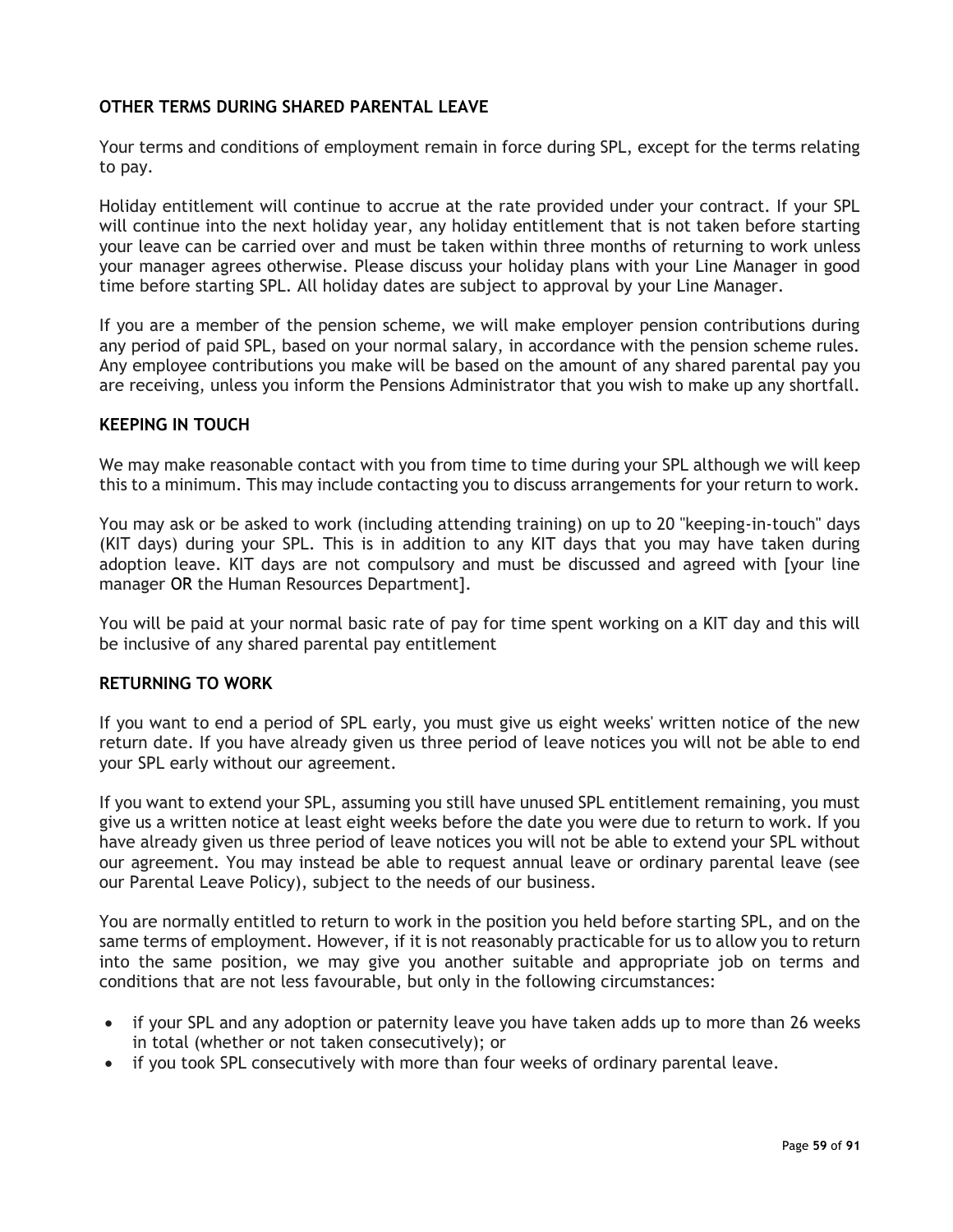## **OTHER TERMS DURING SHARED PARENTAL LEAVE**

Your terms and conditions of employment remain in force during SPL, except for the terms relating to pay.

Holiday entitlement will continue to accrue at the rate provided under your contract. If your SPL will continue into the next holiday year, any holiday entitlement that is not taken before starting your leave can be carried over and must be taken within three months of returning to work unless your manager agrees otherwise. Please discuss your holiday plans with your Line Manager in good time before starting SPL. All holiday dates are subject to approval by your Line Manager.

If you are a member of the pension scheme, we will make employer pension contributions during any period of paid SPL, based on your normal salary, in accordance with the pension scheme rules. Any employee contributions you make will be based on the amount of any shared parental pay you are receiving, unless you inform the Pensions Administrator that you wish to make up any shortfall.

#### **KEEPING IN TOUCH**

We may make reasonable contact with you from time to time during your SPL although we will keep this to a minimum. This may include contacting you to discuss arrangements for your return to work.

You may ask or be asked to work (including attending training) on up to 20 "keeping-in-touch" days (KIT days) during your SPL. This is in addition to any KIT days that you may have taken during adoption leave. KIT days are not compulsory and must be discussed and agreed with [your line manager OR the Human Resources Department].

You will be paid at your normal basic rate of pay for time spent working on a KIT day and this will be inclusive of any shared parental pay entitlement

#### **RETURNING TO WORK**

If you want to end a period of SPL early, you must give us eight weeks' written notice of the new return date. If you have already given us three period of leave notices you will not be able to end your SPL early without our agreement.

If you want to extend your SPL, assuming you still have unused SPL entitlement remaining, you must give us a written notice at least eight weeks before the date you were due to return to work. If you have already given us three period of leave notices you will not be able to extend your SPL without our agreement. You may instead be able to request annual leave or ordinary parental leave (see our Parental Leave Policy), subject to the needs of our business.

You are normally entitled to return to work in the position you held before starting SPL, and on the same terms of employment. However, if it is not reasonably practicable for us to allow you to return into the same position, we may give you another suitable and appropriate job on terms and conditions that are not less favourable, but only in the following circumstances:

- if your SPL and any adoption or paternity leave you have taken adds up to more than 26 weeks in total (whether or not taken consecutively); or
- if you took SPL consecutively with more than four weeks of ordinary parental leave.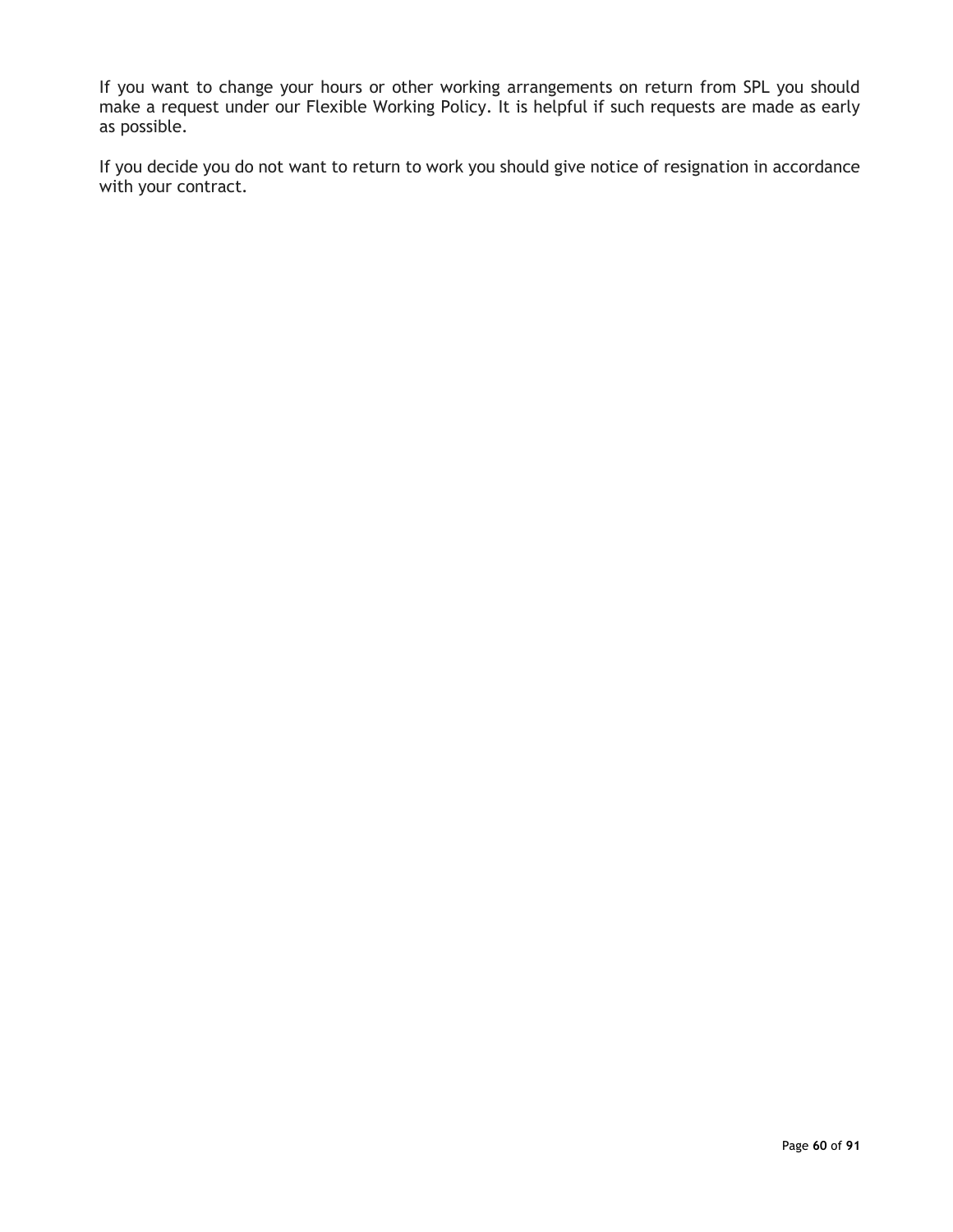If you want to change your hours or other working arrangements on return from SPL you should make a request under our Flexible Working Policy. It is helpful if such requests are made as early as possible.

If you decide you do not want to return to work you should give notice of resignation in accordance with your contract.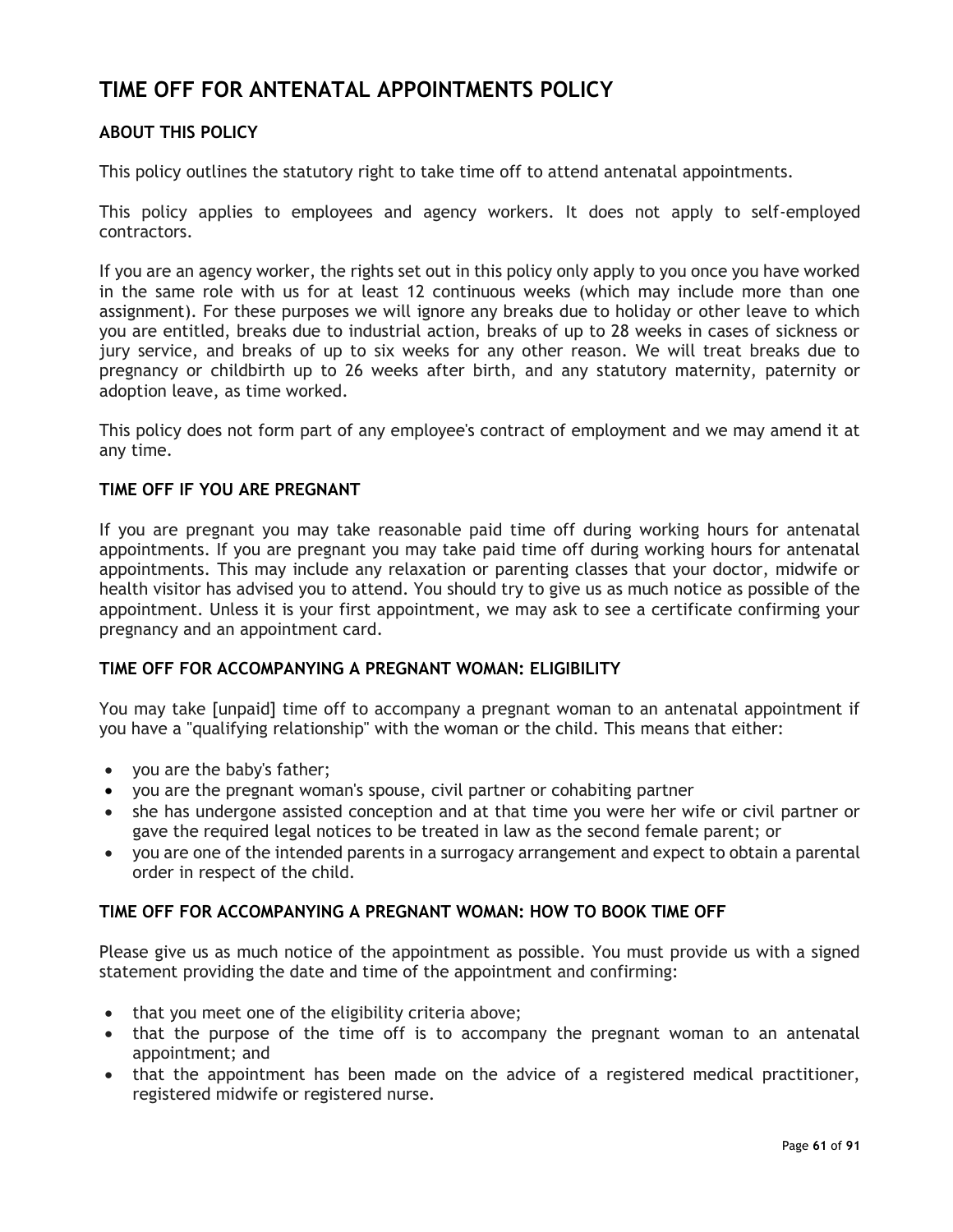# **TIME OFF FOR ANTENATAL APPOINTMENTS POLICY**

## **ABOUT THIS POLICY**

This policy outlines the statutory right to take time off to attend antenatal appointments.

This policy applies to employees and agency workers. It does not apply to self-employed contractors.

If you are an agency worker, the rights set out in this policy only apply to you once you have worked in the same role with us for at least 12 continuous weeks (which may include more than one assignment). For these purposes we will ignore any breaks due to holiday or other leave to which you are entitled, breaks due to industrial action, breaks of up to 28 weeks in cases of sickness or jury service, and breaks of up to six weeks for any other reason. We will treat breaks due to pregnancy or childbirth up to 26 weeks after birth, and any statutory maternity, paternity or adoption leave, as time worked.

This policy does not form part of any employee's contract of employment and we may amend it at any time.

#### **TIME OFF IF YOU ARE PREGNANT**

If you are pregnant you may take reasonable paid time off during working hours for antenatal appointments. If you are pregnant you may take paid time off during working hours for antenatal appointments. This may include any relaxation or parenting classes that your doctor, midwife or health visitor has advised you to attend. You should try to give us as much notice as possible of the appointment. Unless it is your first appointment, we may ask to see a certificate confirming your pregnancy and an appointment card.

## **TIME OFF FOR ACCOMPANYING A PREGNANT WOMAN: ELIGIBILITY**

You may take [unpaid] time off to accompany a pregnant woman to an antenatal appointment if you have a "qualifying relationship" with the woman or the child. This means that either:

- you are the baby's father;
- you are the pregnant woman's spouse, civil partner or cohabiting partner
- she has undergone assisted conception and at that time you were her wife or civil partner or gave the required legal notices to be treated in law as the second female parent; or
- you are one of the intended parents in a surrogacy arrangement and expect to obtain a parental order in respect of the child.

#### **TIME OFF FOR ACCOMPANYING A PREGNANT WOMAN: HOW TO BOOK TIME OFF**

Please give us as much notice of the appointment as possible. You must provide us with a signed statement providing the date and time of the appointment and confirming:

- that you meet one of the eligibility criteria above;
- that the purpose of the time off is to accompany the pregnant woman to an antenatal appointment; and
- that the appointment has been made on the advice of a registered medical practitioner, registered midwife or registered nurse.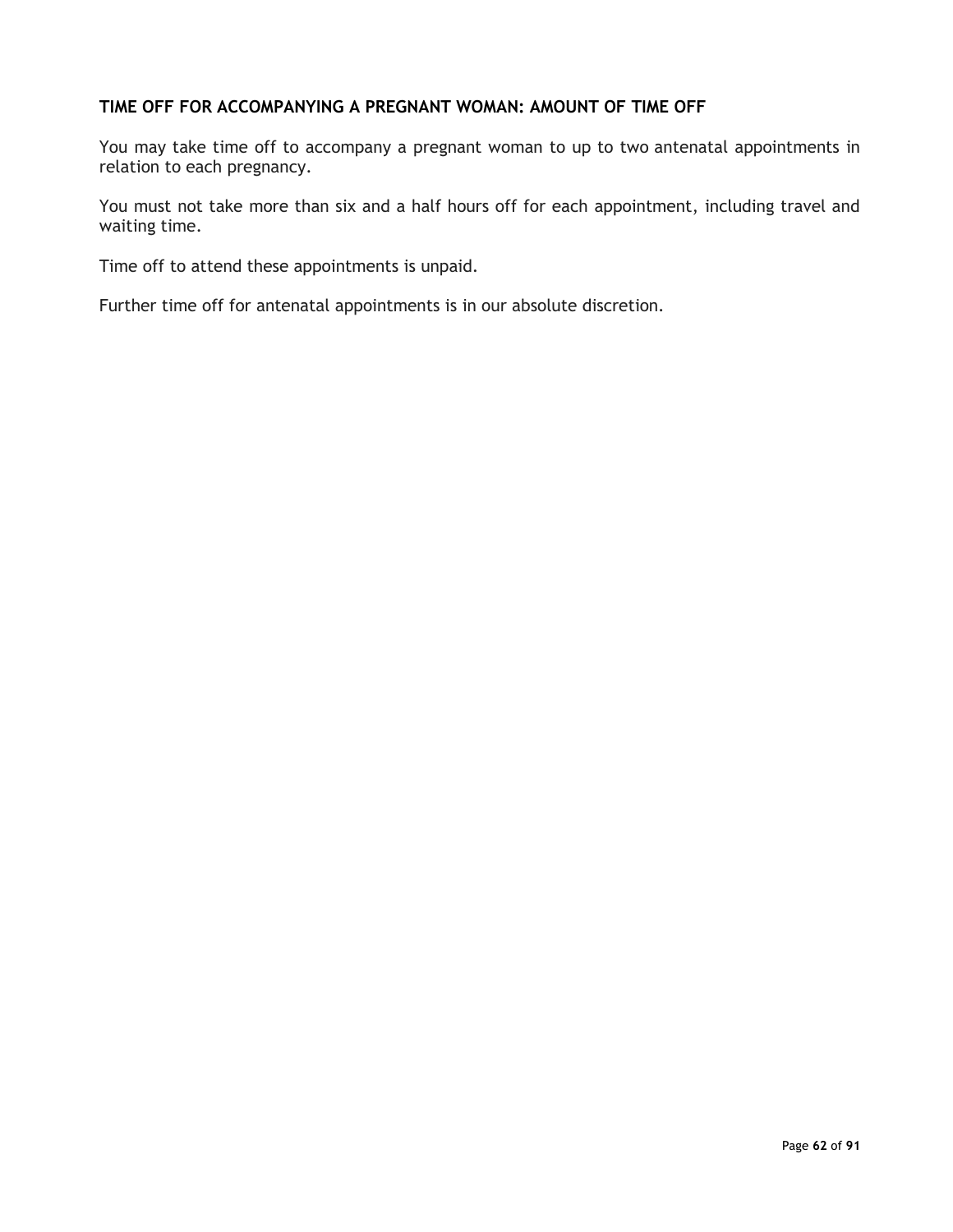## **TIME OFF FOR ACCOMPANYING A PREGNANT WOMAN: AMOUNT OF TIME OFF**

You may take time off to accompany a pregnant woman to up to two antenatal appointments in relation to each pregnancy.

You must not take more than six and a half hours off for each appointment, including travel and waiting time.

Time off to attend these appointments is unpaid.

Further time off for antenatal appointments is in our absolute discretion.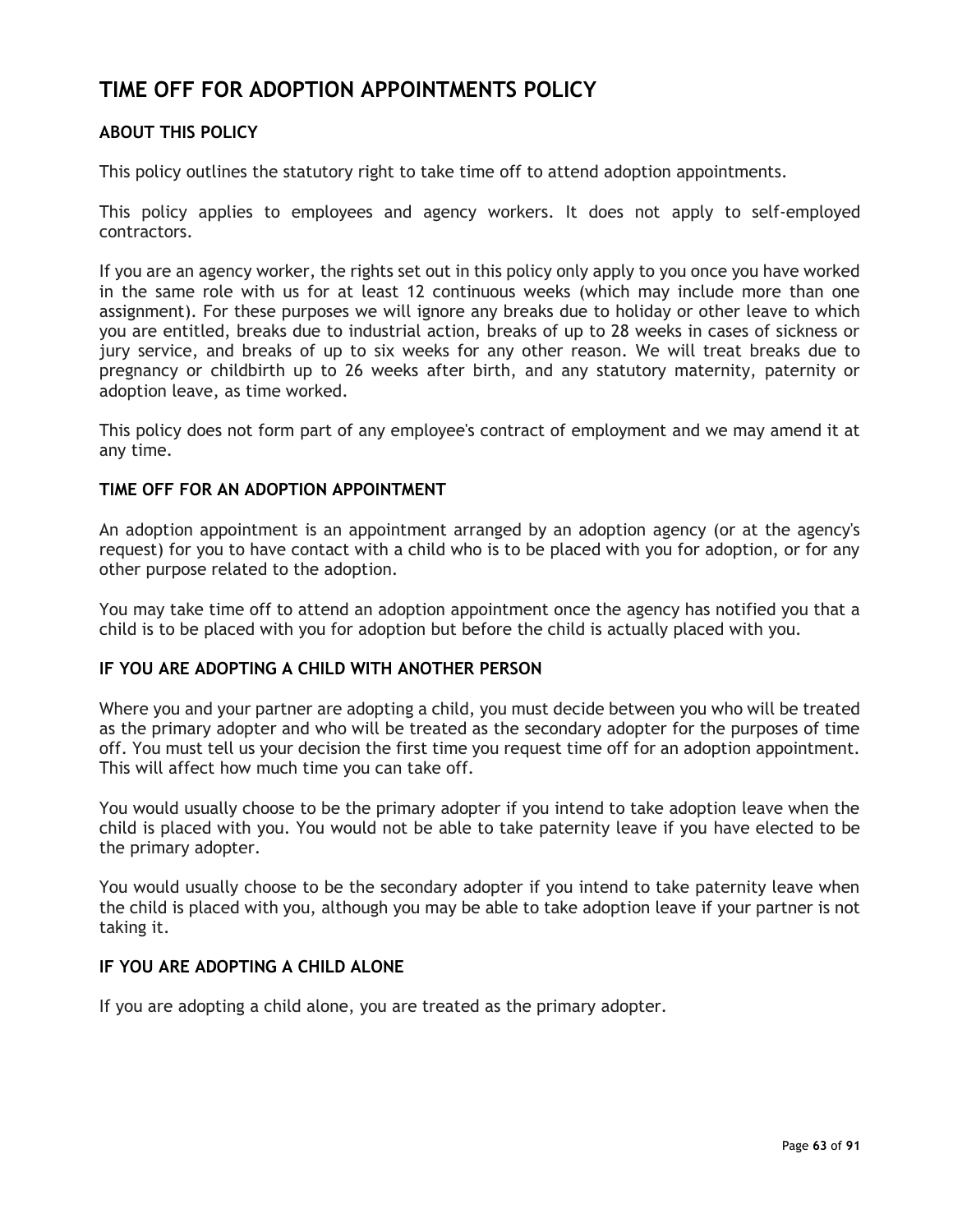## **TIME OFF FOR ADOPTION APPOINTMENTS POLICY**

## **ABOUT THIS POLICY**

This policy outlines the statutory right to take time off to attend adoption appointments.

This policy applies to employees and agency workers. It does not apply to self-employed contractors.

If you are an agency worker, the rights set out in this policy only apply to you once you have worked in the same role with us for at least 12 continuous weeks (which may include more than one assignment). For these purposes we will ignore any breaks due to holiday or other leave to which you are entitled, breaks due to industrial action, breaks of up to 28 weeks in cases of sickness or jury service, and breaks of up to six weeks for any other reason. We will treat breaks due to pregnancy or childbirth up to 26 weeks after birth, and any statutory maternity, paternity or adoption leave, as time worked.

This policy does not form part of any employee's contract of employment and we may amend it at any time.

#### **TIME OFF FOR AN ADOPTION APPOINTMENT**

An adoption appointment is an appointment arranged by an adoption agency (or at the agency's request) for you to have contact with a child who is to be placed with you for adoption, or for any other purpose related to the adoption.

You may take time off to attend an adoption appointment once the agency has notified you that a child is to be placed with you for adoption but before the child is actually placed with you.

## **IF YOU ARE ADOPTING A CHILD WITH ANOTHER PERSON**

Where you and your partner are adopting a child, you must decide between you who will be treated as the primary adopter and who will be treated as the secondary adopter for the purposes of time off. You must tell us your decision the first time you request time off for an adoption appointment. This will affect how much time you can take off.

You would usually choose to be the primary adopter if you intend to take adoption leave when the child is placed with you. You would not be able to take paternity leave if you have elected to be the primary adopter.

You would usually choose to be the secondary adopter if you intend to take paternity leave when the child is placed with you, although you may be able to take adoption leave if your partner is not taking it.

## **IF YOU ARE ADOPTING A CHILD ALONE**

If you are adopting a child alone, you are treated as the primary adopter.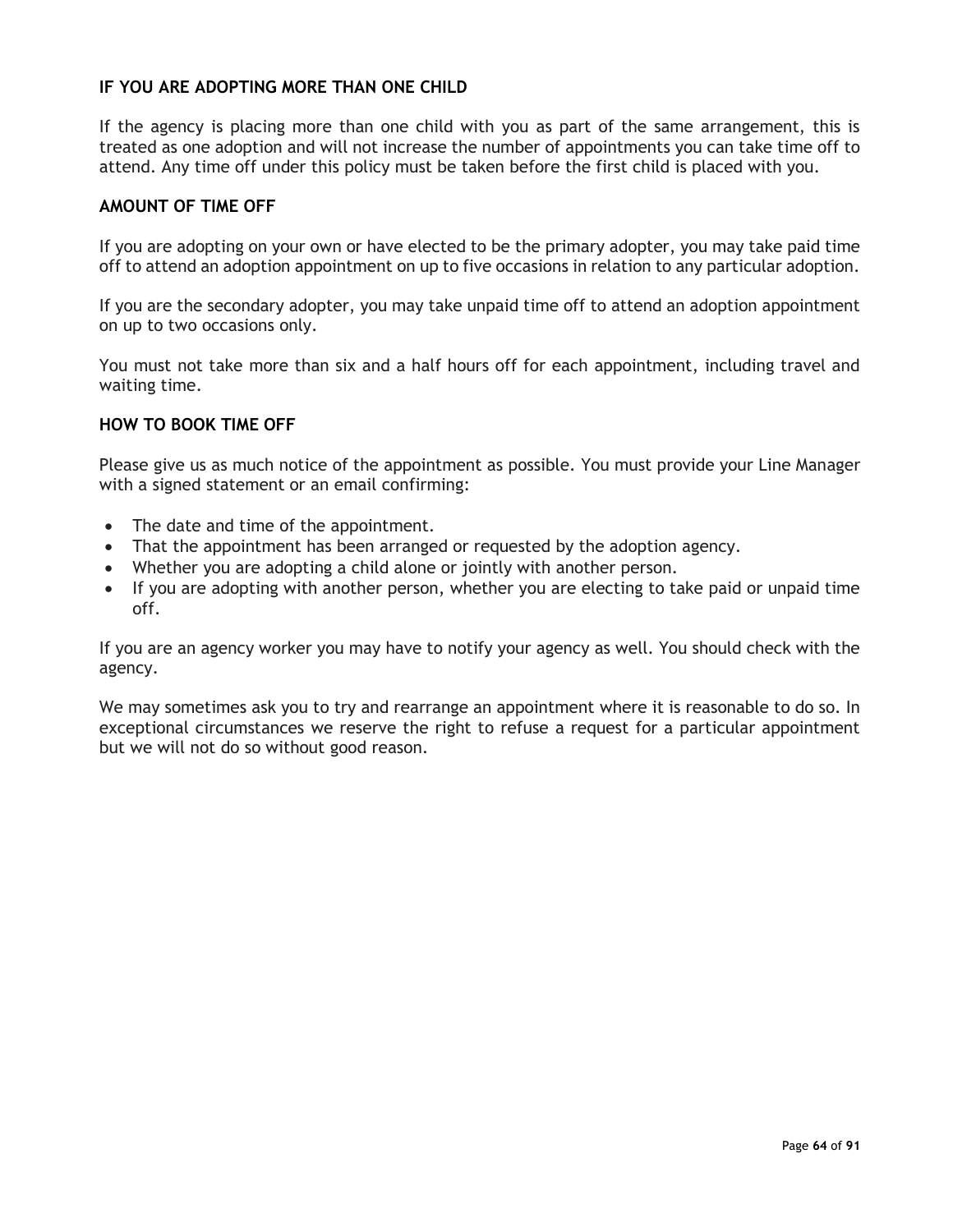## **IF YOU ARE ADOPTING MORE THAN ONE CHILD**

If the agency is placing more than one child with you as part of the same arrangement, this is treated as one adoption and will not increase the number of appointments you can take time off to attend. Any time off under this policy must be taken before the first child is placed with you.

#### **AMOUNT OF TIME OFF**

If you are adopting on your own or have elected to be the primary adopter, you may take paid time off to attend an adoption appointment on up to five occasions in relation to any particular adoption.

If you are the secondary adopter, you may take unpaid time off to attend an adoption appointment on up to two occasions only.

You must not take more than six and a half hours off for each appointment, including travel and waiting time.

#### **HOW TO BOOK TIME OFF**

Please give us as much notice of the appointment as possible. You must provide your Line Manager with a signed statement or an email confirming:

- The date and time of the appointment.
- That the appointment has been arranged or requested by the adoption agency.
- Whether you are adopting a child alone or jointly with another person.
- If you are adopting with another person, whether you are electing to take paid or unpaid time off.

If you are an agency worker you may have to notify your agency as well. You should check with the agency.

We may sometimes ask you to try and rearrange an appointment where it is reasonable to do so. In exceptional circumstances we reserve the right to refuse a request for a particular appointment but we will not do so without good reason.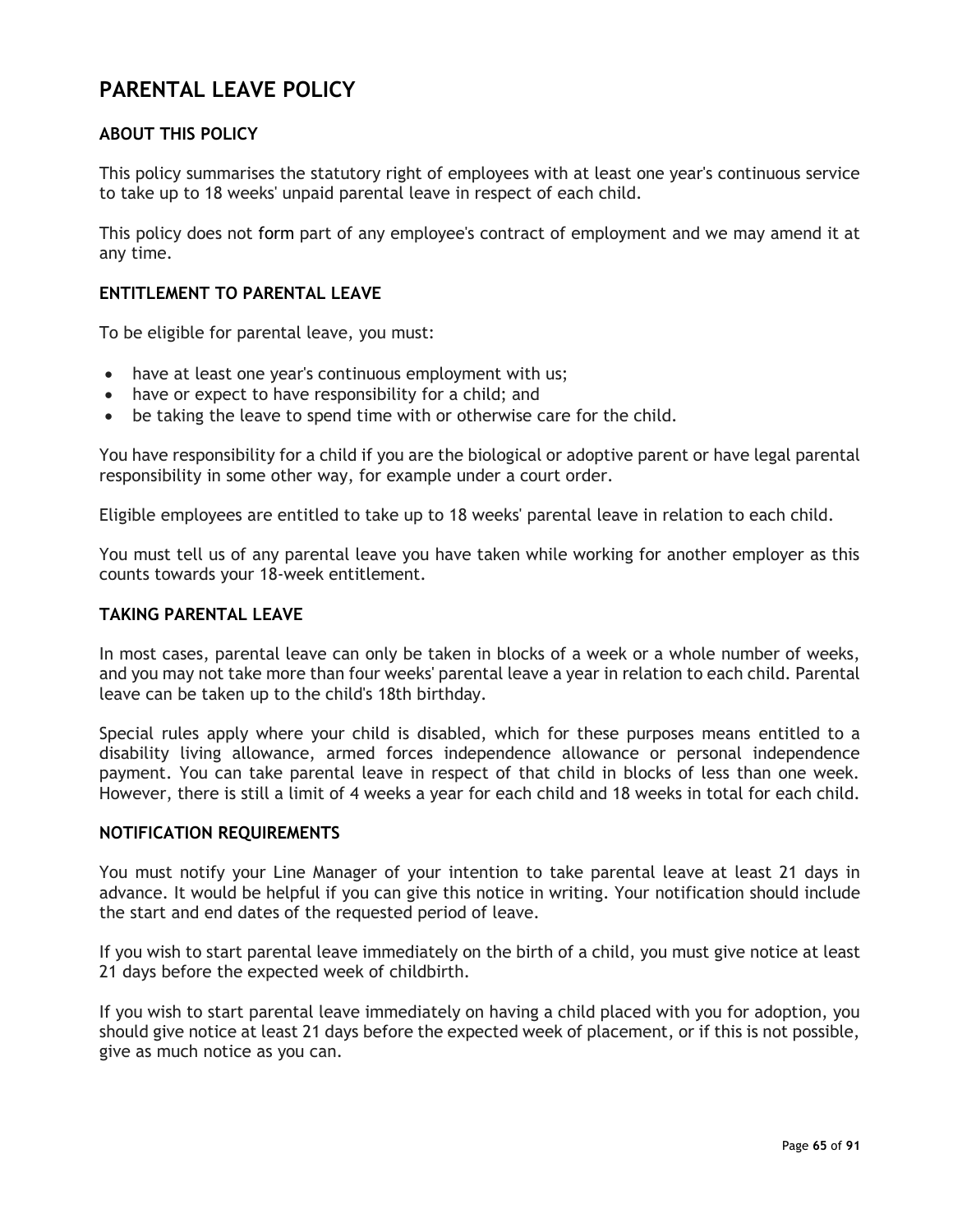# **PARENTAL LEAVE POLICY**

## **ABOUT THIS POLICY**

This policy summarises the statutory right of employees with at least one year's continuous service to take up to 18 weeks' unpaid parental leave in respect of each child.

This policy does not form part of any employee's contract of employment and we may amend it at any time.

## **ENTITLEMENT TO PARENTAL LEAVE**

To be eligible for parental leave, you must:

- have at least one year's continuous employment with us;
- have or expect to have responsibility for a child; and
- be taking the leave to spend time with or otherwise care for the child.

You have responsibility for a child if you are the biological or adoptive parent or have legal parental responsibility in some other way, for example under a court order.

Eligible employees are entitled to take up to 18 weeks' parental leave in relation to each child.

You must tell us of any parental leave you have taken while working for another employer as this counts towards your 18-week entitlement.

#### **TAKING PARENTAL LEAVE**

In most cases, parental leave can only be taken in blocks of a week or a whole number of weeks, and you may not take more than four weeks' parental leave a year in relation to each child. Parental leave can be taken up to the child's 18th birthday.

Special rules apply where your child is disabled, which for these purposes means entitled to a disability living allowance, armed forces independence allowance or personal independence payment. You can take parental leave in respect of that child in blocks of less than one week. However, there is still a limit of 4 weeks a year for each child and 18 weeks in total for each child.

#### **NOTIFICATION REQUIREMENTS**

You must notify your Line Manager of your intention to take parental leave at least 21 days in advance. It would be helpful if you can give this notice in writing. Your notification should include the start and end dates of the requested period of leave.

If you wish to start parental leave immediately on the birth of a child, you must give notice at least 21 days before the expected week of childbirth.

If you wish to start parental leave immediately on having a child placed with you for adoption, you should give notice at least 21 days before the expected week of placement, or if this is not possible, give as much notice as you can.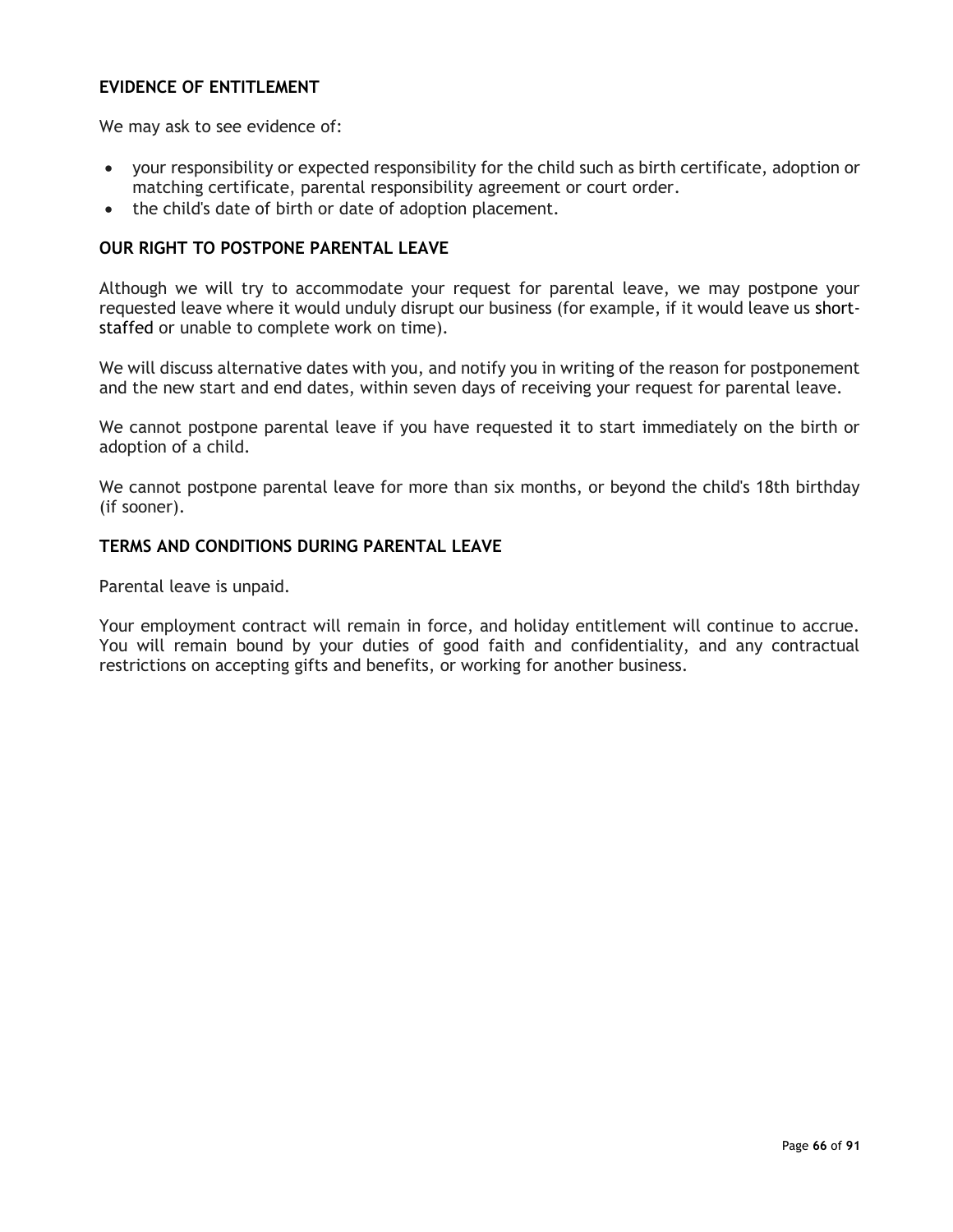## **EVIDENCE OF ENTITLEMENT**

We may ask to see evidence of:

- your responsibility or expected responsibility for the child such as birth certificate, adoption or matching certificate, parental responsibility agreement or court order.
- the child's date of birth or date of adoption placement.

### **OUR RIGHT TO POSTPONE PARENTAL LEAVE**

Although we will try to accommodate your request for parental leave, we may postpone your requested leave where it would unduly disrupt our business (for example, if it would leave us shortstaffed or unable to complete work on time).

We will discuss alternative dates with you, and notify you in writing of the reason for postponement and the new start and end dates, within seven days of receiving your request for parental leave.

We cannot postpone parental leave if you have requested it to start immediately on the birth or adoption of a child.

We cannot postpone parental leave for more than six months, or beyond the child's 18th birthday (if sooner).

#### **TERMS AND CONDITIONS DURING PARENTAL LEAVE**

Parental leave is unpaid.

Your employment contract will remain in force, and holiday entitlement will continue to accrue. You will remain bound by your duties of good faith and confidentiality, and any contractual restrictions on accepting gifts and benefits, or working for another business.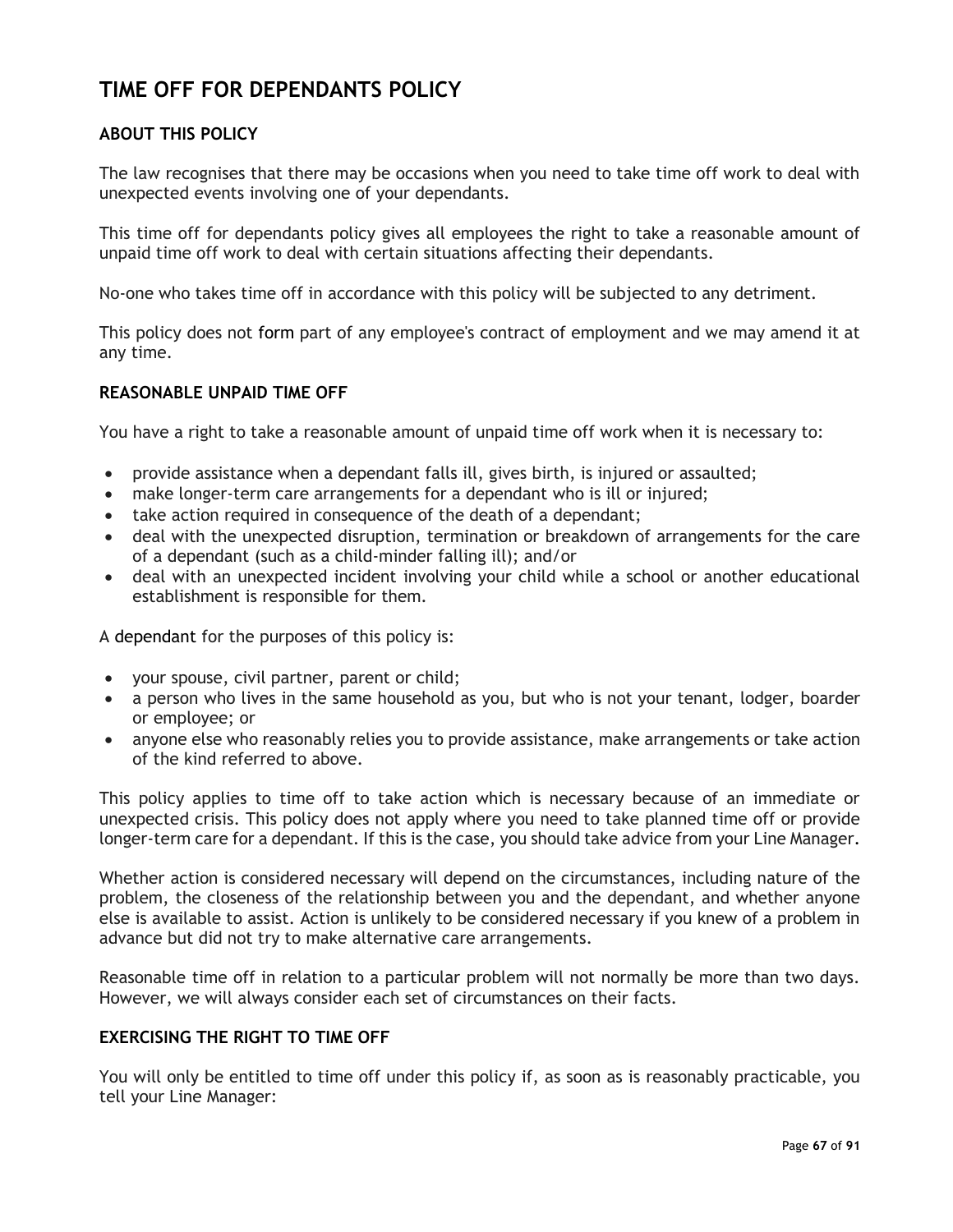# **TIME OFF FOR DEPENDANTS POLICY**

## **ABOUT THIS POLICY**

The law recognises that there may be occasions when you need to take time off work to deal with unexpected events involving one of your dependants.

This time off for dependants policy gives all employees the right to take a reasonable amount of unpaid time off work to deal with certain situations affecting their dependants.

No-one who takes time off in accordance with this policy will be subjected to any detriment.

This policy does not form part of any employee's contract of employment and we may amend it at any time.

#### **REASONABLE UNPAID TIME OFF**

You have a right to take a reasonable amount of unpaid time off work when it is necessary to:

- provide assistance when a dependant falls ill, gives birth, is injured or assaulted;
- make longer-term care arrangements for a dependant who is ill or injured;
- take action required in consequence of the death of a dependant;
- deal with the unexpected disruption, termination or breakdown of arrangements for the care of a dependant (such as a child-minder falling ill); and/or
- deal with an unexpected incident involving your child while a school or another educational establishment is responsible for them.

A dependant for the purposes of this policy is:

- your spouse, civil partner, parent or child;
- a person who lives in the same household as you, but who is not your tenant, lodger, boarder or employee; or
- anyone else who reasonably relies you to provide assistance, make arrangements or take action of the kind referred to above.

This policy applies to time off to take action which is necessary because of an immediate or unexpected crisis. This policy does not apply where you need to take planned time off or provide longer-term care for a dependant. If this is the case, you should take advice from your Line Manager.

Whether action is considered necessary will depend on the circumstances, including nature of the problem, the closeness of the relationship between you and the dependant, and whether anyone else is available to assist. Action is unlikely to be considered necessary if you knew of a problem in advance but did not try to make alternative care arrangements.

Reasonable time off in relation to a particular problem will not normally be more than two days. However, we will always consider each set of circumstances on their facts.

## **EXERCISING THE RIGHT TO TIME OFF**

You will only be entitled to time off under this policy if, as soon as is reasonably practicable, you tell your Line Manager: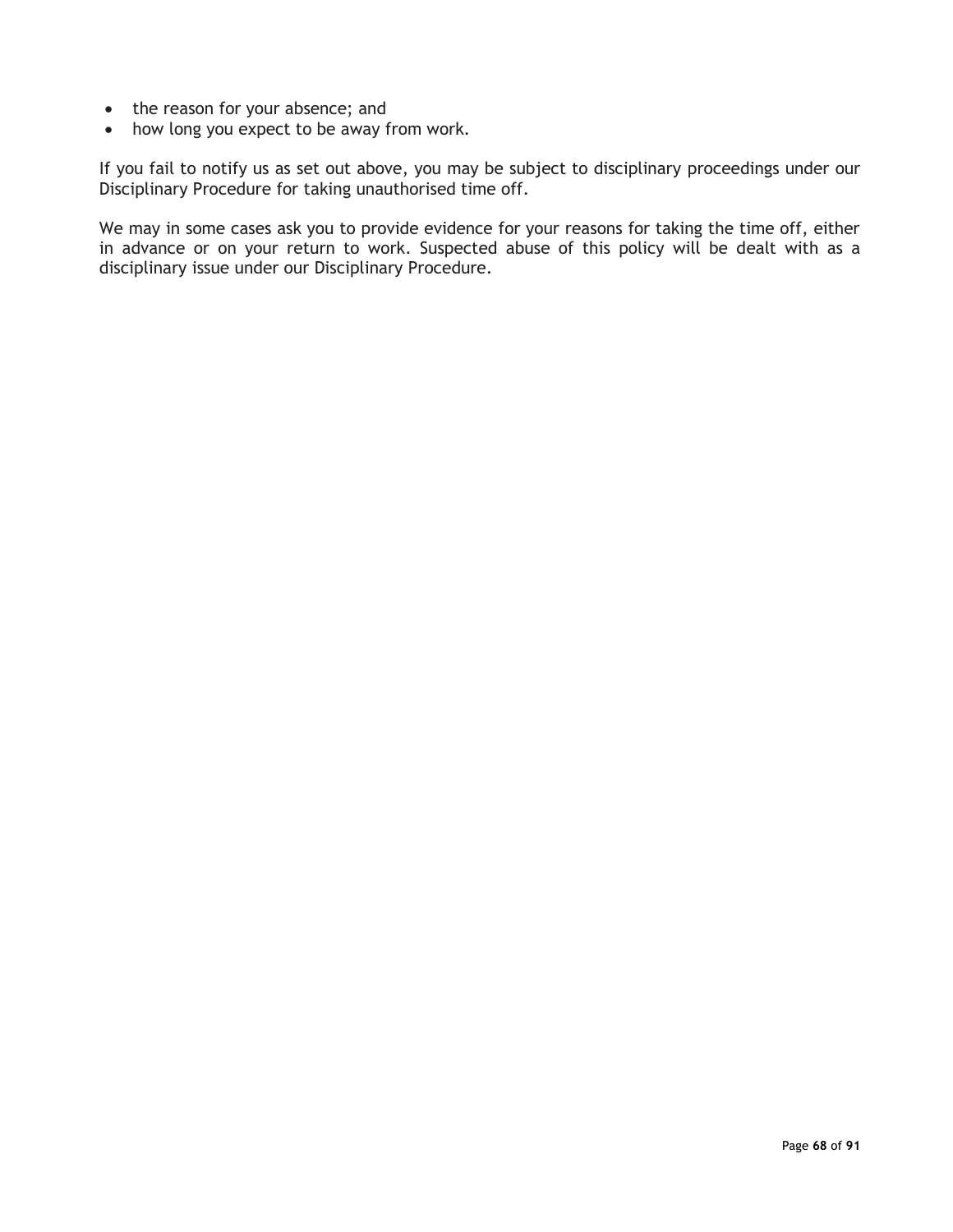- the reason for your absence; and
- how long you expect to be away from work.

If you fail to notify us as set out above, you may be subject to disciplinary proceedings under our Disciplinary Procedure for taking unauthorised time off.

We may in some cases ask you to provide evidence for your reasons for taking the time off, either in advance or on your return to work. Suspected abuse of this policy will be dealt with as a disciplinary issue under our Disciplinary Procedure.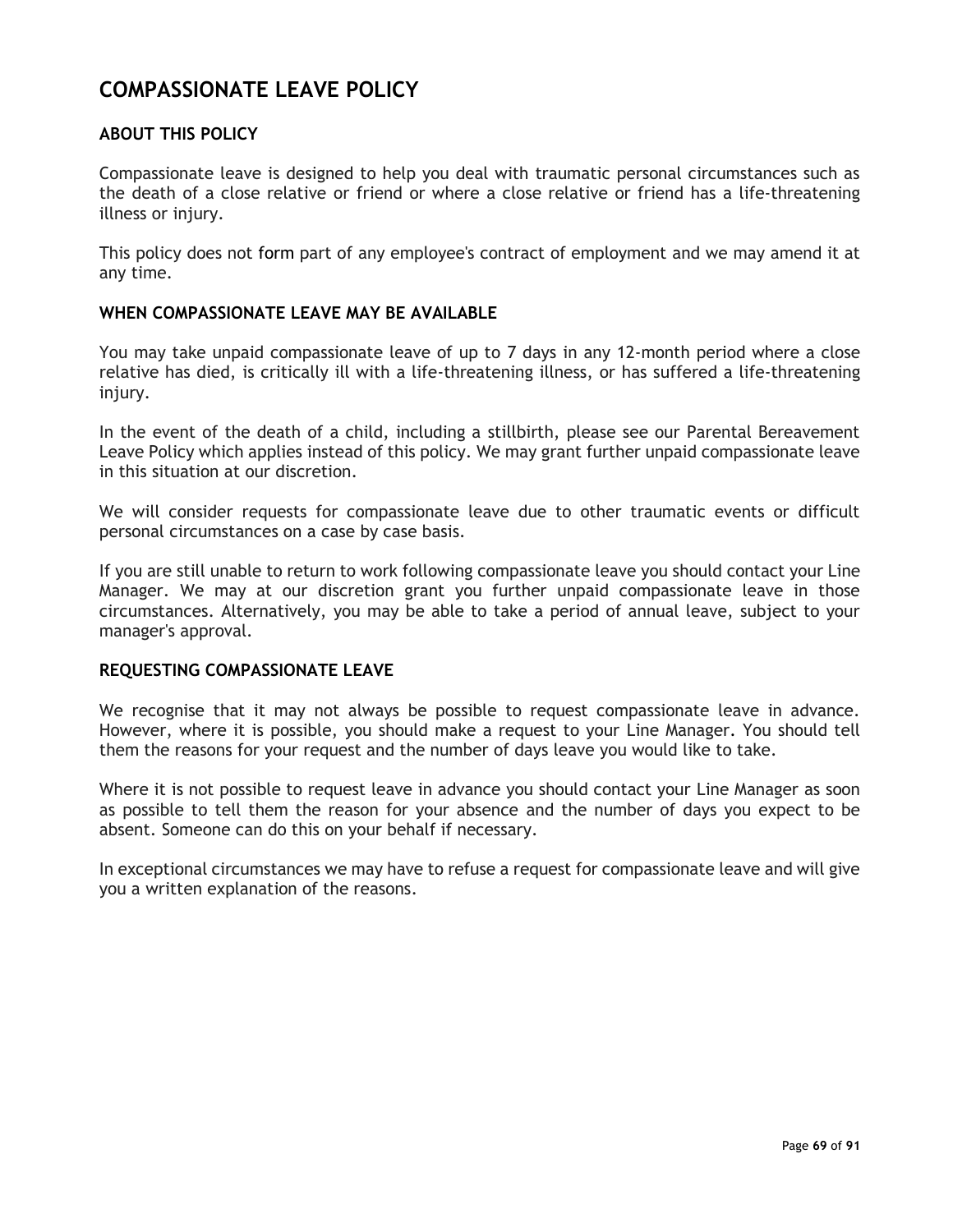## **COMPASSIONATE LEAVE POLICY**

## **ABOUT THIS POLICY**

Compassionate leave is designed to help you deal with traumatic personal circumstances such as the death of a close relative or friend or where a close relative or friend has a life-threatening illness or injury.

This policy does not form part of any employee's contract of employment and we may amend it at any time.

## **WHEN COMPASSIONATE LEAVE MAY BE AVAILABLE**

You may take unpaid compassionate leave of up to 7 days in any 12-month period where a close relative has died, is critically ill with a life-threatening illness, or has suffered a life-threatening injury.

In the event of the death of a child, including a stillbirth, please see our Parental Bereavement Leave Policy which applies instead of this policy. We may grant further unpaid compassionate leave in this situation at our discretion.

We will consider requests for compassionate leave due to other traumatic events or difficult personal circumstances on a case by case basis.

If you are still unable to return to work following compassionate leave you should contact your Line Manager. We may at our discretion grant you further unpaid compassionate leave in those circumstances. Alternatively, you may be able to take a period of annual leave, subject to your manager's approval.

#### **REQUESTING COMPASSIONATE LEAVE**

We recognise that it may not always be possible to request compassionate leave in advance. However, where it is possible, you should make a request to your Line Manager. You should tell them the reasons for your request and the number of days leave you would like to take.

Where it is not possible to request leave in advance you should contact your Line Manager as soon as possible to tell them the reason for your absence and the number of days you expect to be absent. Someone can do this on your behalf if necessary.

In exceptional circumstances we may have to refuse a request for compassionate leave and will give you a written explanation of the reasons.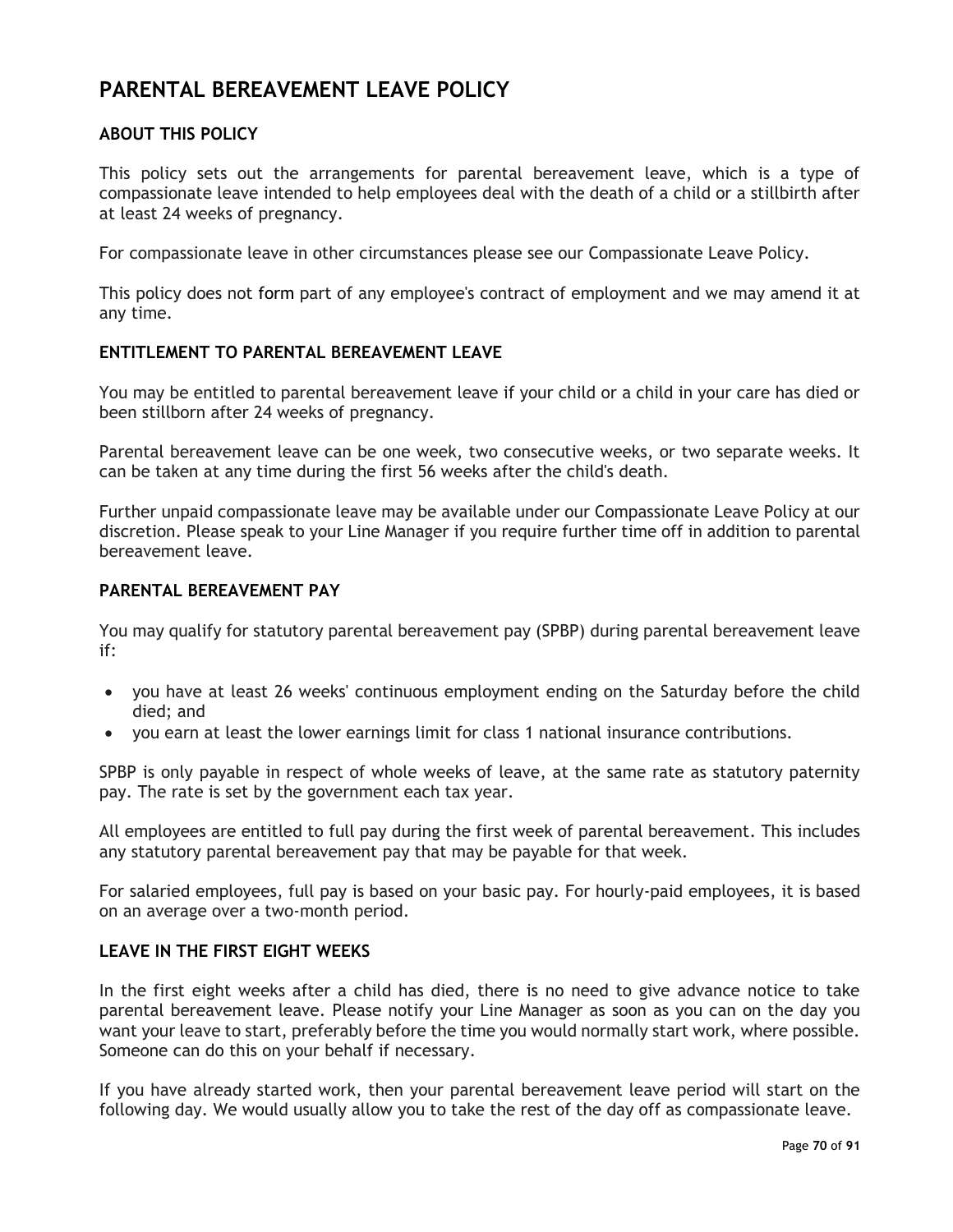# **PARENTAL BEREAVEMENT LEAVE POLICY**

## **ABOUT THIS POLICY**

This policy sets out the arrangements for parental bereavement leave, which is a type of compassionate leave intended to help employees deal with the death of a child or a stillbirth after at least 24 weeks of pregnancy.

For compassionate leave in other circumstances please see our Compassionate Leave Policy.

This policy does not form part of any employee's contract of employment and we may amend it at any time.

## **ENTITLEMENT TO PARENTAL BEREAVEMENT LEAVE**

You may be entitled to parental bereavement leave if your child or a child in your care has died or been stillborn after 24 weeks of pregnancy.

Parental bereavement leave can be one week, two consecutive weeks, or two separate weeks. It can be taken at any time during the first 56 weeks after the child's death.

Further unpaid compassionate leave may be available under our Compassionate Leave Policy at our discretion. Please speak to your Line Manager if you require further time off in addition to parental bereavement leave.

#### **PARENTAL BEREAVEMENT PAY**

You may qualify for statutory parental bereavement pay (SPBP) during parental bereavement leave if:

- you have at least 26 weeks' continuous employment ending on the Saturday before the child died; and
- you earn at least the lower earnings limit for class 1 national insurance contributions.

SPBP is only payable in respect of whole weeks of leave, at the same rate as statutory paternity pay. The rate is set by the government each tax year.

All employees are entitled to full pay during the first week of parental bereavement. This includes any statutory parental bereavement pay that may be payable for that week.

For salaried employees, full pay is based on your basic pay. For hourly-paid employees, it is based on an average over a two-month period.

## **LEAVE IN THE FIRST EIGHT WEEKS**

In the first eight weeks after a child has died, there is no need to give advance notice to take parental bereavement leave. Please notify your Line Manager as soon as you can on the day you want your leave to start, preferably before the time you would normally start work, where possible. Someone can do this on your behalf if necessary.

If you have already started work, then your parental bereavement leave period will start on the following day. We would usually allow you to take the rest of the day off as compassionate leave.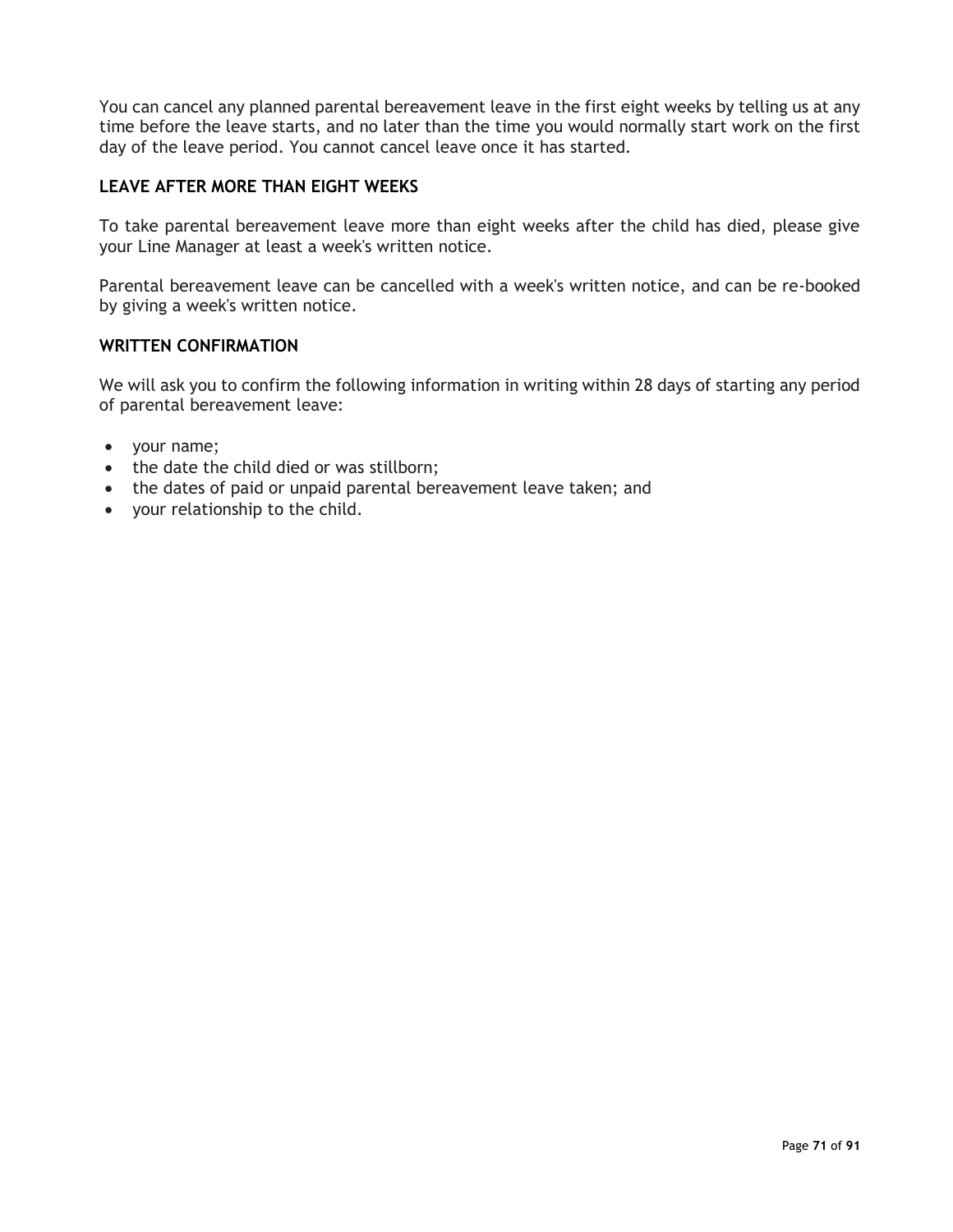You can cancel any planned parental bereavement leave in the first eight weeks by telling us at any time before the leave starts, and no later than the time you would normally start work on the first day of the leave period. You cannot cancel leave once it has started.

## **LEAVE AFTER MORE THAN EIGHT WEEKS**

To take parental bereavement leave more than eight weeks after the child has died, please give your Line Manager at least a week's written notice.

Parental bereavement leave can be cancelled with a week's written notice, and can be re-booked by giving a week's written notice.

## **WRITTEN CONFIRMATION**

We will ask you to confirm the following information in writing within 28 days of starting any period of parental bereavement leave:

- your name;
- the date the child died or was stillborn;
- the dates of paid or unpaid parental bereavement leave taken; and
- your relationship to the child.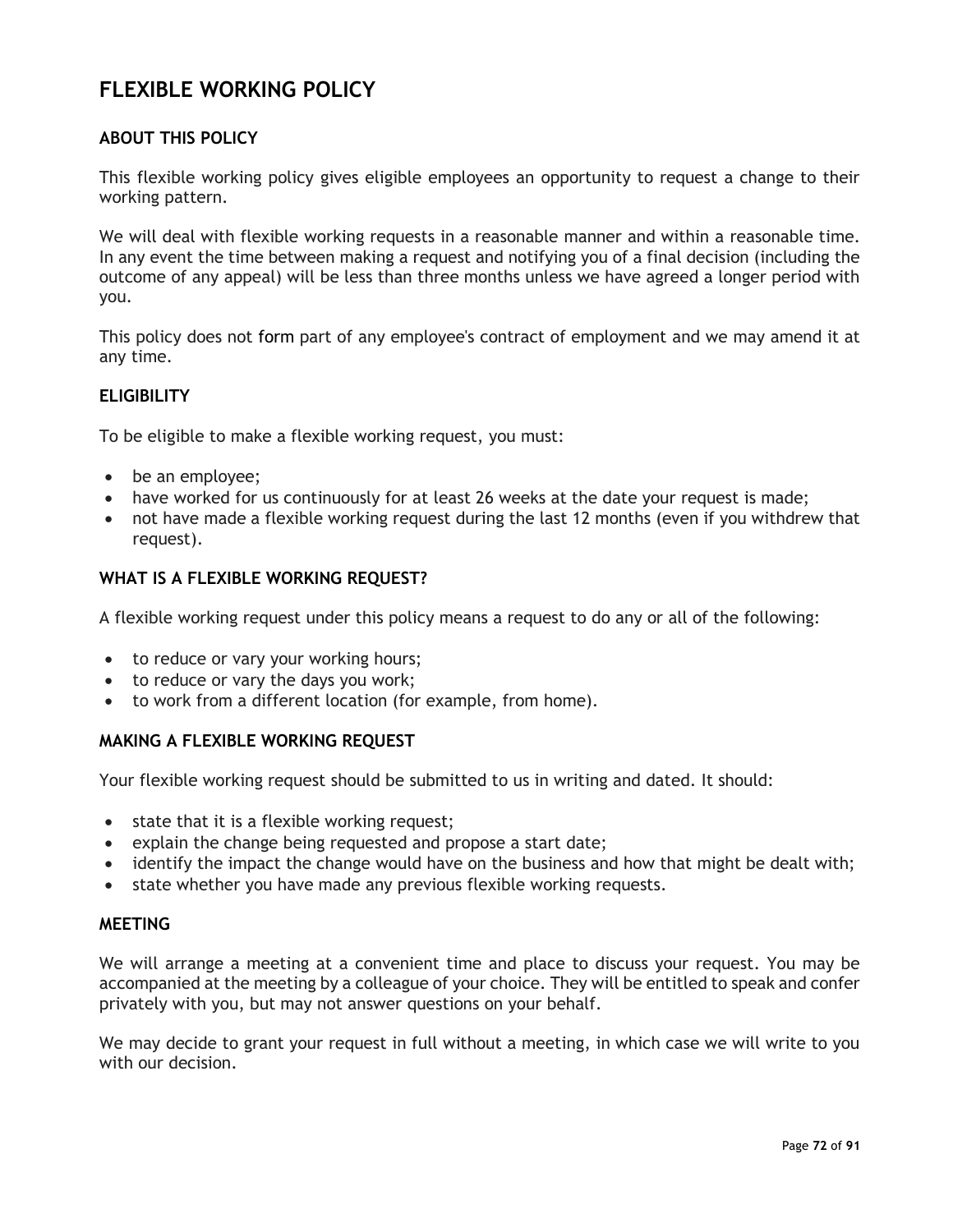# **FLEXIBLE WORKING POLICY**

## **ABOUT THIS POLICY**

This flexible working policy gives eligible employees an opportunity to request a change to their working pattern.

We will deal with flexible working requests in a reasonable manner and within a reasonable time. In any event the time between making a request and notifying you of a final decision (including the outcome of any appeal) will be less than three months unless we have agreed a longer period with you.

This policy does not form part of any employee's contract of employment and we may amend it at any time.

## **ELIGIBILITY**

To be eligible to make a flexible working request, you must:

- be an employee;
- have worked for us continuously for at least 26 weeks at the date your request is made;
- not have made a flexible working request during the last 12 months (even if you withdrew that request).

#### **WHAT IS A FLEXIBLE WORKING REQUEST?**

A flexible working request under this policy means a request to do any or all of the following:

- to reduce or vary your working hours;
- to reduce or vary the days you work;
- to work from a different location (for example, from home).

#### **MAKING A FLEXIBLE WORKING REQUEST**

Your flexible working request should be submitted to us in writing and dated. It should:

- state that it is a flexible working request;
- explain the change being requested and propose a start date;
- identify the impact the change would have on the business and how that might be dealt with;
- state whether you have made any previous flexible working requests.

### **MEETING**

We will arrange a meeting at a convenient time and place to discuss your request. You may be accompanied at the meeting by a colleague of your choice. They will be entitled to speak and confer privately with you, but may not answer questions on your behalf.

We may decide to grant your request in full without a meeting, in which case we will write to you with our decision.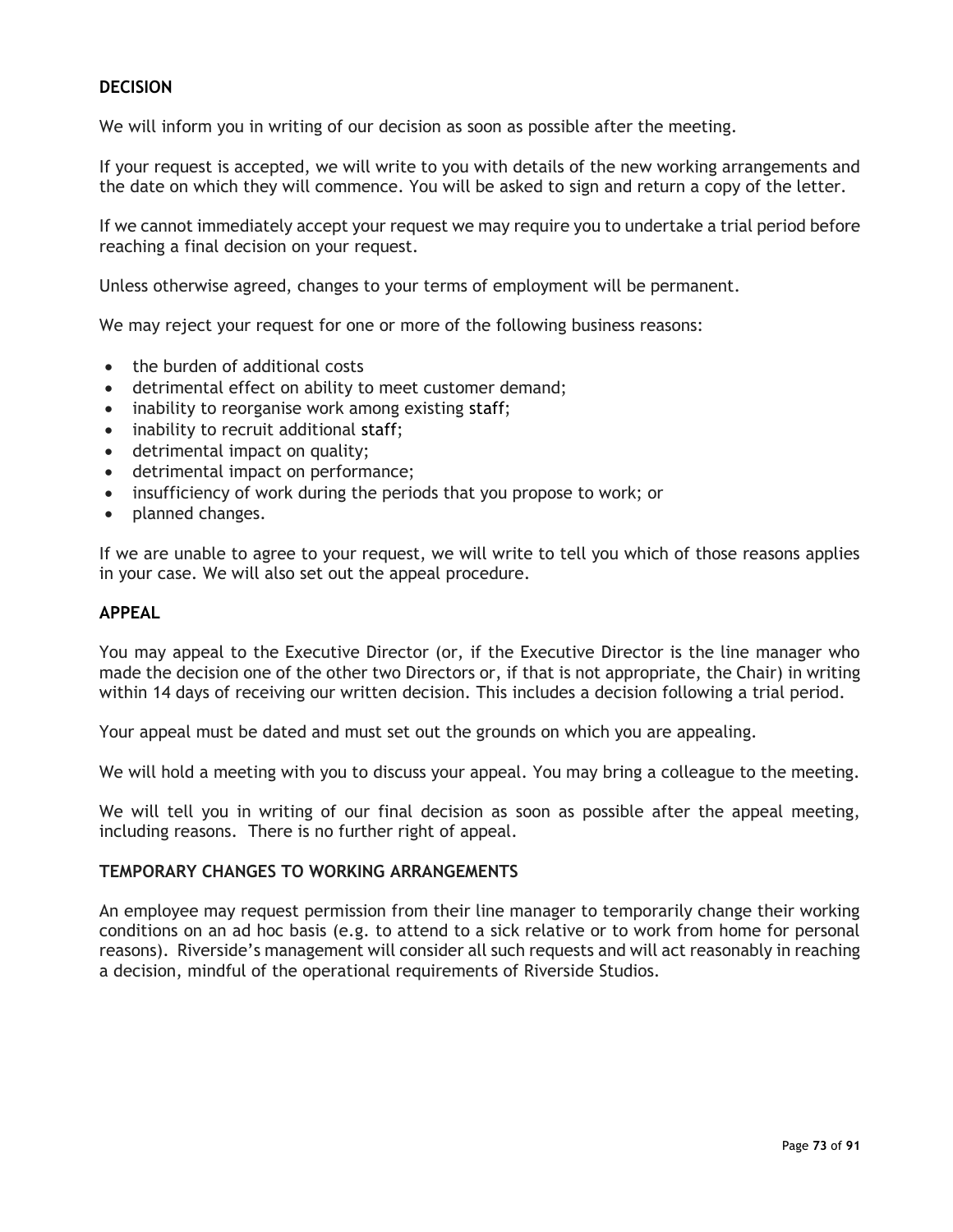# **DECISION**

We will inform you in writing of our decision as soon as possible after the meeting.

If your request is accepted, we will write to you with details of the new working arrangements and the date on which they will commence. You will be asked to sign and return a copy of the letter.

If we cannot immediately accept your request we may require you to undertake a trial period before reaching a final decision on your request.

Unless otherwise agreed, changes to your terms of employment will be permanent.

We may reject your request for one or more of the following business reasons:

- the burden of additional costs
- detrimental effect on ability to meet customer demand;
- inability to reorganise work among existing staff;
- inability to recruit additional staff;
- detrimental impact on quality;
- detrimental impact on performance;
- insufficiency of work during the periods that you propose to work; or
- planned changes.

If we are unable to agree to your request, we will write to tell you which of those reasons applies in your case. We will also set out the appeal procedure.

## **APPEAL**

You may appeal to the Executive Director (or, if the Executive Director is the line manager who made the decision one of the other two Directors or, if that is not appropriate, the Chair) in writing within 14 days of receiving our written decision. This includes a decision following a trial period.

Your appeal must be dated and must set out the grounds on which you are appealing.

We will hold a meeting with you to discuss your appeal. You may bring a colleague to the meeting.

We will tell you in writing of our final decision as soon as possible after the appeal meeting, including reasons. There is no further right of appeal.

#### **TEMPORARY CHANGES TO WORKING ARRANGEMENTS**

An employee may request permission from their line manager to temporarily change their working conditions on an ad hoc basis (e.g. to attend to a sick relative or to work from home for personal reasons). Riverside's management will consider all such requests and will act reasonably in reaching a decision, mindful of the operational requirements of Riverside Studios.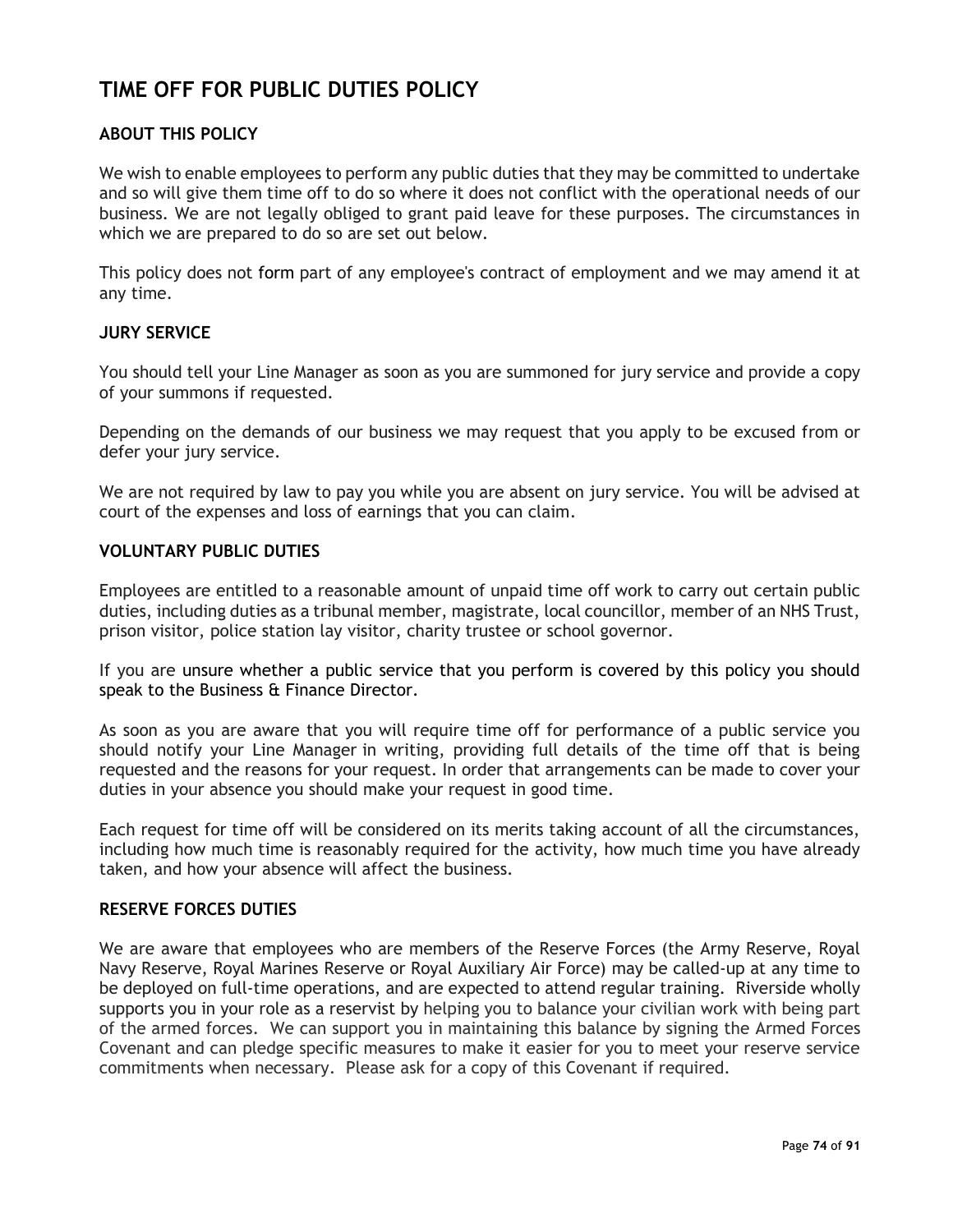# **TIME OFF FOR PUBLIC DUTIES POLICY**

# **ABOUT THIS POLICY**

We wish to enable employees to perform any public duties that they may be committed to undertake and so will give them time off to do so where it does not conflict with the operational needs of our business. We are not legally obliged to grant paid leave for these purposes. The circumstances in which we are prepared to do so are set out below.

This policy does not form part of any employee's contract of employment and we may amend it at any time.

## **JURY SERVICE**

You should tell your Line Manager as soon as you are summoned for jury service and provide a copy of your summons if requested.

Depending on the demands of our business we may request that you apply to be excused from or defer your jury service.

We are not required by law to pay you while you are absent on jury service. You will be advised at court of the expenses and loss of earnings that you can claim.

#### **VOLUNTARY PUBLIC DUTIES**

Employees are entitled to a reasonable amount of unpaid time off work to carry out certain public duties, including duties as a tribunal member, magistrate, local councillor, member of an NHS Trust, prison visitor, police station lay visitor, charity trustee or school governor.

If you are unsure whether a public service that you perform is covered by this policy you should speak to the Business & Finance Director.

As soon as you are aware that you will require time off for performance of a public service you should notify your Line Manager in writing, providing full details of the time off that is being requested and the reasons for your request. In order that arrangements can be made to cover your duties in your absence you should make your request in good time.

Each request for time off will be considered on its merits taking account of all the circumstances, including how much time is reasonably required for the activity, how much time you have already taken, and how your absence will affect the business.

#### **RESERVE FORCES DUTIES**

We are aware that employees who are members of the Reserve Forces (the Army Reserve, Royal Navy Reserve, Royal Marines Reserve or Royal Auxiliary Air Force) may be called-up at any time to be deployed on full-time operations, and are expected to attend regular training. Riverside wholly supports you in your role as a reservist by helping you to balance your civilian work with being part of the armed forces. We can support you in maintaining this balance by signing the Armed Forces Covenant and can pledge specific measures to make it easier for you to meet your reserve service commitments when necessary. Please ask for a copy of this Covenant if required.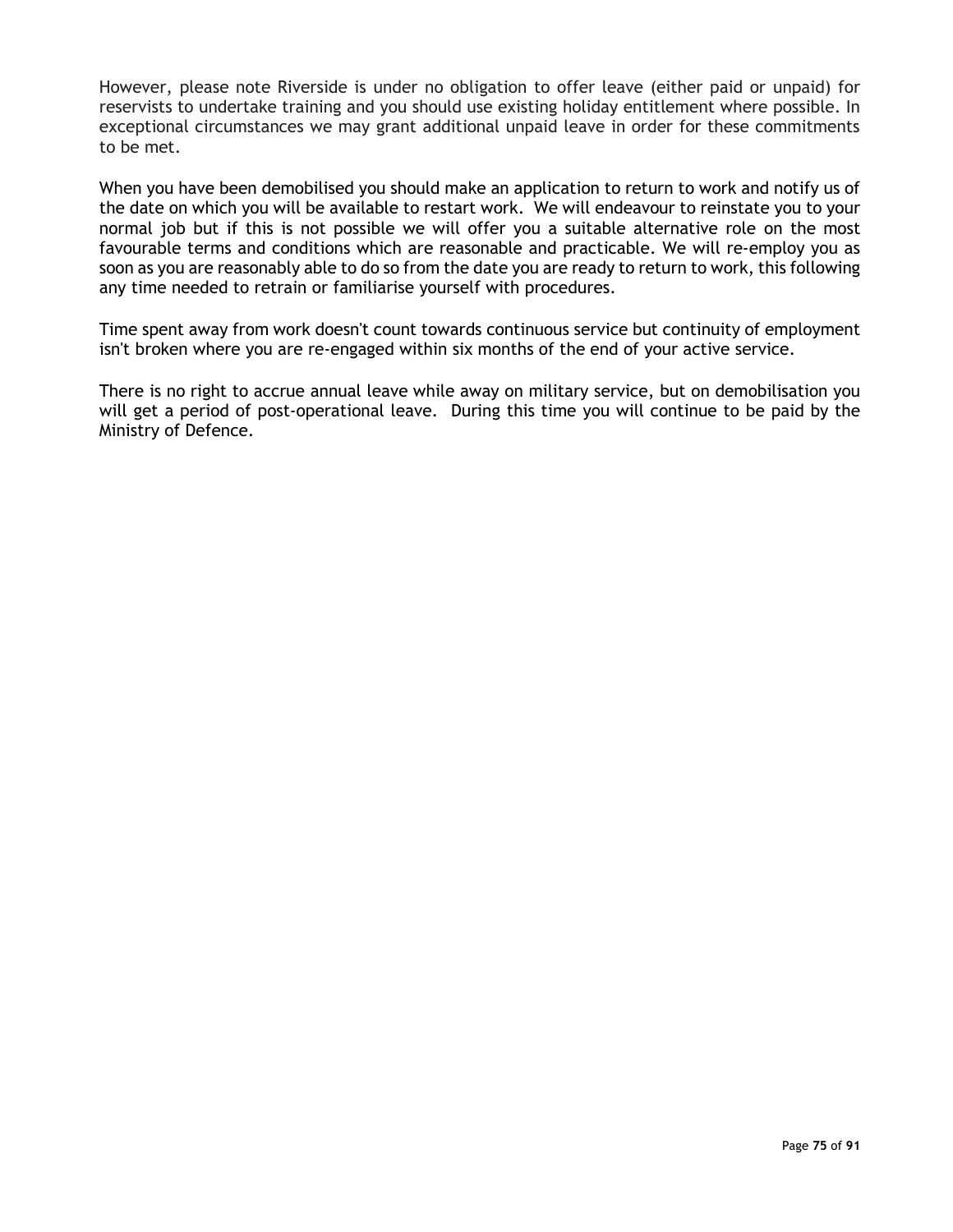However, please note Riverside is under no obligation to offer leave (either paid or unpaid) for reservists to undertake training and you should use existing holiday entitlement where possible. In exceptional circumstances we may grant additional unpaid leave in order for these commitments to be met.

When you have been demobilised you should make an application to return to work and notify us of the date on which you will be available to restart work. We will endeavour to reinstate you to your normal job but if this is not possible we will offer you a suitable alternative role on the most favourable terms and conditions which are reasonable and practicable. We will re-employ you as soon as you are reasonably able to do so from the date you are ready to return to work, this following any time needed to retrain or familiarise yourself with procedures.

Time spent away from work doesn't count towards continuous service but continuity of employment isn't broken where you are re-engaged within six months of the end of your active service.

There is no right to accrue annual leave while away on military service, but on demobilisation you will get a period of post-operational leave. During this time you will continue to be paid by the Ministry of Defence.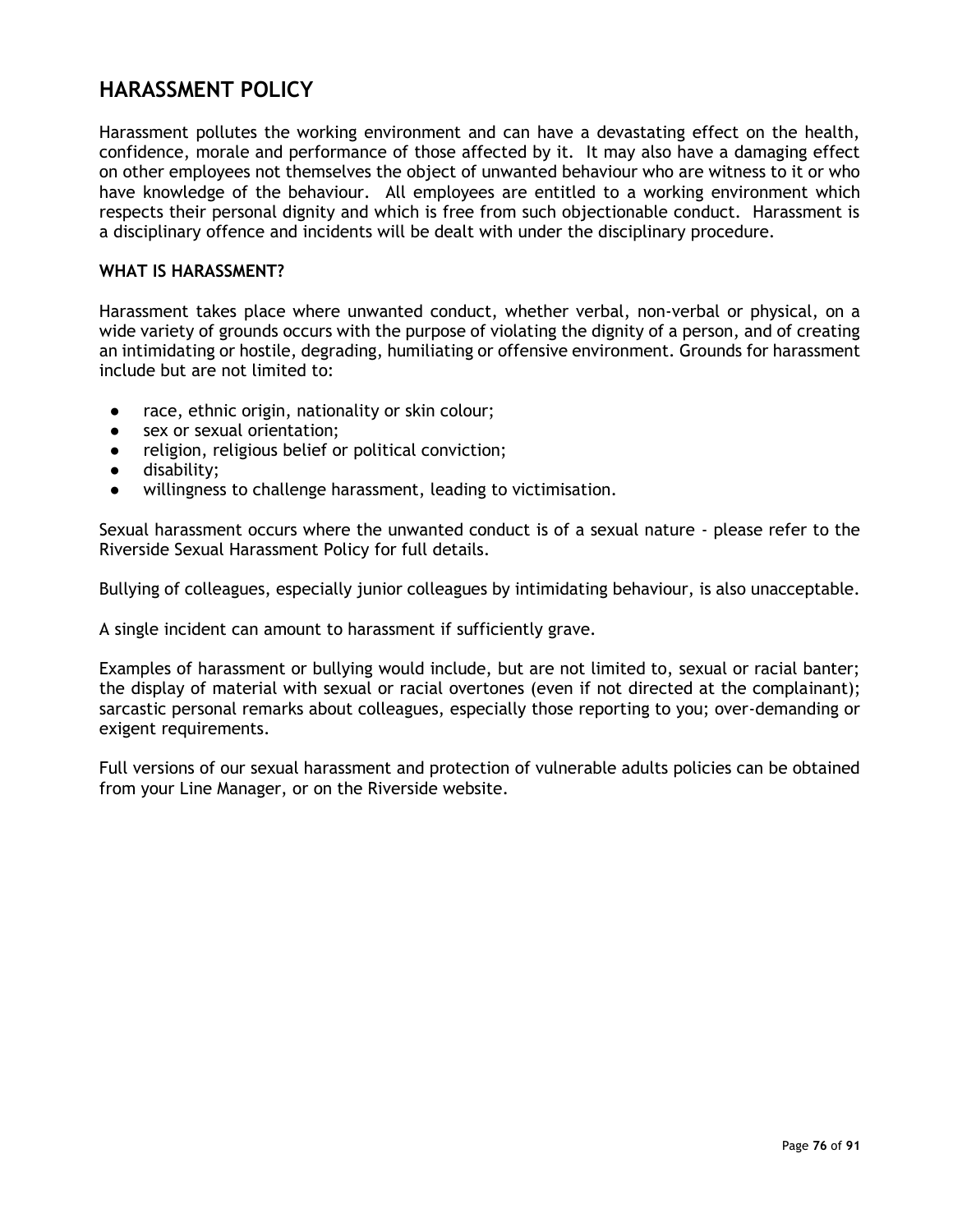# **HARASSMENT POLICY**

Harassment pollutes the working environment and can have a devastating effect on the health, confidence, morale and performance of those affected by it. It may also have a damaging effect on other employees not themselves the object of unwanted behaviour who are witness to it or who have knowledge of the behaviour. All employees are entitled to a working environment which respects their personal dignity and which is free from such objectionable conduct. Harassment is a disciplinary offence and incidents will be dealt with under the disciplinary procedure.

#### **WHAT IS HARASSMENT?**

Harassment takes place where unwanted conduct, whether verbal, non-verbal or physical, on a wide variety of grounds occurs with the purpose of violating the dignity of a person, and of creating an intimidating or hostile, degrading, humiliating or offensive environment. Grounds for harassment include but are not limited to:

- race, ethnic origin, nationality or skin colour;
- sex or sexual orientation:
- religion, religious belief or political conviction;
- disability;
- willingness to challenge harassment, leading to victimisation.

Sexual harassment occurs where the unwanted conduct is of a sexual nature - please refer to the Riverside Sexual Harassment Policy for full details.

Bullying of colleagues, especially junior colleagues by intimidating behaviour, is also unacceptable.

A single incident can amount to harassment if sufficiently grave.

Examples of harassment or bullying would include, but are not limited to, sexual or racial banter; the display of material with sexual or racial overtones (even if not directed at the complainant); sarcastic personal remarks about colleagues, especially those reporting to you; over-demanding or exigent requirements.

Full versions of our sexual harassment and protection of vulnerable adults policies can be obtained from your Line Manager, or on the Riverside website.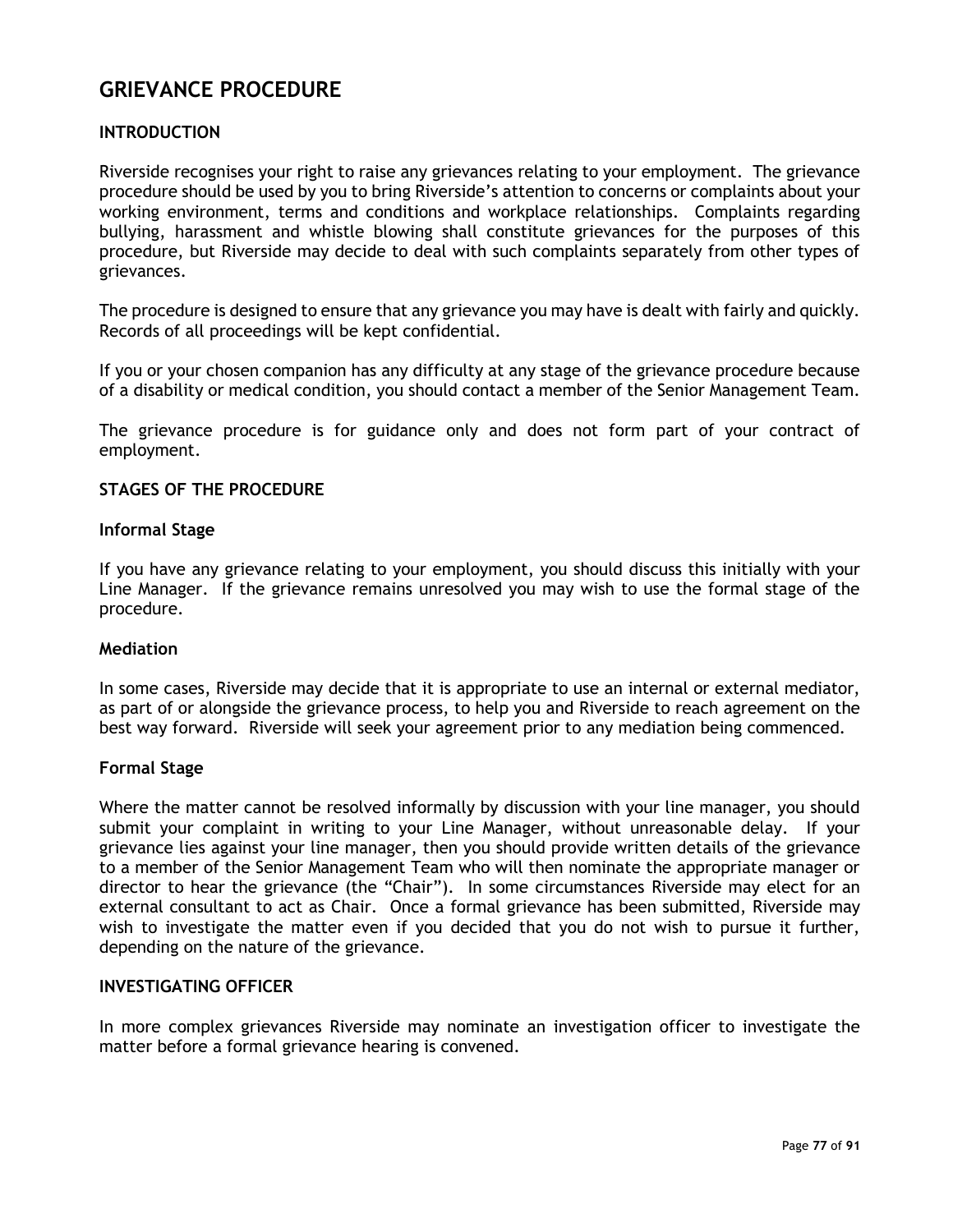# **GRIEVANCE PROCEDURE**

# **INTRODUCTION**

Riverside recognises your right to raise any grievances relating to your employment. The grievance procedure should be used by you to bring Riverside's attention to concerns or complaints about your working environment, terms and conditions and workplace relationships. Complaints regarding bullying, harassment and whistle blowing shall constitute grievances for the purposes of this procedure, but Riverside may decide to deal with such complaints separately from other types of grievances.

The procedure is designed to ensure that any grievance you may have is dealt with fairly and quickly. Records of all proceedings will be kept confidential.

If you or your chosen companion has any difficulty at any stage of the grievance procedure because of a disability or medical condition, you should contact a member of the Senior Management Team.

The grievance procedure is for guidance only and does not form part of your contract of employment.

#### **STAGES OF THE PROCEDURE**

#### **Informal Stage**

If you have any grievance relating to your employment, you should discuss this initially with your Line Manager. If the grievance remains unresolved you may wish to use the formal stage of the procedure.

#### **Mediation**

In some cases, Riverside may decide that it is appropriate to use an internal or external mediator, as part of or alongside the grievance process, to help you and Riverside to reach agreement on the best way forward. Riverside will seek your agreement prior to any mediation being commenced.

#### **Formal Stage**

Where the matter cannot be resolved informally by discussion with your line manager, you should submit your complaint in writing to your Line Manager, without unreasonable delay. If your grievance lies against your line manager, then you should provide written details of the grievance to a member of the Senior Management Team who will then nominate the appropriate manager or director to hear the grievance (the "Chair"). In some circumstances Riverside may elect for an external consultant to act as Chair. Once a formal grievance has been submitted, Riverside may wish to investigate the matter even if you decided that you do not wish to pursue it further, depending on the nature of the grievance.

#### **INVESTIGATING OFFICER**

In more complex grievances Riverside may nominate an investigation officer to investigate the matter before a formal grievance hearing is convened.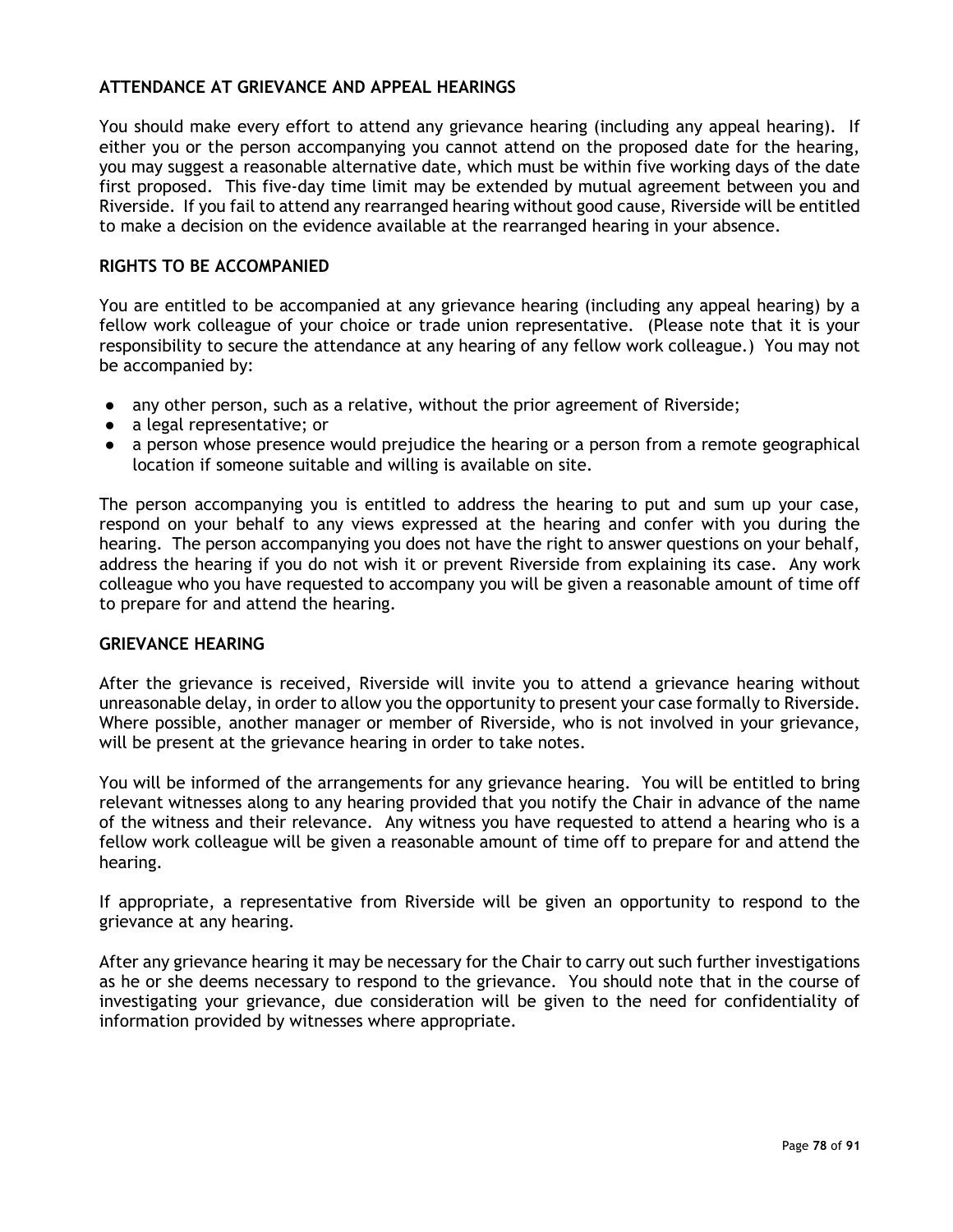# **ATTENDANCE AT GRIEVANCE AND APPEAL HEARINGS**

You should make every effort to attend any grievance hearing (including any appeal hearing). If either you or the person accompanying you cannot attend on the proposed date for the hearing, you may suggest a reasonable alternative date, which must be within five working days of the date first proposed. This five-day time limit may be extended by mutual agreement between you and Riverside. If you fail to attend any rearranged hearing without good cause, Riverside will be entitled to make a decision on the evidence available at the rearranged hearing in your absence.

# **RIGHTS TO BE ACCOMPANIED**

You are entitled to be accompanied at any grievance hearing (including any appeal hearing) by a fellow work colleague of your choice or trade union representative. (Please note that it is your responsibility to secure the attendance at any hearing of any fellow work colleague.) You may not be accompanied by:

- any other person, such as a relative, without the prior agreement of Riverside;
- a legal representative; or
- a person whose presence would prejudice the hearing or a person from a remote geographical location if someone suitable and willing is available on site.

The person accompanying you is entitled to address the hearing to put and sum up your case, respond on your behalf to any views expressed at the hearing and confer with you during the hearing. The person accompanying you does not have the right to answer questions on your behalf, address the hearing if you do not wish it or prevent Riverside from explaining its case. Any work colleague who you have requested to accompany you will be given a reasonable amount of time off to prepare for and attend the hearing.

# **GRIEVANCE HEARING**

After the grievance is received, Riverside will invite you to attend a grievance hearing without unreasonable delay, in order to allow you the opportunity to present your case formally to Riverside. Where possible, another manager or member of Riverside, who is not involved in your grievance, will be present at the grievance hearing in order to take notes.

You will be informed of the arrangements for any grievance hearing. You will be entitled to bring relevant witnesses along to any hearing provided that you notify the Chair in advance of the name of the witness and their relevance. Any witness you have requested to attend a hearing who is a fellow work colleague will be given a reasonable amount of time off to prepare for and attend the hearing.

If appropriate, a representative from Riverside will be given an opportunity to respond to the grievance at any hearing.

After any grievance hearing it may be necessary for the Chair to carry out such further investigations as he or she deems necessary to respond to the grievance. You should note that in the course of investigating your grievance, due consideration will be given to the need for confidentiality of information provided by witnesses where appropriate.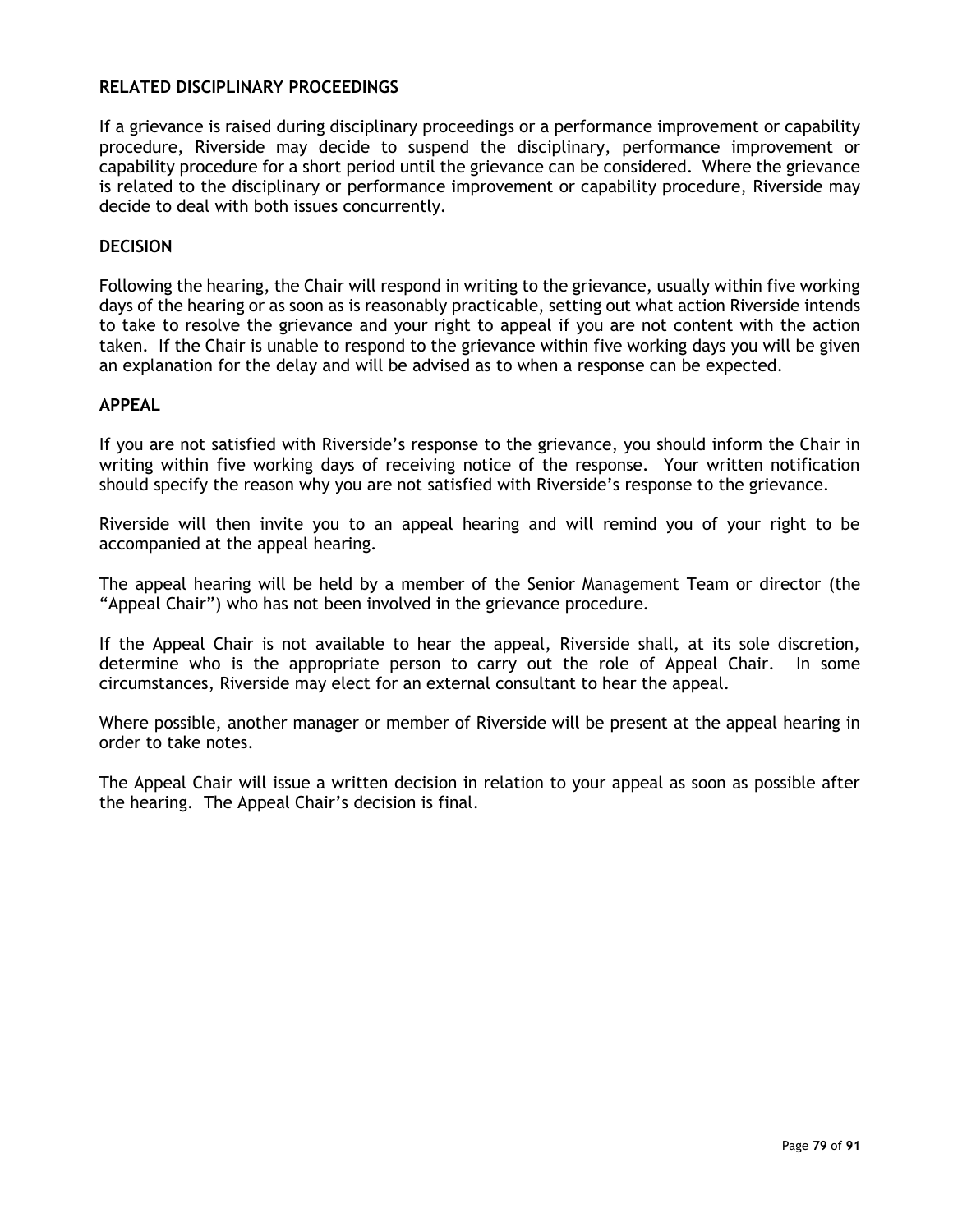## **RELATED DISCIPLINARY PROCEEDINGS**

If a grievance is raised during disciplinary proceedings or a performance improvement or capability procedure, Riverside may decide to suspend the disciplinary, performance improvement or capability procedure for a short period until the grievance can be considered. Where the grievance is related to the disciplinary or performance improvement or capability procedure, Riverside may decide to deal with both issues concurrently.

## **DECISION**

Following the hearing, the Chair will respond in writing to the grievance, usually within five working days of the hearing or as soon as is reasonably practicable, setting out what action Riverside intends to take to resolve the grievance and your right to appeal if you are not content with the action taken. If the Chair is unable to respond to the grievance within five working days you will be given an explanation for the delay and will be advised as to when a response can be expected.

## **APPEAL**

If you are not satisfied with Riverside's response to the grievance, you should inform the Chair in writing within five working days of receiving notice of the response. Your written notification should specify the reason why you are not satisfied with Riverside's response to the grievance.

Riverside will then invite you to an appeal hearing and will remind you of your right to be accompanied at the appeal hearing.

The appeal hearing will be held by a member of the Senior Management Team or director (the "Appeal Chair") who has not been involved in the grievance procedure.

If the Appeal Chair is not available to hear the appeal, Riverside shall, at its sole discretion, determine who is the appropriate person to carry out the role of Appeal Chair. In some circumstances, Riverside may elect for an external consultant to hear the appeal.

Where possible, another manager or member of Riverside will be present at the appeal hearing in order to take notes.

The Appeal Chair will issue a written decision in relation to your appeal as soon as possible after the hearing. The Appeal Chair's decision is final.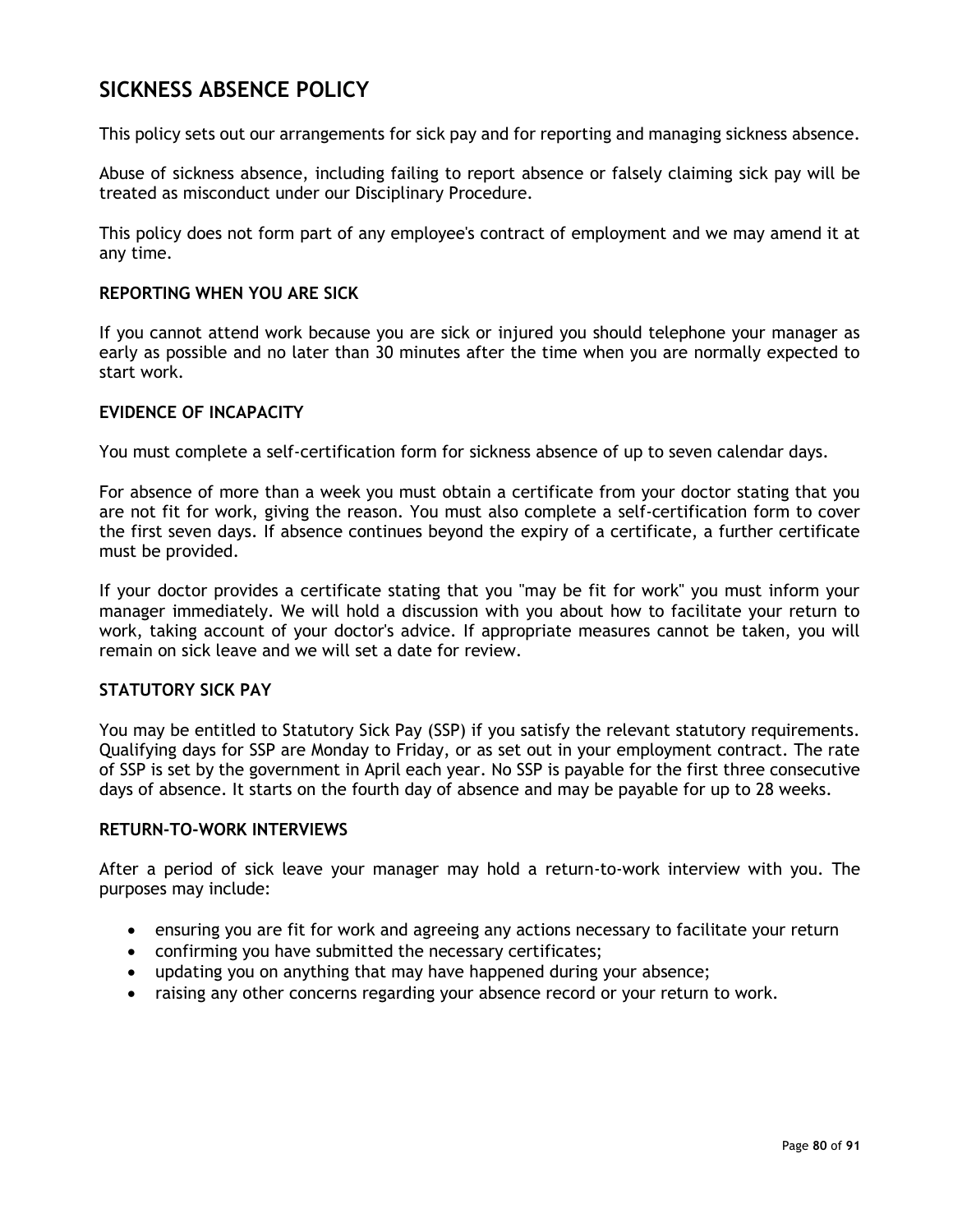# **SICKNESS ABSENCE POLICY**

This policy sets out our arrangements for sick pay and for reporting and managing sickness absence.

Abuse of sickness absence, including failing to report absence or falsely claiming sick pay will be treated as misconduct under our Disciplinary Procedure.

This policy does not form part of any employee's contract of employment and we may amend it at any time.

#### **REPORTING WHEN YOU ARE SICK**

If you cannot attend work because you are sick or injured you should telephone your manager as early as possible and no later than 30 minutes after the time when you are normally expected to start work.

### **EVIDENCE OF INCAPACITY**

You must complete a self-certification form for sickness absence of up to seven calendar days.

For absence of more than a week you must obtain a certificate from your doctor stating that you are not fit for work, giving the reason. You must also complete a self-certification form to cover the first seven days. If absence continues beyond the expiry of a certificate, a further certificate must be provided.

If your doctor provides a certificate stating that you "may be fit for work" you must inform your manager immediately. We will hold a discussion with you about how to facilitate your return to work, taking account of your doctor's advice. If appropriate measures cannot be taken, you will remain on sick leave and we will set a date for review.

## **STATUTORY SICK PAY**

You may be entitled to Statutory Sick Pay (SSP) if you satisfy the relevant statutory requirements. Qualifying days for SSP are Monday to Friday, or as set out in your employment contract. The rate of SSP is set by the government in April each year. No SSP is payable for the first three consecutive days of absence. It starts on the fourth day of absence and may be payable for up to 28 weeks.

#### **RETURN-TO-WORK INTERVIEWS**

After a period of sick leave your manager may hold a return-to-work interview with you. The purposes may include:

- ensuring you are fit for work and agreeing any actions necessary to facilitate your return
- confirming you have submitted the necessary certificates;
- updating you on anything that may have happened during your absence;
- raising any other concerns regarding your absence record or your return to work.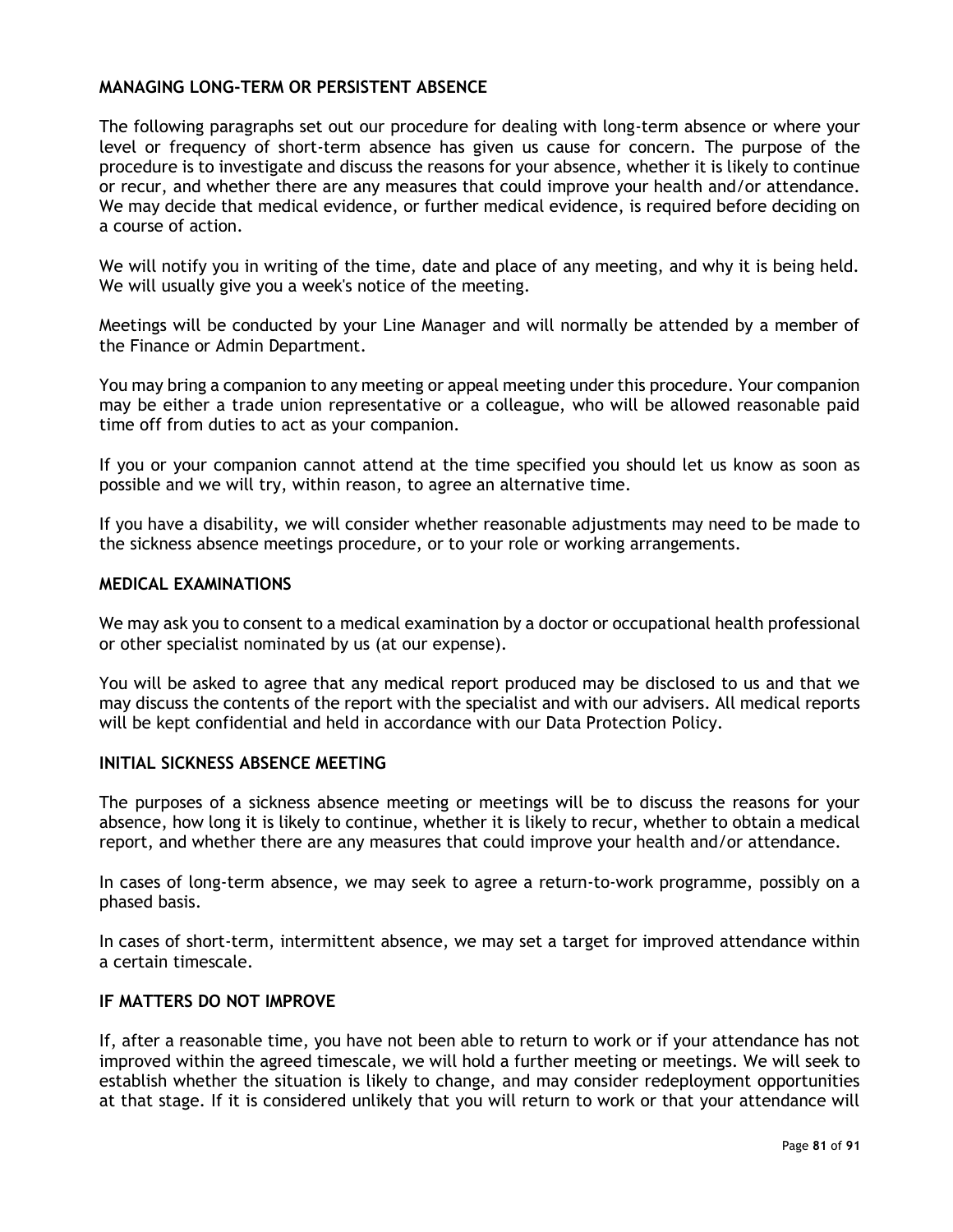## **MANAGING LONG-TERM OR PERSISTENT ABSENCE**

The following paragraphs set out our procedure for dealing with long-term absence or where your level or frequency of short-term absence has given us cause for concern. The purpose of the procedure is to investigate and discuss the reasons for your absence, whether it is likely to continue or recur, and whether there are any measures that could improve your health and/or attendance. We may decide that medical evidence, or further medical evidence, is required before deciding on a course of action.

We will notify you in writing of the time, date and place of any meeting, and why it is being held. We will usually give you a week's notice of the meeting.

Meetings will be conducted by your Line Manager and will normally be attended by a member of the Finance or Admin Department.

You may bring a companion to any meeting or appeal meeting under this procedure. Your companion may be either a trade union representative or a colleague, who will be allowed reasonable paid time off from duties to act as your companion.

If you or your companion cannot attend at the time specified you should let us know as soon as possible and we will try, within reason, to agree an alternative time.

If you have a disability, we will consider whether reasonable adjustments may need to be made to the sickness absence meetings procedure, or to your role or working arrangements.

#### **MEDICAL EXAMINATIONS**

We may ask you to consent to a medical examination by a doctor or occupational health professional or other specialist nominated by us (at our expense).

You will be asked to agree that any medical report produced may be disclosed to us and that we may discuss the contents of the report with the specialist and with our advisers. All medical reports will be kept confidential and held in accordance with our Data Protection Policy.

## **INITIAL SICKNESS ABSENCE MEETING**

The purposes of a sickness absence meeting or meetings will be to discuss the reasons for your absence, how long it is likely to continue, whether it is likely to recur, whether to obtain a medical report, and whether there are any measures that could improve your health and/or attendance.

In cases of long-term absence, we may seek to agree a return-to-work programme, possibly on a phased basis.

In cases of short-term, intermittent absence, we may set a target for improved attendance within a certain timescale.

## **IF MATTERS DO NOT IMPROVE**

If, after a reasonable time, you have not been able to return to work or if your attendance has not improved within the agreed timescale, we will hold a further meeting or meetings. We will seek to establish whether the situation is likely to change, and may consider redeployment opportunities at that stage. If it is considered unlikely that you will return to work or that your attendance will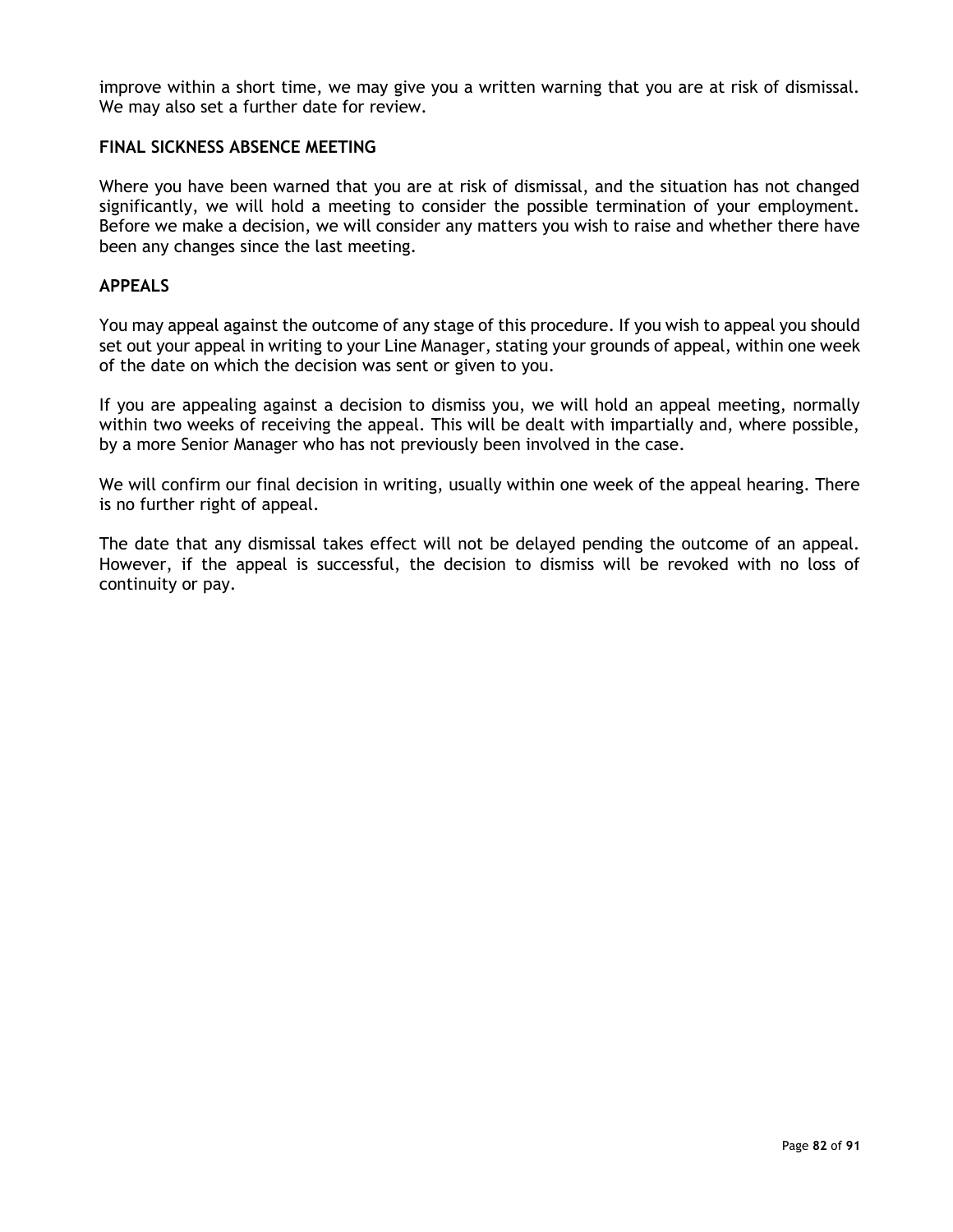improve within a short time, we may give you a written warning that you are at risk of dismissal. We may also set a further date for review.

# **FINAL SICKNESS ABSENCE MEETING**

Where you have been warned that you are at risk of dismissal, and the situation has not changed significantly, we will hold a meeting to consider the possible termination of your employment. Before we make a decision, we will consider any matters you wish to raise and whether there have been any changes since the last meeting.

## **APPEALS**

You may appeal against the outcome of any stage of this procedure. If you wish to appeal you should set out your appeal in writing to your Line Manager, stating your grounds of appeal, within one week of the date on which the decision was sent or given to you.

If you are appealing against a decision to dismiss you, we will hold an appeal meeting, normally within two weeks of receiving the appeal. This will be dealt with impartially and, where possible, by a more Senior Manager who has not previously been involved in the case.

We will confirm our final decision in writing, usually within one week of the appeal hearing. There is no further right of appeal.

The date that any dismissal takes effect will not be delayed pending the outcome of an appeal. However, if the appeal is successful, the decision to dismiss will be revoked with no loss of continuity or pay.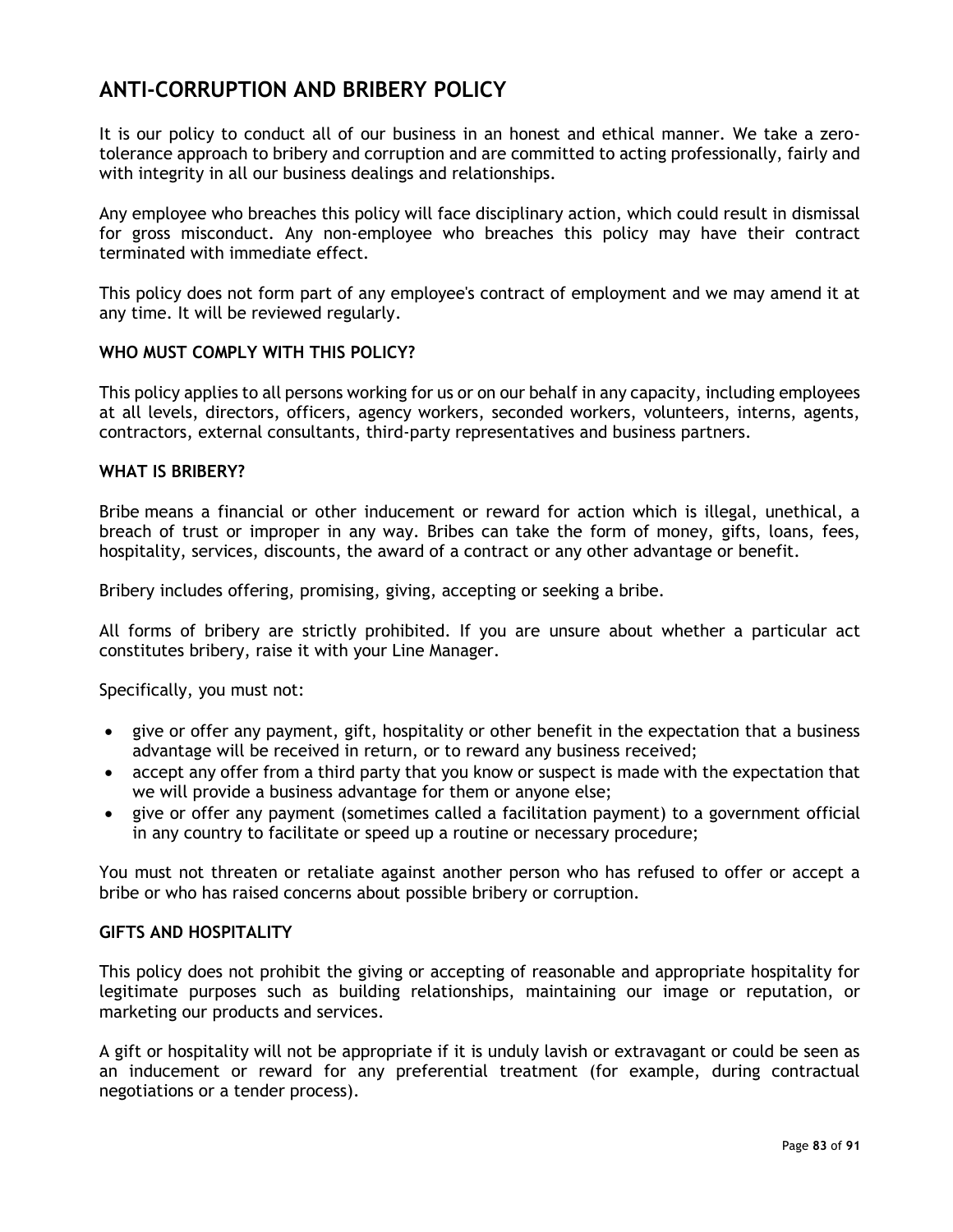# **ANTI-CORRUPTION AND BRIBERY POLICY**

It is our policy to conduct all of our business in an honest and ethical manner. We take a zerotolerance approach to bribery and corruption and are committed to acting professionally, fairly and with integrity in all our business dealings and relationships.

Any employee who breaches this policy will face disciplinary action, which could result in dismissal for gross misconduct. Any non-employee who breaches this policy may have their contract terminated with immediate effect.

This policy does not form part of any employee's contract of employment and we may amend it at any time. It will be reviewed regularly.

## **WHO MUST COMPLY WITH THIS POLICY?**

This policy applies to all persons working for us or on our behalf in any capacity, including employees at all levels, directors, officers, agency workers, seconded workers, volunteers, interns, agents, contractors, external consultants, third-party representatives and business partners.

## **WHAT IS BRIBERY?**

Bribe means a financial or other inducement or reward for action which is illegal, unethical, a breach of trust or improper in any way. Bribes can take the form of money, gifts, loans, fees, hospitality, services, discounts, the award of a contract or any other advantage or benefit.

Bribery includes offering, promising, giving, accepting or seeking a bribe.

All forms of bribery are strictly prohibited. If you are unsure about whether a particular act constitutes bribery, raise it with your Line Manager.

Specifically, you must not:

- give or offer any payment, gift, hospitality or other benefit in the expectation that a business advantage will be received in return, or to reward any business received;
- accept any offer from a third party that you know or suspect is made with the expectation that we will provide a business advantage for them or anyone else;
- give or offer any payment (sometimes called a facilitation payment) to a government official in any country to facilitate or speed up a routine or necessary procedure;

You must not threaten or retaliate against another person who has refused to offer or accept a bribe or who has raised concerns about possible bribery or corruption.

#### **GIFTS AND HOSPITALITY**

This policy does not prohibit the giving or accepting of reasonable and appropriate hospitality for legitimate purposes such as building relationships, maintaining our image or reputation, or marketing our products and services.

A gift or hospitality will not be appropriate if it is unduly lavish or extravagant or could be seen as an inducement or reward for any preferential treatment (for example, during contractual negotiations or a tender process).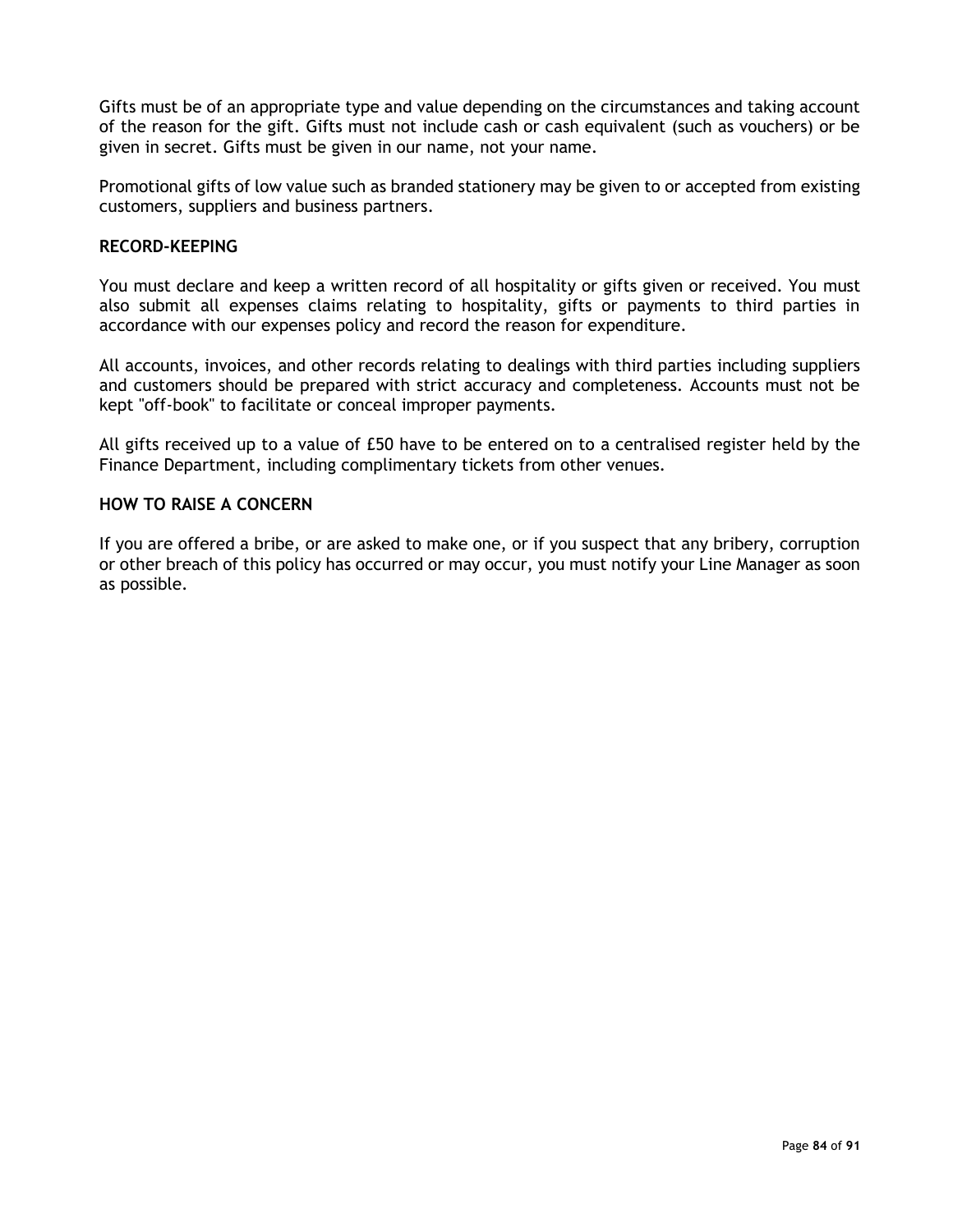Gifts must be of an appropriate type and value depending on the circumstances and taking account of the reason for the gift. Gifts must not include cash or cash equivalent (such as vouchers) or be given in secret. Gifts must be given in our name, not your name.

Promotional gifts of low value such as branded stationery may be given to or accepted from existing customers, suppliers and business partners.

#### **RECORD-KEEPING**

You must declare and keep a written record of all hospitality or gifts given or received. You must also submit all expenses claims relating to hospitality, gifts or payments to third parties in accordance with our expenses policy and record the reason for expenditure.

All accounts, invoices, and other records relating to dealings with third parties including suppliers and customers should be prepared with strict accuracy and completeness. Accounts must not be kept "off-book" to facilitate or conceal improper payments.

All gifts received up to a value of £50 have to be entered on to a centralised register held by the Finance Department, including complimentary tickets from other venues.

# **HOW TO RAISE A CONCERN**

If you are offered a bribe, or are asked to make one, or if you suspect that any bribery, corruption or other breach of this policy has occurred or may occur, you must notify your Line Manager as soon as possible.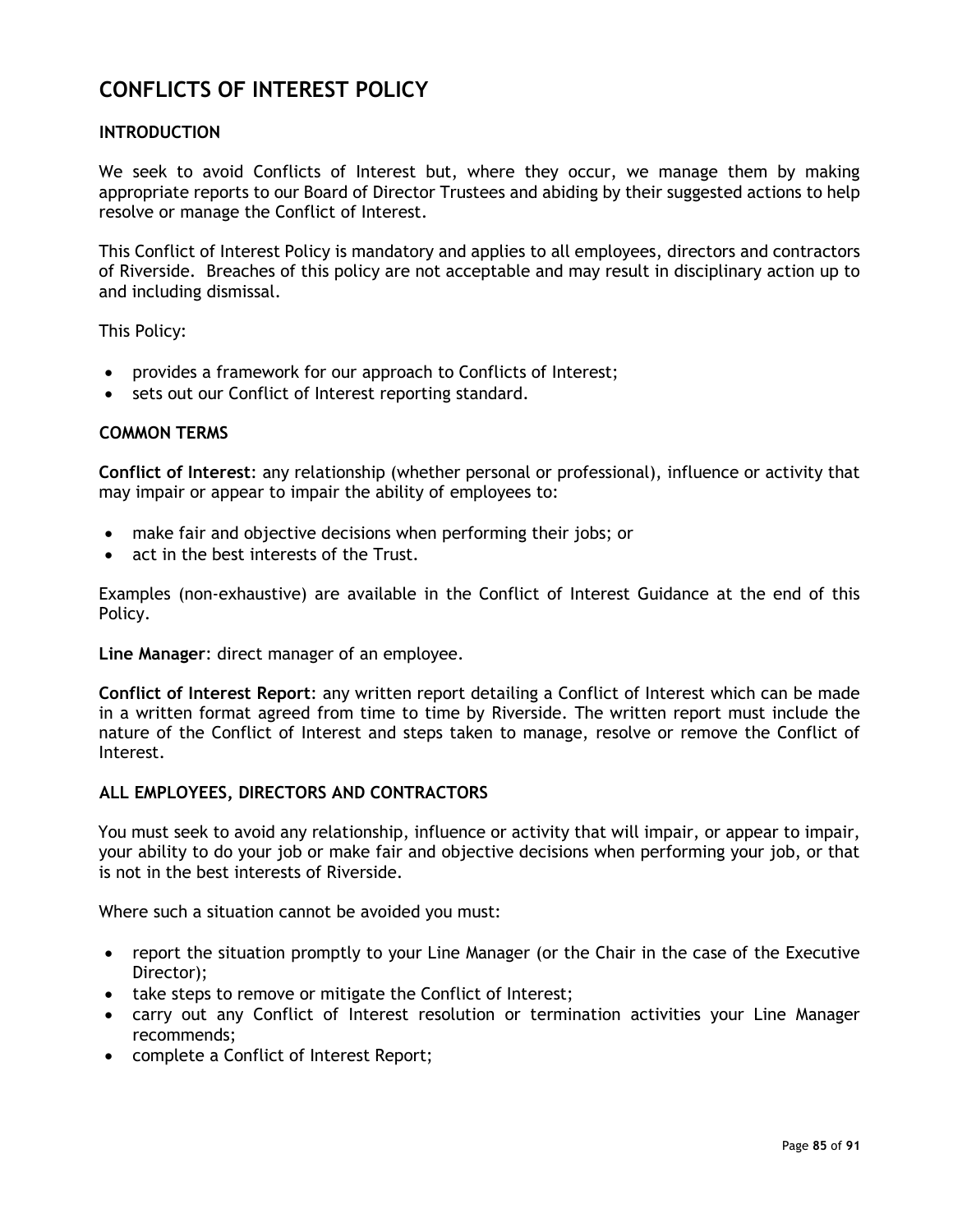# **CONFLICTS OF INTEREST POLICY**

# **INTRODUCTION**

We seek to avoid Conflicts of Interest but, where they occur, we manage them by making appropriate reports to our Board of Director Trustees and abiding by their suggested actions to help resolve or manage the Conflict of Interest.

This Conflict of Interest Policy is mandatory and applies to all employees, directors and contractors of Riverside. Breaches of this policy are not acceptable and may result in disciplinary action up to and including dismissal.

This Policy:

- provides a framework for our approach to Conflicts of Interest;
- sets out our Conflict of Interest reporting standard.

#### **COMMON TERMS**

**Conflict of Interest**: any relationship (whether personal or professional), influence or activity that may impair or appear to impair the ability of employees to:

- make fair and objective decisions when performing their jobs; or
- act in the best interests of the Trust.

Examples (non-exhaustive) are available in the Conflict of Interest Guidance at the end of this Policy.

**Line Manager**: direct manager of an employee.

**Conflict of Interest Report**: any written report detailing a Conflict of Interest which can be made in a written format agreed from time to time by Riverside. The written report must include the nature of the Conflict of Interest and steps taken to manage, resolve or remove the Conflict of Interest.

#### **ALL EMPLOYEES, DIRECTORS AND CONTRACTORS**

You must seek to avoid any relationship, influence or activity that will impair, or appear to impair, your ability to do your job or make fair and objective decisions when performing your job, or that is not in the best interests of Riverside.

Where such a situation cannot be avoided you must:

- report the situation promptly to your Line Manager (or the Chair in the case of the Executive Director);
- take steps to remove or mitigate the Conflict of Interest;
- carry out any Conflict of Interest resolution or termination activities your Line Manager recommends;
- complete a Conflict of Interest Report;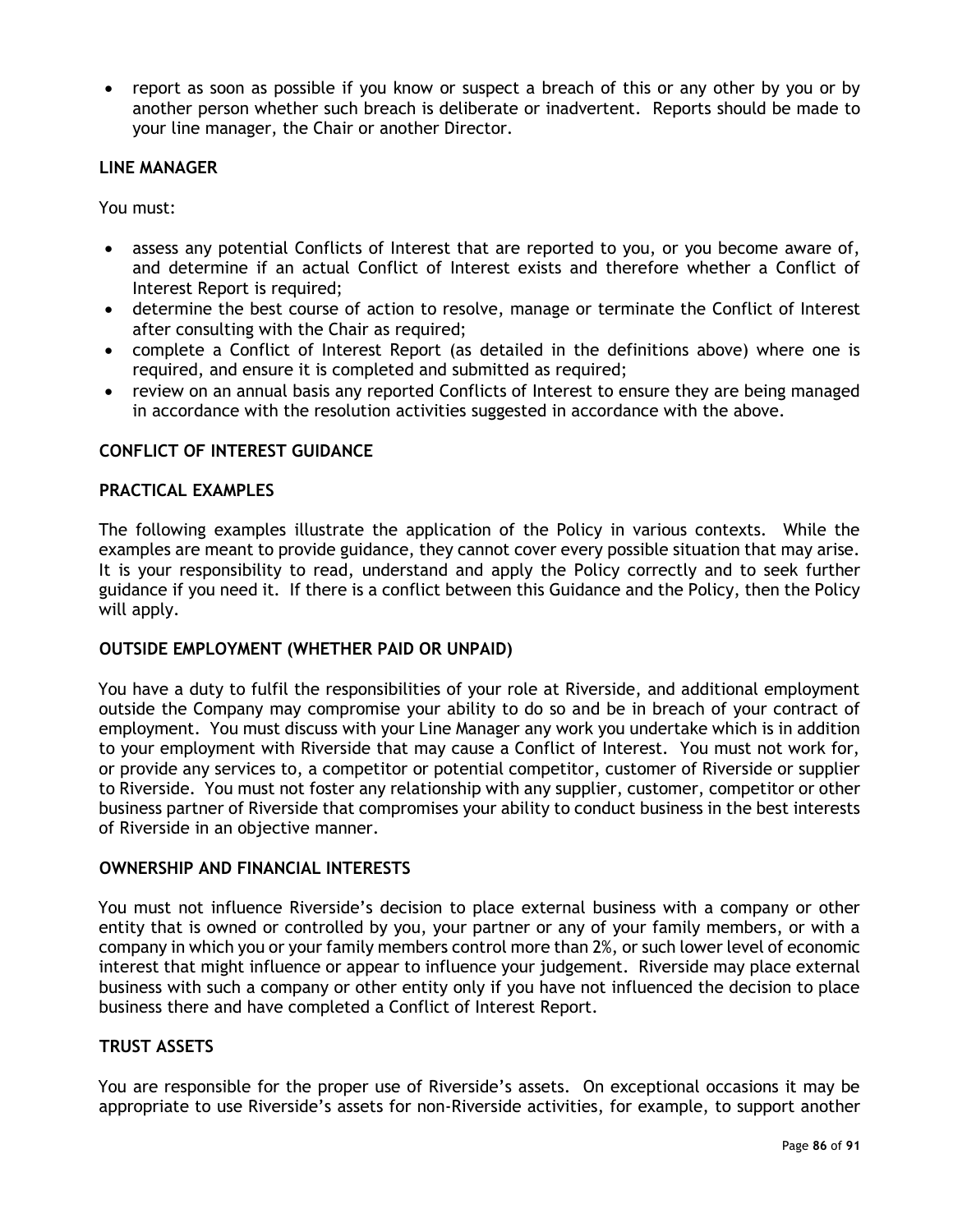• report as soon as possible if you know or suspect a breach of this or any other by you or by another person whether such breach is deliberate or inadvertent. Reports should be made to your line manager, the Chair or another Director.

## **LINE MANAGER**

You must:

- assess any potential Conflicts of Interest that are reported to you, or you become aware of, and determine if an actual Conflict of Interest exists and therefore whether a Conflict of Interest Report is required;
- determine the best course of action to resolve, manage or terminate the Conflict of Interest after consulting with the Chair as required;
- complete a Conflict of Interest Report (as detailed in the definitions above) where one is required, and ensure it is completed and submitted as required;
- review on an annual basis any reported Conflicts of Interest to ensure they are being managed in accordance with the resolution activities suggested in accordance with the above.

# **CONFLICT OF INTEREST GUIDANCE**

## **PRACTICAL EXAMPLES**

The following examples illustrate the application of the Policy in various contexts. While the examples are meant to provide guidance, they cannot cover every possible situation that may arise. It is your responsibility to read, understand and apply the Policy correctly and to seek further guidance if you need it. If there is a conflict between this Guidance and the Policy, then the Policy will apply.

## **OUTSIDE EMPLOYMENT (WHETHER PAID OR UNPAID)**

You have a duty to fulfil the responsibilities of your role at Riverside, and additional employment outside the Company may compromise your ability to do so and be in breach of your contract of employment. You must discuss with your Line Manager any work you undertake which is in addition to your employment with Riverside that may cause a Conflict of Interest. You must not work for, or provide any services to, a competitor or potential competitor, customer of Riverside or supplier to Riverside. You must not foster any relationship with any supplier, customer, competitor or other business partner of Riverside that compromises your ability to conduct business in the best interests of Riverside in an objective manner.

## **OWNERSHIP AND FINANCIAL INTERESTS**

You must not influence Riverside's decision to place external business with a company or other entity that is owned or controlled by you, your partner or any of your family members, or with a company in which you or your family members control more than 2%, or such lower level of economic interest that might influence or appear to influence your judgement. Riverside may place external business with such a company or other entity only if you have not influenced the decision to place business there and have completed a Conflict of Interest Report.

## **TRUST ASSETS**

You are responsible for the proper use of Riverside's assets. On exceptional occasions it may be appropriate to use Riverside's assets for non-Riverside activities, for example, to support another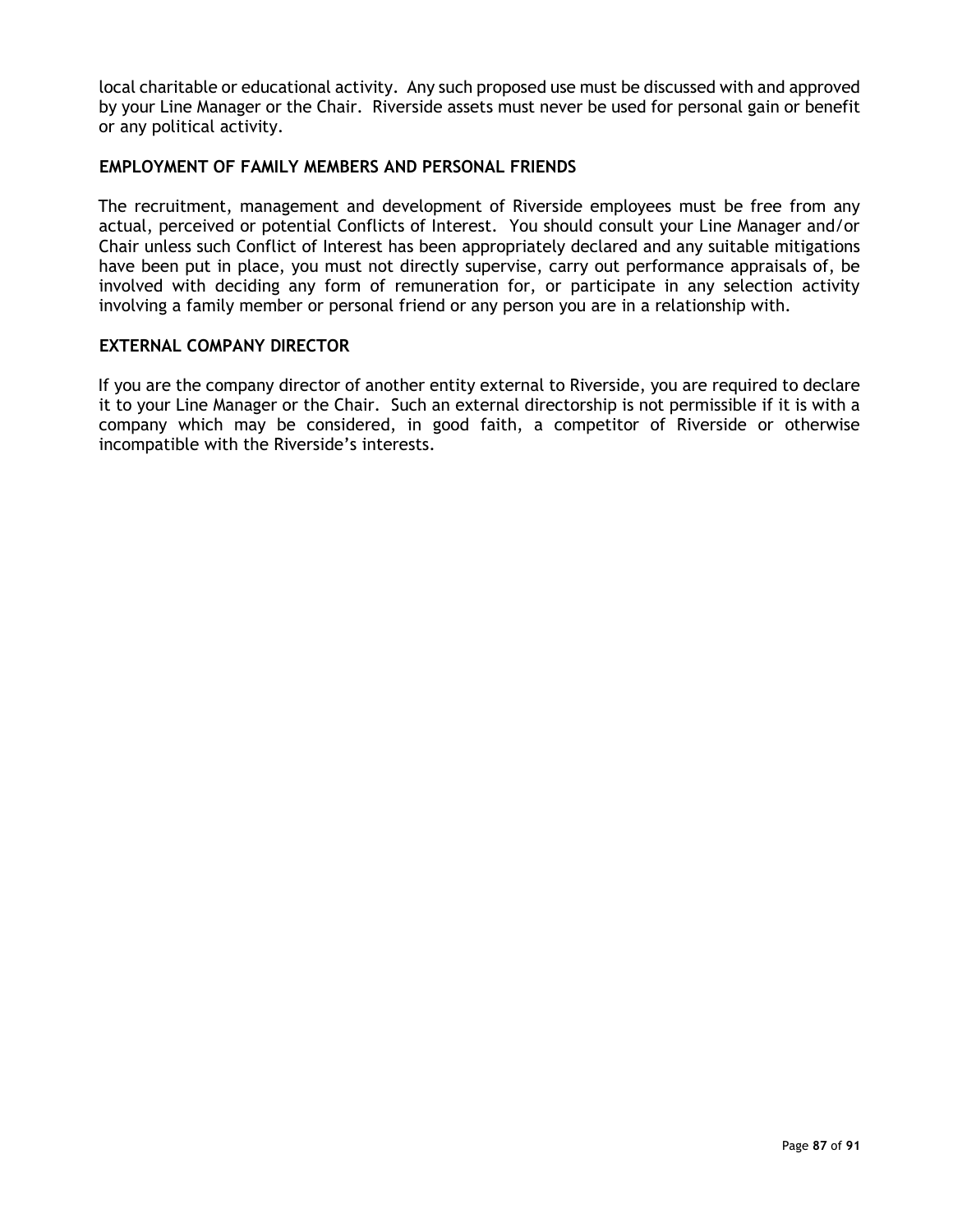local charitable or educational activity. Any such proposed use must be discussed with and approved by your Line Manager or the Chair. Riverside assets must never be used for personal gain or benefit or any political activity.

## **EMPLOYMENT OF FAMILY MEMBERS AND PERSONAL FRIENDS**

The recruitment, management and development of Riverside employees must be free from any actual, perceived or potential Conflicts of Interest. You should consult your Line Manager and/or Chair unless such Conflict of Interest has been appropriately declared and any suitable mitigations have been put in place, you must not directly supervise, carry out performance appraisals of, be involved with deciding any form of remuneration for, or participate in any selection activity involving a family member or personal friend or any person you are in a relationship with.

## **EXTERNAL COMPANY DIRECTOR**

If you are the company director of another entity external to Riverside, you are required to declare it to your Line Manager or the Chair. Such an external directorship is not permissible if it is with a company which may be considered, in good faith, a competitor of Riverside or otherwise incompatible with the Riverside's interests.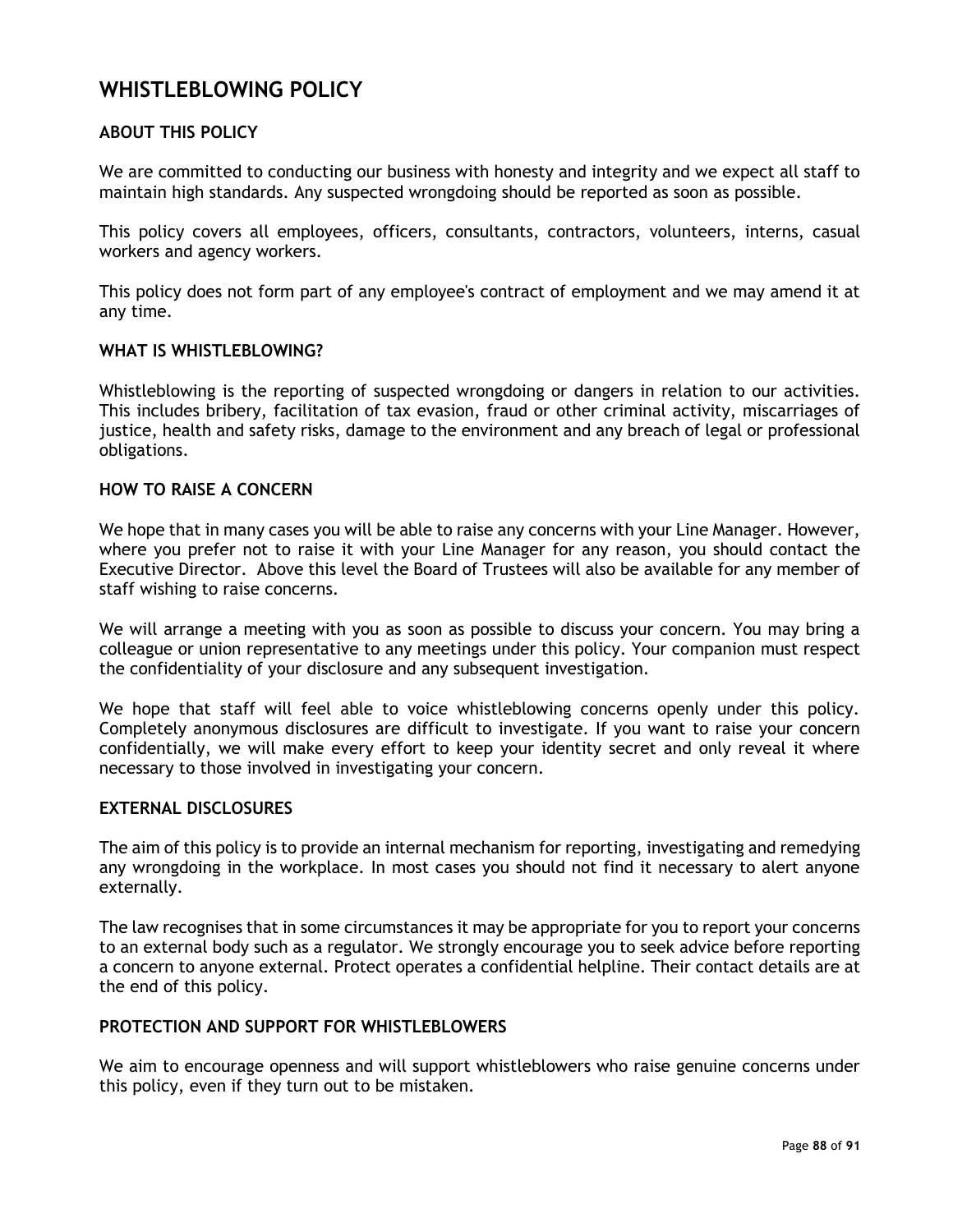# **WHISTLEBLOWING POLICY**

# **ABOUT THIS POLICY**

We are committed to conducting our business with honesty and integrity and we expect all staff to maintain high standards. Any suspected wrongdoing should be reported as soon as possible.

This policy covers all employees, officers, consultants, contractors, volunteers, interns, casual workers and agency workers.

This policy does not form part of any employee's contract of employment and we may amend it at any time.

#### **WHAT IS WHISTLEBLOWING?**

Whistleblowing is the reporting of suspected wrongdoing or dangers in relation to our activities. This includes bribery, facilitation of tax evasion, fraud or other criminal activity, miscarriages of justice, health and safety risks, damage to the environment and any breach of legal or professional obligations.

## **HOW TO RAISE A CONCERN**

We hope that in many cases you will be able to raise any concerns with your Line Manager. However, where you prefer not to raise it with your Line Manager for any reason, you should contact the Executive Director. Above this level the Board of Trustees will also be available for any member of staff wishing to raise concerns.

We will arrange a meeting with you as soon as possible to discuss your concern. You may bring a colleague or union representative to any meetings under this policy. Your companion must respect the confidentiality of your disclosure and any subsequent investigation.

We hope that staff will feel able to voice whistleblowing concerns openly under this policy. Completely anonymous disclosures are difficult to investigate. If you want to raise your concern confidentially, we will make every effort to keep your identity secret and only reveal it where necessary to those involved in investigating your concern.

#### **EXTERNAL DISCLOSURES**

The aim of this policy is to provide an internal mechanism for reporting, investigating and remedying any wrongdoing in the workplace. In most cases you should not find it necessary to alert anyone externally.

The law recognises that in some circumstances it may be appropriate for you to report your concerns to an external body such as a regulator. We strongly encourage you to seek advice before reporting a concern to anyone external. Protect operates a confidential helpline. Their contact details are at the end of this policy.

# **PROTECTION AND SUPPORT FOR WHISTLEBLOWERS**

We aim to encourage openness and will support whistleblowers who raise genuine concerns under this policy, even if they turn out to be mistaken.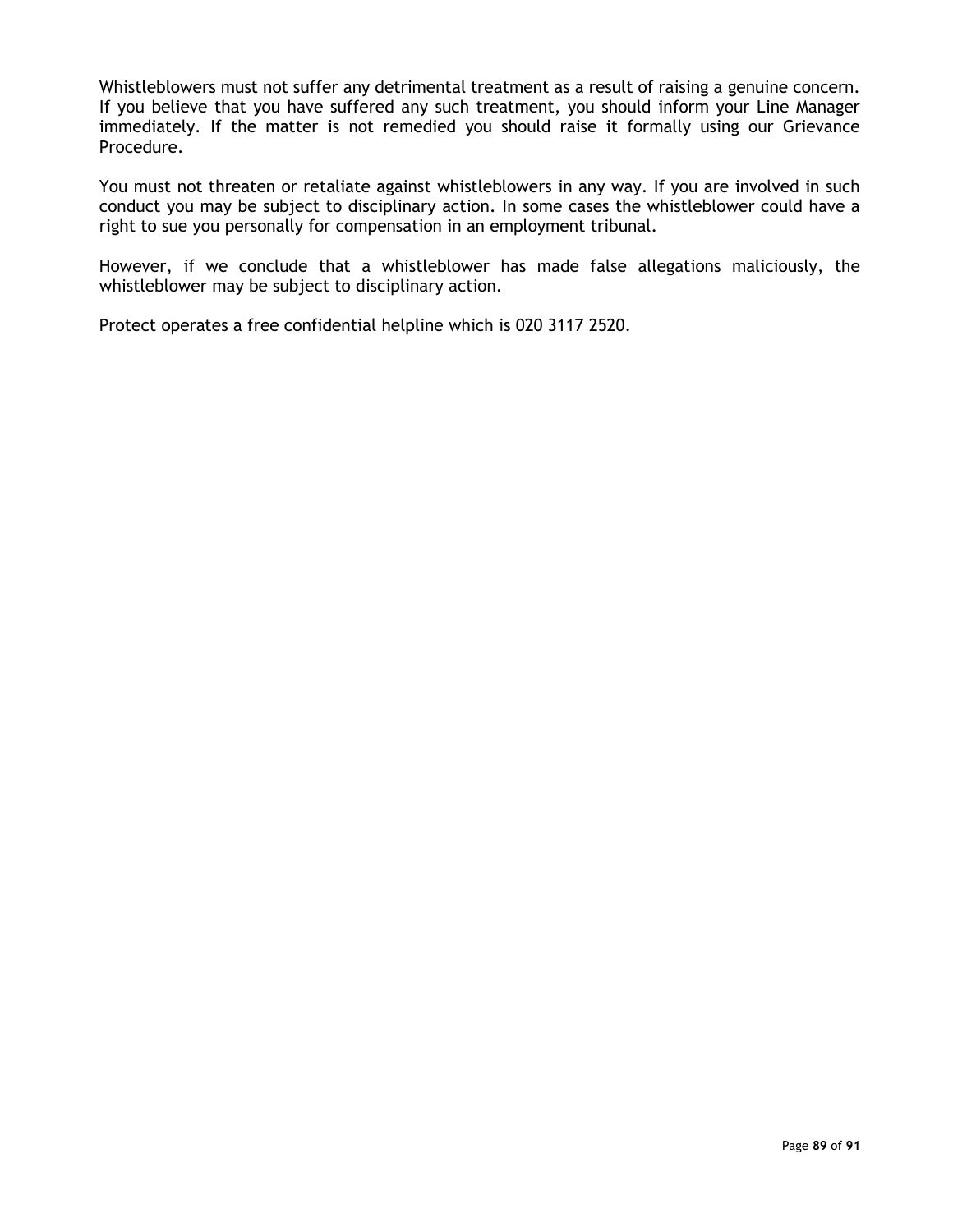Whistleblowers must not suffer any detrimental treatment as a result of raising a genuine concern. If you believe that you have suffered any such treatment, you should inform your Line Manager immediately. If the matter is not remedied you should raise it formally using our Grievance Procedure.

You must not threaten or retaliate against whistleblowers in any way. If you are involved in such conduct you may be subject to disciplinary action. In some cases the whistleblower could have a right to sue you personally for compensation in an employment tribunal.

However, if we conclude that a whistleblower has made false allegations maliciously, the whistleblower may be subject to disciplinary action.

Protect operates a free confidential helpline which is [020 3117 2520.](tel:02031172520)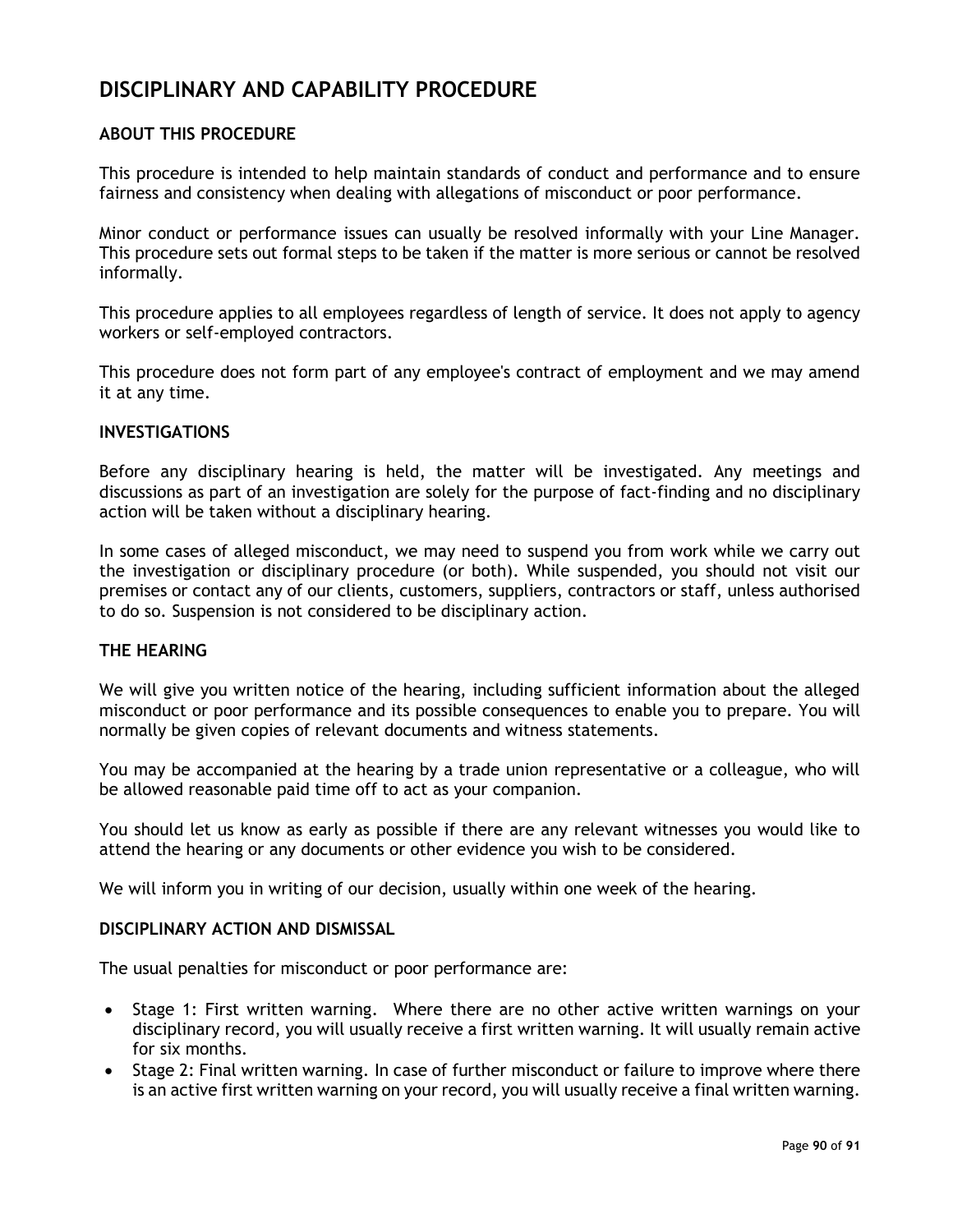# **DISCIPLINARY AND CAPABILITY PROCEDURE**

# **ABOUT THIS PROCEDURE**

This procedure is intended to help maintain standards of conduct and performance and to ensure fairness and consistency when dealing with allegations of misconduct or poor performance.

Minor conduct or performance issues can usually be resolved informally with your Line Manager. This procedure sets out formal steps to be taken if the matter is more serious or cannot be resolved informally.

This procedure applies to all employees regardless of length of service. It does not apply to agency workers or self-employed contractors.

This procedure does not form part of any employee's contract of employment and we may amend it at any time.

#### **INVESTIGATIONS**

Before any disciplinary hearing is held, the matter will be investigated. Any meetings and discussions as part of an investigation are solely for the purpose of fact-finding and no disciplinary action will be taken without a disciplinary hearing.

In some cases of alleged misconduct, we may need to suspend you from work while we carry out the investigation or disciplinary procedure (or both). While suspended, you should not visit our premises or contact any of our clients, customers, suppliers, contractors or staff, unless authorised to do so. Suspension is not considered to be disciplinary action.

# **THE HEARING**

We will give you written notice of the hearing, including sufficient information about the alleged misconduct or poor performance and its possible consequences to enable you to prepare. You will normally be given copies of relevant documents and witness statements.

You may be accompanied at the hearing by a trade union representative or a colleague, who will be allowed reasonable paid time off to act as your companion.

You should let us know as early as possible if there are any relevant witnesses you would like to attend the hearing or any documents or other evidence you wish to be considered.

We will inform you in writing of our decision, usually within one week of the hearing.

### **DISCIPLINARY ACTION AND DISMISSAL**

The usual penalties for misconduct or poor performance are:

- Stage 1: First written warning. Where there are no other active written warnings on your disciplinary record, you will usually receive a first written warning. It will usually remain active for six months.
- Stage 2: Final written warning. In case of further misconduct or failure to improve where there is an active first written warning on your record, you will usually receive a final written warning.